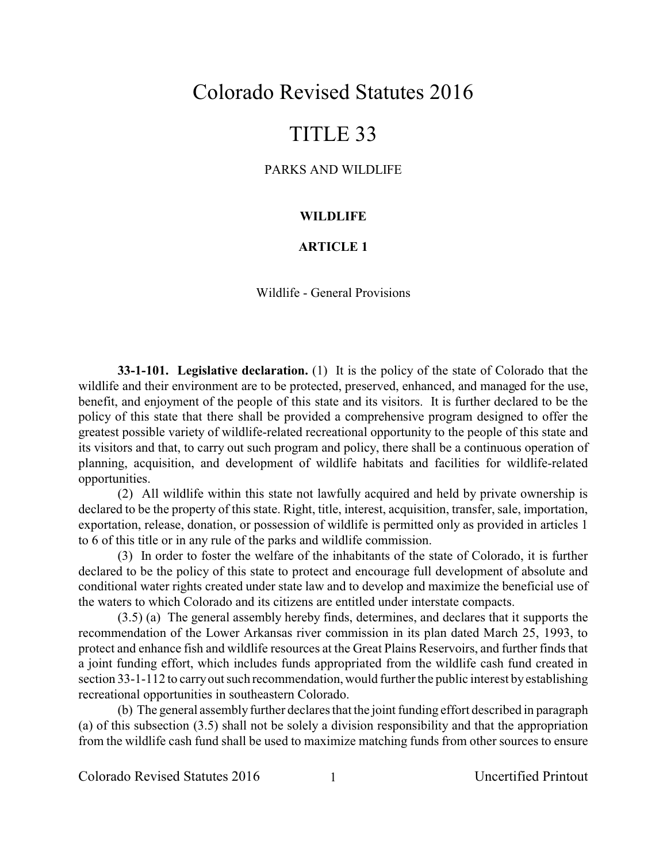# Colorado Revised Statutes 2016

# TITLE 33

PARKS AND WILDLIFE

### **WILDLIFE**

### **ARTICLE 1**

Wildlife - General Provisions

**33-1-101. Legislative declaration.** (1) It is the policy of the state of Colorado that the wildlife and their environment are to be protected, preserved, enhanced, and managed for the use, benefit, and enjoyment of the people of this state and its visitors. It is further declared to be the policy of this state that there shall be provided a comprehensive program designed to offer the greatest possible variety of wildlife-related recreational opportunity to the people of this state and its visitors and that, to carry out such program and policy, there shall be a continuous operation of planning, acquisition, and development of wildlife habitats and facilities for wildlife-related opportunities.

(2) All wildlife within this state not lawfully acquired and held by private ownership is declared to be the property of this state. Right, title, interest, acquisition, transfer, sale, importation, exportation, release, donation, or possession of wildlife is permitted only as provided in articles 1 to 6 of this title or in any rule of the parks and wildlife commission.

(3) In order to foster the welfare of the inhabitants of the state of Colorado, it is further declared to be the policy of this state to protect and encourage full development of absolute and conditional water rights created under state law and to develop and maximize the beneficial use of the waters to which Colorado and its citizens are entitled under interstate compacts.

(3.5) (a) The general assembly hereby finds, determines, and declares that it supports the recommendation of the Lower Arkansas river commission in its plan dated March 25, 1993, to protect and enhance fish and wildlife resources at the Great Plains Reservoirs, and further finds that a joint funding effort, which includes funds appropriated from the wildlife cash fund created in section 33-1-112 to carryout such recommendation, would further the public interest by establishing recreational opportunities in southeastern Colorado.

(b) The general assembly further declares that the joint funding effort described in paragraph (a) of this subsection (3.5) shall not be solely a division responsibility and that the appropriation from the wildlife cash fund shall be used to maximize matching funds from other sources to ensure

Colorado Revised Statutes 2016 1 Uncertified Printout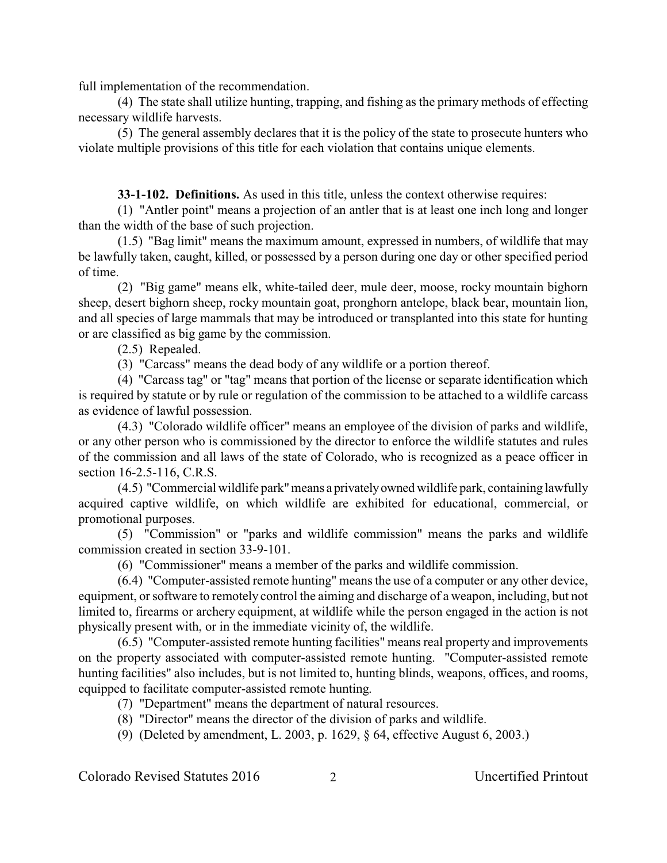full implementation of the recommendation.

(4) The state shall utilize hunting, trapping, and fishing as the primary methods of effecting necessary wildlife harvests.

(5) The general assembly declares that it is the policy of the state to prosecute hunters who violate multiple provisions of this title for each violation that contains unique elements.

**33-1-102. Definitions.** As used in this title, unless the context otherwise requires:

(1) "Antler point" means a projection of an antler that is at least one inch long and longer than the width of the base of such projection.

(1.5) "Bag limit" means the maximum amount, expressed in numbers, of wildlife that may be lawfully taken, caught, killed, or possessed by a person during one day or other specified period of time.

(2) "Big game" means elk, white-tailed deer, mule deer, moose, rocky mountain bighorn sheep, desert bighorn sheep, rocky mountain goat, pronghorn antelope, black bear, mountain lion, and all species of large mammals that may be introduced or transplanted into this state for hunting or are classified as big game by the commission.

(2.5) Repealed.

(3) "Carcass" means the dead body of any wildlife or a portion thereof.

(4) "Carcass tag" or "tag" means that portion of the license or separate identification which is required by statute or by rule or regulation of the commission to be attached to a wildlife carcass as evidence of lawful possession.

(4.3) "Colorado wildlife officer" means an employee of the division of parks and wildlife, or any other person who is commissioned by the director to enforce the wildlife statutes and rules of the commission and all laws of the state of Colorado, who is recognized as a peace officer in section 16-2.5-116, C.R.S.

 $(4.5)$  "Commercial wildlife park" means a privately owned wildlife park, containing lawfully acquired captive wildlife, on which wildlife are exhibited for educational, commercial, or promotional purposes.

(5) "Commission" or "parks and wildlife commission" means the parks and wildlife commission created in section 33-9-101.

(6) "Commissioner" means a member of the parks and wildlife commission.

(6.4) "Computer-assisted remote hunting" means the use of a computer or any other device, equipment, or software to remotely control the aiming and discharge of a weapon, including, but not limited to, firearms or archery equipment, at wildlife while the person engaged in the action is not physically present with, or in the immediate vicinity of, the wildlife.

(6.5) "Computer-assisted remote hunting facilities" means real property and improvements on the property associated with computer-assisted remote hunting. "Computer-assisted remote hunting facilities" also includes, but is not limited to, hunting blinds, weapons, offices, and rooms, equipped to facilitate computer-assisted remote hunting.

(7) "Department" means the department of natural resources.

- (8) "Director" means the director of the division of parks and wildlife.
- (9) (Deleted by amendment, L. 2003, p. 1629, § 64, effective August 6, 2003.)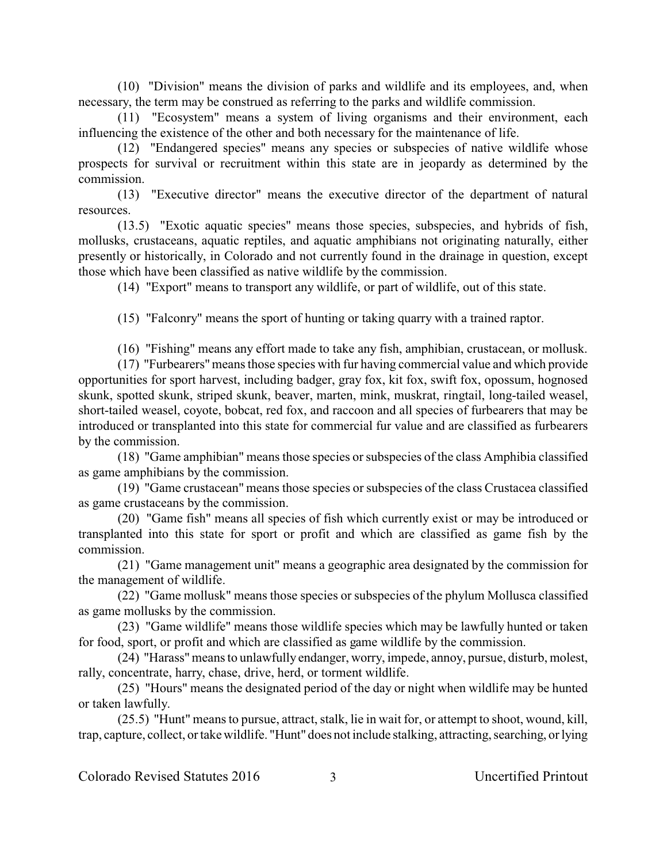(10) "Division" means the division of parks and wildlife and its employees, and, when necessary, the term may be construed as referring to the parks and wildlife commission.

(11) "Ecosystem" means a system of living organisms and their environment, each influencing the existence of the other and both necessary for the maintenance of life.

(12) "Endangered species" means any species or subspecies of native wildlife whose prospects for survival or recruitment within this state are in jeopardy as determined by the commission.

(13) "Executive director" means the executive director of the department of natural resources.

(13.5) "Exotic aquatic species" means those species, subspecies, and hybrids of fish, mollusks, crustaceans, aquatic reptiles, and aquatic amphibians not originating naturally, either presently or historically, in Colorado and not currently found in the drainage in question, except those which have been classified as native wildlife by the commission.

(14) "Export" means to transport any wildlife, or part of wildlife, out of this state.

(15) "Falconry" means the sport of hunting or taking quarry with a trained raptor.

(16) "Fishing" means any effort made to take any fish, amphibian, crustacean, or mollusk.

(17) "Furbearers"means those species with fur having commercial value and which provide opportunities for sport harvest, including badger, gray fox, kit fox, swift fox, opossum, hognosed skunk, spotted skunk, striped skunk, beaver, marten, mink, muskrat, ringtail, long-tailed weasel, short-tailed weasel, coyote, bobcat, red fox, and raccoon and all species of furbearers that may be introduced or transplanted into this state for commercial fur value and are classified as furbearers by the commission.

(18) "Game amphibian" means those species or subspecies of the class Amphibia classified as game amphibians by the commission.

(19) "Game crustacean" means those species or subspecies of the class Crustacea classified as game crustaceans by the commission.

(20) "Game fish" means all species of fish which currently exist or may be introduced or transplanted into this state for sport or profit and which are classified as game fish by the commission.

(21) "Game management unit" means a geographic area designated by the commission for the management of wildlife.

(22) "Game mollusk" means those species or subspecies of the phylum Mollusca classified as game mollusks by the commission.

(23) "Game wildlife" means those wildlife species which may be lawfully hunted or taken for food, sport, or profit and which are classified as game wildlife by the commission.

(24) "Harass"means to unlawfully endanger, worry, impede, annoy, pursue, disturb, molest, rally, concentrate, harry, chase, drive, herd, or torment wildlife.

(25) "Hours" means the designated period of the day or night when wildlife may be hunted or taken lawfully.

(25.5) "Hunt" means to pursue, attract, stalk, lie in wait for, or attempt to shoot, wound, kill, trap, capture, collect, or take wildlife. "Hunt" does not include stalking, attracting, searching, or lying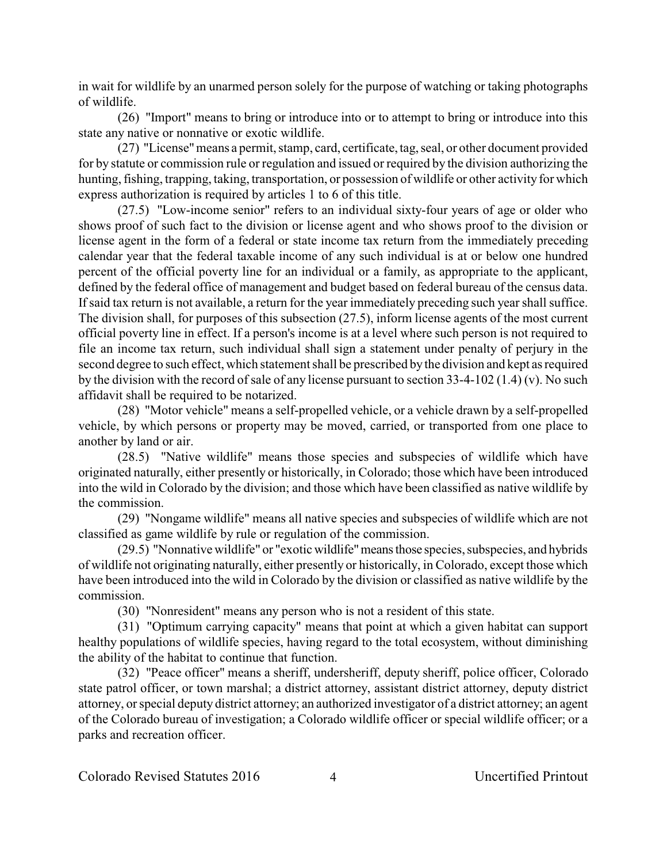in wait for wildlife by an unarmed person solely for the purpose of watching or taking photographs of wildlife.

(26) "Import" means to bring or introduce into or to attempt to bring or introduce into this state any native or nonnative or exotic wildlife.

(27) "License"means a permit, stamp, card, certificate, tag,seal, or other document provided for by statute or commission rule or regulation and issued or required by the division authorizing the hunting, fishing, trapping, taking, transportation, or possession of wildlife or other activity for which express authorization is required by articles 1 to 6 of this title.

(27.5) "Low-income senior" refers to an individual sixty-four years of age or older who shows proof of such fact to the division or license agent and who shows proof to the division or license agent in the form of a federal or state income tax return from the immediately preceding calendar year that the federal taxable income of any such individual is at or below one hundred percent of the official poverty line for an individual or a family, as appropriate to the applicant, defined by the federal office of management and budget based on federal bureau of the census data. If said tax return is not available, a return for the year immediately preceding such year shall suffice. The division shall, for purposes of this subsection (27.5), inform license agents of the most current official poverty line in effect. If a person's income is at a level where such person is not required to file an income tax return, such individual shall sign a statement under penalty of perjury in the second degree to such effect, which statement shall be prescribed bythe division and kept as required by the division with the record of sale of any license pursuant to section 33-4-102 (1.4) (v). No such affidavit shall be required to be notarized.

(28) "Motor vehicle" means a self-propelled vehicle, or a vehicle drawn by a self-propelled vehicle, by which persons or property may be moved, carried, or transported from one place to another by land or air.

(28.5) "Native wildlife" means those species and subspecies of wildlife which have originated naturally, either presently or historically, in Colorado; those which have been introduced into the wild in Colorado by the division; and those which have been classified as native wildlife by the commission.

(29) "Nongame wildlife" means all native species and subspecies of wildlife which are not classified as game wildlife by rule or regulation of the commission.

(29.5) "Nonnative wildlife" or "exotic wildlife"meansthose species, subspecies, and hybrids of wildlife not originating naturally, either presently or historically, in Colorado, except those which have been introduced into the wild in Colorado by the division or classified as native wildlife by the commission.

(30) "Nonresident" means any person who is not a resident of this state.

(31) "Optimum carrying capacity" means that point at which a given habitat can support healthy populations of wildlife species, having regard to the total ecosystem, without diminishing the ability of the habitat to continue that function.

(32) "Peace officer" means a sheriff, undersheriff, deputy sheriff, police officer, Colorado state patrol officer, or town marshal; a district attorney, assistant district attorney, deputy district attorney, or special deputy district attorney; an authorized investigator of a district attorney; an agent of the Colorado bureau of investigation; a Colorado wildlife officer or special wildlife officer; or a parks and recreation officer.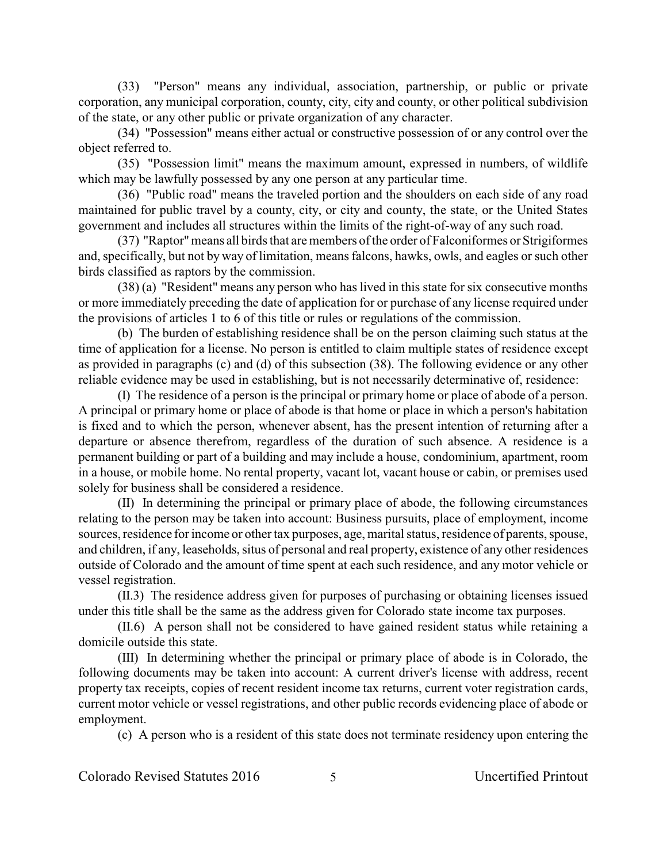(33) "Person" means any individual, association, partnership, or public or private corporation, any municipal corporation, county, city, city and county, or other political subdivision of the state, or any other public or private organization of any character.

(34) "Possession" means either actual or constructive possession of or any control over the object referred to.

(35) "Possession limit" means the maximum amount, expressed in numbers, of wildlife which may be lawfully possessed by any one person at any particular time.

(36) "Public road" means the traveled portion and the shoulders on each side of any road maintained for public travel by a county, city, or city and county, the state, or the United States government and includes all structures within the limits of the right-of-way of any such road.

(37) "Raptor"means all birds that are members of the order of Falconiformes or Strigiformes and, specifically, but not by way of limitation, means falcons, hawks, owls, and eagles or such other birds classified as raptors by the commission.

(38) (a) "Resident" means any person who has lived in this state for six consecutive months or more immediately preceding the date of application for or purchase of any license required under the provisions of articles 1 to 6 of this title or rules or regulations of the commission.

(b) The burden of establishing residence shall be on the person claiming such status at the time of application for a license. No person is entitled to claim multiple states of residence except as provided in paragraphs (c) and (d) of this subsection (38). The following evidence or any other reliable evidence may be used in establishing, but is not necessarily determinative of, residence:

(I) The residence of a person is the principal or primary home or place of abode of a person. A principal or primary home or place of abode is that home or place in which a person's habitation is fixed and to which the person, whenever absent, has the present intention of returning after a departure or absence therefrom, regardless of the duration of such absence. A residence is a permanent building or part of a building and may include a house, condominium, apartment, room in a house, or mobile home. No rental property, vacant lot, vacant house or cabin, or premises used solely for business shall be considered a residence.

(II) In determining the principal or primary place of abode, the following circumstances relating to the person may be taken into account: Business pursuits, place of employment, income sources, residence for income or other tax purposes, age, marital status, residence of parents, spouse, and children, if any, leaseholds, situs of personal and real property, existence of any other residences outside of Colorado and the amount of time spent at each such residence, and any motor vehicle or vessel registration.

(II.3) The residence address given for purposes of purchasing or obtaining licenses issued under this title shall be the same as the address given for Colorado state income tax purposes.

(II.6) A person shall not be considered to have gained resident status while retaining a domicile outside this state.

(III) In determining whether the principal or primary place of abode is in Colorado, the following documents may be taken into account: A current driver's license with address, recent property tax receipts, copies of recent resident income tax returns, current voter registration cards, current motor vehicle or vessel registrations, and other public records evidencing place of abode or employment.

(c) A person who is a resident of this state does not terminate residency upon entering the

Colorado Revised Statutes 2016 5 Uncertified Printout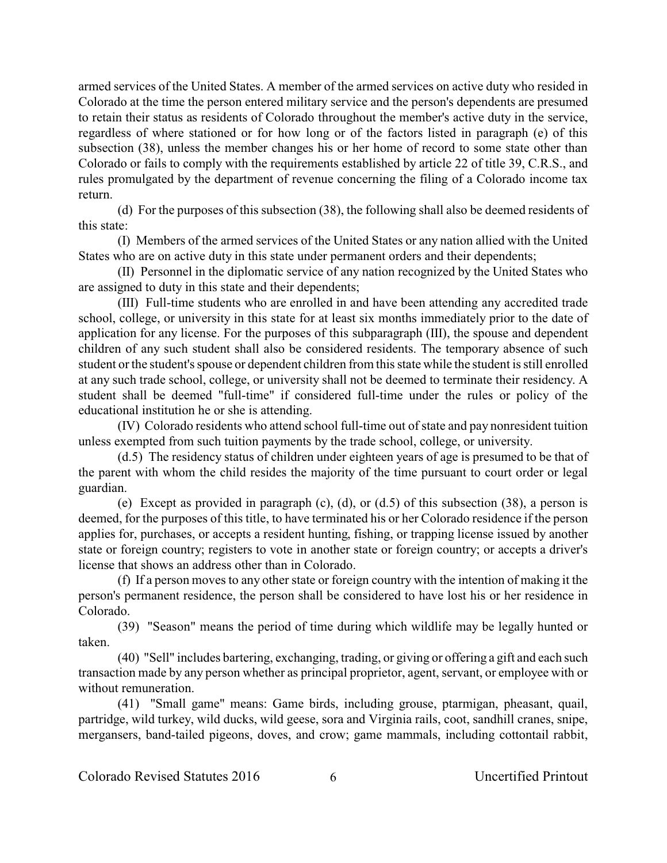armed services of the United States. A member of the armed services on active duty who resided in Colorado at the time the person entered military service and the person's dependents are presumed to retain their status as residents of Colorado throughout the member's active duty in the service, regardless of where stationed or for how long or of the factors listed in paragraph (e) of this subsection (38), unless the member changes his or her home of record to some state other than Colorado or fails to comply with the requirements established by article 22 of title 39, C.R.S., and rules promulgated by the department of revenue concerning the filing of a Colorado income tax return.

(d) For the purposes of this subsection (38), the following shall also be deemed residents of this state:

(I) Members of the armed services of the United States or any nation allied with the United States who are on active duty in this state under permanent orders and their dependents;

(II) Personnel in the diplomatic service of any nation recognized by the United States who are assigned to duty in this state and their dependents;

(III) Full-time students who are enrolled in and have been attending any accredited trade school, college, or university in this state for at least six months immediately prior to the date of application for any license. For the purposes of this subparagraph (III), the spouse and dependent children of any such student shall also be considered residents. The temporary absence of such student or the student's spouse or dependent children from this state while the student is still enrolled at any such trade school, college, or university shall not be deemed to terminate their residency. A student shall be deemed "full-time" if considered full-time under the rules or policy of the educational institution he or she is attending.

(IV) Colorado residents who attend school full-time out of state and pay nonresident tuition unless exempted from such tuition payments by the trade school, college, or university.

(d.5) The residency status of children under eighteen years of age is presumed to be that of the parent with whom the child resides the majority of the time pursuant to court order or legal guardian.

(e) Except as provided in paragraph (c), (d), or (d.5) of this subsection (38), a person is deemed, for the purposes of this title, to have terminated his or her Colorado residence if the person applies for, purchases, or accepts a resident hunting, fishing, or trapping license issued by another state or foreign country; registers to vote in another state or foreign country; or accepts a driver's license that shows an address other than in Colorado.

(f) If a person moves to any other state or foreign country with the intention of making it the person's permanent residence, the person shall be considered to have lost his or her residence in Colorado.

(39) "Season" means the period of time during which wildlife may be legally hunted or taken.

(40) "Sell" includes bartering, exchanging, trading, or giving or offering a gift and each such transaction made by any person whether as principal proprietor, agent, servant, or employee with or without remuneration.

(41) "Small game" means: Game birds, including grouse, ptarmigan, pheasant, quail, partridge, wild turkey, wild ducks, wild geese, sora and Virginia rails, coot, sandhill cranes, snipe, mergansers, band-tailed pigeons, doves, and crow; game mammals, including cottontail rabbit,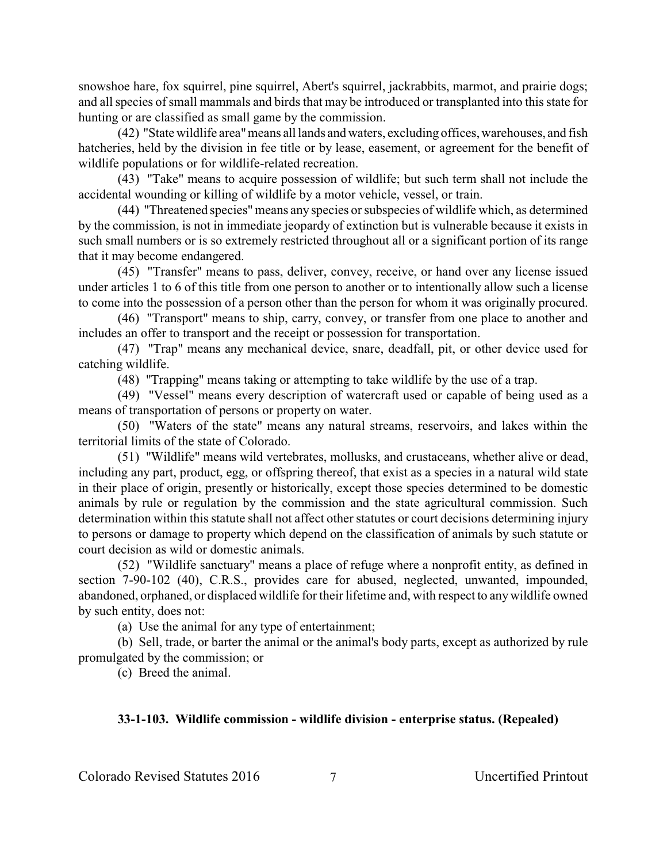snowshoe hare, fox squirrel, pine squirrel, Abert's squirrel, jackrabbits, marmot, and prairie dogs; and all species of small mammals and birds that may be introduced or transplanted into this state for hunting or are classified as small game by the commission.

(42) "State wildlife area"means all lands and waters, excluding offices, warehouses, and fish hatcheries, held by the division in fee title or by lease, easement, or agreement for the benefit of wildlife populations or for wildlife-related recreation.

(43) "Take" means to acquire possession of wildlife; but such term shall not include the accidental wounding or killing of wildlife by a motor vehicle, vessel, or train.

(44) "Threatened species"means any species or subspecies of wildlife which, as determined by the commission, is not in immediate jeopardy of extinction but is vulnerable because it exists in such small numbers or is so extremely restricted throughout all or a significant portion of its range that it may become endangered.

(45) "Transfer" means to pass, deliver, convey, receive, or hand over any license issued under articles 1 to 6 of this title from one person to another or to intentionally allow such a license to come into the possession of a person other than the person for whom it was originally procured.

(46) "Transport" means to ship, carry, convey, or transfer from one place to another and includes an offer to transport and the receipt or possession for transportation.

(47) "Trap" means any mechanical device, snare, deadfall, pit, or other device used for catching wildlife.

(48) "Trapping" means taking or attempting to take wildlife by the use of a trap.

(49) "Vessel" means every description of watercraft used or capable of being used as a means of transportation of persons or property on water.

(50) "Waters of the state" means any natural streams, reservoirs, and lakes within the territorial limits of the state of Colorado.

(51) "Wildlife" means wild vertebrates, mollusks, and crustaceans, whether alive or dead, including any part, product, egg, or offspring thereof, that exist as a species in a natural wild state in their place of origin, presently or historically, except those species determined to be domestic animals by rule or regulation by the commission and the state agricultural commission. Such determination within this statute shall not affect other statutes or court decisions determining injury to persons or damage to property which depend on the classification of animals by such statute or court decision as wild or domestic animals.

(52) "Wildlife sanctuary" means a place of refuge where a nonprofit entity, as defined in section 7-90-102 (40), C.R.S., provides care for abused, neglected, unwanted, impounded, abandoned, orphaned, or displaced wildlife for their lifetime and, with respect to anywildlife owned by such entity, does not:

(a) Use the animal for any type of entertainment;

(b) Sell, trade, or barter the animal or the animal's body parts, except as authorized by rule promulgated by the commission; or

(c) Breed the animal.

## **33-1-103. Wildlife commission - wildlife division - enterprise status. (Repealed)**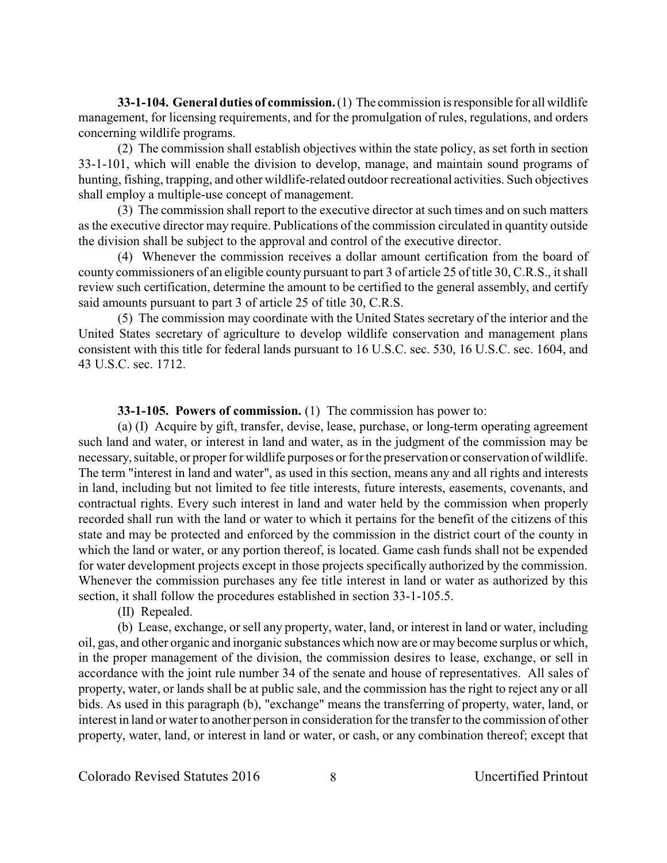**33-1-104. General duties of commission.**(1) The commission is responsible for all wildlife management, for licensing requirements, and for the promulgation of rules, regulations, and orders concerning wildlife programs.

(2) The commission shall establish objectives within the state policy, as set forth in section 33-1-101, which will enable the division to develop, manage, and maintain sound programs of hunting, fishing, trapping, and other wildlife-related outdoor recreational activities. Such objectives shall employ a multiple-use concept of management.

(3) The commission shall report to the executive director at such times and on such matters as the executive director may require. Publications of the commission circulated in quantity outside the division shall be subject to the approval and control of the executive director.

(4) Whenever the commission receives a dollar amount certification from the board of county commissioners of an eligible county pursuant to part 3 of article 25 of title 30, C.R.S., it shall review such certification, determine the amount to be certified to the general assembly, and certify said amounts pursuant to part 3 of article 25 of title 30, C.R.S.

(5) The commission may coordinate with the United States secretary of the interior and the United States secretary of agriculture to develop wildlife conservation and management plans consistent with this title for federal lands pursuant to 16 U.S.C. sec. 530, 16 U.S.C. sec. 1604, and 43 U.S.C. sec. 1712.

**33-1-105. Powers of commission.** (1) The commission has power to:

(a) (I) Acquire by gift, transfer, devise, lease, purchase, or long-term operating agreement such land and water, or interest in land and water, as in the judgment of the commission may be necessary, suitable, or proper for wildlife purposes or for the preservation or conservation of wildlife. The term "interest in land and water", as used in this section, means any and all rights and interests in land, including but not limited to fee title interests, future interests, easements, covenants, and contractual rights. Every such interest in land and water held by the commission when properly recorded shall run with the land or water to which it pertains for the benefit of the citizens of this state and may be protected and enforced by the commission in the district court of the county in which the land or water, or any portion thereof, is located. Game cash funds shall not be expended for water development projects except in those projects specifically authorized by the commission. Whenever the commission purchases any fee title interest in land or water as authorized by this section, it shall follow the procedures established in section 33-1-105.5.

(II) Repealed.

(b) Lease, exchange, or sell any property, water, land, or interest in land or water, including oil, gas, and other organic and inorganic substances which now are or may become surplus or which, in the proper management of the division, the commission desires to lease, exchange, or sell in accordance with the joint rule number 34 of the senate and house of representatives. All sales of property, water, or lands shall be at public sale, and the commission has the right to reject any or all bids. As used in this paragraph (b), "exchange" means the transferring of property, water, land, or interest in land or water to another person in consideration for the transfer to the commission of other property, water, land, or interest in land or water, or cash, or any combination thereof; except that

Colorado Revised Statutes 2016 8 Uncertified Printout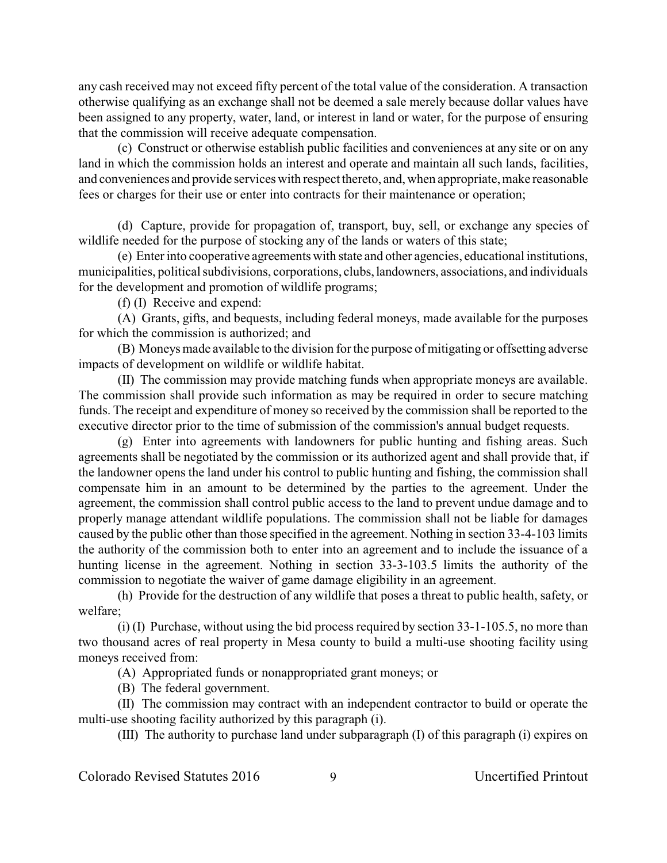any cash received may not exceed fifty percent of the total value of the consideration. A transaction otherwise qualifying as an exchange shall not be deemed a sale merely because dollar values have been assigned to any property, water, land, or interest in land or water, for the purpose of ensuring that the commission will receive adequate compensation.

(c) Construct or otherwise establish public facilities and conveniences at any site or on any land in which the commission holds an interest and operate and maintain all such lands, facilities, and conveniences and provide services with respect thereto, and, when appropriate, make reasonable fees or charges for their use or enter into contracts for their maintenance or operation;

(d) Capture, provide for propagation of, transport, buy, sell, or exchange any species of wildlife needed for the purpose of stocking any of the lands or waters of this state;

(e) Enter into cooperative agreements with state and other agencies, educational institutions, municipalities, political subdivisions, corporations, clubs, landowners, associations, and individuals for the development and promotion of wildlife programs;

(f) (I) Receive and expend:

(A) Grants, gifts, and bequests, including federal moneys, made available for the purposes for which the commission is authorized; and

(B) Moneys made available to the division for the purpose of mitigating or offsetting adverse impacts of development on wildlife or wildlife habitat.

(II) The commission may provide matching funds when appropriate moneys are available. The commission shall provide such information as may be required in order to secure matching funds. The receipt and expenditure of money so received by the commission shall be reported to the executive director prior to the time of submission of the commission's annual budget requests.

(g) Enter into agreements with landowners for public hunting and fishing areas. Such agreements shall be negotiated by the commission or its authorized agent and shall provide that, if the landowner opens the land under his control to public hunting and fishing, the commission shall compensate him in an amount to be determined by the parties to the agreement. Under the agreement, the commission shall control public access to the land to prevent undue damage and to properly manage attendant wildlife populations. The commission shall not be liable for damages caused by the public other than those specified in the agreement. Nothing in section 33-4-103 limits the authority of the commission both to enter into an agreement and to include the issuance of a hunting license in the agreement. Nothing in section 33-3-103.5 limits the authority of the commission to negotiate the waiver of game damage eligibility in an agreement.

(h) Provide for the destruction of any wildlife that poses a threat to public health, safety, or welfare;

(i) (I) Purchase, without using the bid process required by section 33-1-105.5, no more than two thousand acres of real property in Mesa county to build a multi-use shooting facility using moneys received from:

(A) Appropriated funds or nonappropriated grant moneys; or

(B) The federal government.

(II) The commission may contract with an independent contractor to build or operate the multi-use shooting facility authorized by this paragraph (i).

(III) The authority to purchase land under subparagraph (I) of this paragraph (i) expires on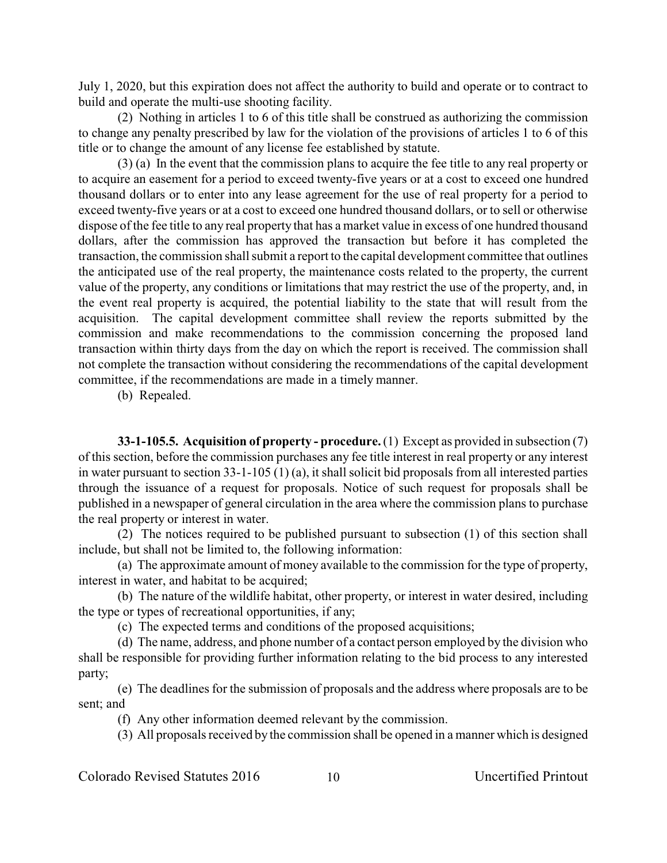July 1, 2020, but this expiration does not affect the authority to build and operate or to contract to build and operate the multi-use shooting facility.

(2) Nothing in articles 1 to 6 of this title shall be construed as authorizing the commission to change any penalty prescribed by law for the violation of the provisions of articles 1 to 6 of this title or to change the amount of any license fee established by statute.

(3) (a) In the event that the commission plans to acquire the fee title to any real property or to acquire an easement for a period to exceed twenty-five years or at a cost to exceed one hundred thousand dollars or to enter into any lease agreement for the use of real property for a period to exceed twenty-five years or at a cost to exceed one hundred thousand dollars, or to sell or otherwise dispose of the fee title to any real property that has a market value in excess of one hundred thousand dollars, after the commission has approved the transaction but before it has completed the transaction, the commission shall submit a report to the capital development committee that outlines the anticipated use of the real property, the maintenance costs related to the property, the current value of the property, any conditions or limitations that may restrict the use of the property, and, in the event real property is acquired, the potential liability to the state that will result from the acquisition. The capital development committee shall review the reports submitted by the commission and make recommendations to the commission concerning the proposed land transaction within thirty days from the day on which the report is received. The commission shall not complete the transaction without considering the recommendations of the capital development committee, if the recommendations are made in a timely manner.

(b) Repealed.

**33-1-105.5. Acquisition of property - procedure.** (1) Except as provided in subsection (7) of this section, before the commission purchases any fee title interest in real property or any interest in water pursuant to section 33-1-105 (1) (a), it shall solicit bid proposals from all interested parties through the issuance of a request for proposals. Notice of such request for proposals shall be published in a newspaper of general circulation in the area where the commission plans to purchase the real property or interest in water.

(2) The notices required to be published pursuant to subsection (1) of this section shall include, but shall not be limited to, the following information:

(a) The approximate amount of money available to the commission for the type of property, interest in water, and habitat to be acquired;

(b) The nature of the wildlife habitat, other property, or interest in water desired, including the type or types of recreational opportunities, if any;

(c) The expected terms and conditions of the proposed acquisitions;

(d) The name, address, and phone number of a contact person employed by the division who shall be responsible for providing further information relating to the bid process to any interested party;

(e) The deadlines for the submission of proposals and the address where proposals are to be sent; and

(f) Any other information deemed relevant by the commission.

(3) All proposals received by the commission shall be opened in a manner which is designed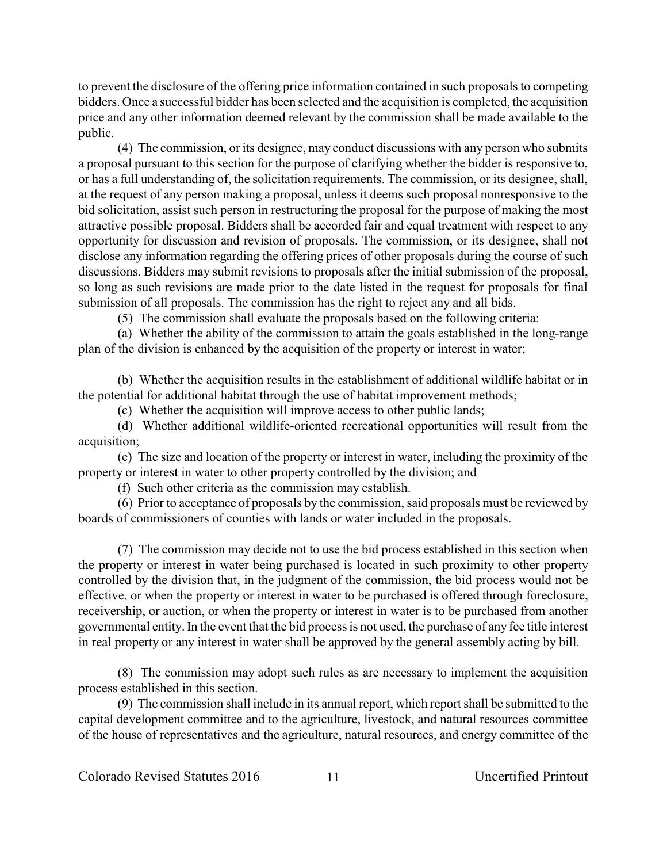to prevent the disclosure of the offering price information contained in such proposals to competing bidders. Once a successful bidder has been selected and the acquisition is completed, the acquisition price and any other information deemed relevant by the commission shall be made available to the public.

(4) The commission, or its designee, may conduct discussions with any person who submits a proposal pursuant to this section for the purpose of clarifying whether the bidder is responsive to, or has a full understanding of, the solicitation requirements. The commission, or its designee, shall, at the request of any person making a proposal, unless it deems such proposal nonresponsive to the bid solicitation, assist such person in restructuring the proposal for the purpose of making the most attractive possible proposal. Bidders shall be accorded fair and equal treatment with respect to any opportunity for discussion and revision of proposals. The commission, or its designee, shall not disclose any information regarding the offering prices of other proposals during the course of such discussions. Bidders may submit revisions to proposals after the initial submission of the proposal, so long as such revisions are made prior to the date listed in the request for proposals for final submission of all proposals. The commission has the right to reject any and all bids.

(5) The commission shall evaluate the proposals based on the following criteria:

(a) Whether the ability of the commission to attain the goals established in the long-range plan of the division is enhanced by the acquisition of the property or interest in water;

(b) Whether the acquisition results in the establishment of additional wildlife habitat or in the potential for additional habitat through the use of habitat improvement methods;

(c) Whether the acquisition will improve access to other public lands;

(d) Whether additional wildlife-oriented recreational opportunities will result from the acquisition;

(e) The size and location of the property or interest in water, including the proximity of the property or interest in water to other property controlled by the division; and

(f) Such other criteria as the commission may establish.

(6) Prior to acceptance of proposals by the commission, said proposals must be reviewed by boards of commissioners of counties with lands or water included in the proposals.

(7) The commission may decide not to use the bid process established in this section when the property or interest in water being purchased is located in such proximity to other property controlled by the division that, in the judgment of the commission, the bid process would not be effective, or when the property or interest in water to be purchased is offered through foreclosure, receivership, or auction, or when the property or interest in water is to be purchased from another governmental entity.In the event that the bid process is not used, the purchase of any fee title interest in real property or any interest in water shall be approved by the general assembly acting by bill.

(8) The commission may adopt such rules as are necessary to implement the acquisition process established in this section.

(9) The commission shall include in its annual report, which report shall be submitted to the capital development committee and to the agriculture, livestock, and natural resources committee of the house of representatives and the agriculture, natural resources, and energy committee of the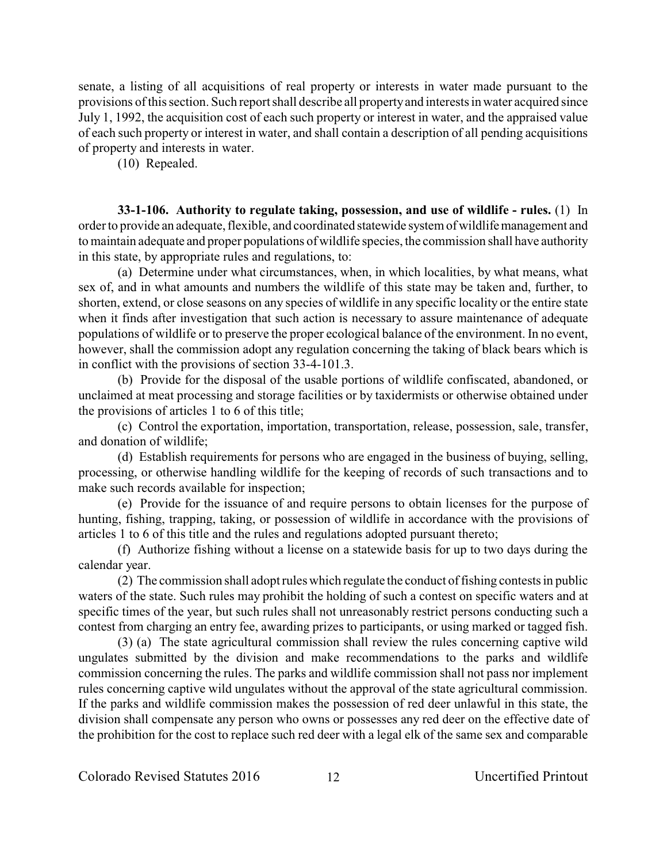senate, a listing of all acquisitions of real property or interests in water made pursuant to the provisions of this section. Such report shall describe all propertyand interests in water acquired since July 1, 1992, the acquisition cost of each such property or interest in water, and the appraised value of each such property or interest in water, and shall contain a description of all pending acquisitions of property and interests in water.

(10) Repealed.

**33-1-106. Authority to regulate taking, possession, and use of wildlife - rules.** (1) In order to provide an adequate, flexible, and coordinated statewide system of wildlifemanagement and to maintain adequate and proper populations of wildlife species, the commission shall have authority in this state, by appropriate rules and regulations, to:

(a) Determine under what circumstances, when, in which localities, by what means, what sex of, and in what amounts and numbers the wildlife of this state may be taken and, further, to shorten, extend, or close seasons on any species of wildlife in any specific locality or the entire state when it finds after investigation that such action is necessary to assure maintenance of adequate populations of wildlife or to preserve the proper ecological balance of the environment. In no event, however, shall the commission adopt any regulation concerning the taking of black bears which is in conflict with the provisions of section 33-4-101.3.

(b) Provide for the disposal of the usable portions of wildlife confiscated, abandoned, or unclaimed at meat processing and storage facilities or by taxidermists or otherwise obtained under the provisions of articles 1 to 6 of this title;

(c) Control the exportation, importation, transportation, release, possession, sale, transfer, and donation of wildlife;

(d) Establish requirements for persons who are engaged in the business of buying, selling, processing, or otherwise handling wildlife for the keeping of records of such transactions and to make such records available for inspection;

(e) Provide for the issuance of and require persons to obtain licenses for the purpose of hunting, fishing, trapping, taking, or possession of wildlife in accordance with the provisions of articles 1 to 6 of this title and the rules and regulations adopted pursuant thereto;

(f) Authorize fishing without a license on a statewide basis for up to two days during the calendar year.

(2) The commission shall adopt rules which regulate the conduct of fishing contests in public waters of the state. Such rules may prohibit the holding of such a contest on specific waters and at specific times of the year, but such rules shall not unreasonably restrict persons conducting such a contest from charging an entry fee, awarding prizes to participants, or using marked or tagged fish.

(3) (a) The state agricultural commission shall review the rules concerning captive wild ungulates submitted by the division and make recommendations to the parks and wildlife commission concerning the rules. The parks and wildlife commission shall not pass nor implement rules concerning captive wild ungulates without the approval of the state agricultural commission. If the parks and wildlife commission makes the possession of red deer unlawful in this state, the division shall compensate any person who owns or possesses any red deer on the effective date of the prohibition for the cost to replace such red deer with a legal elk of the same sex and comparable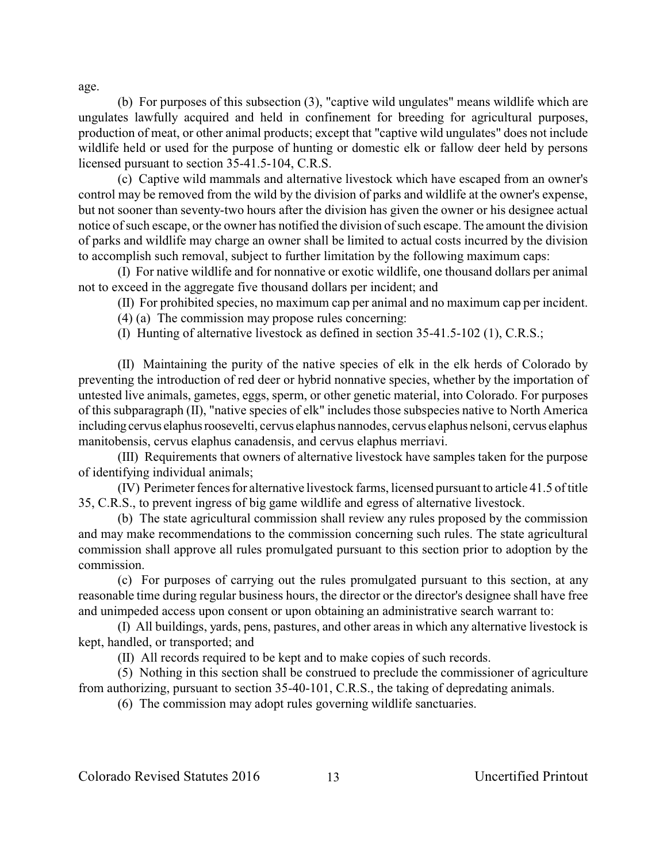age.

(b) For purposes of this subsection (3), "captive wild ungulates" means wildlife which are ungulates lawfully acquired and held in confinement for breeding for agricultural purposes, production of meat, or other animal products; except that "captive wild ungulates" does not include wildlife held or used for the purpose of hunting or domestic elk or fallow deer held by persons licensed pursuant to section 35-41.5-104, C.R.S.

(c) Captive wild mammals and alternative livestock which have escaped from an owner's control may be removed from the wild by the division of parks and wildlife at the owner's expense, but not sooner than seventy-two hours after the division has given the owner or his designee actual notice of such escape, or the owner has notified the division of such escape. The amount the division of parks and wildlife may charge an owner shall be limited to actual costs incurred by the division to accomplish such removal, subject to further limitation by the following maximum caps:

(I) For native wildlife and for nonnative or exotic wildlife, one thousand dollars per animal not to exceed in the aggregate five thousand dollars per incident; and

(II) For prohibited species, no maximum cap per animal and no maximum cap per incident.

(4) (a) The commission may propose rules concerning:

(I) Hunting of alternative livestock as defined in section 35-41.5-102 (1), C.R.S.;

(II) Maintaining the purity of the native species of elk in the elk herds of Colorado by preventing the introduction of red deer or hybrid nonnative species, whether by the importation of untested live animals, gametes, eggs, sperm, or other genetic material, into Colorado. For purposes of this subparagraph (II), "native species of elk" includes those subspecies native to North America including cervus elaphus roosevelti, cervus elaphus nannodes, cervus elaphus nelsoni, cervus elaphus manitobensis, cervus elaphus canadensis, and cervus elaphus merriavi.

(III) Requirements that owners of alternative livestock have samples taken for the purpose of identifying individual animals;

(IV) Perimeter fences for alternative livestock farms, licensed pursuant to article 41.5 of title 35, C.R.S., to prevent ingress of big game wildlife and egress of alternative livestock.

(b) The state agricultural commission shall review any rules proposed by the commission and may make recommendations to the commission concerning such rules. The state agricultural commission shall approve all rules promulgated pursuant to this section prior to adoption by the commission.

(c) For purposes of carrying out the rules promulgated pursuant to this section, at any reasonable time during regular business hours, the director or the director's designee shall have free and unimpeded access upon consent or upon obtaining an administrative search warrant to:

(I) All buildings, yards, pens, pastures, and other areas in which any alternative livestock is kept, handled, or transported; and

(II) All records required to be kept and to make copies of such records.

(5) Nothing in this section shall be construed to preclude the commissioner of agriculture from authorizing, pursuant to section 35-40-101, C.R.S., the taking of depredating animals.

(6) The commission may adopt rules governing wildlife sanctuaries.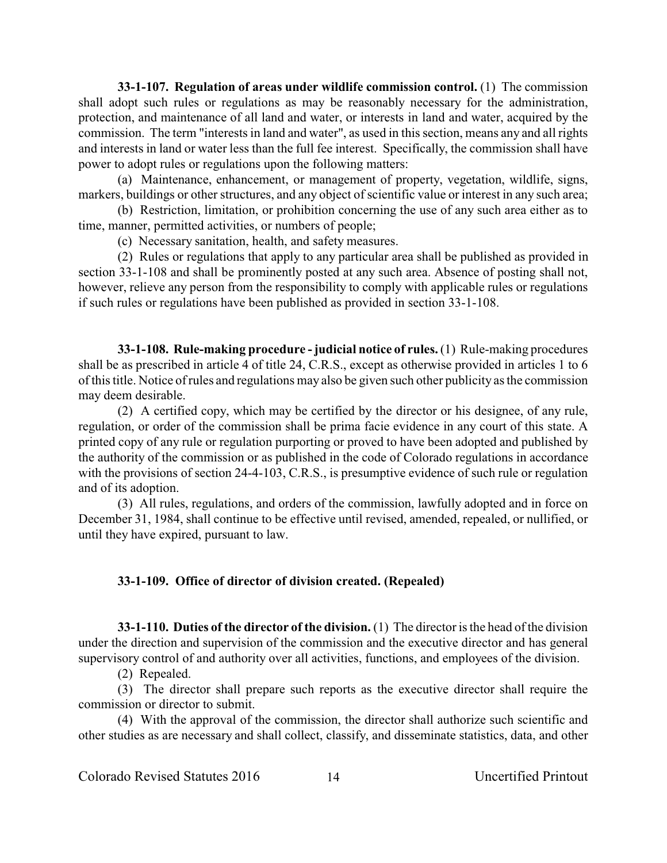**33-1-107. Regulation of areas under wildlife commission control.** (1) The commission shall adopt such rules or regulations as may be reasonably necessary for the administration, protection, and maintenance of all land and water, or interests in land and water, acquired by the commission. The term "interests in land and water", as used in this section, means any and all rights and interests in land or water less than the full fee interest. Specifically, the commission shall have power to adopt rules or regulations upon the following matters:

(a) Maintenance, enhancement, or management of property, vegetation, wildlife, signs, markers, buildings or other structures, and any object of scientific value or interest in any such area;

(b) Restriction, limitation, or prohibition concerning the use of any such area either as to time, manner, permitted activities, or numbers of people;

(c) Necessary sanitation, health, and safety measures.

(2) Rules or regulations that apply to any particular area shall be published as provided in section 33-1-108 and shall be prominently posted at any such area. Absence of posting shall not, however, relieve any person from the responsibility to comply with applicable rules or regulations if such rules or regulations have been published as provided in section 33-1-108.

**33-1-108. Rule-making procedure -judicial notice of rules.** (1) Rule-making procedures shall be as prescribed in article 4 of title 24, C.R.S., except as otherwise provided in articles 1 to 6 of this title. Notice of rules and regulations may also be given such other publicity as the commission may deem desirable.

(2) A certified copy, which may be certified by the director or his designee, of any rule, regulation, or order of the commission shall be prima facie evidence in any court of this state. A printed copy of any rule or regulation purporting or proved to have been adopted and published by the authority of the commission or as published in the code of Colorado regulations in accordance with the provisions of section 24-4-103, C.R.S., is presumptive evidence of such rule or regulation and of its adoption.

(3) All rules, regulations, and orders of the commission, lawfully adopted and in force on December 31, 1984, shall continue to be effective until revised, amended, repealed, or nullified, or until they have expired, pursuant to law.

### **33-1-109. Office of director of division created. (Repealed)**

**33-1-110. Duties of the director of the division.** (1) The director is the head of the division under the direction and supervision of the commission and the executive director and has general supervisory control of and authority over all activities, functions, and employees of the division.

(2) Repealed.

(3) The director shall prepare such reports as the executive director shall require the commission or director to submit.

(4) With the approval of the commission, the director shall authorize such scientific and other studies as are necessary and shall collect, classify, and disseminate statistics, data, and other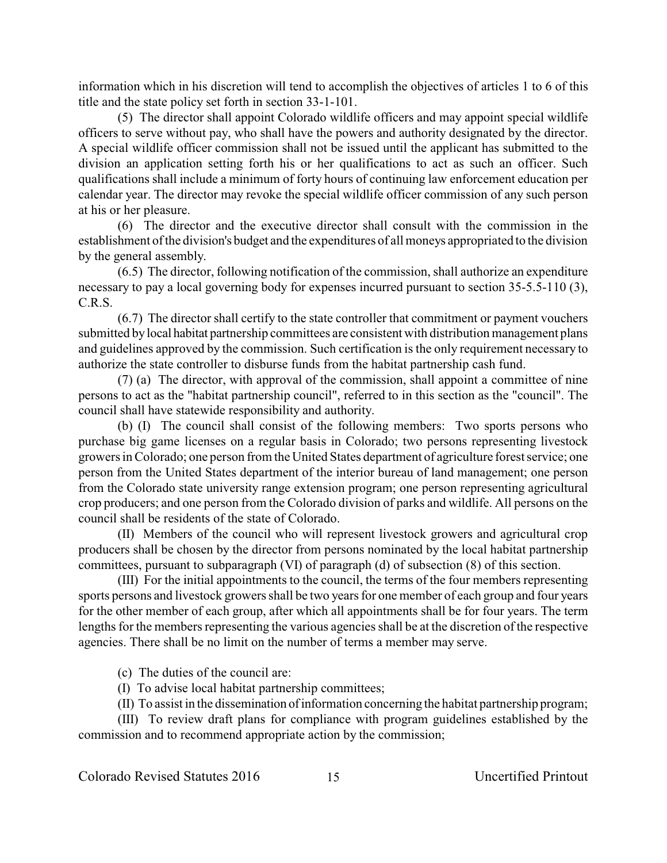information which in his discretion will tend to accomplish the objectives of articles 1 to 6 of this title and the state policy set forth in section 33-1-101.

(5) The director shall appoint Colorado wildlife officers and may appoint special wildlife officers to serve without pay, who shall have the powers and authority designated by the director. A special wildlife officer commission shall not be issued until the applicant has submitted to the division an application setting forth his or her qualifications to act as such an officer. Such qualifications shall include a minimum of forty hours of continuing law enforcement education per calendar year. The director may revoke the special wildlife officer commission of any such person at his or her pleasure.

(6) The director and the executive director shall consult with the commission in the establishment ofthe division's budget and the expenditures of all moneys appropriated to the division by the general assembly.

(6.5) The director, following notification of the commission, shall authorize an expenditure necessary to pay a local governing body for expenses incurred pursuant to section 35-5.5-110 (3), C.R.S.

(6.7) The director shall certify to the state controller that commitment or payment vouchers submitted bylocal habitat partnership committees are consistent with distribution management plans and guidelines approved by the commission. Such certification is the only requirement necessary to authorize the state controller to disburse funds from the habitat partnership cash fund.

(7) (a) The director, with approval of the commission, shall appoint a committee of nine persons to act as the "habitat partnership council", referred to in this section as the "council". The council shall have statewide responsibility and authority.

(b) (I) The council shall consist of the following members: Two sports persons who purchase big game licenses on a regular basis in Colorado; two persons representing livestock growers in Colorado; one person from the United States department of agriculture forest service; one person from the United States department of the interior bureau of land management; one person from the Colorado state university range extension program; one person representing agricultural crop producers; and one person from the Colorado division of parks and wildlife. All persons on the council shall be residents of the state of Colorado.

(II) Members of the council who will represent livestock growers and agricultural crop producers shall be chosen by the director from persons nominated by the local habitat partnership committees, pursuant to subparagraph (VI) of paragraph (d) of subsection (8) of this section.

(III) For the initial appointments to the council, the terms of the four members representing sports persons and livestock growers shall be two years for one member of each group and four years for the other member of each group, after which all appointments shall be for four years. The term lengths for the members representing the various agencies shall be at the discretion of the respective agencies. There shall be no limit on the number of terms a member may serve.

(c) The duties of the council are:

(I) To advise local habitat partnership committees;

(II) To assist in the dissemination ofinformation concerning the habitat partnership program;

(III) To review draft plans for compliance with program guidelines established by the commission and to recommend appropriate action by the commission;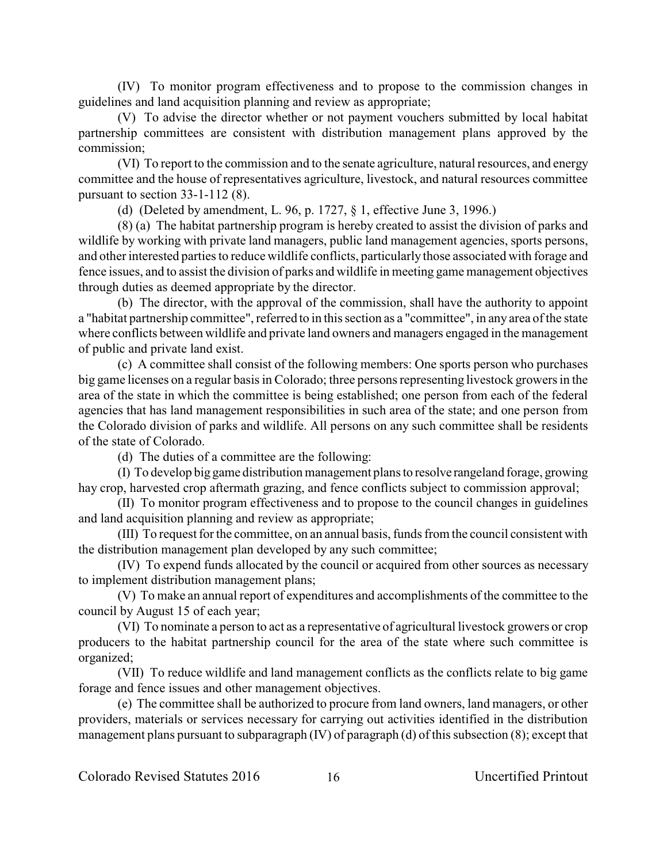(IV) To monitor program effectiveness and to propose to the commission changes in guidelines and land acquisition planning and review as appropriate;

(V) To advise the director whether or not payment vouchers submitted by local habitat partnership committees are consistent with distribution management plans approved by the commission;

(VI) To report to the commission and to the senate agriculture, natural resources, and energy committee and the house of representatives agriculture, livestock, and natural resources committee pursuant to section 33-1-112 (8).

(d) (Deleted by amendment, L. 96, p. 1727, § 1, effective June 3, 1996.)

(8) (a) The habitat partnership program is hereby created to assist the division of parks and wildlife by working with private land managers, public land management agencies, sports persons, and other interested parties to reduce wildlife conflicts, particularly those associated with forage and fence issues, and to assist the division of parks and wildlife in meeting game management objectives through duties as deemed appropriate by the director.

(b) The director, with the approval of the commission, shall have the authority to appoint a "habitat partnership committee", referred to in this section as a "committee", in any area of the state where conflicts between wildlife and private land owners and managers engaged in the management of public and private land exist.

(c) A committee shall consist of the following members: One sports person who purchases big game licenses on a regular basis in Colorado; three persons representing livestock growers in the area of the state in which the committee is being established; one person from each of the federal agencies that has land management responsibilities in such area of the state; and one person from the Colorado division of parks and wildlife. All persons on any such committee shall be residents of the state of Colorado.

(d) The duties of a committee are the following:

(I) To develop big game distribution management plans to resolve rangeland forage, growing hay crop, harvested crop aftermath grazing, and fence conflicts subject to commission approval;

(II) To monitor program effectiveness and to propose to the council changes in guidelines and land acquisition planning and review as appropriate;

(III) To request for the committee, on an annual basis, funds from the council consistent with the distribution management plan developed by any such committee;

(IV) To expend funds allocated by the council or acquired from other sources as necessary to implement distribution management plans;

(V) To make an annual report of expenditures and accomplishments of the committee to the council by August 15 of each year;

(VI) To nominate a person to act as a representative of agricultural livestock growers or crop producers to the habitat partnership council for the area of the state where such committee is organized;

(VII) To reduce wildlife and land management conflicts as the conflicts relate to big game forage and fence issues and other management objectives.

(e) The committee shall be authorized to procure from land owners, land managers, or other providers, materials or services necessary for carrying out activities identified in the distribution management plans pursuant to subparagraph (IV) of paragraph (d) of this subsection (8); except that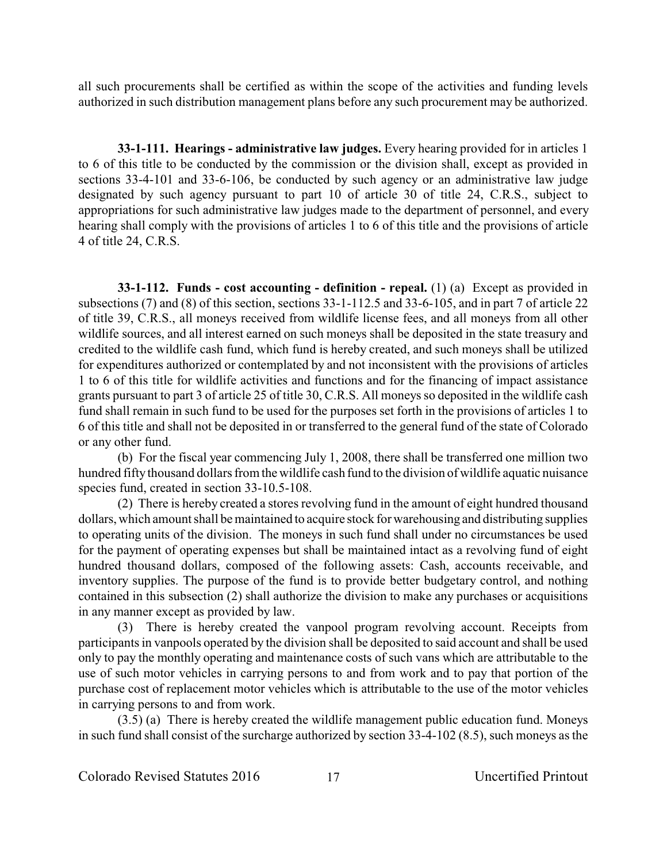all such procurements shall be certified as within the scope of the activities and funding levels authorized in such distribution management plans before any such procurement may be authorized.

**33-1-111. Hearings - administrative law judges.** Every hearing provided for in articles 1 to 6 of this title to be conducted by the commission or the division shall, except as provided in sections 33-4-101 and 33-6-106, be conducted by such agency or an administrative law judge designated by such agency pursuant to part 10 of article 30 of title 24, C.R.S., subject to appropriations for such administrative law judges made to the department of personnel, and every hearing shall comply with the provisions of articles 1 to 6 of this title and the provisions of article 4 of title 24, C.R.S.

**33-1-112. Funds - cost accounting - definition - repeal.** (1) (a) Except as provided in subsections (7) and (8) of this section, sections 33-1-112.5 and 33-6-105, and in part 7 of article 22 of title 39, C.R.S., all moneys received from wildlife license fees, and all moneys from all other wildlife sources, and all interest earned on such moneys shall be deposited in the state treasury and credited to the wildlife cash fund, which fund is hereby created, and such moneys shall be utilized for expenditures authorized or contemplated by and not inconsistent with the provisions of articles 1 to 6 of this title for wildlife activities and functions and for the financing of impact assistance grants pursuant to part 3 of article 25 of title 30, C.R.S. All moneys so deposited in the wildlife cash fund shall remain in such fund to be used for the purposes set forth in the provisions of articles 1 to 6 of this title and shall not be deposited in or transferred to the general fund of the state of Colorado or any other fund.

(b) For the fiscal year commencing July 1, 2008, there shall be transferred one million two hundred fifty thousand dollars from the wildlife cash fund to the division of wildlife aquatic nuisance species fund, created in section 33-10.5-108.

(2) There is hereby created a stores revolving fund in the amount of eight hundred thousand dollars, which amount shall be maintained to acquire stock for warehousing and distributing supplies to operating units of the division. The moneys in such fund shall under no circumstances be used for the payment of operating expenses but shall be maintained intact as a revolving fund of eight hundred thousand dollars, composed of the following assets: Cash, accounts receivable, and inventory supplies. The purpose of the fund is to provide better budgetary control, and nothing contained in this subsection (2) shall authorize the division to make any purchases or acquisitions in any manner except as provided by law.

(3) There is hereby created the vanpool program revolving account. Receipts from participants in vanpools operated by the division shall be deposited to said account and shall be used only to pay the monthly operating and maintenance costs of such vans which are attributable to the use of such motor vehicles in carrying persons to and from work and to pay that portion of the purchase cost of replacement motor vehicles which is attributable to the use of the motor vehicles in carrying persons to and from work.

(3.5) (a) There is hereby created the wildlife management public education fund. Moneys in such fund shall consist of the surcharge authorized by section 33-4-102 (8.5), such moneys as the

Colorado Revised Statutes 2016 17 Uncertified Printout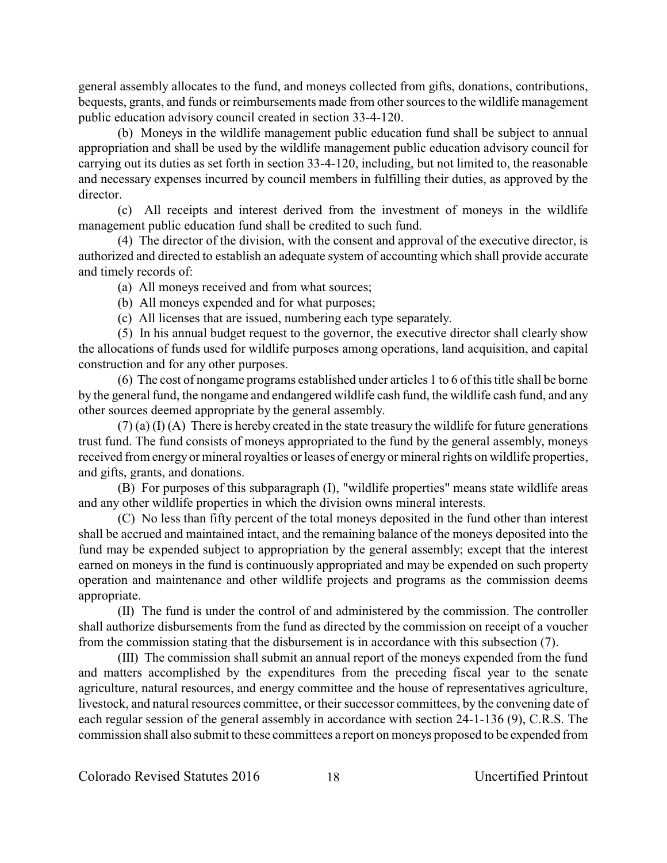general assembly allocates to the fund, and moneys collected from gifts, donations, contributions, bequests, grants, and funds or reimbursements made from other sources to the wildlife management public education advisory council created in section 33-4-120.

(b) Moneys in the wildlife management public education fund shall be subject to annual appropriation and shall be used by the wildlife management public education advisory council for carrying out its duties as set forth in section 33-4-120, including, but not limited to, the reasonable and necessary expenses incurred by council members in fulfilling their duties, as approved by the director.

(c) All receipts and interest derived from the investment of moneys in the wildlife management public education fund shall be credited to such fund.

(4) The director of the division, with the consent and approval of the executive director, is authorized and directed to establish an adequate system of accounting which shall provide accurate and timely records of:

(a) All moneys received and from what sources;

(b) All moneys expended and for what purposes;

(c) All licenses that are issued, numbering each type separately.

(5) In his annual budget request to the governor, the executive director shall clearly show the allocations of funds used for wildlife purposes among operations, land acquisition, and capital construction and for any other purposes.

(6) The cost of nongame programs established under articles 1 to 6 of this title shall be borne by the general fund, the nongame and endangered wildlife cash fund, the wildlife cash fund, and any other sources deemed appropriate by the general assembly.

(7) (a) (I) (A) There is hereby created in the state treasury the wildlife for future generations trust fund. The fund consists of moneys appropriated to the fund by the general assembly, moneys received from energy or mineral royalties or leases of energy or mineral rights on wildlife properties, and gifts, grants, and donations.

(B) For purposes of this subparagraph (I), "wildlife properties" means state wildlife areas and any other wildlife properties in which the division owns mineral interests.

(C) No less than fifty percent of the total moneys deposited in the fund other than interest shall be accrued and maintained intact, and the remaining balance of the moneys deposited into the fund may be expended subject to appropriation by the general assembly; except that the interest earned on moneys in the fund is continuously appropriated and may be expended on such property operation and maintenance and other wildlife projects and programs as the commission deems appropriate.

(II) The fund is under the control of and administered by the commission. The controller shall authorize disbursements from the fund as directed by the commission on receipt of a voucher from the commission stating that the disbursement is in accordance with this subsection (7).

(III) The commission shall submit an annual report of the moneys expended from the fund and matters accomplished by the expenditures from the preceding fiscal year to the senate agriculture, natural resources, and energy committee and the house of representatives agriculture, livestock, and natural resources committee, or their successor committees, by the convening date of each regular session of the general assembly in accordance with section 24-1-136 (9), C.R.S. The commission shall also submit to these committees a report on moneys proposed to be expended from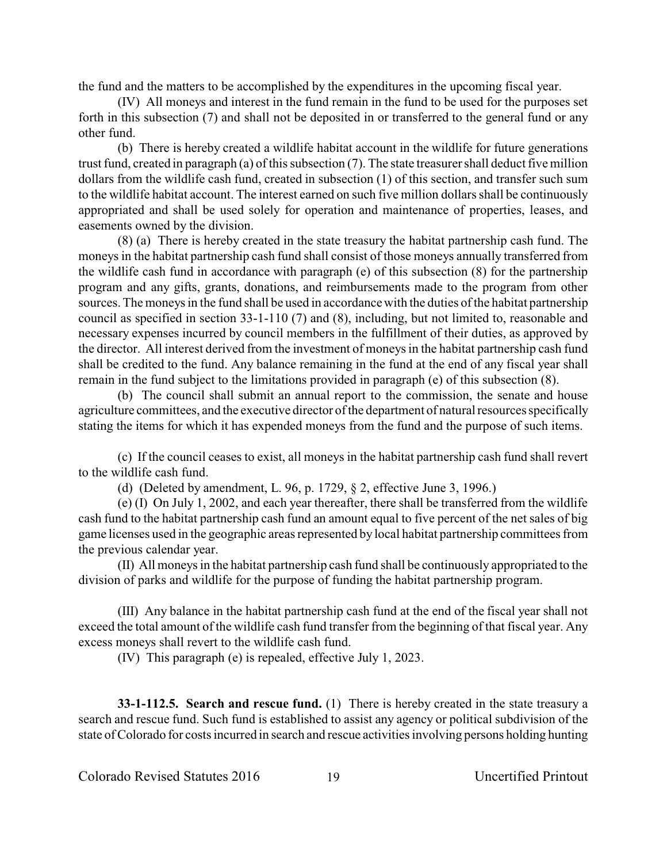the fund and the matters to be accomplished by the expenditures in the upcoming fiscal year.

(IV) All moneys and interest in the fund remain in the fund to be used for the purposes set forth in this subsection (7) and shall not be deposited in or transferred to the general fund or any other fund.

(b) There is hereby created a wildlife habitat account in the wildlife for future generations trust fund, created in paragraph (a) of this subsection (7). The state treasurer shall deduct five million dollars from the wildlife cash fund, created in subsection (1) of this section, and transfer such sum to the wildlife habitat account. The interest earned on such five million dollars shall be continuously appropriated and shall be used solely for operation and maintenance of properties, leases, and easements owned by the division.

(8) (a) There is hereby created in the state treasury the habitat partnership cash fund. The moneys in the habitat partnership cash fund shall consist of those moneys annually transferred from the wildlife cash fund in accordance with paragraph (e) of this subsection (8) for the partnership program and any gifts, grants, donations, and reimbursements made to the program from other sources. The moneys in the fund shall be used in accordance with the duties of the habitat partnership council as specified in section 33-1-110 (7) and (8), including, but not limited to, reasonable and necessary expenses incurred by council members in the fulfillment of their duties, as approved by the director. All interest derived from the investment of moneys in the habitat partnership cash fund shall be credited to the fund. Any balance remaining in the fund at the end of any fiscal year shall remain in the fund subject to the limitations provided in paragraph (e) of this subsection (8).

(b) The council shall submit an annual report to the commission, the senate and house agriculture committees, and the executive director of the department of natural resources specifically stating the items for which it has expended moneys from the fund and the purpose of such items.

(c) If the council ceases to exist, all moneys in the habitat partnership cash fund shall revert to the wildlife cash fund.

(d) (Deleted by amendment, L. 96, p. 1729, § 2, effective June 3, 1996.)

(e) (I) On July 1, 2002, and each year thereafter, there shall be transferred from the wildlife cash fund to the habitat partnership cash fund an amount equal to five percent of the net sales of big game licenses used in the geographic areas represented by local habitat partnership committees from the previous calendar year.

(II) All moneys in the habitat partnership cash fund shall be continuously appropriated to the division of parks and wildlife for the purpose of funding the habitat partnership program.

(III) Any balance in the habitat partnership cash fund at the end of the fiscal year shall not exceed the total amount of the wildlife cash fund transfer from the beginning of that fiscal year. Any excess moneys shall revert to the wildlife cash fund.

(IV) This paragraph (e) is repealed, effective July 1, 2023.

**33-1-112.5. Search and rescue fund.** (1) There is hereby created in the state treasury a search and rescue fund. Such fund is established to assist any agency or political subdivision of the state of Colorado for costs incurred in search and rescue activities involving persons holding hunting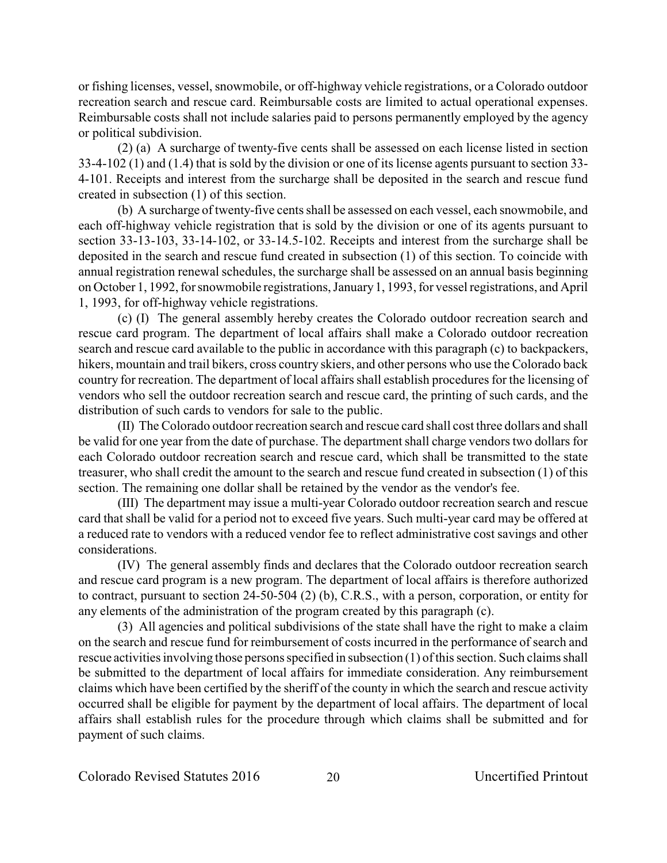or fishing licenses, vessel, snowmobile, or off-highway vehicle registrations, or a Colorado outdoor recreation search and rescue card. Reimbursable costs are limited to actual operational expenses. Reimbursable costs shall not include salaries paid to persons permanently employed by the agency or political subdivision.

(2) (a) A surcharge of twenty-five cents shall be assessed on each license listed in section 33-4-102 (1) and (1.4) that is sold by the division or one of its license agents pursuant to section 33- 4-101. Receipts and interest from the surcharge shall be deposited in the search and rescue fund created in subsection (1) of this section.

(b) A surcharge of twenty-five cents shall be assessed on each vessel, each snowmobile, and each off-highway vehicle registration that is sold by the division or one of its agents pursuant to section 33-13-103, 33-14-102, or 33-14.5-102. Receipts and interest from the surcharge shall be deposited in the search and rescue fund created in subsection (1) of this section. To coincide with annual registration renewal schedules, the surcharge shall be assessed on an annual basis beginning on October 1, 1992, for snowmobile registrations, January1, 1993, for vessel registrations, and April 1, 1993, for off-highway vehicle registrations.

(c) (I) The general assembly hereby creates the Colorado outdoor recreation search and rescue card program. The department of local affairs shall make a Colorado outdoor recreation search and rescue card available to the public in accordance with this paragraph (c) to backpackers, hikers, mountain and trail bikers, cross country skiers, and other persons who use the Colorado back country for recreation. The department of local affairs shall establish procedures for the licensing of vendors who sell the outdoor recreation search and rescue card, the printing of such cards, and the distribution of such cards to vendors for sale to the public.

(II) The Colorado outdoor recreation search and rescue card shall cost three dollars and shall be valid for one year from the date of purchase. The department shall charge vendors two dollars for each Colorado outdoor recreation search and rescue card, which shall be transmitted to the state treasurer, who shall credit the amount to the search and rescue fund created in subsection (1) of this section. The remaining one dollar shall be retained by the vendor as the vendor's fee.

(III) The department may issue a multi-year Colorado outdoor recreation search and rescue card that shall be valid for a period not to exceed five years. Such multi-year card may be offered at a reduced rate to vendors with a reduced vendor fee to reflect administrative cost savings and other considerations.

(IV) The general assembly finds and declares that the Colorado outdoor recreation search and rescue card program is a new program. The department of local affairs is therefore authorized to contract, pursuant to section 24-50-504 (2) (b), C.R.S., with a person, corporation, or entity for any elements of the administration of the program created by this paragraph (c).

(3) All agencies and political subdivisions of the state shall have the right to make a claim on the search and rescue fund for reimbursement of costs incurred in the performance of search and rescue activities involving those persons specified in subsection (1) of this section. Such claims shall be submitted to the department of local affairs for immediate consideration. Any reimbursement claims which have been certified by the sheriff of the county in which the search and rescue activity occurred shall be eligible for payment by the department of local affairs. The department of local affairs shall establish rules for the procedure through which claims shall be submitted and for payment of such claims.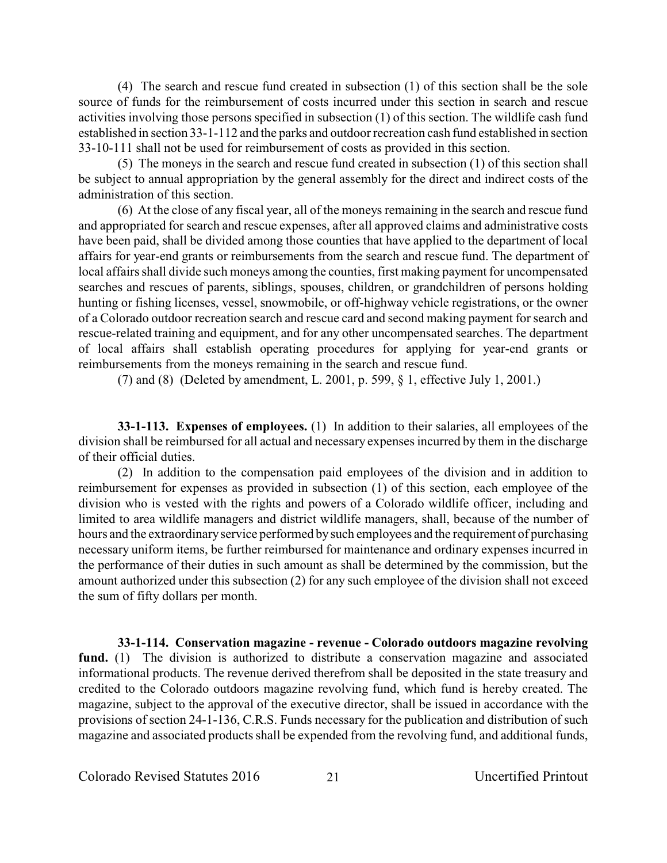(4) The search and rescue fund created in subsection (1) of this section shall be the sole source of funds for the reimbursement of costs incurred under this section in search and rescue activities involving those persons specified in subsection (1) of this section. The wildlife cash fund established in section 33-1-112 and the parks and outdoor recreation cash fund established in section 33-10-111 shall not be used for reimbursement of costs as provided in this section.

(5) The moneys in the search and rescue fund created in subsection (1) of this section shall be subject to annual appropriation by the general assembly for the direct and indirect costs of the administration of this section.

(6) At the close of any fiscal year, all of the moneys remaining in the search and rescue fund and appropriated for search and rescue expenses, after all approved claims and administrative costs have been paid, shall be divided among those counties that have applied to the department of local affairs for year-end grants or reimbursements from the search and rescue fund. The department of local affairs shall divide such moneys among the counties, first making payment for uncompensated searches and rescues of parents, siblings, spouses, children, or grandchildren of persons holding hunting or fishing licenses, vessel, snowmobile, or off-highway vehicle registrations, or the owner of a Colorado outdoor recreation search and rescue card and second making payment for search and rescue-related training and equipment, and for any other uncompensated searches. The department of local affairs shall establish operating procedures for applying for year-end grants or reimbursements from the moneys remaining in the search and rescue fund.

(7) and (8) (Deleted by amendment, L. 2001, p. 599, § 1, effective July 1, 2001.)

**33-1-113. Expenses of employees.** (1) In addition to their salaries, all employees of the division shall be reimbursed for all actual and necessary expenses incurred by them in the discharge of their official duties.

(2) In addition to the compensation paid employees of the division and in addition to reimbursement for expenses as provided in subsection (1) of this section, each employee of the division who is vested with the rights and powers of a Colorado wildlife officer, including and limited to area wildlife managers and district wildlife managers, shall, because of the number of hours and the extraordinaryservice performed by such employees and the requirement of purchasing necessary uniform items, be further reimbursed for maintenance and ordinary expenses incurred in the performance of their duties in such amount as shall be determined by the commission, but the amount authorized under this subsection (2) for any such employee of the division shall not exceed the sum of fifty dollars per month.

**33-1-114. Conservation magazine - revenue - Colorado outdoors magazine revolving fund.** (1) The division is authorized to distribute a conservation magazine and associated informational products. The revenue derived therefrom shall be deposited in the state treasury and credited to the Colorado outdoors magazine revolving fund, which fund is hereby created. The magazine, subject to the approval of the executive director, shall be issued in accordance with the provisions of section 24-1-136, C.R.S. Funds necessary for the publication and distribution of such magazine and associated products shall be expended from the revolving fund, and additional funds,

Colorado Revised Statutes 2016 21 Uncertified Printout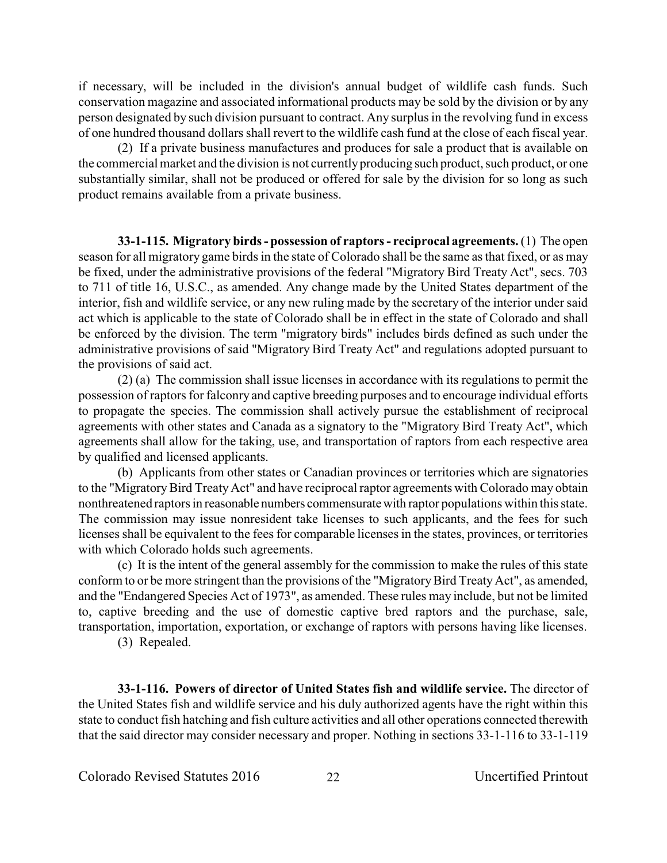if necessary, will be included in the division's annual budget of wildlife cash funds. Such conservation magazine and associated informational products may be sold by the division or by any person designated by such division pursuant to contract. Any surplus in the revolving fund in excess of one hundred thousand dollars shall revert to the wildlife cash fund at the close of each fiscal year.

(2) If a private business manufactures and produces for sale a product that is available on the commercial market and the division is not currentlyproducing such product, such product, or one substantially similar, shall not be produced or offered for sale by the division for so long as such product remains available from a private business.

**33-1-115. Migratory birds - possession of raptors - reciprocal agreements.** (1) The open season for all migratory game birds in the state of Colorado shall be the same as that fixed, or as may be fixed, under the administrative provisions of the federal "Migratory Bird Treaty Act", secs. 703 to 711 of title 16, U.S.C., as amended. Any change made by the United States department of the interior, fish and wildlife service, or any new ruling made by the secretary of the interior under said act which is applicable to the state of Colorado shall be in effect in the state of Colorado and shall be enforced by the division. The term "migratory birds" includes birds defined as such under the administrative provisions of said "Migratory Bird Treaty Act" and regulations adopted pursuant to the provisions of said act.

(2) (a) The commission shall issue licenses in accordance with its regulations to permit the possession of raptors for falconry and captive breeding purposes and to encourage individual efforts to propagate the species. The commission shall actively pursue the establishment of reciprocal agreements with other states and Canada as a signatory to the "Migratory Bird Treaty Act", which agreements shall allow for the taking, use, and transportation of raptors from each respective area by qualified and licensed applicants.

(b) Applicants from other states or Canadian provinces or territories which are signatories to the "Migratory Bird Treaty Act" and have reciprocal raptor agreements with Colorado may obtain nonthreatened raptors in reasonable numbers commensuratewith raptor populations within this state. The commission may issue nonresident take licenses to such applicants, and the fees for such licenses shall be equivalent to the fees for comparable licenses in the states, provinces, or territories with which Colorado holds such agreements.

(c) It is the intent of the general assembly for the commission to make the rules of this state conform to or be more stringent than the provisions of the "Migratory Bird Treaty Act", as amended, and the "Endangered Species Act of 1973", as amended. These rules may include, but not be limited to, captive breeding and the use of domestic captive bred raptors and the purchase, sale, transportation, importation, exportation, or exchange of raptors with persons having like licenses.

(3) Repealed.

**33-1-116. Powers of director of United States fish and wildlife service.** The director of the United States fish and wildlife service and his duly authorized agents have the right within this state to conduct fish hatching and fish culture activities and all other operations connected therewith that the said director may consider necessary and proper. Nothing in sections 33-1-116 to 33-1-119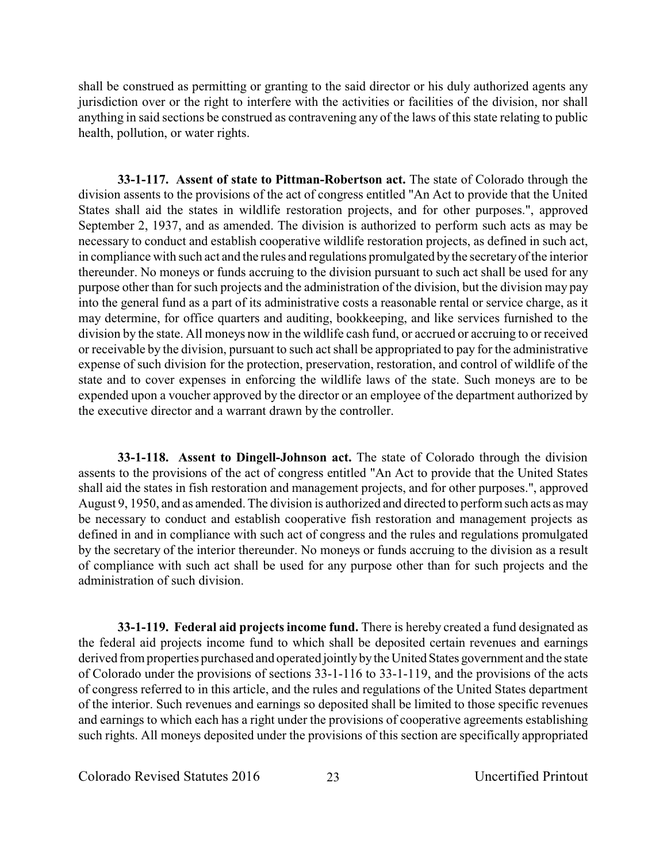shall be construed as permitting or granting to the said director or his duly authorized agents any jurisdiction over or the right to interfere with the activities or facilities of the division, nor shall anything in said sections be construed as contravening any of the laws of this state relating to public health, pollution, or water rights.

**33-1-117. Assent of state to Pittman-Robertson act.** The state of Colorado through the division assents to the provisions of the act of congress entitled "An Act to provide that the United States shall aid the states in wildlife restoration projects, and for other purposes.", approved September 2, 1937, and as amended. The division is authorized to perform such acts as may be necessary to conduct and establish cooperative wildlife restoration projects, as defined in such act, in compliance with such act and the rules and regulations promulgated by the secretaryof the interior thereunder. No moneys or funds accruing to the division pursuant to such act shall be used for any purpose other than for such projects and the administration of the division, but the division may pay into the general fund as a part of its administrative costs a reasonable rental or service charge, as it may determine, for office quarters and auditing, bookkeeping, and like services furnished to the division by the state. All moneys now in the wildlife cash fund, or accrued or accruing to or received or receivable by the division, pursuant to such act shall be appropriated to pay for the administrative expense of such division for the protection, preservation, restoration, and control of wildlife of the state and to cover expenses in enforcing the wildlife laws of the state. Such moneys are to be expended upon a voucher approved by the director or an employee of the department authorized by the executive director and a warrant drawn by the controller.

**33-1-118. Assent to Dingell-Johnson act.** The state of Colorado through the division assents to the provisions of the act of congress entitled "An Act to provide that the United States shall aid the states in fish restoration and management projects, and for other purposes.", approved August 9, 1950, and as amended. The division is authorized and directed to perform such acts as may be necessary to conduct and establish cooperative fish restoration and management projects as defined in and in compliance with such act of congress and the rules and regulations promulgated by the secretary of the interior thereunder. No moneys or funds accruing to the division as a result of compliance with such act shall be used for any purpose other than for such projects and the administration of such division.

**33-1-119. Federal aid projects income fund.** There is hereby created a fund designated as the federal aid projects income fund to which shall be deposited certain revenues and earnings derived from properties purchased and operated jointly by the United States government and the state of Colorado under the provisions of sections 33-1-116 to 33-1-119, and the provisions of the acts of congress referred to in this article, and the rules and regulations of the United States department of the interior. Such revenues and earnings so deposited shall be limited to those specific revenues and earnings to which each has a right under the provisions of cooperative agreements establishing such rights. All moneys deposited under the provisions of this section are specifically appropriated

Colorado Revised Statutes 2016 23 Uncertified Printout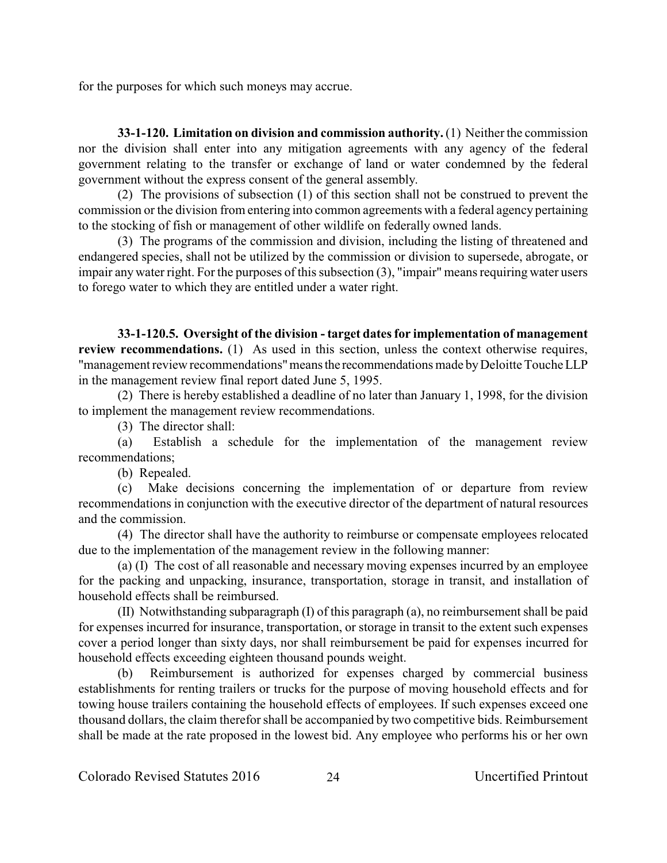for the purposes for which such moneys may accrue.

**33-1-120. Limitation on division and commission authority.** (1) Neither the commission nor the division shall enter into any mitigation agreements with any agency of the federal government relating to the transfer or exchange of land or water condemned by the federal government without the express consent of the general assembly.

(2) The provisions of subsection (1) of this section shall not be construed to prevent the commission or the division from entering into common agreements with a federal agency pertaining to the stocking of fish or management of other wildlife on federally owned lands.

(3) The programs of the commission and division, including the listing of threatened and endangered species, shall not be utilized by the commission or division to supersede, abrogate, or impair anywater right. For the purposes of this subsection (3), "impair" means requiring water users to forego water to which they are entitled under a water right.

**33-1-120.5. Oversight of the division - target dates for implementation of management review recommendations.** (1) As used in this section, unless the context otherwise requires, "management review recommendations"meansthe recommendations made byDeloitte Touche LLP in the management review final report dated June 5, 1995.

(2) There is hereby established a deadline of no later than January 1, 1998, for the division to implement the management review recommendations.

(3) The director shall:

(a) Establish a schedule for the implementation of the management review recommendations;

(b) Repealed.

(c) Make decisions concerning the implementation of or departure from review recommendations in conjunction with the executive director of the department of natural resources and the commission.

(4) The director shall have the authority to reimburse or compensate employees relocated due to the implementation of the management review in the following manner:

(a) (I) The cost of all reasonable and necessary moving expenses incurred by an employee for the packing and unpacking, insurance, transportation, storage in transit, and installation of household effects shall be reimbursed.

(II) Notwithstanding subparagraph (I) of this paragraph (a), no reimbursement shall be paid for expenses incurred for insurance, transportation, or storage in transit to the extent such expenses cover a period longer than sixty days, nor shall reimbursement be paid for expenses incurred for household effects exceeding eighteen thousand pounds weight.

(b) Reimbursement is authorized for expenses charged by commercial business establishments for renting trailers or trucks for the purpose of moving household effects and for towing house trailers containing the household effects of employees. If such expenses exceed one thousand dollars, the claim therefor shall be accompanied by two competitive bids. Reimbursement shall be made at the rate proposed in the lowest bid. Any employee who performs his or her own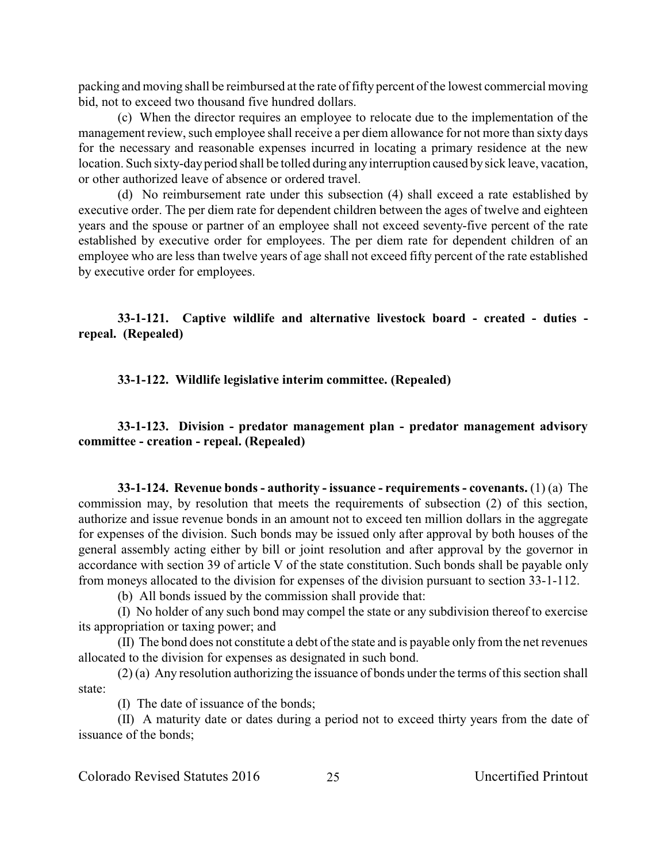packing and moving shall be reimbursed at the rate of fifty percent of the lowest commercial moving bid, not to exceed two thousand five hundred dollars.

(c) When the director requires an employee to relocate due to the implementation of the management review, such employee shall receive a per diem allowance for not more than sixty days for the necessary and reasonable expenses incurred in locating a primary residence at the new location. Such sixty-dayperiod shall be tolled during anyinterruption caused bysick leave, vacation, or other authorized leave of absence or ordered travel.

(d) No reimbursement rate under this subsection (4) shall exceed a rate established by executive order. The per diem rate for dependent children between the ages of twelve and eighteen years and the spouse or partner of an employee shall not exceed seventy-five percent of the rate established by executive order for employees. The per diem rate for dependent children of an employee who are less than twelve years of age shall not exceed fifty percent of the rate established by executive order for employees.

**33-1-121. Captive wildlife and alternative livestock board - created - duties repeal. (Repealed)** 

**33-1-122. Wildlife legislative interim committee. (Repealed)** 

## **33-1-123. Division - predator management plan - predator management advisory committee - creation - repeal. (Repealed)**

**33-1-124. Revenue bonds - authority - issuance - requirements - covenants.** (1) (a) The commission may, by resolution that meets the requirements of subsection (2) of this section, authorize and issue revenue bonds in an amount not to exceed ten million dollars in the aggregate for expenses of the division. Such bonds may be issued only after approval by both houses of the general assembly acting either by bill or joint resolution and after approval by the governor in accordance with section 39 of article V of the state constitution. Such bonds shall be payable only from moneys allocated to the division for expenses of the division pursuant to section 33-1-112.

(b) All bonds issued by the commission shall provide that:

(I) No holder of any such bond may compel the state or any subdivision thereof to exercise its appropriation or taxing power; and

(II) The bond does not constitute a debt of the state and is payable only from the net revenues allocated to the division for expenses as designated in such bond.

(2) (a) Any resolution authorizing the issuance of bonds under the terms of this section shall state:

(I) The date of issuance of the bonds;

(II) A maturity date or dates during a period not to exceed thirty years from the date of issuance of the bonds;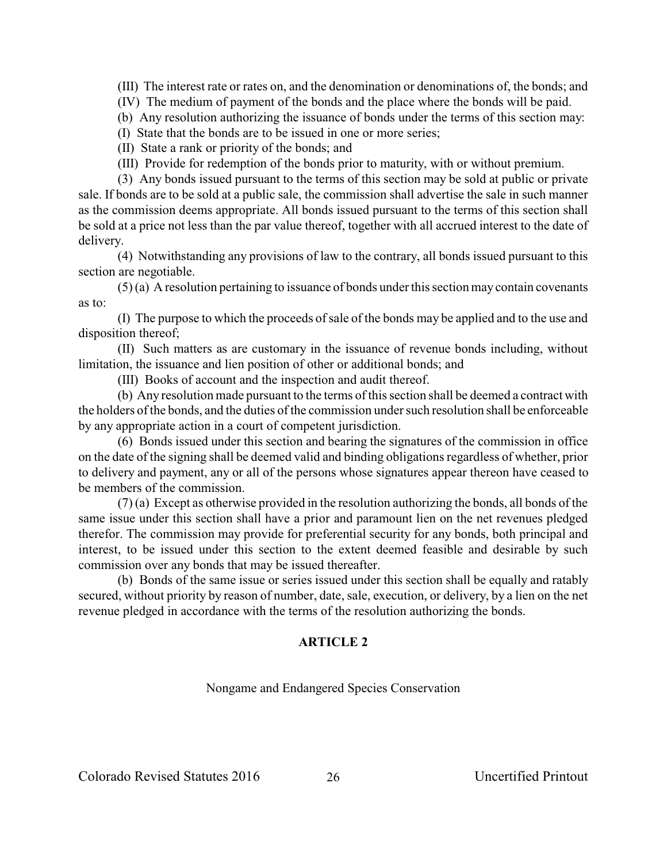(III) The interest rate or rates on, and the denomination or denominations of, the bonds; and

(IV) The medium of payment of the bonds and the place where the bonds will be paid.

(b) Any resolution authorizing the issuance of bonds under the terms of this section may:

(I) State that the bonds are to be issued in one or more series;

(II) State a rank or priority of the bonds; and

(III) Provide for redemption of the bonds prior to maturity, with or without premium.

(3) Any bonds issued pursuant to the terms of this section may be sold at public or private sale. If bonds are to be sold at a public sale, the commission shall advertise the sale in such manner as the commission deems appropriate. All bonds issued pursuant to the terms of this section shall be sold at a price not less than the par value thereof, together with all accrued interest to the date of delivery.

(4) Notwithstanding any provisions of law to the contrary, all bonds issued pursuant to this section are negotiable.

(5) (a) A resolution pertaining to issuance of bonds under this section maycontain covenants as to:

(I) The purpose to which the proceeds of sale of the bonds may be applied and to the use and disposition thereof;

(II) Such matters as are customary in the issuance of revenue bonds including, without limitation, the issuance and lien position of other or additional bonds; and

(III) Books of account and the inspection and audit thereof.

(b) Any resolution made pursuant to the terms of this section shall be deemed a contract with the holders of the bonds, and the duties of the commission under such resolution shall be enforceable by any appropriate action in a court of competent jurisdiction.

(6) Bonds issued under this section and bearing the signatures of the commission in office on the date of the signing shall be deemed valid and binding obligations regardless of whether, prior to delivery and payment, any or all of the persons whose signatures appear thereon have ceased to be members of the commission.

(7) (a) Except as otherwise provided in the resolution authorizing the bonds, all bonds of the same issue under this section shall have a prior and paramount lien on the net revenues pledged therefor. The commission may provide for preferential security for any bonds, both principal and interest, to be issued under this section to the extent deemed feasible and desirable by such commission over any bonds that may be issued thereafter.

(b) Bonds of the same issue or series issued under this section shall be equally and ratably secured, without priority by reason of number, date, sale, execution, or delivery, by a lien on the net revenue pledged in accordance with the terms of the resolution authorizing the bonds.

## **ARTICLE 2**

Nongame and Endangered Species Conservation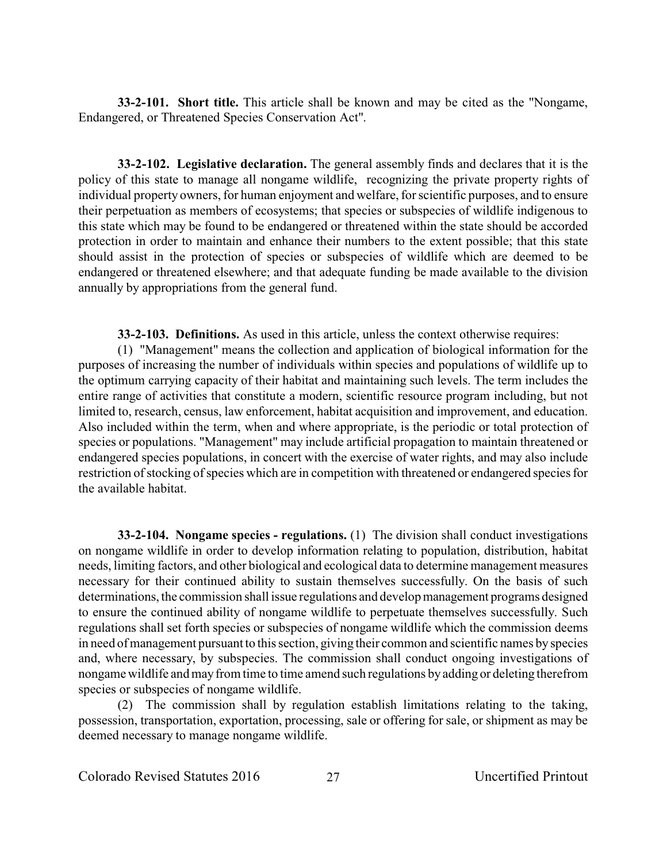**33-2-101. Short title.** This article shall be known and may be cited as the "Nongame, Endangered, or Threatened Species Conservation Act".

**33-2-102. Legislative declaration.** The general assembly finds and declares that it is the policy of this state to manage all nongame wildlife, recognizing the private property rights of individual property owners, for human enjoyment and welfare, for scientific purposes, and to ensure their perpetuation as members of ecosystems; that species or subspecies of wildlife indigenous to this state which may be found to be endangered or threatened within the state should be accorded protection in order to maintain and enhance their numbers to the extent possible; that this state should assist in the protection of species or subspecies of wildlife which are deemed to be endangered or threatened elsewhere; and that adequate funding be made available to the division annually by appropriations from the general fund.

**33-2-103. Definitions.** As used in this article, unless the context otherwise requires:

(1) "Management" means the collection and application of biological information for the purposes of increasing the number of individuals within species and populations of wildlife up to the optimum carrying capacity of their habitat and maintaining such levels. The term includes the entire range of activities that constitute a modern, scientific resource program including, but not limited to, research, census, law enforcement, habitat acquisition and improvement, and education. Also included within the term, when and where appropriate, is the periodic or total protection of species or populations. "Management" may include artificial propagation to maintain threatened or endangered species populations, in concert with the exercise of water rights, and may also include restriction of stocking of species which are in competition with threatened or endangered species for the available habitat.

**33-2-104. Nongame species - regulations.** (1) The division shall conduct investigations on nongame wildlife in order to develop information relating to population, distribution, habitat needs, limiting factors, and other biological and ecological data to determine management measures necessary for their continued ability to sustain themselves successfully. On the basis of such determinations, the commission shall issue regulations and develop management programs designed to ensure the continued ability of nongame wildlife to perpetuate themselves successfully. Such regulations shall set forth species or subspecies of nongame wildlife which the commission deems in need of management pursuant to this section, giving their common and scientific names by species and, where necessary, by subspecies. The commission shall conduct ongoing investigations of nongame wildlife and mayfrom time to time amend such regulations byadding or deleting therefrom species or subspecies of nongame wildlife.

(2) The commission shall by regulation establish limitations relating to the taking, possession, transportation, exportation, processing, sale or offering for sale, or shipment as may be deemed necessary to manage nongame wildlife.

Colorado Revised Statutes 2016 27 Uncertified Printout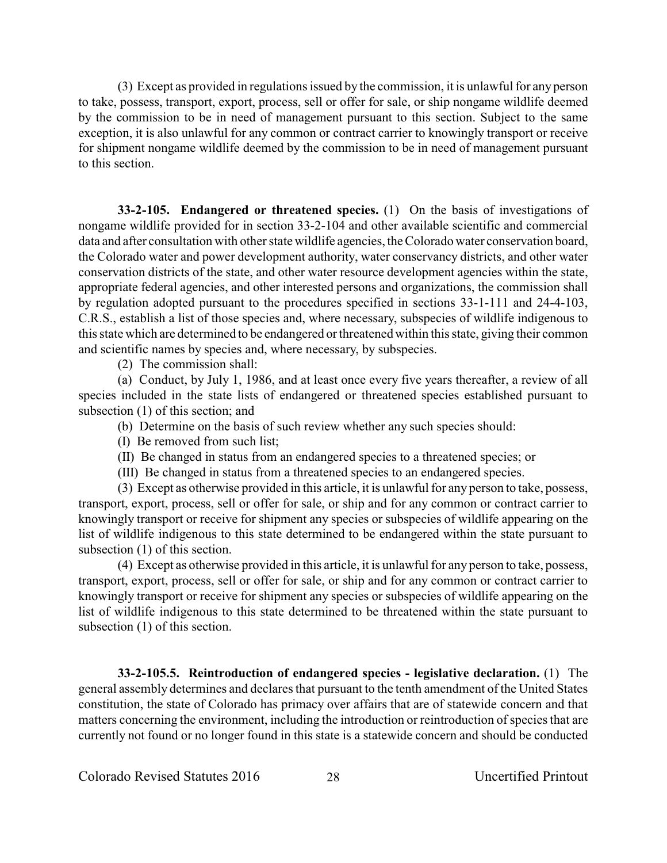(3) Except as provided in regulations issued by the commission, it is unlawful for any person to take, possess, transport, export, process, sell or offer for sale, or ship nongame wildlife deemed by the commission to be in need of management pursuant to this section. Subject to the same exception, it is also unlawful for any common or contract carrier to knowingly transport or receive for shipment nongame wildlife deemed by the commission to be in need of management pursuant to this section.

**33-2-105. Endangered or threatened species.** (1) On the basis of investigations of nongame wildlife provided for in section 33-2-104 and other available scientific and commercial data and after consultation with other state wildlife agencies, the Colorado water conservation board, the Colorado water and power development authority, water conservancy districts, and other water conservation districts of the state, and other water resource development agencies within the state, appropriate federal agencies, and other interested persons and organizations, the commission shall by regulation adopted pursuant to the procedures specified in sections 33-1-111 and 24-4-103, C.R.S., establish a list of those species and, where necessary, subspecies of wildlife indigenous to this state which are determined to be endangered or threatened within this state, giving their common and scientific names by species and, where necessary, by subspecies.

(2) The commission shall:

(a) Conduct, by July 1, 1986, and at least once every five years thereafter, a review of all species included in the state lists of endangered or threatened species established pursuant to subsection (1) of this section; and

(b) Determine on the basis of such review whether any such species should:

- (I) Be removed from such list;
- (II) Be changed in status from an endangered species to a threatened species; or
- (III) Be changed in status from a threatened species to an endangered species.

(3) Except as otherwise provided in this article, it is unlawful for any person to take, possess, transport, export, process, sell or offer for sale, or ship and for any common or contract carrier to knowingly transport or receive for shipment any species or subspecies of wildlife appearing on the list of wildlife indigenous to this state determined to be endangered within the state pursuant to subsection (1) of this section.

(4) Except as otherwise provided in this article, it is unlawful for any person to take, possess, transport, export, process, sell or offer for sale, or ship and for any common or contract carrier to knowingly transport or receive for shipment any species or subspecies of wildlife appearing on the list of wildlife indigenous to this state determined to be threatened within the state pursuant to subsection (1) of this section.

**33-2-105.5. Reintroduction of endangered species - legislative declaration.** (1) The general assembly determines and declares that pursuant to the tenth amendment of the United States constitution, the state of Colorado has primacy over affairs that are of statewide concern and that matters concerning the environment, including the introduction or reintroduction of species that are currently not found or no longer found in this state is a statewide concern and should be conducted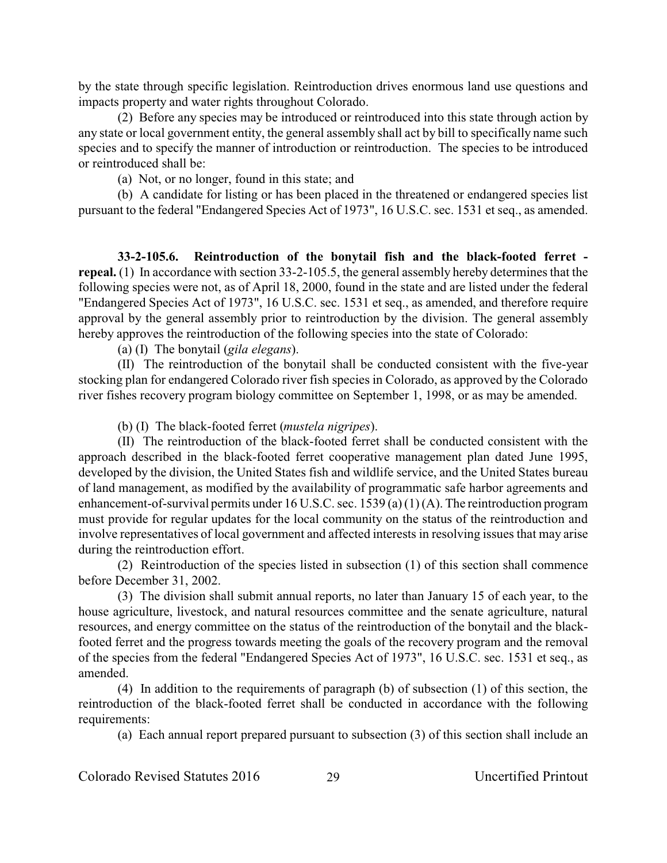by the state through specific legislation. Reintroduction drives enormous land use questions and impacts property and water rights throughout Colorado.

(2) Before any species may be introduced or reintroduced into this state through action by any state or local government entity, the general assembly shall act by bill to specifically name such species and to specify the manner of introduction or reintroduction. The species to be introduced or reintroduced shall be:

(a) Not, or no longer, found in this state; and

(b) A candidate for listing or has been placed in the threatened or endangered species list pursuant to the federal "Endangered Species Act of 1973", 16 U.S.C. sec. 1531 et seq., as amended.

**33-2-105.6. Reintroduction of the bonytail fish and the black-footed ferret repeal.** (1) In accordance with section 33-2-105.5, the general assembly hereby determines that the following species were not, as of April 18, 2000, found in the state and are listed under the federal "Endangered Species Act of 1973", 16 U.S.C. sec. 1531 et seq., as amended, and therefore require approval by the general assembly prior to reintroduction by the division. The general assembly hereby approves the reintroduction of the following species into the state of Colorado:

(a) (I) The bonytail (*gila elegans*).

(II) The reintroduction of the bonytail shall be conducted consistent with the five-year stocking plan for endangered Colorado river fish species in Colorado, as approved by the Colorado river fishes recovery program biology committee on September 1, 1998, or as may be amended.

(b) (I) The black-footed ferret (*mustela nigripes*).

(II) The reintroduction of the black-footed ferret shall be conducted consistent with the approach described in the black-footed ferret cooperative management plan dated June 1995, developed by the division, the United States fish and wildlife service, and the United States bureau of land management, as modified by the availability of programmatic safe harbor agreements and enhancement-of-survival permits under 16 U.S.C. sec. 1539 (a) (1) (A). The reintroduction program must provide for regular updates for the local community on the status of the reintroduction and involve representatives of local government and affected interests in resolving issues that may arise during the reintroduction effort.

(2) Reintroduction of the species listed in subsection (1) of this section shall commence before December 31, 2002.

(3) The division shall submit annual reports, no later than January 15 of each year, to the house agriculture, livestock, and natural resources committee and the senate agriculture, natural resources, and energy committee on the status of the reintroduction of the bonytail and the blackfooted ferret and the progress towards meeting the goals of the recovery program and the removal of the species from the federal "Endangered Species Act of 1973", 16 U.S.C. sec. 1531 et seq., as amended.

(4) In addition to the requirements of paragraph (b) of subsection (1) of this section, the reintroduction of the black-footed ferret shall be conducted in accordance with the following requirements:

(a) Each annual report prepared pursuant to subsection (3) of this section shall include an

Colorado Revised Statutes 2016 29 Uncertified Printout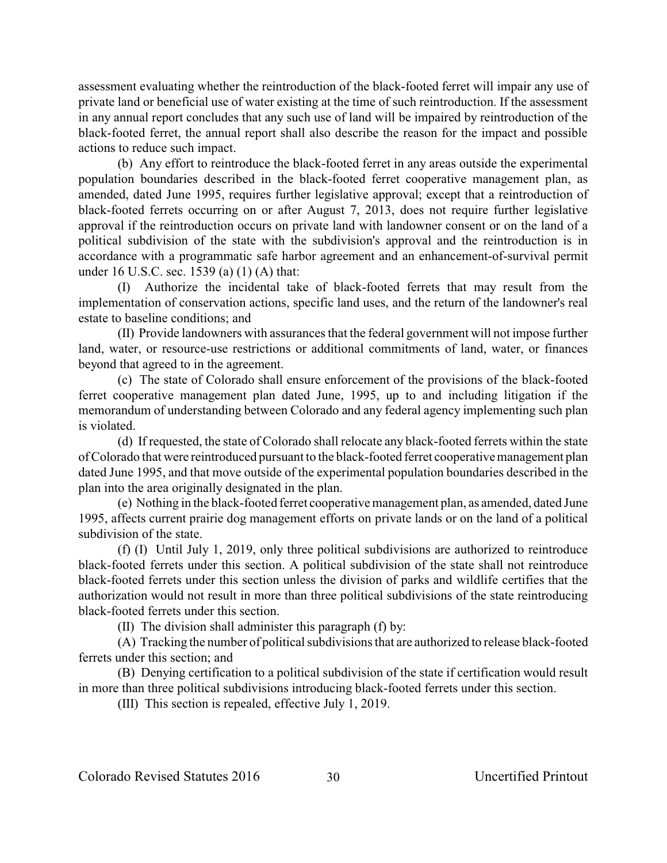assessment evaluating whether the reintroduction of the black-footed ferret will impair any use of private land or beneficial use of water existing at the time of such reintroduction. If the assessment in any annual report concludes that any such use of land will be impaired by reintroduction of the black-footed ferret, the annual report shall also describe the reason for the impact and possible actions to reduce such impact.

(b) Any effort to reintroduce the black-footed ferret in any areas outside the experimental population boundaries described in the black-footed ferret cooperative management plan, as amended, dated June 1995, requires further legislative approval; except that a reintroduction of black-footed ferrets occurring on or after August 7, 2013, does not require further legislative approval if the reintroduction occurs on private land with landowner consent or on the land of a political subdivision of the state with the subdivision's approval and the reintroduction is in accordance with a programmatic safe harbor agreement and an enhancement-of-survival permit under 16 U.S.C. sec. 1539 (a) (1) (A) that:

(I) Authorize the incidental take of black-footed ferrets that may result from the implementation of conservation actions, specific land uses, and the return of the landowner's real estate to baseline conditions; and

(II) Provide landowners with assurances that the federal government will not impose further land, water, or resource-use restrictions or additional commitments of land, water, or finances beyond that agreed to in the agreement.

(c) The state of Colorado shall ensure enforcement of the provisions of the black-footed ferret cooperative management plan dated June, 1995, up to and including litigation if the memorandum of understanding between Colorado and any federal agency implementing such plan is violated.

(d) If requested, the state of Colorado shall relocate any black-footed ferrets within the state of Colorado that were reintroduced pursuant to the black-footed ferret cooperative management plan dated June 1995, and that move outside of the experimental population boundaries described in the plan into the area originally designated in the plan.

(e) Nothing in the black-footed ferret cooperative management plan, as amended, dated June 1995, affects current prairie dog management efforts on private lands or on the land of a political subdivision of the state.

(f) (I) Until July 1, 2019, only three political subdivisions are authorized to reintroduce black-footed ferrets under this section. A political subdivision of the state shall not reintroduce black-footed ferrets under this section unless the division of parks and wildlife certifies that the authorization would not result in more than three political subdivisions of the state reintroducing black-footed ferrets under this section.

(II) The division shall administer this paragraph (f) by:

(A) Tracking the number of political subdivisions that are authorized to release black-footed ferrets under this section; and

(B) Denying certification to a political subdivision of the state if certification would result in more than three political subdivisions introducing black-footed ferrets under this section.

(III) This section is repealed, effective July 1, 2019.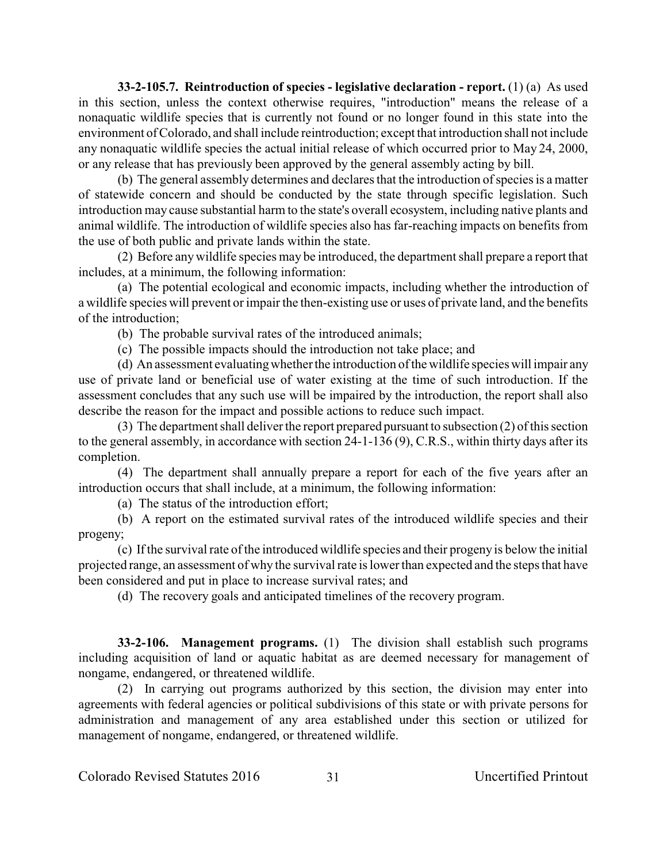**33-2-105.7. Reintroduction of species - legislative declaration - report.** (1) (a) As used in this section, unless the context otherwise requires, "introduction" means the release of a nonaquatic wildlife species that is currently not found or no longer found in this state into the environment of Colorado, and shall include reintroduction; except that introduction shall not include any nonaquatic wildlife species the actual initial release of which occurred prior to May 24, 2000, or any release that has previously been approved by the general assembly acting by bill.

(b) The general assembly determines and declares that the introduction of species is a matter of statewide concern and should be conducted by the state through specific legislation. Such introduction may cause substantial harm to the state's overall ecosystem, including native plants and animal wildlife. The introduction of wildlife species also has far-reaching impacts on benefits from the use of both public and private lands within the state.

(2) Before any wildlife species may be introduced, the department shall prepare a report that includes, at a minimum, the following information:

(a) The potential ecological and economic impacts, including whether the introduction of a wildlife species will prevent or impair the then-existing use or uses of private land, and the benefits of the introduction;

(b) The probable survival rates of the introduced animals;

(c) The possible impacts should the introduction not take place; and

(d) An assessment evaluatingwhetherthe introduction of the wildlife species will impair any use of private land or beneficial use of water existing at the time of such introduction. If the assessment concludes that any such use will be impaired by the introduction, the report shall also describe the reason for the impact and possible actions to reduce such impact.

(3) The department shall deliver the report prepared pursuant to subsection (2) of this section to the general assembly, in accordance with section 24-1-136 (9), C.R.S., within thirty days after its completion.

(4) The department shall annually prepare a report for each of the five years after an introduction occurs that shall include, at a minimum, the following information:

(a) The status of the introduction effort;

(b) A report on the estimated survival rates of the introduced wildlife species and their progeny;

(c) If the survival rate of the introduced wildlife species and their progeny is below the initial projected range, an assessment of why the survival rate is lower than expected and the steps that have been considered and put in place to increase survival rates; and

(d) The recovery goals and anticipated timelines of the recovery program.

**33-2-106. Management programs.** (1) The division shall establish such programs including acquisition of land or aquatic habitat as are deemed necessary for management of nongame, endangered, or threatened wildlife.

(2) In carrying out programs authorized by this section, the division may enter into agreements with federal agencies or political subdivisions of this state or with private persons for administration and management of any area established under this section or utilized for management of nongame, endangered, or threatened wildlife.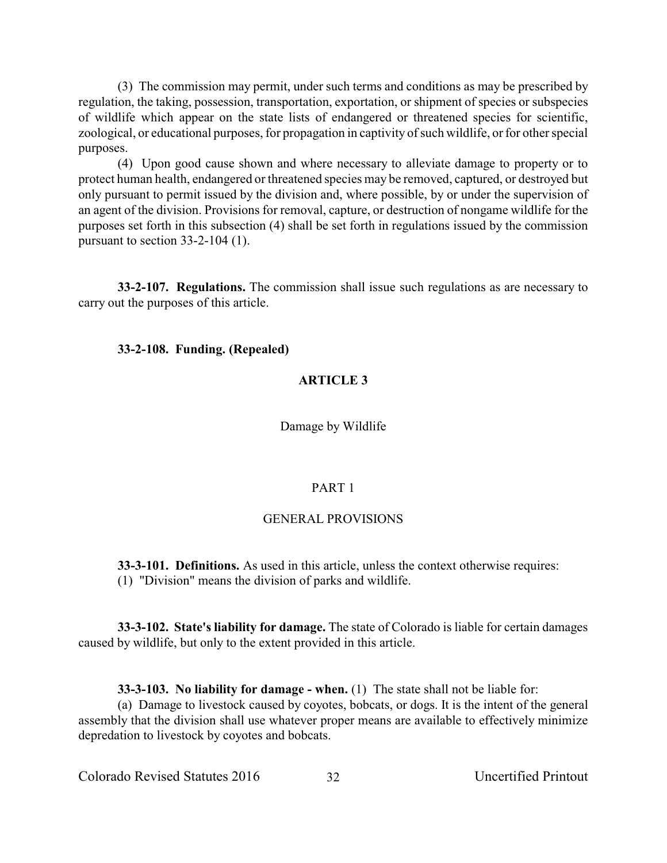(3) The commission may permit, under such terms and conditions as may be prescribed by regulation, the taking, possession, transportation, exportation, or shipment of species or subspecies of wildlife which appear on the state lists of endangered or threatened species for scientific, zoological, or educational purposes, for propagation in captivity of such wildlife, or for other special purposes.

(4) Upon good cause shown and where necessary to alleviate damage to property or to protect human health, endangered or threatened species may be removed, captured, or destroyed but only pursuant to permit issued by the division and, where possible, by or under the supervision of an agent of the division. Provisions for removal, capture, or destruction of nongame wildlife for the purposes set forth in this subsection (4) shall be set forth in regulations issued by the commission pursuant to section 33-2-104 (1).

**33-2-107. Regulations.** The commission shall issue such regulations as are necessary to carry out the purposes of this article.

#### **33-2-108. Funding. (Repealed)**

# **ARTICLE 3**

Damage by Wildlife

#### PART 1

#### GENERAL PROVISIONS

**33-3-101. Definitions.** As used in this article, unless the context otherwise requires: (1) "Division" means the division of parks and wildlife.

**33-3-102. State's liability for damage.** The state of Colorado is liable for certain damages caused by wildlife, but only to the extent provided in this article.

**33-3-103. No liability for damage - when.** (1) The state shall not be liable for:

(a) Damage to livestock caused by coyotes, bobcats, or dogs. It is the intent of the general assembly that the division shall use whatever proper means are available to effectively minimize depredation to livestock by coyotes and bobcats.

Colorado Revised Statutes 2016 32 Uncertified Printout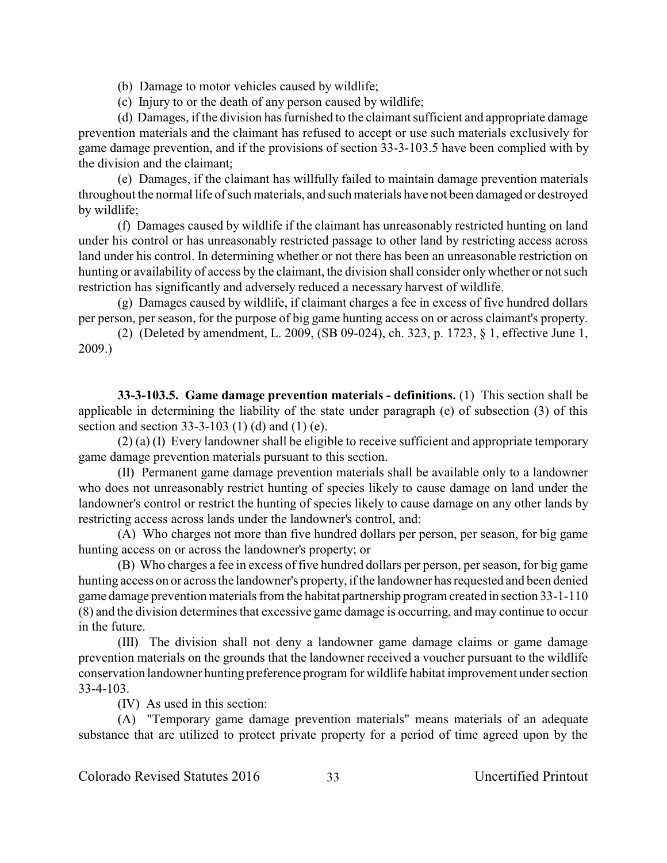(b) Damage to motor vehicles caused by wildlife;

(c) Injury to or the death of any person caused by wildlife;

(d) Damages, if the division has furnished to the claimant sufficient and appropriate damage prevention materials and the claimant has refused to accept or use such materials exclusively for game damage prevention, and if the provisions of section 33-3-103.5 have been complied with by the division and the claimant;

(e) Damages, if the claimant has willfully failed to maintain damage prevention materials throughout the normal life of such materials, and such materials have not been damaged or destroyed by wildlife;

(f) Damages caused by wildlife if the claimant has unreasonably restricted hunting on land under his control or has unreasonably restricted passage to other land by restricting access across land under his control. In determining whether or not there has been an unreasonable restriction on hunting or availability of access by the claimant, the division shall consider onlywhether or not such restriction has significantly and adversely reduced a necessary harvest of wildlife.

(g) Damages caused by wildlife, if claimant charges a fee in excess of five hundred dollars per person, per season, for the purpose of big game hunting access on or across claimant's property.

(2) (Deleted by amendment, L. 2009, (SB 09-024), ch. 323, p. 1723, § 1, effective June 1, 2009.)

**33-3-103.5. Game damage prevention materials - definitions.** (1) This section shall be applicable in determining the liability of the state under paragraph (e) of subsection (3) of this section and section  $33-3-103$  (1) (d) and (1) (e).

(2) (a) (I) Every landowner shall be eligible to receive sufficient and appropriate temporary game damage prevention materials pursuant to this section.

(II) Permanent game damage prevention materials shall be available only to a landowner who does not unreasonably restrict hunting of species likely to cause damage on land under the landowner's control or restrict the hunting of species likely to cause damage on any other lands by restricting access across lands under the landowner's control, and:

(A) Who charges not more than five hundred dollars per person, per season, for big game hunting access on or across the landowner's property; or

(B) Who charges a fee in excess of five hundred dollars per person, per season, for big game hunting access on or across the landowner's property, if the landowner has requested and been denied game damage prevention materials from the habitat partnership program created in section 33-1-110 (8) and the division determines that excessive game damage is occurring, and may continue to occur in the future.

(III) The division shall not deny a landowner game damage claims or game damage prevention materials on the grounds that the landowner received a voucher pursuant to the wildlife conservation landowner hunting preference program for wildlife habitat improvement under section 33-4-103.

(IV) As used in this section:

(A) "Temporary game damage prevention materials" means materials of an adequate substance that are utilized to protect private property for a period of time agreed upon by the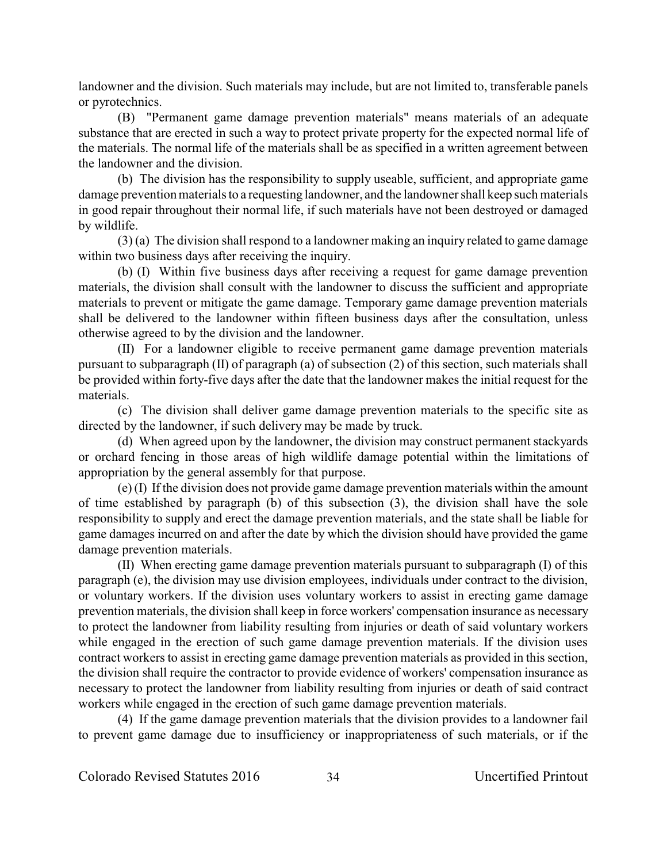landowner and the division. Such materials may include, but are not limited to, transferable panels or pyrotechnics.

(B) "Permanent game damage prevention materials" means materials of an adequate substance that are erected in such a way to protect private property for the expected normal life of the materials. The normal life of the materials shall be as specified in a written agreement between the landowner and the division.

(b) The division has the responsibility to supply useable, sufficient, and appropriate game damage prevention materials to a requesting landowner, and the landowner shall keep such materials in good repair throughout their normal life, if such materials have not been destroyed or damaged by wildlife.

(3) (a) The division shall respond to a landowner making an inquiry related to game damage within two business days after receiving the inquiry.

(b) (I) Within five business days after receiving a request for game damage prevention materials, the division shall consult with the landowner to discuss the sufficient and appropriate materials to prevent or mitigate the game damage. Temporary game damage prevention materials shall be delivered to the landowner within fifteen business days after the consultation, unless otherwise agreed to by the division and the landowner.

(II) For a landowner eligible to receive permanent game damage prevention materials pursuant to subparagraph (II) of paragraph (a) of subsection (2) of this section, such materials shall be provided within forty-five days after the date that the landowner makes the initial request for the materials.

(c) The division shall deliver game damage prevention materials to the specific site as directed by the landowner, if such delivery may be made by truck.

(d) When agreed upon by the landowner, the division may construct permanent stackyards or orchard fencing in those areas of high wildlife damage potential within the limitations of appropriation by the general assembly for that purpose.

(e) (I) If the division does not provide game damage prevention materials within the amount of time established by paragraph (b) of this subsection (3), the division shall have the sole responsibility to supply and erect the damage prevention materials, and the state shall be liable for game damages incurred on and after the date by which the division should have provided the game damage prevention materials.

(II) When erecting game damage prevention materials pursuant to subparagraph (I) of this paragraph (e), the division may use division employees, individuals under contract to the division, or voluntary workers. If the division uses voluntary workers to assist in erecting game damage prevention materials, the division shall keep in force workers' compensation insurance as necessary to protect the landowner from liability resulting from injuries or death of said voluntary workers while engaged in the erection of such game damage prevention materials. If the division uses contract workers to assist in erecting game damage prevention materials as provided in this section, the division shall require the contractor to provide evidence of workers' compensation insurance as necessary to protect the landowner from liability resulting from injuries or death of said contract workers while engaged in the erection of such game damage prevention materials.

(4) If the game damage prevention materials that the division provides to a landowner fail to prevent game damage due to insufficiency or inappropriateness of such materials, or if the

Colorado Revised Statutes 2016 34 Uncertified Printout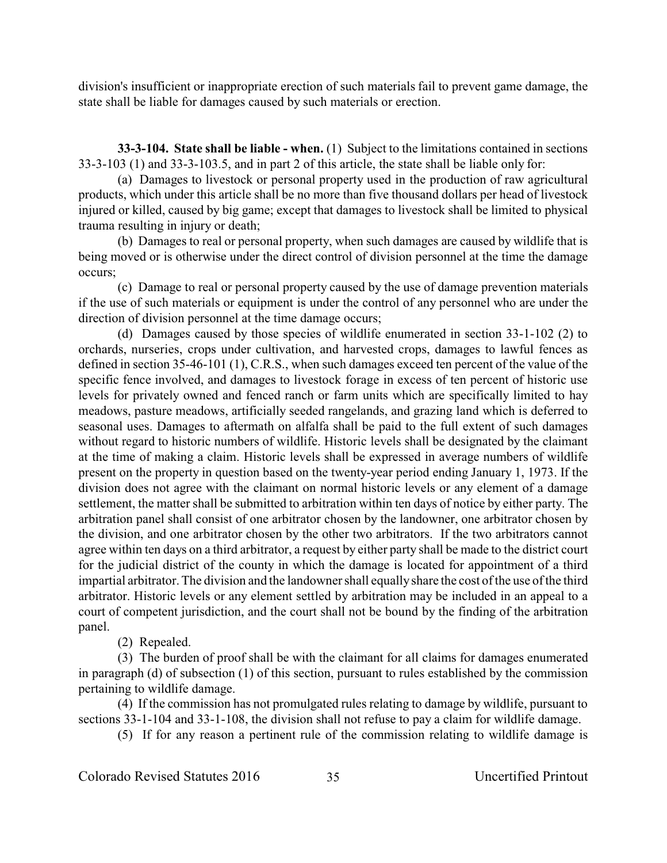division's insufficient or inappropriate erection of such materials fail to prevent game damage, the state shall be liable for damages caused by such materials or erection.

**33-3-104. State shall be liable - when.** (1) Subject to the limitations contained in sections 33-3-103 (1) and 33-3-103.5, and in part 2 of this article, the state shall be liable only for:

(a) Damages to livestock or personal property used in the production of raw agricultural products, which under this article shall be no more than five thousand dollars per head of livestock injured or killed, caused by big game; except that damages to livestock shall be limited to physical trauma resulting in injury or death;

(b) Damages to real or personal property, when such damages are caused by wildlife that is being moved or is otherwise under the direct control of division personnel at the time the damage occurs;

(c) Damage to real or personal property caused by the use of damage prevention materials if the use of such materials or equipment is under the control of any personnel who are under the direction of division personnel at the time damage occurs;

(d) Damages caused by those species of wildlife enumerated in section 33-1-102 (2) to orchards, nurseries, crops under cultivation, and harvested crops, damages to lawful fences as defined in section 35-46-101 (1), C.R.S., when such damages exceed ten percent of the value of the specific fence involved, and damages to livestock forage in excess of ten percent of historic use levels for privately owned and fenced ranch or farm units which are specifically limited to hay meadows, pasture meadows, artificially seeded rangelands, and grazing land which is deferred to seasonal uses. Damages to aftermath on alfalfa shall be paid to the full extent of such damages without regard to historic numbers of wildlife. Historic levels shall be designated by the claimant at the time of making a claim. Historic levels shall be expressed in average numbers of wildlife present on the property in question based on the twenty-year period ending January 1, 1973. If the division does not agree with the claimant on normal historic levels or any element of a damage settlement, the matter shall be submitted to arbitration within ten days of notice by either party. The arbitration panel shall consist of one arbitrator chosen by the landowner, one arbitrator chosen by the division, and one arbitrator chosen by the other two arbitrators. If the two arbitrators cannot agree within ten days on a third arbitrator, a request by either party shall be made to the district court for the judicial district of the county in which the damage is located for appointment of a third impartial arbitrator. The division and the landowner shall equally share the cost of the use of the third arbitrator. Historic levels or any element settled by arbitration may be included in an appeal to a court of competent jurisdiction, and the court shall not be bound by the finding of the arbitration panel.

(2) Repealed.

(3) The burden of proof shall be with the claimant for all claims for damages enumerated in paragraph (d) of subsection (1) of this section, pursuant to rules established by the commission pertaining to wildlife damage.

(4) If the commission has not promulgated rules relating to damage by wildlife, pursuant to sections 33-1-104 and 33-1-108, the division shall not refuse to pay a claim for wildlife damage.

(5) If for any reason a pertinent rule of the commission relating to wildlife damage is

Colorado Revised Statutes 2016 35 Uncertified Printout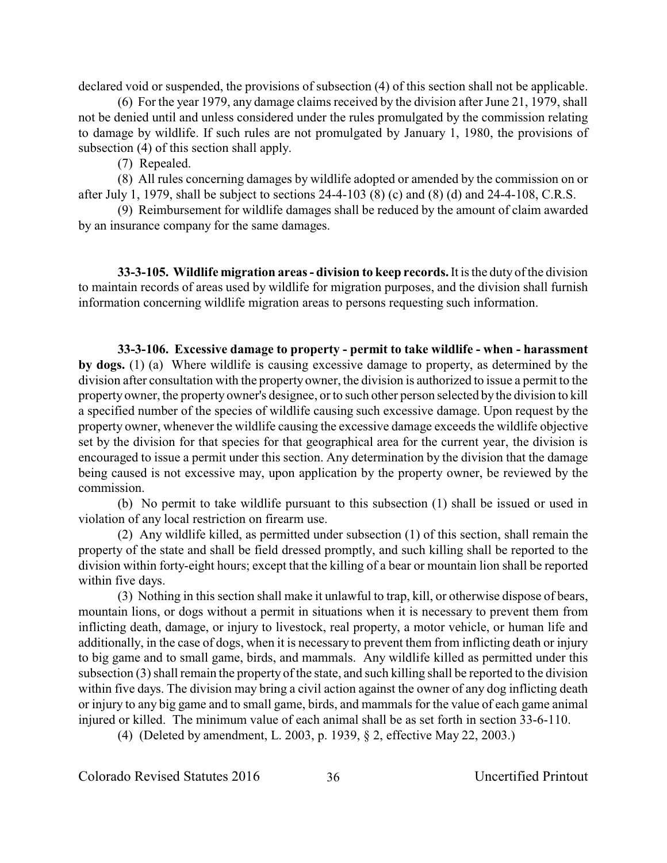declared void or suspended, the provisions of subsection (4) of this section shall not be applicable.

(6) For the year 1979, any damage claims received by the division after June 21, 1979, shall not be denied until and unless considered under the rules promulgated by the commission relating to damage by wildlife. If such rules are not promulgated by January 1, 1980, the provisions of subsection (4) of this section shall apply.

(7) Repealed.

(8) All rules concerning damages by wildlife adopted or amended by the commission on or after July 1, 1979, shall be subject to sections 24-4-103 (8) (c) and (8) (d) and 24-4-108, C.R.S.

(9) Reimbursement for wildlife damages shall be reduced by the amount of claim awarded by an insurance company for the same damages.

**33-3-105. Wildlife migration areas - division to keep records.** It is the duty of the division to maintain records of areas used by wildlife for migration purposes, and the division shall furnish information concerning wildlife migration areas to persons requesting such information.

**33-3-106. Excessive damage to property - permit to take wildlife - when - harassment by dogs.** (1) (a) Where wildlife is causing excessive damage to property, as determined by the division after consultation with the property owner, the division is authorized to issue a permit to the property owner, the property owner's designee, or to such other person selected bythe division to kill a specified number of the species of wildlife causing such excessive damage. Upon request by the property owner, whenever the wildlife causing the excessive damage exceeds the wildlife objective set by the division for that species for that geographical area for the current year, the division is encouraged to issue a permit under this section. Any determination by the division that the damage being caused is not excessive may, upon application by the property owner, be reviewed by the commission.

(b) No permit to take wildlife pursuant to this subsection (1) shall be issued or used in violation of any local restriction on firearm use.

(2) Any wildlife killed, as permitted under subsection (1) of this section, shall remain the property of the state and shall be field dressed promptly, and such killing shall be reported to the division within forty-eight hours; except that the killing of a bear or mountain lion shall be reported within five days.

(3) Nothing in this section shall make it unlawful to trap, kill, or otherwise dispose of bears, mountain lions, or dogs without a permit in situations when it is necessary to prevent them from inflicting death, damage, or injury to livestock, real property, a motor vehicle, or human life and additionally, in the case of dogs, when it is necessary to prevent them from inflicting death or injury to big game and to small game, birds, and mammals. Any wildlife killed as permitted under this subsection (3) shall remain the property of the state, and such killing shall be reported to the division within five days. The division may bring a civil action against the owner of any dog inflicting death or injury to any big game and to small game, birds, and mammals for the value of each game animal injured or killed. The minimum value of each animal shall be as set forth in section 33-6-110.

(4) (Deleted by amendment, L. 2003, p. 1939, § 2, effective May 22, 2003.)

Colorado Revised Statutes 2016 36 Uncertified Printout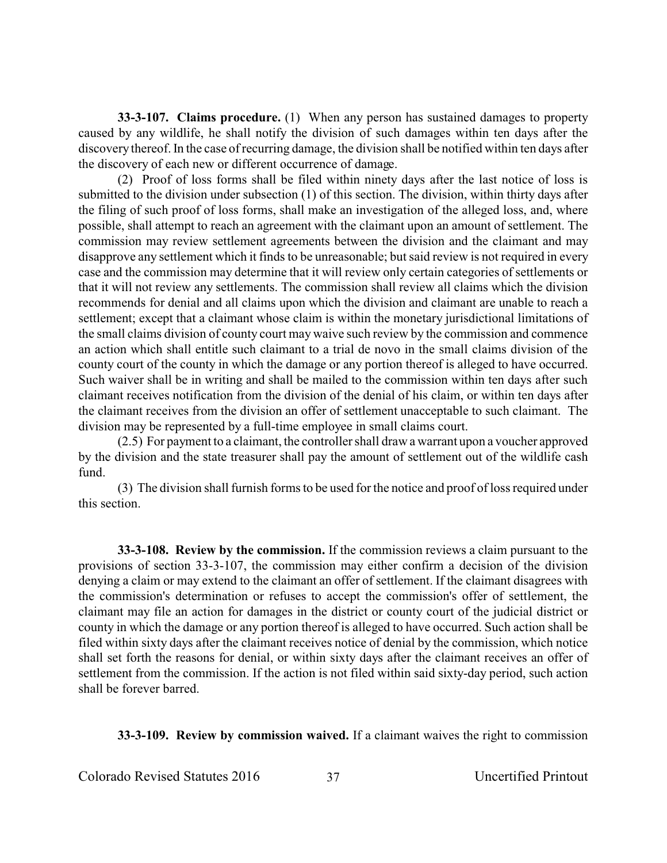**33-3-107. Claims procedure.** (1) When any person has sustained damages to property caused by any wildlife, he shall notify the division of such damages within ten days after the discovery thereof. In the case of recurring damage, the division shall be notified within ten days after the discovery of each new or different occurrence of damage.

(2) Proof of loss forms shall be filed within ninety days after the last notice of loss is submitted to the division under subsection (1) of this section. The division, within thirty days after the filing of such proof of loss forms, shall make an investigation of the alleged loss, and, where possible, shall attempt to reach an agreement with the claimant upon an amount of settlement. The commission may review settlement agreements between the division and the claimant and may disapprove any settlement which it finds to be unreasonable; but said review is not required in every case and the commission may determine that it will review only certain categories of settlements or that it will not review any settlements. The commission shall review all claims which the division recommends for denial and all claims upon which the division and claimant are unable to reach a settlement; except that a claimant whose claim is within the monetary jurisdictional limitations of the small claims division of county court may waive such review by the commission and commence an action which shall entitle such claimant to a trial de novo in the small claims division of the county court of the county in which the damage or any portion thereof is alleged to have occurred. Such waiver shall be in writing and shall be mailed to the commission within ten days after such claimant receives notification from the division of the denial of his claim, or within ten days after the claimant receives from the division an offer of settlement unacceptable to such claimant. The division may be represented by a full-time employee in small claims court.

(2.5) For payment to a claimant, the controller shall draw a warrant upon a voucher approved by the division and the state treasurer shall pay the amount of settlement out of the wildlife cash fund.

(3) The division shall furnish forms to be used for the notice and proof of loss required under this section.

**33-3-108. Review by the commission.** If the commission reviews a claim pursuant to the provisions of section 33-3-107, the commission may either confirm a decision of the division denying a claim or may extend to the claimant an offer of settlement. If the claimant disagrees with the commission's determination or refuses to accept the commission's offer of settlement, the claimant may file an action for damages in the district or county court of the judicial district or county in which the damage or any portion thereof is alleged to have occurred. Such action shall be filed within sixty days after the claimant receives notice of denial by the commission, which notice shall set forth the reasons for denial, or within sixty days after the claimant receives an offer of settlement from the commission. If the action is not filed within said sixty-day period, such action shall be forever barred.

**33-3-109. Review by commission waived.** If a claimant waives the right to commission

Colorado Revised Statutes 2016 37 Uncertified Printout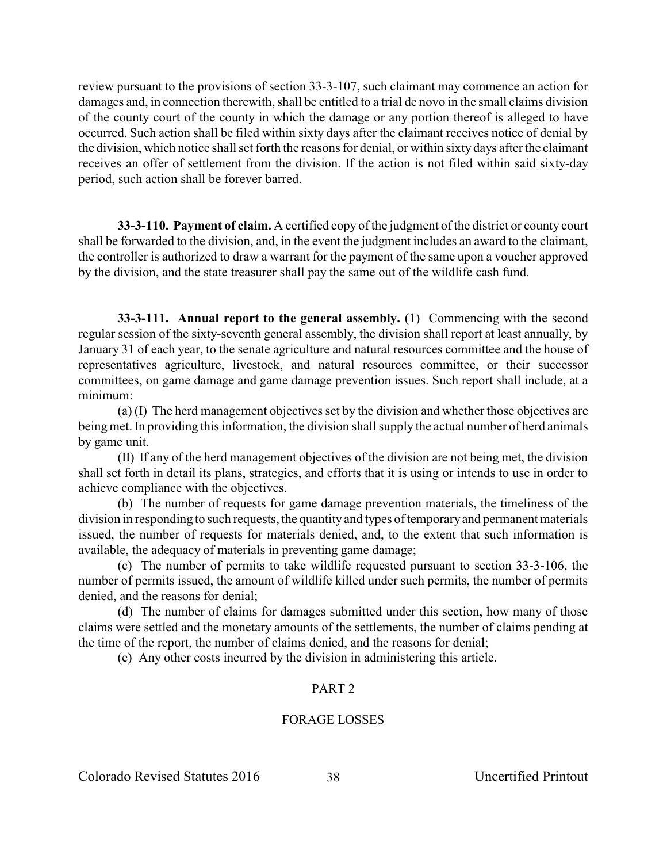review pursuant to the provisions of section 33-3-107, such claimant may commence an action for damages and, in connection therewith, shall be entitled to a trial de novo in the small claims division of the county court of the county in which the damage or any portion thereof is alleged to have occurred. Such action shall be filed within sixty days after the claimant receives notice of denial by the division, which notice shall set forth the reasons for denial, or within sixty days after the claimant receives an offer of settlement from the division. If the action is not filed within said sixty-day period, such action shall be forever barred.

**33-3-110. Payment of claim.** A certified copy of the judgment of the district or county court shall be forwarded to the division, and, in the event the judgment includes an award to the claimant, the controller is authorized to draw a warrant for the payment of the same upon a voucher approved by the division, and the state treasurer shall pay the same out of the wildlife cash fund.

**33-3-111. Annual report to the general assembly.** (1) Commencing with the second regular session of the sixty-seventh general assembly, the division shall report at least annually, by January 31 of each year, to the senate agriculture and natural resources committee and the house of representatives agriculture, livestock, and natural resources committee, or their successor committees, on game damage and game damage prevention issues. Such report shall include, at a minimum:

(a) (I) The herd management objectives set by the division and whether those objectives are being met. In providing this information, the division shall supply the actual number of herd animals by game unit.

(II) If any of the herd management objectives of the division are not being met, the division shall set forth in detail its plans, strategies, and efforts that it is using or intends to use in order to achieve compliance with the objectives.

(b) The number of requests for game damage prevention materials, the timeliness of the division in responding to such requests, the quantity and types of temporaryand permanent materials issued, the number of requests for materials denied, and, to the extent that such information is available, the adequacy of materials in preventing game damage;

(c) The number of permits to take wildlife requested pursuant to section 33-3-106, the number of permits issued, the amount of wildlife killed under such permits, the number of permits denied, and the reasons for denial;

(d) The number of claims for damages submitted under this section, how many of those claims were settled and the monetary amounts of the settlements, the number of claims pending at the time of the report, the number of claims denied, and the reasons for denial;

(e) Any other costs incurred by the division in administering this article.

## PART 2

## FORAGE LOSSES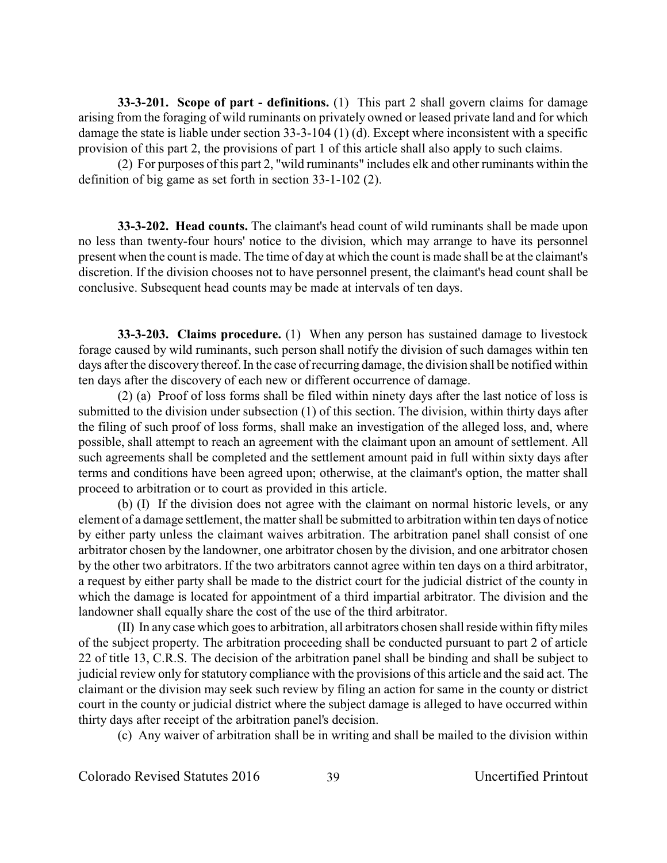**33-3-201. Scope of part - definitions.** (1) This part 2 shall govern claims for damage arising from the foraging of wild ruminants on privately owned or leased private land and for which damage the state is liable under section 33-3-104 (1) (d). Except where inconsistent with a specific provision of this part 2, the provisions of part 1 of this article shall also apply to such claims.

(2) For purposes of this part 2, "wild ruminants" includes elk and other ruminants within the definition of big game as set forth in section 33-1-102 (2).

**33-3-202. Head counts.** The claimant's head count of wild ruminants shall be made upon no less than twenty-four hours' notice to the division, which may arrange to have its personnel present when the count is made. The time of day at which the count is made shall be at the claimant's discretion. If the division chooses not to have personnel present, the claimant's head count shall be conclusive. Subsequent head counts may be made at intervals of ten days.

**33-3-203. Claims procedure.** (1) When any person has sustained damage to livestock forage caused by wild ruminants, such person shall notify the division of such damages within ten days after the discovery thereof. In the case of recurring damage, the division shall be notified within ten days after the discovery of each new or different occurrence of damage.

(2) (a) Proof of loss forms shall be filed within ninety days after the last notice of loss is submitted to the division under subsection (1) of this section. The division, within thirty days after the filing of such proof of loss forms, shall make an investigation of the alleged loss, and, where possible, shall attempt to reach an agreement with the claimant upon an amount of settlement. All such agreements shall be completed and the settlement amount paid in full within sixty days after terms and conditions have been agreed upon; otherwise, at the claimant's option, the matter shall proceed to arbitration or to court as provided in this article.

(b) (I) If the division does not agree with the claimant on normal historic levels, or any element of a damage settlement, the matter shall be submitted to arbitration within ten days of notice by either party unless the claimant waives arbitration. The arbitration panel shall consist of one arbitrator chosen by the landowner, one arbitrator chosen by the division, and one arbitrator chosen by the other two arbitrators. If the two arbitrators cannot agree within ten days on a third arbitrator, a request by either party shall be made to the district court for the judicial district of the county in which the damage is located for appointment of a third impartial arbitrator. The division and the landowner shall equally share the cost of the use of the third arbitrator.

(II) In any case which goes to arbitration, all arbitrators chosen shall reside within fiftymiles of the subject property. The arbitration proceeding shall be conducted pursuant to part 2 of article 22 of title 13, C.R.S. The decision of the arbitration panel shall be binding and shall be subject to judicial review only for statutory compliance with the provisions of this article and the said act. The claimant or the division may seek such review by filing an action for same in the county or district court in the county or judicial district where the subject damage is alleged to have occurred within thirty days after receipt of the arbitration panel's decision.

(c) Any waiver of arbitration shall be in writing and shall be mailed to the division within

Colorado Revised Statutes 2016 39 Uncertified Printout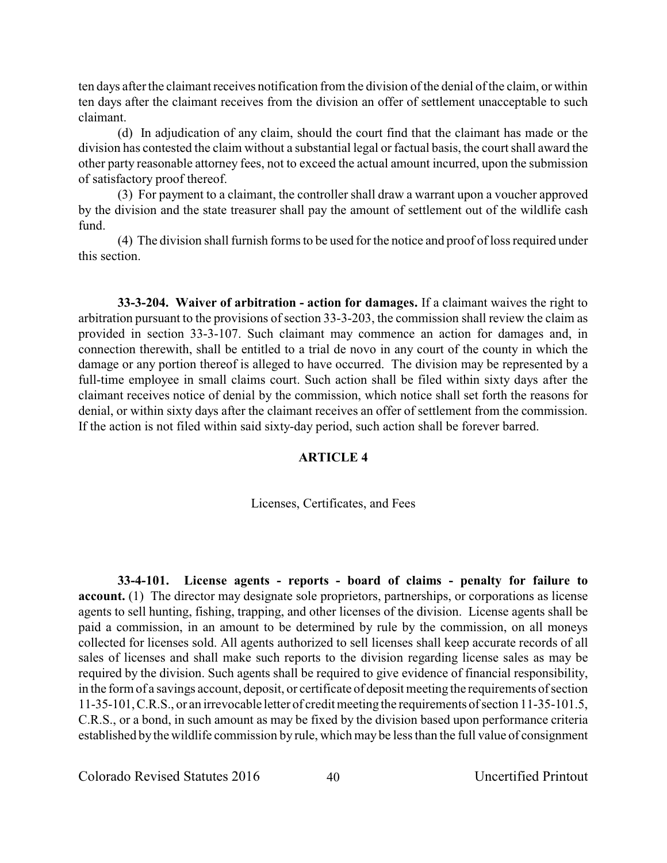ten days after the claimant receives notification from the division of the denial of the claim, or within ten days after the claimant receives from the division an offer of settlement unacceptable to such claimant.

(d) In adjudication of any claim, should the court find that the claimant has made or the division has contested the claim without a substantial legal or factual basis, the court shall award the other party reasonable attorney fees, not to exceed the actual amount incurred, upon the submission of satisfactory proof thereof.

(3) For payment to a claimant, the controller shall draw a warrant upon a voucher approved by the division and the state treasurer shall pay the amount of settlement out of the wildlife cash fund.

(4) The division shall furnish forms to be used for the notice and proof of loss required under this section.

**33-3-204. Waiver of arbitration - action for damages.** If a claimant waives the right to arbitration pursuant to the provisions of section 33-3-203, the commission shall review the claim as provided in section 33-3-107. Such claimant may commence an action for damages and, in connection therewith, shall be entitled to a trial de novo in any court of the county in which the damage or any portion thereof is alleged to have occurred. The division may be represented by a full-time employee in small claims court. Such action shall be filed within sixty days after the claimant receives notice of denial by the commission, which notice shall set forth the reasons for denial, or within sixty days after the claimant receives an offer of settlement from the commission. If the action is not filed within said sixty-day period, such action shall be forever barred.

## **ARTICLE 4**

### Licenses, Certificates, and Fees

**33-4-101. License agents - reports - board of claims - penalty for failure to account.** (1) The director may designate sole proprietors, partnerships, or corporations as license agents to sell hunting, fishing, trapping, and other licenses of the division. License agents shall be paid a commission, in an amount to be determined by rule by the commission, on all moneys collected for licenses sold. All agents authorized to sell licenses shall keep accurate records of all sales of licenses and shall make such reports to the division regarding license sales as may be required by the division. Such agents shall be required to give evidence of financial responsibility, in the form of a savings account, deposit, or certificate of deposit meeting the requirements of section 11-35-101,C.R.S., or an irrevocable letter of credit meeting the requirements of section 11-35-101.5, C.R.S., or a bond, in such amount as may be fixed by the division based upon performance criteria established by the wildlife commission by rule, which may be less than the full value of consignment

Colorado Revised Statutes 2016 40 Uncertified Printout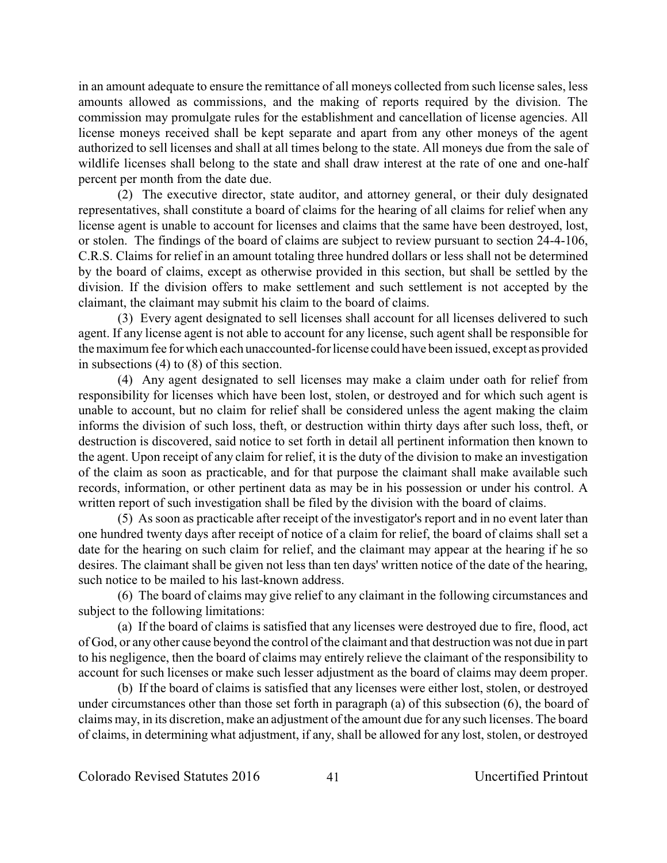in an amount adequate to ensure the remittance of all moneys collected from such license sales, less amounts allowed as commissions, and the making of reports required by the division. The commission may promulgate rules for the establishment and cancellation of license agencies. All license moneys received shall be kept separate and apart from any other moneys of the agent authorized to sell licenses and shall at all times belong to the state. All moneys due from the sale of wildlife licenses shall belong to the state and shall draw interest at the rate of one and one-half percent per month from the date due.

(2) The executive director, state auditor, and attorney general, or their duly designated representatives, shall constitute a board of claims for the hearing of all claims for relief when any license agent is unable to account for licenses and claims that the same have been destroyed, lost, or stolen. The findings of the board of claims are subject to review pursuant to section 24-4-106, C.R.S. Claims for relief in an amount totaling three hundred dollars or less shall not be determined by the board of claims, except as otherwise provided in this section, but shall be settled by the division. If the division offers to make settlement and such settlement is not accepted by the claimant, the claimant may submit his claim to the board of claims.

(3) Every agent designated to sell licenses shall account for all licenses delivered to such agent. If any license agent is not able to account for any license, such agent shall be responsible for themaximum fee for which each unaccounted-for license could have been issued, except as provided in subsections (4) to (8) of this section.

(4) Any agent designated to sell licenses may make a claim under oath for relief from responsibility for licenses which have been lost, stolen, or destroyed and for which such agent is unable to account, but no claim for relief shall be considered unless the agent making the claim informs the division of such loss, theft, or destruction within thirty days after such loss, theft, or destruction is discovered, said notice to set forth in detail all pertinent information then known to the agent. Upon receipt of any claim for relief, it is the duty of the division to make an investigation of the claim as soon as practicable, and for that purpose the claimant shall make available such records, information, or other pertinent data as may be in his possession or under his control. A written report of such investigation shall be filed by the division with the board of claims.

(5) As soon as practicable after receipt of the investigator's report and in no event later than one hundred twenty days after receipt of notice of a claim for relief, the board of claims shall set a date for the hearing on such claim for relief, and the claimant may appear at the hearing if he so desires. The claimant shall be given not less than ten days' written notice of the date of the hearing, such notice to be mailed to his last-known address.

(6) The board of claims may give relief to any claimant in the following circumstances and subject to the following limitations:

(a) If the board of claims is satisfied that any licenses were destroyed due to fire, flood, act of God, or any other cause beyond the control of the claimant and that destruction was not due in part to his negligence, then the board of claims may entirely relieve the claimant of the responsibility to account for such licenses or make such lesser adjustment as the board of claims may deem proper.

(b) If the board of claims is satisfied that any licenses were either lost, stolen, or destroyed under circumstances other than those set forth in paragraph (a) of this subsection (6), the board of claims may, in its discretion, make an adjustment of the amount due for any such licenses. The board of claims, in determining what adjustment, if any, shall be allowed for any lost, stolen, or destroyed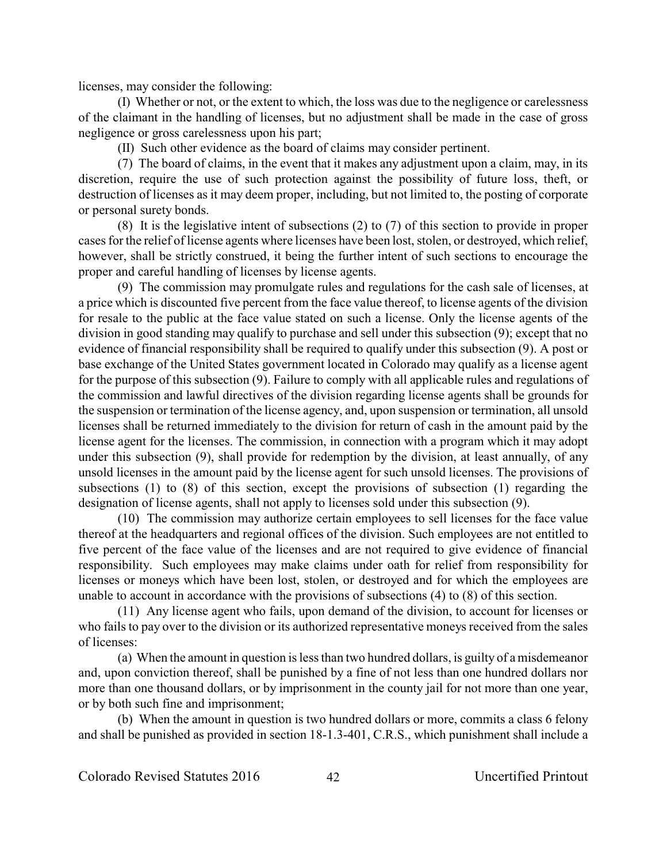licenses, may consider the following:

(I) Whether or not, or the extent to which, the loss was due to the negligence or carelessness of the claimant in the handling of licenses, but no adjustment shall be made in the case of gross negligence or gross carelessness upon his part;

(II) Such other evidence as the board of claims may consider pertinent.

(7) The board of claims, in the event that it makes any adjustment upon a claim, may, in its discretion, require the use of such protection against the possibility of future loss, theft, or destruction of licenses as it may deem proper, including, but not limited to, the posting of corporate or personal surety bonds.

(8) It is the legislative intent of subsections (2) to (7) of this section to provide in proper cases for the relief of license agents where licenses have been lost, stolen, or destroyed, which relief, however, shall be strictly construed, it being the further intent of such sections to encourage the proper and careful handling of licenses by license agents.

(9) The commission may promulgate rules and regulations for the cash sale of licenses, at a price which is discounted five percent from the face value thereof, to license agents of the division for resale to the public at the face value stated on such a license. Only the license agents of the division in good standing may qualify to purchase and sell under this subsection (9); except that no evidence of financial responsibility shall be required to qualify under this subsection (9). A post or base exchange of the United States government located in Colorado may qualify as a license agent for the purpose of this subsection (9). Failure to comply with all applicable rules and regulations of the commission and lawful directives of the division regarding license agents shall be grounds for the suspension or termination of the license agency, and, upon suspension or termination, all unsold licenses shall be returned immediately to the division for return of cash in the amount paid by the license agent for the licenses. The commission, in connection with a program which it may adopt under this subsection (9), shall provide for redemption by the division, at least annually, of any unsold licenses in the amount paid by the license agent for such unsold licenses. The provisions of subsections (1) to (8) of this section, except the provisions of subsection (1) regarding the designation of license agents, shall not apply to licenses sold under this subsection (9).

(10) The commission may authorize certain employees to sell licenses for the face value thereof at the headquarters and regional offices of the division. Such employees are not entitled to five percent of the face value of the licenses and are not required to give evidence of financial responsibility. Such employees may make claims under oath for relief from responsibility for licenses or moneys which have been lost, stolen, or destroyed and for which the employees are unable to account in accordance with the provisions of subsections (4) to (8) of this section.

(11) Any license agent who fails, upon demand of the division, to account for licenses or who fails to pay over to the division or its authorized representative moneys received from the sales of licenses:

(a) When the amount in question is less than two hundred dollars, is guilty of amisdemeanor and, upon conviction thereof, shall be punished by a fine of not less than one hundred dollars nor more than one thousand dollars, or by imprisonment in the county jail for not more than one year, or by both such fine and imprisonment;

(b) When the amount in question is two hundred dollars or more, commits a class 6 felony and shall be punished as provided in section 18-1.3-401, C.R.S., which punishment shall include a

Colorado Revised Statutes 2016 42 Uncertified Printout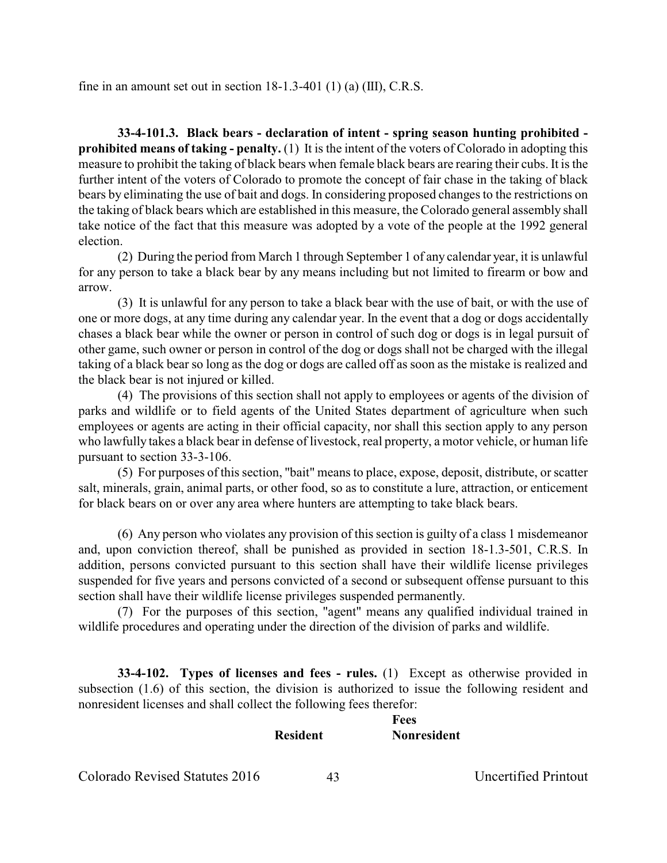fine in an amount set out in section  $18-1.3-401$  (1) (a) (III), C.R.S.

**33-4-101.3. Black bears - declaration of intent - spring season hunting prohibited prohibited means of taking - penalty.** (1) It is the intent of the voters of Colorado in adopting this measure to prohibit the taking of black bears when female black bears are rearing their cubs. It is the further intent of the voters of Colorado to promote the concept of fair chase in the taking of black bears by eliminating the use of bait and dogs. In considering proposed changes to the restrictions on the taking of black bears which are established in this measure, the Colorado general assembly shall take notice of the fact that this measure was adopted by a vote of the people at the 1992 general election.

(2) During the period from March 1 through September 1 of any calendar year, it is unlawful for any person to take a black bear by any means including but not limited to firearm or bow and arrow.

(3) It is unlawful for any person to take a black bear with the use of bait, or with the use of one or more dogs, at any time during any calendar year. In the event that a dog or dogs accidentally chases a black bear while the owner or person in control of such dog or dogs is in legal pursuit of other game, such owner or person in control of the dog or dogs shall not be charged with the illegal taking of a black bear so long as the dog or dogs are called off as soon as the mistake is realized and the black bear is not injured or killed.

(4) The provisions of this section shall not apply to employees or agents of the division of parks and wildlife or to field agents of the United States department of agriculture when such employees or agents are acting in their official capacity, nor shall this section apply to any person who lawfully takes a black bear in defense of livestock, real property, a motor vehicle, or human life pursuant to section 33-3-106.

(5) For purposes of this section, "bait" means to place, expose, deposit, distribute, or scatter salt, minerals, grain, animal parts, or other food, so as to constitute a lure, attraction, or enticement for black bears on or over any area where hunters are attempting to take black bears.

(6) Any person who violates any provision of this section is guilty of a class 1 misdemeanor and, upon conviction thereof, shall be punished as provided in section 18-1.3-501, C.R.S. In addition, persons convicted pursuant to this section shall have their wildlife license privileges suspended for five years and persons convicted of a second or subsequent offense pursuant to this section shall have their wildlife license privileges suspended permanently.

(7) For the purposes of this section, "agent" means any qualified individual trained in wildlife procedures and operating under the direction of the division of parks and wildlife.

**33-4-102. Types of licenses and fees - rules.** (1) Except as otherwise provided in subsection (1.6) of this section, the division is authorized to issue the following resident and nonresident licenses and shall collect the following fees therefor: **Fees** 

|                 | r ees              |
|-----------------|--------------------|
| <b>Resident</b> | <b>Nonresident</b> |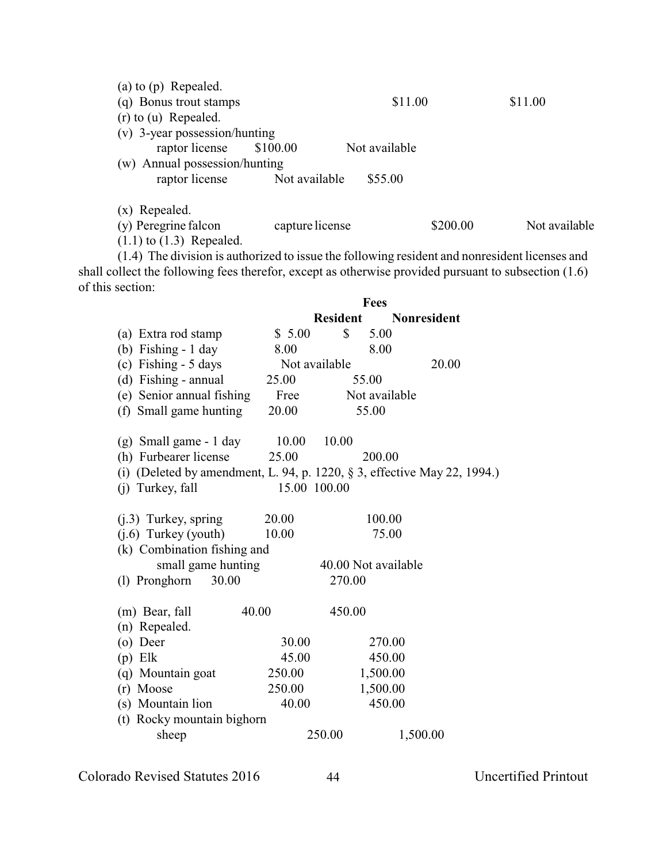| (a) to $(p)$ Repealed.        |                 |               |          |               |  |
|-------------------------------|-----------------|---------------|----------|---------------|--|
| (q) Bonus trout stamps        |                 | \$11.00       |          | \$11.00       |  |
| $(r)$ to $(u)$ Repealed.      |                 |               |          |               |  |
| (v) 3-year possession/hunting |                 |               |          |               |  |
| raptor license                | \$100.00        | Not available |          |               |  |
| (w) Annual possession/hunting |                 |               |          |               |  |
| raptor license                | Not available   | \$55.00       |          |               |  |
| (x) Repealed.                 |                 |               |          |               |  |
| (y) Peregrine falcon          | capture license |               | \$200.00 | Not available |  |
| $(1.1)$ to $(1.3)$ Repealed.  |                 |               |          |               |  |

(1.4) The division is authorized to issue the following resident and nonresident licenses and shall collect the following fees therefor, except as otherwise provided pursuant to subsection (1.6) of this section:

|                                                                             | <b>Fees</b> |               |                     |             |
|-----------------------------------------------------------------------------|-------------|---------------|---------------------|-------------|
|                                                                             |             | Resident      |                     | Nonresident |
| (a) Extra rod stamp                                                         | \$5.00      | $\mathcal{S}$ | 5.00                |             |
| (b) Fishing - $1$ day                                                       | 8.00        |               | 8.00                |             |
| (c) Fishing - 5 days                                                        |             | Not available |                     | 20.00       |
| (d) Fishing - annual                                                        | 25.00       |               | 55.00               |             |
| (e) Senior annual fishing                                                   | Free        |               | Not available       |             |
| (f) Small game hunting                                                      | 20.00       | 55.00         |                     |             |
| (g) Small game $-1$ day $10.00$                                             |             | 10.00         |                     |             |
| (h) Furbearer license                                                       | 25.00       |               | 200.00              |             |
| (i) (Deleted by amendment, L. 94, p. 1220, $\S$ 3, effective May 22, 1994.) |             |               |                     |             |
| (j) Turkey, fall                                                            |             | 15.00 100.00  |                     |             |
| $(i.3)$ Turkey, spring                                                      | 20.00       |               | 100.00              |             |
| $(i.6)$ Turkey (youth)                                                      | 10.00       |               | 75.00               |             |
| (k) Combination fishing and                                                 |             |               |                     |             |
| small game hunting                                                          |             |               | 40.00 Not available |             |
| (1) Pronghorn<br>30.00                                                      |             | 270.00        |                     |             |
| 40.00<br>(m) Bear, fall                                                     |             | 450.00        |                     |             |
| (n) Repealed.                                                               |             |               |                     |             |
| (o) Deer                                                                    | 30.00       |               | 270.00              |             |
| $(p)$ Elk                                                                   | 45.00       |               | 450.00              |             |
| (q) Mountain goat                                                           | 250.00      |               | 1,500.00            |             |
| (r) Moose                                                                   | 250.00      |               | 1,500.00            |             |
| (s) Mountain lion                                                           | 40.00       |               | 450.00              |             |
| (t) Rocky mountain bighorn                                                  |             |               |                     |             |
| sheep                                                                       |             | 250.00        |                     | 1,500.00    |

Colorado Revised Statutes 2016 44 Uncertified Printout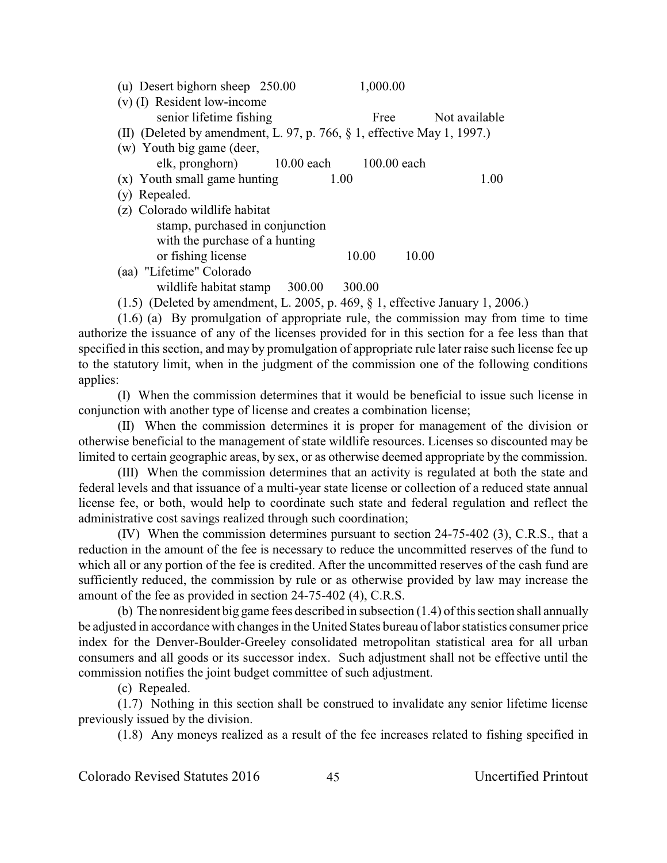| (u) Desert bighorn sheep 250.00                                                  |              | 1,000.00    |       |               |
|----------------------------------------------------------------------------------|--------------|-------------|-------|---------------|
| $(v)$ (I) Resident low-income                                                    |              |             |       |               |
| senior lifetime fishing                                                          |              | Free        |       | Not available |
| (II) (Deleted by amendment, L. 97, p. 766, $\S$ 1, effective May 1, 1997.)       |              |             |       |               |
| (w) Youth big game (deer,                                                        |              |             |       |               |
| elk, pronghorn)                                                                  | $10.00$ each | 100.00 each |       |               |
| (x) Youth small game hunting                                                     |              | 1.00        |       | 1.00          |
| Repealed.<br>(v)                                                                 |              |             |       |               |
| (z) Colorado wildlife habitat                                                    |              |             |       |               |
| stamp, purchased in conjunction                                                  |              |             |       |               |
| with the purchase of a hunting                                                   |              |             |       |               |
| or fishing license                                                               |              | 10.00       | 10.00 |               |
| (aa) "Lifetime" Colorado                                                         |              |             |       |               |
| wildlife habitat stamp 300.00                                                    |              | 300.00      |       |               |
| $(1.5)$ (Deleted by amendment, L. 2005, p. 469, § 1, effective January 1, 2006.) |              |             |       |               |

(1.6) (a) By promulgation of appropriate rule, the commission may from time to time authorize the issuance of any of the licenses provided for in this section for a fee less than that specified in this section, and may by promulgation of appropriate rule later raise such license fee up to the statutory limit, when in the judgment of the commission one of the following conditions applies:

(I) When the commission determines that it would be beneficial to issue such license in conjunction with another type of license and creates a combination license;

(II) When the commission determines it is proper for management of the division or otherwise beneficial to the management of state wildlife resources. Licenses so discounted may be limited to certain geographic areas, by sex, or as otherwise deemed appropriate by the commission.

(III) When the commission determines that an activity is regulated at both the state and federal levels and that issuance of a multi-year state license or collection of a reduced state annual license fee, or both, would help to coordinate such state and federal regulation and reflect the administrative cost savings realized through such coordination;

(IV) When the commission determines pursuant to section 24-75-402 (3), C.R.S., that a reduction in the amount of the fee is necessary to reduce the uncommitted reserves of the fund to which all or any portion of the fee is credited. After the uncommitted reserves of the cash fund are sufficiently reduced, the commission by rule or as otherwise provided by law may increase the amount of the fee as provided in section 24-75-402 (4), C.R.S.

(b) The nonresident big game fees described in subsection (1.4) of this section shall annually be adjusted in accordance with changes in the United States bureau of labor statistics consumer price index for the Denver-Boulder-Greeley consolidated metropolitan statistical area for all urban consumers and all goods or its successor index. Such adjustment shall not be effective until the commission notifies the joint budget committee of such adjustment.

(c) Repealed.

(1.7) Nothing in this section shall be construed to invalidate any senior lifetime license previously issued by the division.

(1.8) Any moneys realized as a result of the fee increases related to fishing specified in

Colorado Revised Statutes 2016 45 Uncertified Printout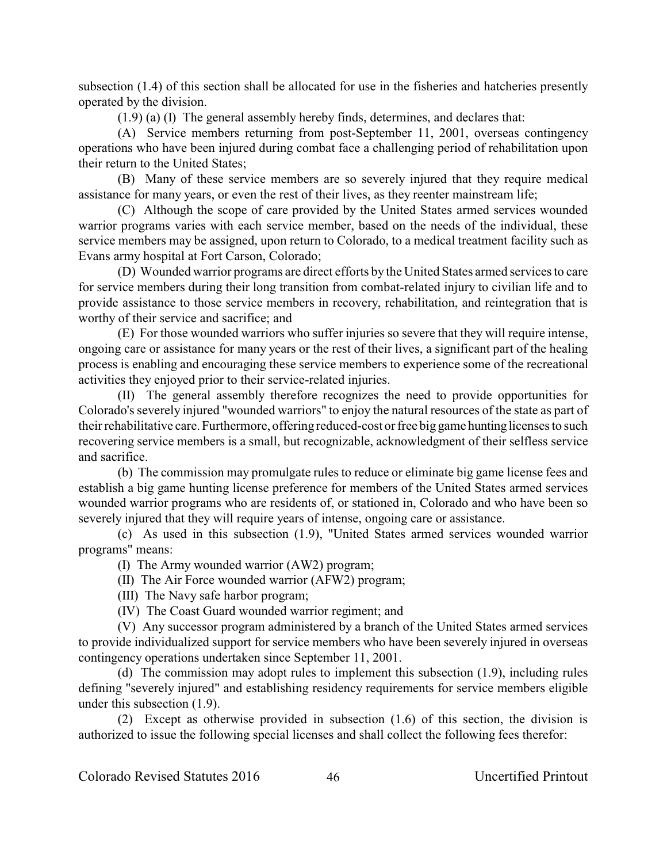subsection (1.4) of this section shall be allocated for use in the fisheries and hatcheries presently operated by the division.

(1.9) (a) (I) The general assembly hereby finds, determines, and declares that:

(A) Service members returning from post-September 11, 2001, overseas contingency operations who have been injured during combat face a challenging period of rehabilitation upon their return to the United States;

(B) Many of these service members are so severely injured that they require medical assistance for many years, or even the rest of their lives, as they reenter mainstream life;

(C) Although the scope of care provided by the United States armed services wounded warrior programs varies with each service member, based on the needs of the individual, these service members may be assigned, upon return to Colorado, to a medical treatment facility such as Evans army hospital at Fort Carson, Colorado;

(D) Wounded warrior programs are direct efforts by the United States armed services to care for service members during their long transition from combat-related injury to civilian life and to provide assistance to those service members in recovery, rehabilitation, and reintegration that is worthy of their service and sacrifice; and

(E) For those wounded warriors who suffer injuries so severe that they will require intense, ongoing care or assistance for many years or the rest of their lives, a significant part of the healing process is enabling and encouraging these service members to experience some of the recreational activities they enjoyed prior to their service-related injuries.

(II) The general assembly therefore recognizes the need to provide opportunities for Colorado's severely injured "wounded warriors" to enjoy the natural resources of the state as part of their rehabilitative care. Furthermore, offering reduced-cost or free big game hunting licenses to such recovering service members is a small, but recognizable, acknowledgment of their selfless service and sacrifice.

(b) The commission may promulgate rules to reduce or eliminate big game license fees and establish a big game hunting license preference for members of the United States armed services wounded warrior programs who are residents of, or stationed in, Colorado and who have been so severely injured that they will require years of intense, ongoing care or assistance.

(c) As used in this subsection (1.9), "United States armed services wounded warrior programs" means:

(I) The Army wounded warrior (AW2) program;

(II) The Air Force wounded warrior (AFW2) program;

(III) The Navy safe harbor program;

(IV) The Coast Guard wounded warrior regiment; and

(V) Any successor program administered by a branch of the United States armed services to provide individualized support for service members who have been severely injured in overseas contingency operations undertaken since September 11, 2001.

(d) The commission may adopt rules to implement this subsection (1.9), including rules defining "severely injured" and establishing residency requirements for service members eligible under this subsection (1.9).

(2) Except as otherwise provided in subsection (1.6) of this section, the division is authorized to issue the following special licenses and shall collect the following fees therefor: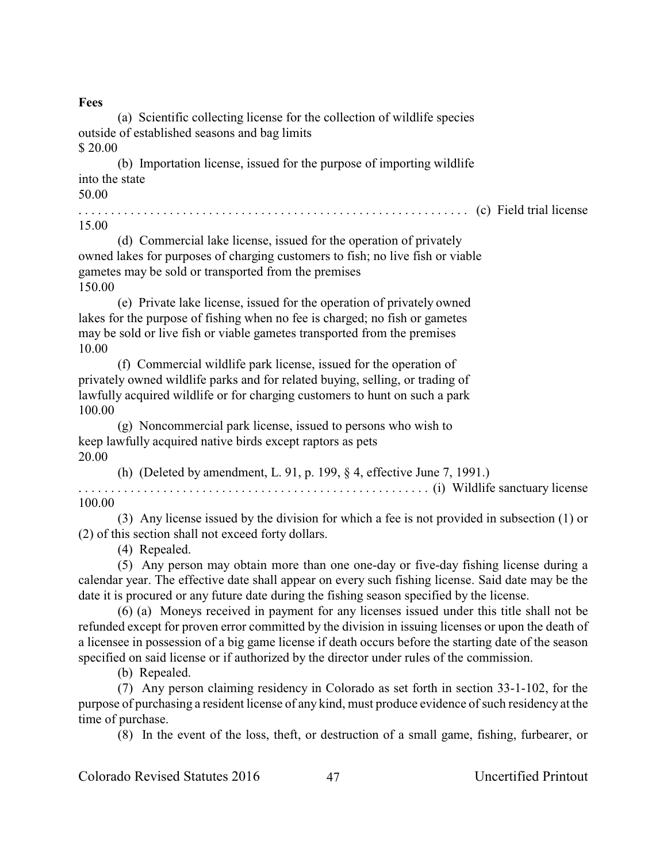#### **Fees**

(a) Scientific collecting license for the collection of wildlife species outside of established seasons and bag limits \$ 20.00

(b) Importation license, issued for the purpose of importing wildlife into the state

50.00

. . . . . . . . . . . . . . . . . . . . . . . . . . . . . . . . . . . . . . . . . . . . . . . . . . . . . . . . . . . . (c) Field trial license

15.00

(d) Commercial lake license, issued for the operation of privately owned lakes for purposes of charging customers to fish; no live fish or viable gametes may be sold or transported from the premises 150.00

(e) Private lake license, issued for the operation of privately owned lakes for the purpose of fishing when no fee is charged; no fish or gametes may be sold or live fish or viable gametes transported from the premises 10.00

(f) Commercial wildlife park license, issued for the operation of privately owned wildlife parks and for related buying, selling, or trading of lawfully acquired wildlife or for charging customers to hunt on such a park 100.00

(g) Noncommercial park license, issued to persons who wish to keep lawfully acquired native birds except raptors as pets 20.00

(h) (Deleted by amendment, L. 91, p. 199, § 4, effective June 7, 1991.)

. . . . . . . . . . . . . . . . . . . . . . . . . . . . . . . . . . . . . . . . . . . . . . . . . . . . . . (i) Wildlife sanctuary license 100.00

(3) Any license issued by the division for which a fee is not provided in subsection (1) or (2) of this section shall not exceed forty dollars.

(4) Repealed.

(5) Any person may obtain more than one one-day or five-day fishing license during a calendar year. The effective date shall appear on every such fishing license. Said date may be the date it is procured or any future date during the fishing season specified by the license.

(6) (a) Moneys received in payment for any licenses issued under this title shall not be refunded except for proven error committed by the division in issuing licenses or upon the death of a licensee in possession of a big game license if death occurs before the starting date of the season specified on said license or if authorized by the director under rules of the commission.

(b) Repealed.

(7) Any person claiming residency in Colorado as set forth in section 33-1-102, for the purpose of purchasing a resident license of any kind, must produce evidence of such residency at the time of purchase.

(8) In the event of the loss, theft, or destruction of a small game, fishing, furbearer, or

Colorado Revised Statutes 2016 47 Uncertified Printout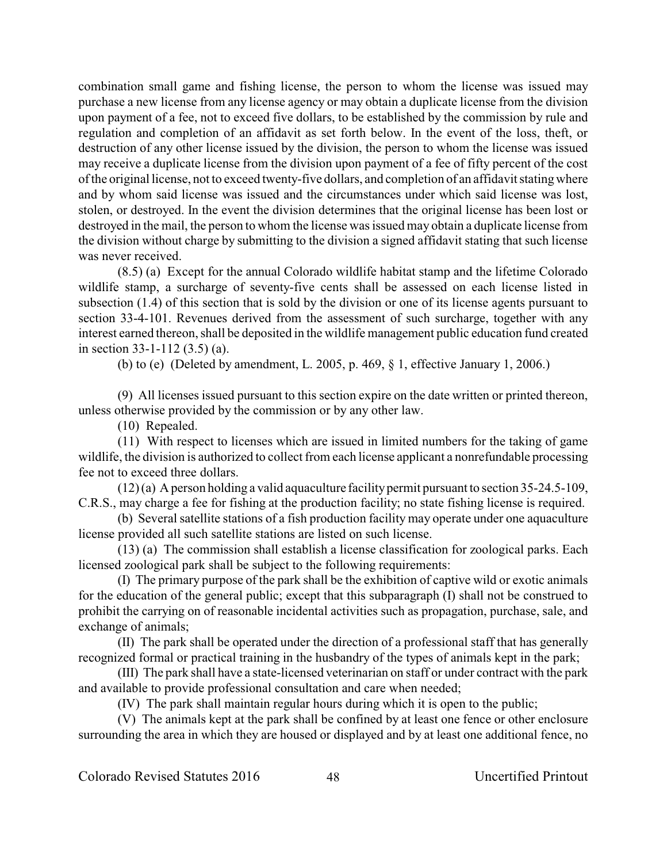combination small game and fishing license, the person to whom the license was issued may purchase a new license from any license agency or may obtain a duplicate license from the division upon payment of a fee, not to exceed five dollars, to be established by the commission by rule and regulation and completion of an affidavit as set forth below. In the event of the loss, theft, or destruction of any other license issued by the division, the person to whom the license was issued may receive a duplicate license from the division upon payment of a fee of fifty percent of the cost of the original license, not to exceed twenty-five dollars, and completion of an affidavit statingwhere and by whom said license was issued and the circumstances under which said license was lost, stolen, or destroyed. In the event the division determines that the original license has been lost or destroyed in the mail, the person to whom the license was issued may obtain a duplicate license from the division without charge by submitting to the division a signed affidavit stating that such license was never received.

(8.5) (a) Except for the annual Colorado wildlife habitat stamp and the lifetime Colorado wildlife stamp, a surcharge of seventy-five cents shall be assessed on each license listed in subsection (1.4) of this section that is sold by the division or one of its license agents pursuant to section 33-4-101. Revenues derived from the assessment of such surcharge, together with any interest earned thereon, shall be deposited in the wildlife management public education fund created in section 33-1-112 (3.5) (a).

(b) to (e) (Deleted by amendment, L. 2005, p. 469, § 1, effective January 1, 2006.)

(9) All licenses issued pursuant to this section expire on the date written or printed thereon, unless otherwise provided by the commission or by any other law.

(10) Repealed.

(11) With respect to licenses which are issued in limited numbers for the taking of game wildlife, the division is authorized to collect from each license applicant a nonrefundable processing fee not to exceed three dollars.

 $(12)$  (a) A person holding a valid aquaculture facility permit pursuant to section 35-24.5-109, C.R.S., may charge a fee for fishing at the production facility; no state fishing license is required.

(b) Several satellite stations of a fish production facility may operate under one aquaculture license provided all such satellite stations are listed on such license.

(13) (a) The commission shall establish a license classification for zoological parks. Each licensed zoological park shall be subject to the following requirements:

(I) The primary purpose of the park shall be the exhibition of captive wild or exotic animals for the education of the general public; except that this subparagraph (I) shall not be construed to prohibit the carrying on of reasonable incidental activities such as propagation, purchase, sale, and exchange of animals;

(II) The park shall be operated under the direction of a professional staff that has generally recognized formal or practical training in the husbandry of the types of animals kept in the park;

(III) The park shall have a state-licensed veterinarian on staff or under contract with the park and available to provide professional consultation and care when needed;

(IV) The park shall maintain regular hours during which it is open to the public;

(V) The animals kept at the park shall be confined by at least one fence or other enclosure surrounding the area in which they are housed or displayed and by at least one additional fence, no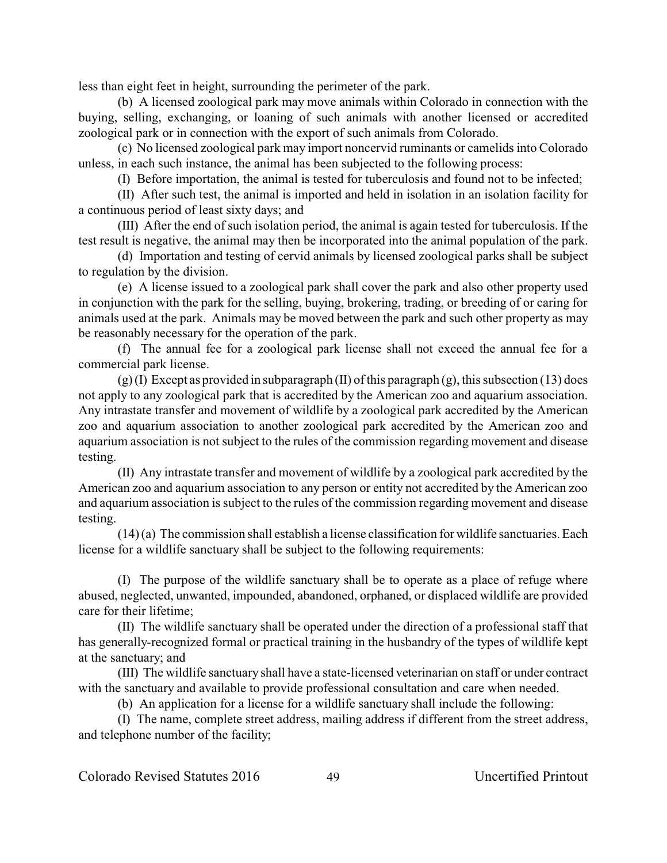less than eight feet in height, surrounding the perimeter of the park.

(b) A licensed zoological park may move animals within Colorado in connection with the buying, selling, exchanging, or loaning of such animals with another licensed or accredited zoological park or in connection with the export of such animals from Colorado.

(c) No licensed zoological park may import noncervid ruminants or camelids into Colorado unless, in each such instance, the animal has been subjected to the following process:

(I) Before importation, the animal is tested for tuberculosis and found not to be infected;

(II) After such test, the animal is imported and held in isolation in an isolation facility for a continuous period of least sixty days; and

(III) After the end of such isolation period, the animal is again tested for tuberculosis. If the test result is negative, the animal may then be incorporated into the animal population of the park.

(d) Importation and testing of cervid animals by licensed zoological parks shall be subject to regulation by the division.

(e) A license issued to a zoological park shall cover the park and also other property used in conjunction with the park for the selling, buying, brokering, trading, or breeding of or caring for animals used at the park. Animals may be moved between the park and such other property as may be reasonably necessary for the operation of the park.

(f) The annual fee for a zoological park license shall not exceed the annual fee for a commercial park license.

 $(g)$  (I) Except as provided in subparagraph (II) of this paragraph  $(g)$ , this subsection (13) does not apply to any zoological park that is accredited by the American zoo and aquarium association. Any intrastate transfer and movement of wildlife by a zoological park accredited by the American zoo and aquarium association to another zoological park accredited by the American zoo and aquarium association is not subject to the rules of the commission regarding movement and disease testing.

(II) Any intrastate transfer and movement of wildlife by a zoological park accredited by the American zoo and aquarium association to any person or entity not accredited by the American zoo and aquarium association is subject to the rules of the commission regarding movement and disease testing.

(14) (a) The commission shall establish a license classification for wildlife sanctuaries. Each license for a wildlife sanctuary shall be subject to the following requirements:

(I) The purpose of the wildlife sanctuary shall be to operate as a place of refuge where abused, neglected, unwanted, impounded, abandoned, orphaned, or displaced wildlife are provided care for their lifetime;

(II) The wildlife sanctuary shall be operated under the direction of a professional staff that has generally-recognized formal or practical training in the husbandry of the types of wildlife kept at the sanctuary; and

(III) The wildlife sanctuary shall have a state-licensed veterinarian on staff or under contract with the sanctuary and available to provide professional consultation and care when needed.

(b) An application for a license for a wildlife sanctuary shall include the following:

(I) The name, complete street address, mailing address if different from the street address, and telephone number of the facility;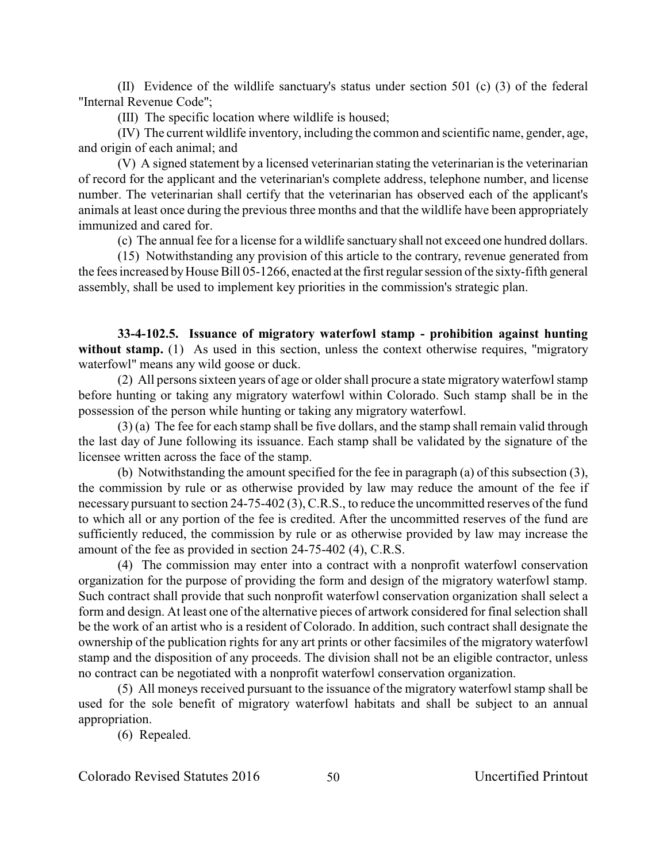(II) Evidence of the wildlife sanctuary's status under section 501 (c) (3) of the federal "Internal Revenue Code";

(III) The specific location where wildlife is housed;

(IV) The current wildlife inventory, including the common and scientific name, gender, age, and origin of each animal; and

(V) A signed statement by a licensed veterinarian stating the veterinarian is the veterinarian of record for the applicant and the veterinarian's complete address, telephone number, and license number. The veterinarian shall certify that the veterinarian has observed each of the applicant's animals at least once during the previous three months and that the wildlife have been appropriately immunized and cared for.

(c) The annual fee for a license for a wildlife sanctuary shall not exceed one hundred dollars.

(15) Notwithstanding any provision of this article to the contrary, revenue generated from the fees increased byHouse Bill 05-1266, enacted at the first regular session of the sixty-fifth general assembly, shall be used to implement key priorities in the commission's strategic plan.

**33-4-102.5. Issuance of migratory waterfowl stamp - prohibition against hunting** without stamp. (1) As used in this section, unless the context otherwise requires, "migratory" waterfowl" means any wild goose or duck.

(2) All persons sixteen years of age or older shall procure a state migratory waterfowl stamp before hunting or taking any migratory waterfowl within Colorado. Such stamp shall be in the possession of the person while hunting or taking any migratory waterfowl.

(3) (a) The fee for each stamp shall be five dollars, and the stamp shall remain valid through the last day of June following its issuance. Each stamp shall be validated by the signature of the licensee written across the face of the stamp.

(b) Notwithstanding the amount specified for the fee in paragraph (a) of this subsection (3), the commission by rule or as otherwise provided by law may reduce the amount of the fee if necessary pursuant to section 24-75-402 (3), C.R.S., to reduce the uncommitted reserves of the fund to which all or any portion of the fee is credited. After the uncommitted reserves of the fund are sufficiently reduced, the commission by rule or as otherwise provided by law may increase the amount of the fee as provided in section 24-75-402 (4), C.R.S.

(4) The commission may enter into a contract with a nonprofit waterfowl conservation organization for the purpose of providing the form and design of the migratory waterfowl stamp. Such contract shall provide that such nonprofit waterfowl conservation organization shall select a form and design. At least one of the alternative pieces of artwork considered for final selection shall be the work of an artist who is a resident of Colorado. In addition, such contract shall designate the ownership of the publication rights for any art prints or other facsimiles of the migratory waterfowl stamp and the disposition of any proceeds. The division shall not be an eligible contractor, unless no contract can be negotiated with a nonprofit waterfowl conservation organization.

(5) All moneys received pursuant to the issuance of the migratory waterfowl stamp shall be used for the sole benefit of migratory waterfowl habitats and shall be subject to an annual appropriation.

(6) Repealed.

Colorado Revised Statutes 2016 50 Uncertified Printout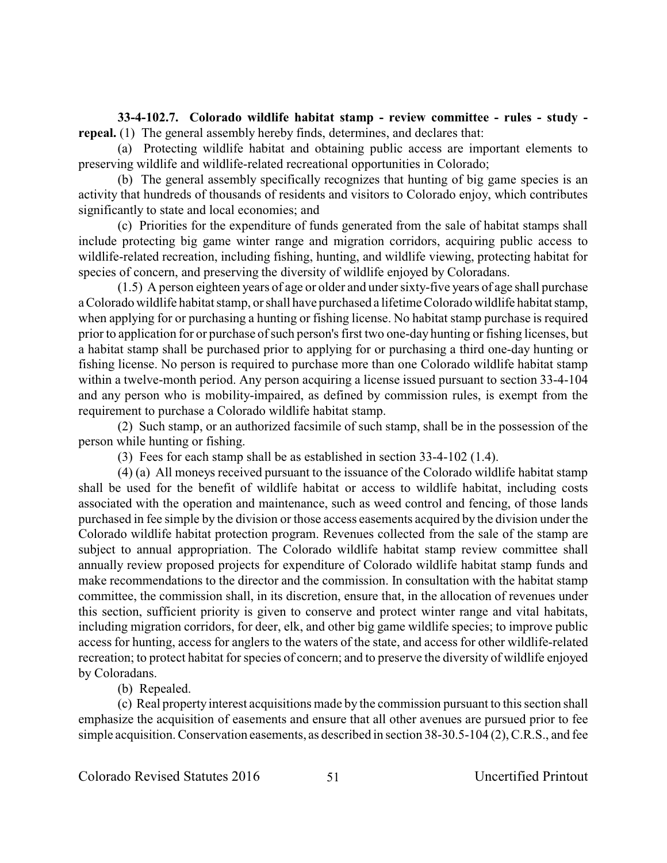**33-4-102.7. Colorado wildlife habitat stamp - review committee - rules - study repeal.** (1) The general assembly hereby finds, determines, and declares that:

(a) Protecting wildlife habitat and obtaining public access are important elements to preserving wildlife and wildlife-related recreational opportunities in Colorado;

(b) The general assembly specifically recognizes that hunting of big game species is an activity that hundreds of thousands of residents and visitors to Colorado enjoy, which contributes significantly to state and local economies; and

(c) Priorities for the expenditure of funds generated from the sale of habitat stamps shall include protecting big game winter range and migration corridors, acquiring public access to wildlife-related recreation, including fishing, hunting, and wildlife viewing, protecting habitat for species of concern, and preserving the diversity of wildlife enjoyed by Coloradans.

(1.5) A person eighteen years of age or older and under sixty-five years of age shall purchase a Colorado wildlife habitat stamp, or shall have purchased a lifetime Colorado wildlife habitat stamp, when applying for or purchasing a hunting or fishing license. No habitat stamp purchase is required prior to application for or purchase of such person's first two one-day hunting or fishing licenses, but a habitat stamp shall be purchased prior to applying for or purchasing a third one-day hunting or fishing license. No person is required to purchase more than one Colorado wildlife habitat stamp within a twelve-month period. Any person acquiring a license issued pursuant to section 33-4-104 and any person who is mobility-impaired, as defined by commission rules, is exempt from the requirement to purchase a Colorado wildlife habitat stamp.

(2) Such stamp, or an authorized facsimile of such stamp, shall be in the possession of the person while hunting or fishing.

(3) Fees for each stamp shall be as established in section 33-4-102 (1.4).

(4) (a) All moneys received pursuant to the issuance of the Colorado wildlife habitat stamp shall be used for the benefit of wildlife habitat or access to wildlife habitat, including costs associated with the operation and maintenance, such as weed control and fencing, of those lands purchased in fee simple by the division or those access easements acquired by the division under the Colorado wildlife habitat protection program. Revenues collected from the sale of the stamp are subject to annual appropriation. The Colorado wildlife habitat stamp review committee shall annually review proposed projects for expenditure of Colorado wildlife habitat stamp funds and make recommendations to the director and the commission. In consultation with the habitat stamp committee, the commission shall, in its discretion, ensure that, in the allocation of revenues under this section, sufficient priority is given to conserve and protect winter range and vital habitats, including migration corridors, for deer, elk, and other big game wildlife species; to improve public access for hunting, access for anglers to the waters of the state, and access for other wildlife-related recreation; to protect habitat for species of concern; and to preserve the diversity of wildlife enjoyed by Coloradans.

(b) Repealed.

(c) Real property interest acquisitions made by the commission pursuant to this section shall emphasize the acquisition of easements and ensure that all other avenues are pursued prior to fee simple acquisition. Conservation easements, as described in section 38-30.5-104 (2), C.R.S., and fee

Colorado Revised Statutes 2016 51 Uncertified Printout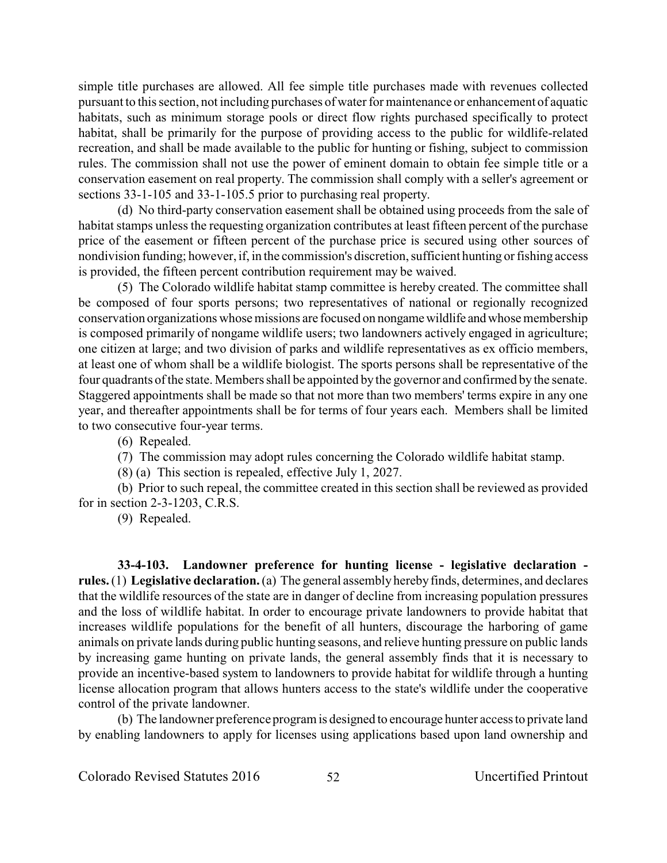simple title purchases are allowed. All fee simple title purchases made with revenues collected pursuant to this section, not including purchases of water for maintenance or enhancement of aquatic habitats, such as minimum storage pools or direct flow rights purchased specifically to protect habitat, shall be primarily for the purpose of providing access to the public for wildlife-related recreation, and shall be made available to the public for hunting or fishing, subject to commission rules. The commission shall not use the power of eminent domain to obtain fee simple title or a conservation easement on real property. The commission shall comply with a seller's agreement or sections 33-1-105 and 33-1-105.5 prior to purchasing real property.

(d) No third-party conservation easement shall be obtained using proceeds from the sale of habitat stamps unless the requesting organization contributes at least fifteen percent of the purchase price of the easement or fifteen percent of the purchase price is secured using other sources of nondivision funding; however, if, in the commission's discretion, sufficient hunting or fishing access is provided, the fifteen percent contribution requirement may be waived.

(5) The Colorado wildlife habitat stamp committee is hereby created. The committee shall be composed of four sports persons; two representatives of national or regionally recognized conservation organizations whose missions are focused on nongamewildlife andwhose membership is composed primarily of nongame wildlife users; two landowners actively engaged in agriculture; one citizen at large; and two division of parks and wildlife representatives as ex officio members, at least one of whom shall be a wildlife biologist. The sports persons shall be representative of the four quadrants of the state. Members shall be appointed by the governor and confirmed by the senate. Staggered appointments shall be made so that not more than two members' terms expire in any one year, and thereafter appointments shall be for terms of four years each. Members shall be limited to two consecutive four-year terms.

(6) Repealed.

(7) The commission may adopt rules concerning the Colorado wildlife habitat stamp.

(8) (a) This section is repealed, effective July 1, 2027.

(b) Prior to such repeal, the committee created in this section shall be reviewed as provided for in section 2-3-1203, C.R.S.

(9) Repealed.

**33-4-103. Landowner preference for hunting license - legislative declaration rules.** (1) **Legislative declaration.**(a) The general assembly herebyfinds, determines, and declares that the wildlife resources of the state are in danger of decline from increasing population pressures and the loss of wildlife habitat. In order to encourage private landowners to provide habitat that increases wildlife populations for the benefit of all hunters, discourage the harboring of game animals on private lands during public hunting seasons, and relieve hunting pressure on public lands by increasing game hunting on private lands, the general assembly finds that it is necessary to provide an incentive-based system to landowners to provide habitat for wildlife through a hunting license allocation program that allows hunters access to the state's wildlife under the cooperative control of the private landowner.

(b) The landowner preference program is designed to encourage hunter access to private land by enabling landowners to apply for licenses using applications based upon land ownership and

Colorado Revised Statutes 2016 52 Uncertified Printout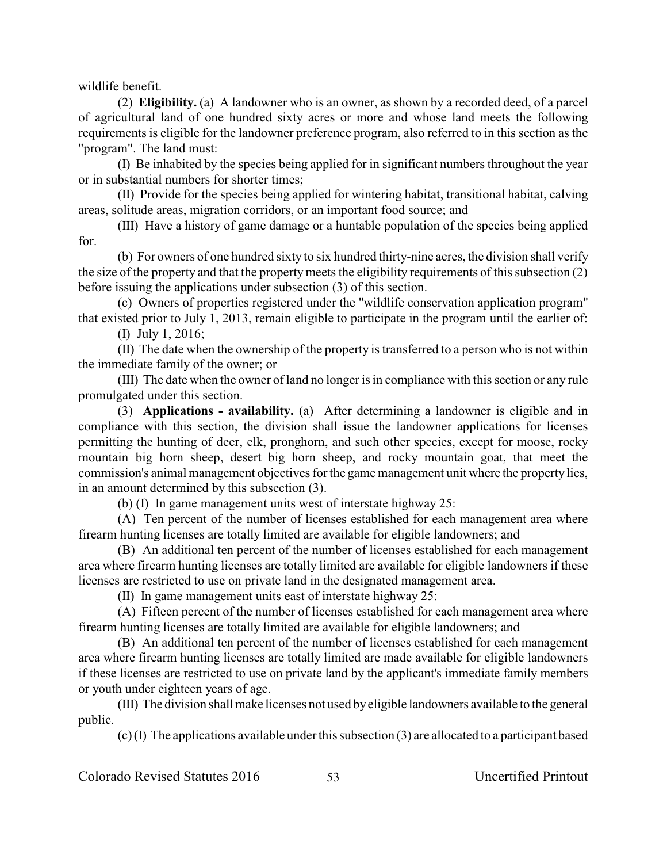wildlife benefit.

(2) **Eligibility.** (a) A landowner who is an owner, as shown by a recorded deed, of a parcel of agricultural land of one hundred sixty acres or more and whose land meets the following requirements is eligible for the landowner preference program, also referred to in this section as the "program". The land must:

(I) Be inhabited by the species being applied for in significant numbers throughout the year or in substantial numbers for shorter times;

(II) Provide for the species being applied for wintering habitat, transitional habitat, calving areas, solitude areas, migration corridors, or an important food source; and

(III) Have a history of game damage or a huntable population of the species being applied for.

(b) For owners of one hundred sixty to six hundred thirty-nine acres, the division shall verify the size of the property and that the propertymeets the eligibility requirements of this subsection (2) before issuing the applications under subsection (3) of this section.

(c) Owners of properties registered under the "wildlife conservation application program" that existed prior to July 1, 2013, remain eligible to participate in the program until the earlier of:

(I) July 1, 2016;

(II) The date when the ownership of the property is transferred to a person who is not within the immediate family of the owner; or

(III) The date when the owner of land no longer is in compliance with this section or any rule promulgated under this section.

(3) **Applications - availability.** (a) After determining a landowner is eligible and in compliance with this section, the division shall issue the landowner applications for licenses permitting the hunting of deer, elk, pronghorn, and such other species, except for moose, rocky mountain big horn sheep, desert big horn sheep, and rocky mountain goat, that meet the commission's animal management objectives for the game management unit where the propertylies, in an amount determined by this subsection (3).

(b) (I) In game management units west of interstate highway 25:

(A) Ten percent of the number of licenses established for each management area where firearm hunting licenses are totally limited are available for eligible landowners; and

(B) An additional ten percent of the number of licenses established for each management area where firearm hunting licenses are totally limited are available for eligible landowners if these licenses are restricted to use on private land in the designated management area.

(II) In game management units east of interstate highway 25:

(A) Fifteen percent of the number of licenses established for each management area where firearm hunting licenses are totally limited are available for eligible landowners; and

(B) An additional ten percent of the number of licenses established for each management area where firearm hunting licenses are totally limited are made available for eligible landowners if these licenses are restricted to use on private land by the applicant's immediate family members or youth under eighteen years of age.

(III) The division shall make licenses not used byeligible landowners available to the general public.

(c) (I) The applications available under this subsection (3) are allocated to a participant based

Colorado Revised Statutes 2016 53 Uncertified Printout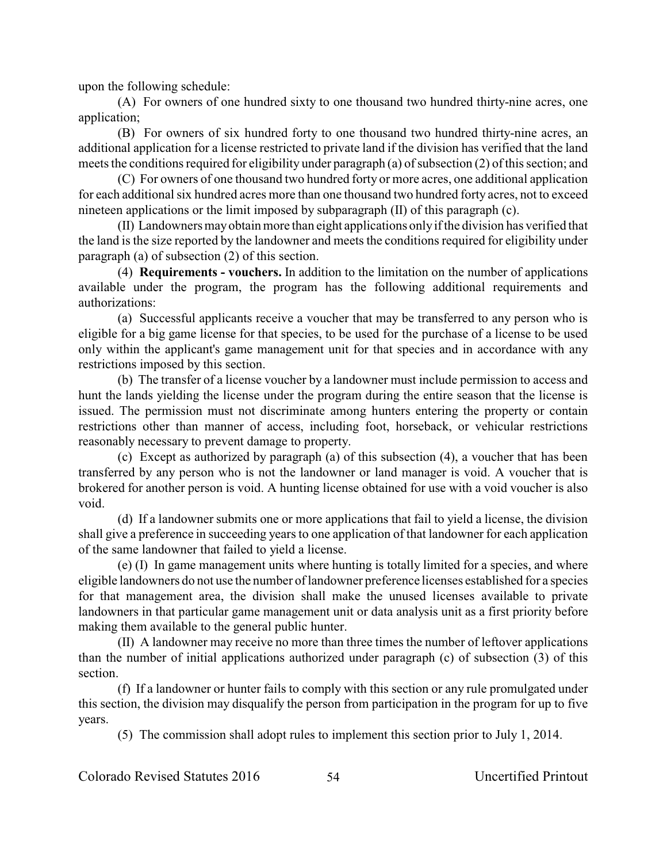upon the following schedule:

(A) For owners of one hundred sixty to one thousand two hundred thirty-nine acres, one application;

(B) For owners of six hundred forty to one thousand two hundred thirty-nine acres, an additional application for a license restricted to private land if the division has verified that the land meets the conditions required for eligibility under paragraph (a) of subsection (2) of this section; and

(C) For owners of one thousand two hundred forty or more acres, one additional application for each additional six hundred acres more than one thousand two hundred forty acres, not to exceed nineteen applications or the limit imposed by subparagraph (II) of this paragraph (c).

(II) Landowners mayobtain more than eight applications onlyif the division has verified that the land is the size reported by the landowner and meets the conditions required for eligibility under paragraph (a) of subsection (2) of this section.

(4) **Requirements - vouchers.** In addition to the limitation on the number of applications available under the program, the program has the following additional requirements and authorizations:

(a) Successful applicants receive a voucher that may be transferred to any person who is eligible for a big game license for that species, to be used for the purchase of a license to be used only within the applicant's game management unit for that species and in accordance with any restrictions imposed by this section.

(b) The transfer of a license voucher by a landowner must include permission to access and hunt the lands yielding the license under the program during the entire season that the license is issued. The permission must not discriminate among hunters entering the property or contain restrictions other than manner of access, including foot, horseback, or vehicular restrictions reasonably necessary to prevent damage to property.

(c) Except as authorized by paragraph (a) of this subsection (4), a voucher that has been transferred by any person who is not the landowner or land manager is void. A voucher that is brokered for another person is void. A hunting license obtained for use with a void voucher is also void.

(d) If a landowner submits one or more applications that fail to yield a license, the division shall give a preference in succeeding years to one application of that landowner for each application of the same landowner that failed to yield a license.

(e) (I) In game management units where hunting is totally limited for a species, and where eligible landowners do not use the number of landowner preference licenses established for a species for that management area, the division shall make the unused licenses available to private landowners in that particular game management unit or data analysis unit as a first priority before making them available to the general public hunter.

(II) A landowner may receive no more than three times the number of leftover applications than the number of initial applications authorized under paragraph (c) of subsection (3) of this section.

(f) If a landowner or hunter fails to comply with this section or any rule promulgated under this section, the division may disqualify the person from participation in the program for up to five years.

(5) The commission shall adopt rules to implement this section prior to July 1, 2014.

Colorado Revised Statutes 2016 54 Uncertified Printout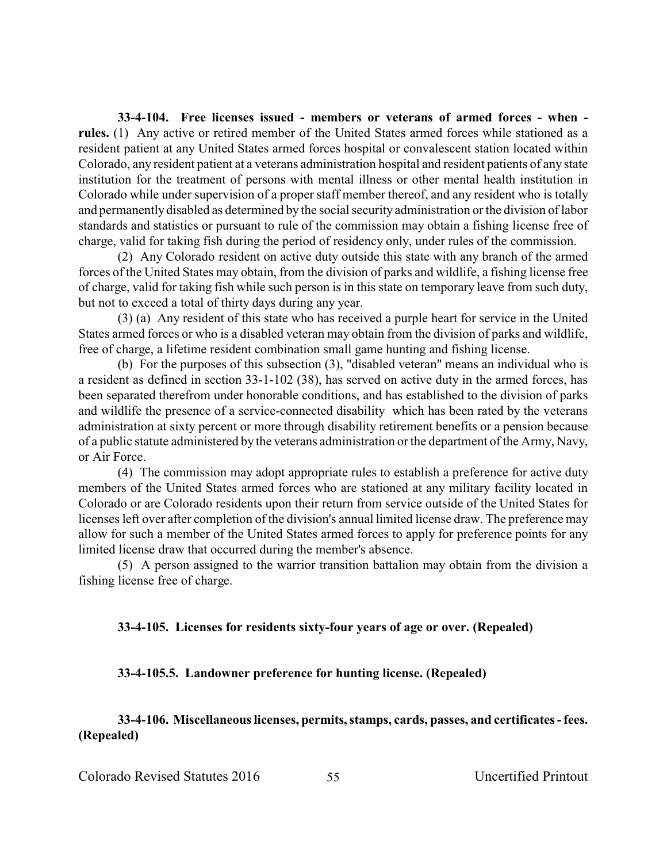**33-4-104. Free licenses issued - members or veterans of armed forces - when rules.** (1) Any active or retired member of the United States armed forces while stationed as a resident patient at any United States armed forces hospital or convalescent station located within Colorado, any resident patient at a veterans administration hospital and resident patients of any state institution for the treatment of persons with mental illness or other mental health institution in Colorado while under supervision of a proper staff member thereof, and any resident who is totally and permanentlydisabled as determined by the social security administration or the division of labor standards and statistics or pursuant to rule of the commission may obtain a fishing license free of charge, valid for taking fish during the period of residency only, under rules of the commission.

(2) Any Colorado resident on active duty outside this state with any branch of the armed forces of the United States may obtain, from the division of parks and wildlife, a fishing license free of charge, valid for taking fish while such person is in this state on temporary leave from such duty, but not to exceed a total of thirty days during any year.

(3) (a) Any resident of this state who has received a purple heart for service in the United States armed forces or who is a disabled veteran may obtain from the division of parks and wildlife, free of charge, a lifetime resident combination small game hunting and fishing license.

(b) For the purposes of this subsection (3), "disabled veteran" means an individual who is a resident as defined in section 33-1-102 (38), has served on active duty in the armed forces, has been separated therefrom under honorable conditions, and has established to the division of parks and wildlife the presence of a service-connected disability which has been rated by the veterans administration at sixty percent or more through disability retirement benefits or a pension because of a public statute administered by the veterans administration or the department of the Army, Navy, or Air Force.

(4) The commission may adopt appropriate rules to establish a preference for active duty members of the United States armed forces who are stationed at any military facility located in Colorado or are Colorado residents upon their return from service outside of the United States for licenses left over after completion of the division's annual limited license draw. The preference may allow for such a member of the United States armed forces to apply for preference points for any limited license draw that occurred during the member's absence.

(5) A person assigned to the warrior transition battalion may obtain from the division a fishing license free of charge.

### **33-4-105. Licenses for residents sixty-four years of age or over. (Repealed)**

### **33-4-105.5. Landowner preference for hunting license. (Repealed)**

## **33-4-106. Miscellaneous licenses, permits, stamps, cards, passes, and certificates - fees. (Repealed)**

Colorado Revised Statutes 2016 55 Uncertified Printout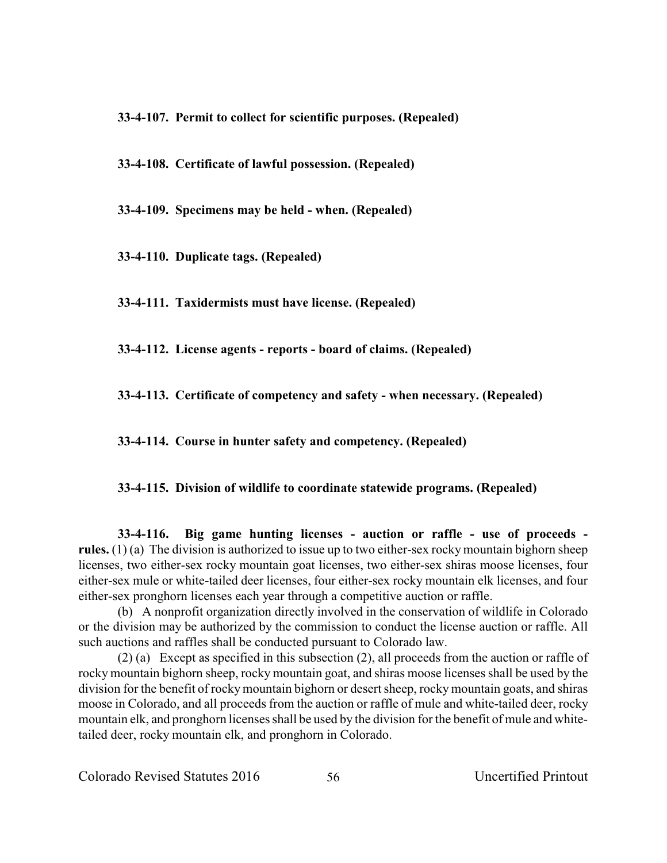**33-4-107. Permit to collect for scientific purposes. (Repealed)** 

**33-4-108. Certificate of lawful possession. (Repealed)** 

**33-4-109. Specimens may be held - when. (Repealed)** 

**33-4-110. Duplicate tags. (Repealed)** 

**33-4-111. Taxidermists must have license. (Repealed)** 

**33-4-112. License agents - reports - board of claims. (Repealed)** 

**33-4-113. Certificate of competency and safety - when necessary. (Repealed)** 

**33-4-114. Course in hunter safety and competency. (Repealed)** 

## **33-4-115. Division of wildlife to coordinate statewide programs. (Repealed)**

**33-4-116. Big game hunting licenses - auction or raffle - use of proceeds rules.** (1) (a) The division is authorized to issue up to two either-sex rocky mountain bighorn sheep licenses, two either-sex rocky mountain goat licenses, two either-sex shiras moose licenses, four either-sex mule or white-tailed deer licenses, four either-sex rocky mountain elk licenses, and four either-sex pronghorn licenses each year through a competitive auction or raffle.

(b) A nonprofit organization directly involved in the conservation of wildlife in Colorado or the division may be authorized by the commission to conduct the license auction or raffle. All such auctions and raffles shall be conducted pursuant to Colorado law.

(2) (a) Except as specified in this subsection (2), all proceeds from the auction or raffle of rocky mountain bighorn sheep, rocky mountain goat, and shiras moose licenses shall be used by the division for the benefit of rockymountain bighorn or desert sheep, rockymountain goats, and shiras moose in Colorado, and all proceeds from the auction or raffle of mule and white-tailed deer, rocky mountain elk, and pronghorn licenses shall be used by the division for the benefit of mule and whitetailed deer, rocky mountain elk, and pronghorn in Colorado.

Colorado Revised Statutes 2016 56 Uncertified Printout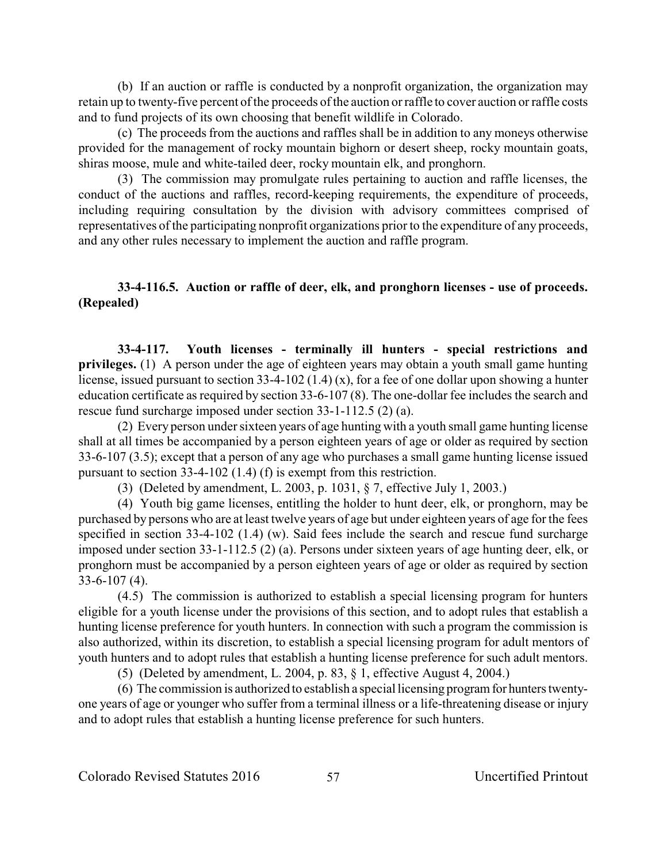(b) If an auction or raffle is conducted by a nonprofit organization, the organization may retain up to twenty-five percent of the proceeds of the auction or raffle to cover auction or raffle costs and to fund projects of its own choosing that benefit wildlife in Colorado.

(c) The proceeds from the auctions and raffles shall be in addition to any moneys otherwise provided for the management of rocky mountain bighorn or desert sheep, rocky mountain goats, shiras moose, mule and white-tailed deer, rocky mountain elk, and pronghorn.

(3) The commission may promulgate rules pertaining to auction and raffle licenses, the conduct of the auctions and raffles, record-keeping requirements, the expenditure of proceeds, including requiring consultation by the division with advisory committees comprised of representatives of the participating nonprofit organizations prior to the expenditure of any proceeds, and any other rules necessary to implement the auction and raffle program.

# **33-4-116.5. Auction or raffle of deer, elk, and pronghorn licenses - use of proceeds. (Repealed)**

**33-4-117. Youth licenses - terminally ill hunters - special restrictions and privileges.** (1) A person under the age of eighteen years may obtain a youth small game hunting license, issued pursuant to section 33-4-102 (1.4) (x), for a fee of one dollar upon showing a hunter education certificate as required by section 33-6-107 (8). The one-dollar fee includes the search and rescue fund surcharge imposed under section 33-1-112.5 (2) (a).

(2) Every person under sixteen years of age hunting with a youth small game hunting license shall at all times be accompanied by a person eighteen years of age or older as required by section 33-6-107 (3.5); except that a person of any age who purchases a small game hunting license issued pursuant to section 33-4-102 (1.4) (f) is exempt from this restriction.

(3) (Deleted by amendment, L. 2003, p. 1031, § 7, effective July 1, 2003.)

(4) Youth big game licenses, entitling the holder to hunt deer, elk, or pronghorn, may be purchased by persons who are at least twelve years of age but under eighteen years of age for the fees specified in section 33-4-102 (1.4) (w). Said fees include the search and rescue fund surcharge imposed under section 33-1-112.5 (2) (a). Persons under sixteen years of age hunting deer, elk, or pronghorn must be accompanied by a person eighteen years of age or older as required by section 33-6-107 (4).

(4.5) The commission is authorized to establish a special licensing program for hunters eligible for a youth license under the provisions of this section, and to adopt rules that establish a hunting license preference for youth hunters. In connection with such a program the commission is also authorized, within its discretion, to establish a special licensing program for adult mentors of youth hunters and to adopt rules that establish a hunting license preference for such adult mentors.

(5) (Deleted by amendment, L. 2004, p. 83, § 1, effective August 4, 2004.)

 $(6)$  The commission is authorized to establish a special licensing program for hunters twentyone years of age or younger who suffer from a terminal illness or a life-threatening disease or injury and to adopt rules that establish a hunting license preference for such hunters.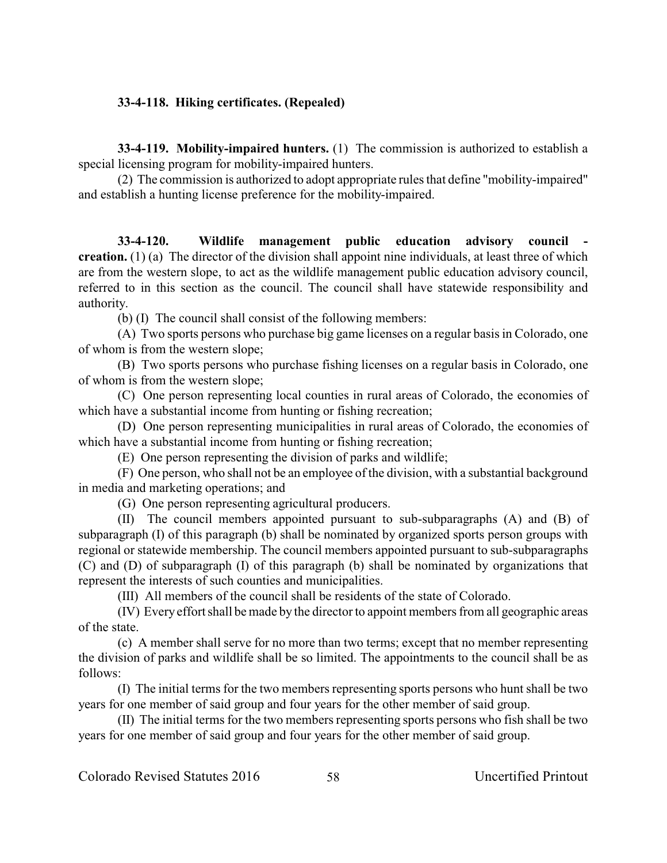## **33-4-118. Hiking certificates. (Repealed)**

**33-4-119. Mobility-impaired hunters.** (1) The commission is authorized to establish a special licensing program for mobility-impaired hunters.

(2) The commission is authorized to adopt appropriate rules that define "mobility-impaired" and establish a hunting license preference for the mobility-impaired.

**33-4-120. Wildlife management public education advisory council creation.** (1) (a) The director of the division shall appoint nine individuals, at least three of which are from the western slope, to act as the wildlife management public education advisory council, referred to in this section as the council. The council shall have statewide responsibility and authority.

(b) (I) The council shall consist of the following members:

(A) Two sports persons who purchase big game licenses on a regular basis in Colorado, one of whom is from the western slope;

(B) Two sports persons who purchase fishing licenses on a regular basis in Colorado, one of whom is from the western slope;

(C) One person representing local counties in rural areas of Colorado, the economies of which have a substantial income from hunting or fishing recreation;

(D) One person representing municipalities in rural areas of Colorado, the economies of which have a substantial income from hunting or fishing recreation;

(E) One person representing the division of parks and wildlife;

(F) One person, who shall not be an employee of the division, with a substantial background in media and marketing operations; and

(G) One person representing agricultural producers.

(II) The council members appointed pursuant to sub-subparagraphs (A) and (B) of subparagraph (I) of this paragraph (b) shall be nominated by organized sports person groups with regional or statewide membership. The council members appointed pursuant to sub-subparagraphs (C) and (D) of subparagraph (I) of this paragraph (b) shall be nominated by organizations that represent the interests of such counties and municipalities.

(III) All members of the council shall be residents of the state of Colorado.

(IV) Everyeffort shall be made by the director to appoint members from all geographic areas of the state.

(c) A member shall serve for no more than two terms; except that no member representing the division of parks and wildlife shall be so limited. The appointments to the council shall be as follows:

(I) The initial terms for the two members representing sports persons who hunt shall be two years for one member of said group and four years for the other member of said group.

(II) The initial terms for the two members representing sports persons who fish shall be two years for one member of said group and four years for the other member of said group.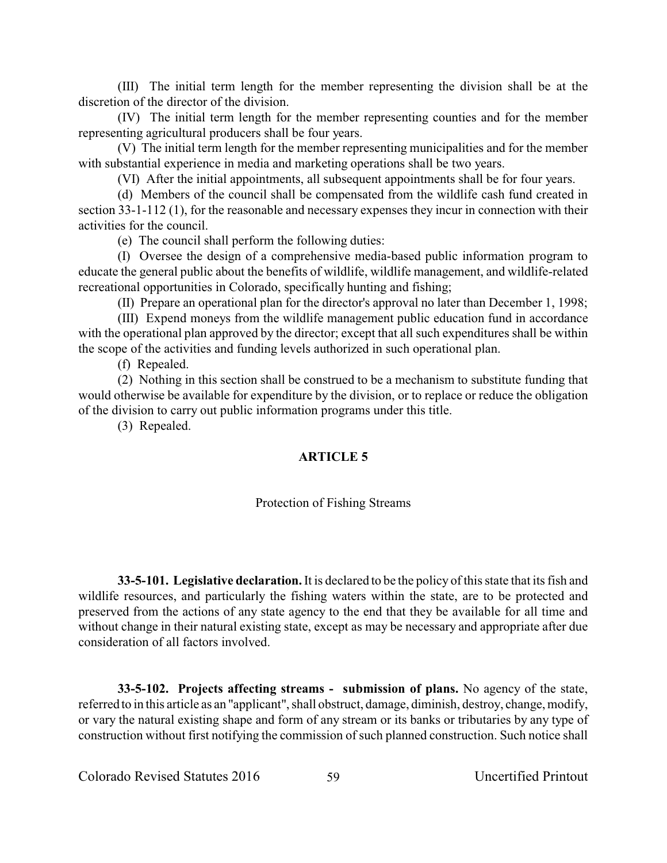(III) The initial term length for the member representing the division shall be at the discretion of the director of the division.

(IV) The initial term length for the member representing counties and for the member representing agricultural producers shall be four years.

(V) The initial term length for the member representing municipalities and for the member with substantial experience in media and marketing operations shall be two years.

(VI) After the initial appointments, all subsequent appointments shall be for four years.

(d) Members of the council shall be compensated from the wildlife cash fund created in section 33-1-112 (1), for the reasonable and necessary expenses they incur in connection with their activities for the council.

(e) The council shall perform the following duties:

(I) Oversee the design of a comprehensive media-based public information program to educate the general public about the benefits of wildlife, wildlife management, and wildlife-related recreational opportunities in Colorado, specifically hunting and fishing;

(II) Prepare an operational plan for the director's approval no later than December 1, 1998;

(III) Expend moneys from the wildlife management public education fund in accordance with the operational plan approved by the director; except that all such expenditures shall be within the scope of the activities and funding levels authorized in such operational plan.

(f) Repealed.

(2) Nothing in this section shall be construed to be a mechanism to substitute funding that would otherwise be available for expenditure by the division, or to replace or reduce the obligation of the division to carry out public information programs under this title.

(3) Repealed.

## **ARTICLE 5**

### Protection of Fishing Streams

**33-5-101. Legislative declaration.** It is declared to be the policy of this state that its fish and wildlife resources, and particularly the fishing waters within the state, are to be protected and preserved from the actions of any state agency to the end that they be available for all time and without change in their natural existing state, except as may be necessary and appropriate after due consideration of all factors involved.

**33-5-102. Projects affecting streams - submission of plans.** No agency of the state, referred to in this article as an "applicant", shall obstruct, damage, diminish, destroy, change, modify, or vary the natural existing shape and form of any stream or its banks or tributaries by any type of construction without first notifying the commission of such planned construction. Such notice shall

Colorado Revised Statutes 2016 59 Uncertified Printout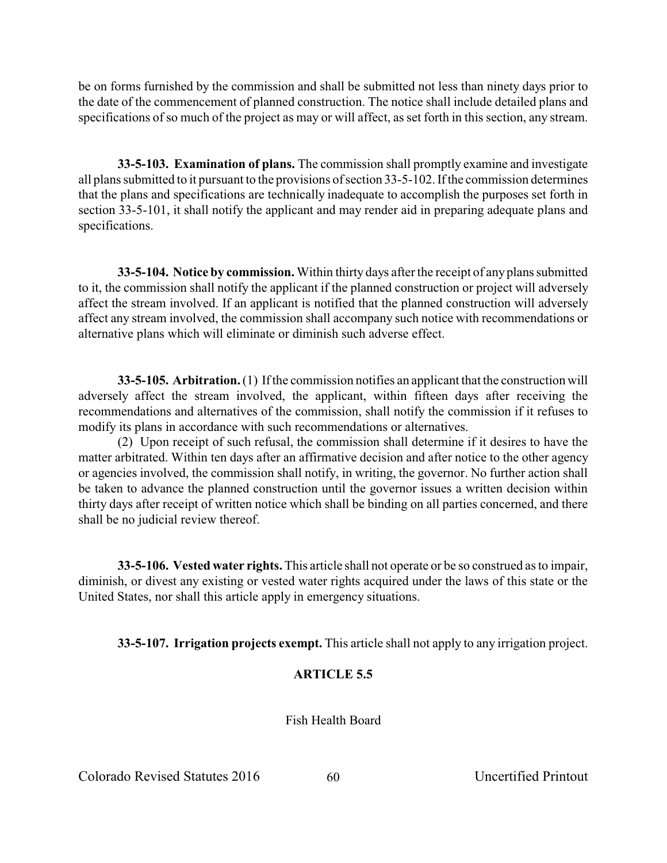be on forms furnished by the commission and shall be submitted not less than ninety days prior to the date of the commencement of planned construction. The notice shall include detailed plans and specifications of so much of the project as may or will affect, as set forth in this section, any stream.

**33-5-103. Examination of plans.** The commission shall promptly examine and investigate all plans submitted to it pursuant to the provisions of section 33-5-102. If the commission determines that the plans and specifications are technically inadequate to accomplish the purposes set forth in section 33-5-101, it shall notify the applicant and may render aid in preparing adequate plans and specifications.

**33-5-104. Notice by commission.** Within thirty days after the receipt of any plans submitted to it, the commission shall notify the applicant if the planned construction or project will adversely affect the stream involved. If an applicant is notified that the planned construction will adversely affect any stream involved, the commission shall accompany such notice with recommendations or alternative plans which will eliminate or diminish such adverse effect.

**33-5-105. Arbitration.** (1) If the commission notifies an applicant that the construction will adversely affect the stream involved, the applicant, within fifteen days after receiving the recommendations and alternatives of the commission, shall notify the commission if it refuses to modify its plans in accordance with such recommendations or alternatives.

(2) Upon receipt of such refusal, the commission shall determine if it desires to have the matter arbitrated. Within ten days after an affirmative decision and after notice to the other agency or agencies involved, the commission shall notify, in writing, the governor. No further action shall be taken to advance the planned construction until the governor issues a written decision within thirty days after receipt of written notice which shall be binding on all parties concerned, and there shall be no judicial review thereof.

**33-5-106. Vested water rights.** This article shall not operate or be so construed as to impair, diminish, or divest any existing or vested water rights acquired under the laws of this state or the United States, nor shall this article apply in emergency situations.

**33-5-107. Irrigation projects exempt.** This article shall not apply to any irrigation project.

# **ARTICLE 5.5**

Fish Health Board

Colorado Revised Statutes 2016 60 Uncertified Printout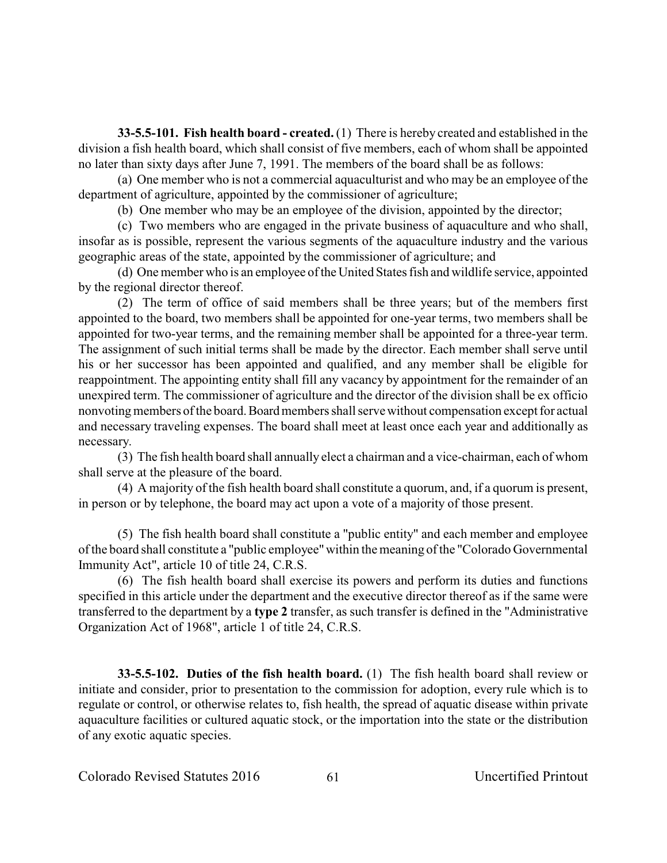**33-5.5-101. Fish health board - created.** (1) There is hereby created and established in the division a fish health board, which shall consist of five members, each of whom shall be appointed no later than sixty days after June 7, 1991. The members of the board shall be as follows:

(a) One member who is not a commercial aquaculturist and who may be an employee of the department of agriculture, appointed by the commissioner of agriculture;

(b) One member who may be an employee of the division, appointed by the director;

(c) Two members who are engaged in the private business of aquaculture and who shall, insofar as is possible, represent the various segments of the aquaculture industry and the various geographic areas of the state, appointed by the commissioner of agriculture; and

(d) One member who is an employee of the United States fish and wildlife service, appointed by the regional director thereof.

(2) The term of office of said members shall be three years; but of the members first appointed to the board, two members shall be appointed for one-year terms, two members shall be appointed for two-year terms, and the remaining member shall be appointed for a three-year term. The assignment of such initial terms shall be made by the director. Each member shall serve until his or her successor has been appointed and qualified, and any member shall be eligible for reappointment. The appointing entity shall fill any vacancy by appointment for the remainder of an unexpired term. The commissioner of agriculture and the director of the division shall be ex officio nonvoting members of the board. Board members shall serve without compensation except for actual and necessary traveling expenses. The board shall meet at least once each year and additionally as necessary.

(3) The fish health board shall annually elect a chairman and a vice-chairman, each of whom shall serve at the pleasure of the board.

(4) A majority of the fish health board shall constitute a quorum, and, if a quorum is present, in person or by telephone, the board may act upon a vote of a majority of those present.

(5) The fish health board shall constitute a "public entity" and each member and employee of the board shall constitute a "public employee"within the meaning of the "Colorado Governmental Immunity Act", article 10 of title 24, C.R.S.

(6) The fish health board shall exercise its powers and perform its duties and functions specified in this article under the department and the executive director thereof as if the same were transferred to the department by a **type 2** transfer, as such transfer is defined in the "Administrative Organization Act of 1968", article 1 of title 24, C.R.S.

**33-5.5-102. Duties of the fish health board.** (1) The fish health board shall review or initiate and consider, prior to presentation to the commission for adoption, every rule which is to regulate or control, or otherwise relates to, fish health, the spread of aquatic disease within private aquaculture facilities or cultured aquatic stock, or the importation into the state or the distribution of any exotic aquatic species.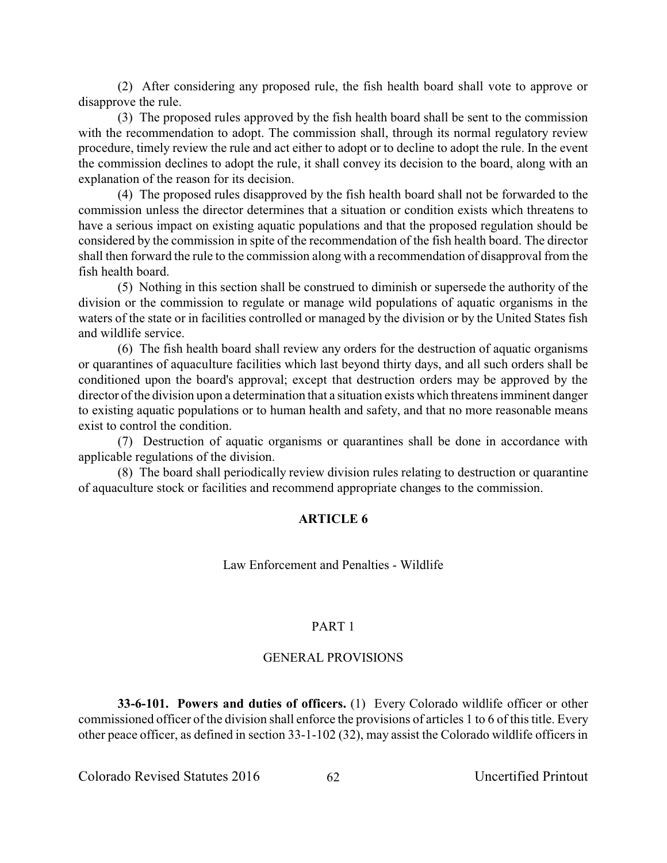(2) After considering any proposed rule, the fish health board shall vote to approve or disapprove the rule.

(3) The proposed rules approved by the fish health board shall be sent to the commission with the recommendation to adopt. The commission shall, through its normal regulatory review procedure, timely review the rule and act either to adopt or to decline to adopt the rule. In the event the commission declines to adopt the rule, it shall convey its decision to the board, along with an explanation of the reason for its decision.

(4) The proposed rules disapproved by the fish health board shall not be forwarded to the commission unless the director determines that a situation or condition exists which threatens to have a serious impact on existing aquatic populations and that the proposed regulation should be considered by the commission in spite of the recommendation of the fish health board. The director shall then forward the rule to the commission along with a recommendation of disapproval from the fish health board.

(5) Nothing in this section shall be construed to diminish or supersede the authority of the division or the commission to regulate or manage wild populations of aquatic organisms in the waters of the state or in facilities controlled or managed by the division or by the United States fish and wildlife service.

(6) The fish health board shall review any orders for the destruction of aquatic organisms or quarantines of aquaculture facilities which last beyond thirty days, and all such orders shall be conditioned upon the board's approval; except that destruction orders may be approved by the director of the division upon a determination that a situation exists which threatens imminent danger to existing aquatic populations or to human health and safety, and that no more reasonable means exist to control the condition.

(7) Destruction of aquatic organisms or quarantines shall be done in accordance with applicable regulations of the division.

(8) The board shall periodically review division rules relating to destruction or quarantine of aquaculture stock or facilities and recommend appropriate changes to the commission.

### **ARTICLE 6**

Law Enforcement and Penalties - Wildlife

### PART 1

#### GENERAL PROVISIONS

**33-6-101. Powers and duties of officers.** (1) Every Colorado wildlife officer or other commissioned officer of the division shall enforce the provisions of articles 1 to 6 of this title. Every other peace officer, as defined in section 33-1-102 (32), may assist the Colorado wildlife officers in

Colorado Revised Statutes 2016 62 Uncertified Printout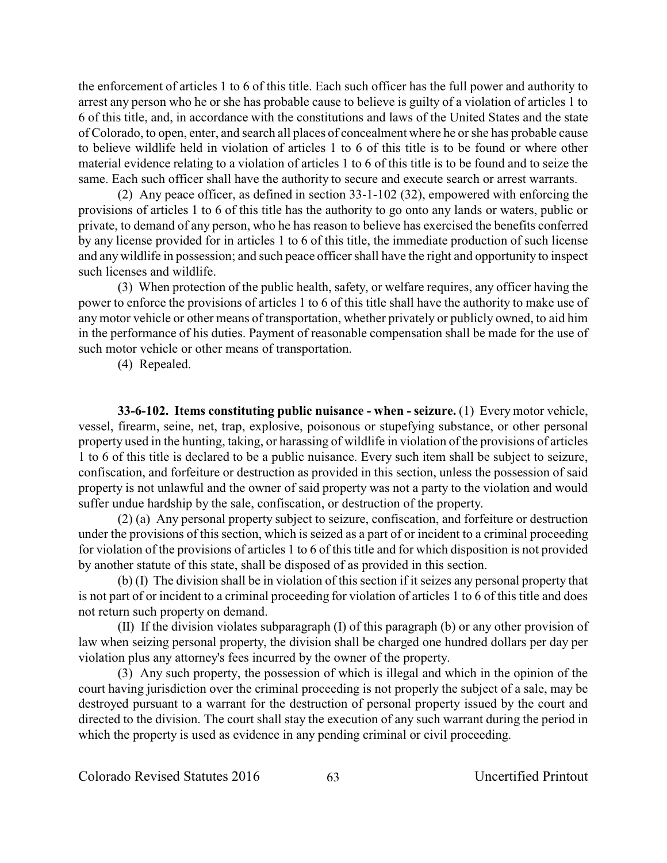the enforcement of articles 1 to 6 of this title. Each such officer has the full power and authority to arrest any person who he or she has probable cause to believe is guilty of a violation of articles 1 to 6 of this title, and, in accordance with the constitutions and laws of the United States and the state of Colorado, to open, enter, and search all places of concealment where he or she has probable cause to believe wildlife held in violation of articles 1 to 6 of this title is to be found or where other material evidence relating to a violation of articles 1 to 6 of this title is to be found and to seize the same. Each such officer shall have the authority to secure and execute search or arrest warrants.

(2) Any peace officer, as defined in section 33-1-102 (32), empowered with enforcing the provisions of articles 1 to 6 of this title has the authority to go onto any lands or waters, public or private, to demand of any person, who he has reason to believe has exercised the benefits conferred by any license provided for in articles 1 to 6 of this title, the immediate production of such license and any wildlife in possession; and such peace officer shall have the right and opportunity to inspect such licenses and wildlife.

(3) When protection of the public health, safety, or welfare requires, any officer having the power to enforce the provisions of articles 1 to 6 of this title shall have the authority to make use of any motor vehicle or other means of transportation, whether privately or publicly owned, to aid him in the performance of his duties. Payment of reasonable compensation shall be made for the use of such motor vehicle or other means of transportation.

(4) Repealed.

**33-6-102. Items constituting public nuisance - when - seizure.** (1) Every motor vehicle, vessel, firearm, seine, net, trap, explosive, poisonous or stupefying substance, or other personal property used in the hunting, taking, or harassing of wildlife in violation of the provisions of articles 1 to 6 of this title is declared to be a public nuisance. Every such item shall be subject to seizure, confiscation, and forfeiture or destruction as provided in this section, unless the possession of said property is not unlawful and the owner of said property was not a party to the violation and would suffer undue hardship by the sale, confiscation, or destruction of the property.

(2) (a) Any personal property subject to seizure, confiscation, and forfeiture or destruction under the provisions of this section, which is seized as a part of or incident to a criminal proceeding for violation of the provisions of articles 1 to 6 of this title and for which disposition is not provided by another statute of this state, shall be disposed of as provided in this section.

(b) (I) The division shall be in violation of this section if it seizes any personal property that is not part of or incident to a criminal proceeding for violation of articles 1 to 6 of this title and does not return such property on demand.

(II) If the division violates subparagraph (I) of this paragraph (b) or any other provision of law when seizing personal property, the division shall be charged one hundred dollars per day per violation plus any attorney's fees incurred by the owner of the property.

(3) Any such property, the possession of which is illegal and which in the opinion of the court having jurisdiction over the criminal proceeding is not properly the subject of a sale, may be destroyed pursuant to a warrant for the destruction of personal property issued by the court and directed to the division. The court shall stay the execution of any such warrant during the period in which the property is used as evidence in any pending criminal or civil proceeding.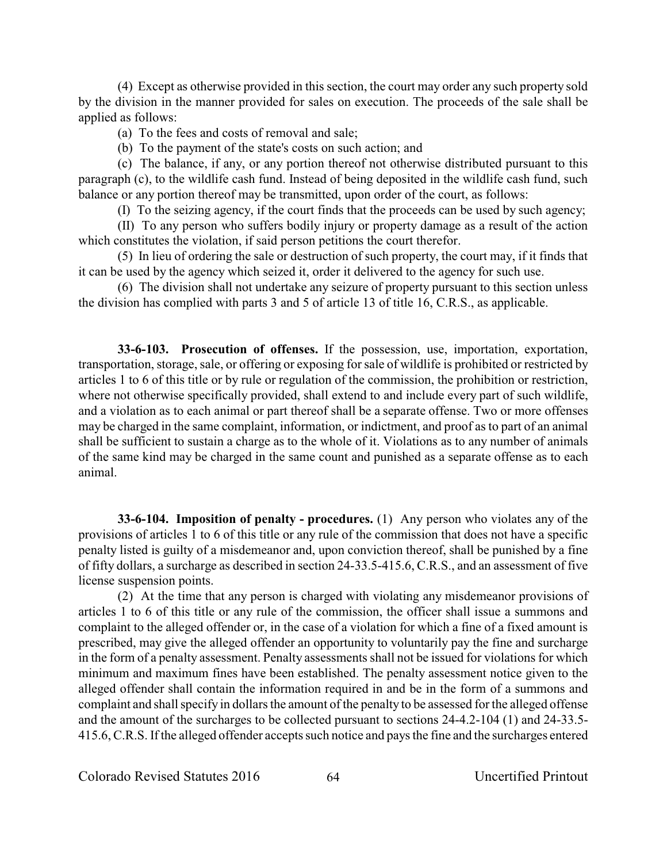(4) Except as otherwise provided in this section, the court may order any such property sold by the division in the manner provided for sales on execution. The proceeds of the sale shall be applied as follows:

(a) To the fees and costs of removal and sale;

(b) To the payment of the state's costs on such action; and

(c) The balance, if any, or any portion thereof not otherwise distributed pursuant to this paragraph (c), to the wildlife cash fund. Instead of being deposited in the wildlife cash fund, such balance or any portion thereof may be transmitted, upon order of the court, as follows:

(I) To the seizing agency, if the court finds that the proceeds can be used by such agency;

(II) To any person who suffers bodily injury or property damage as a result of the action which constitutes the violation, if said person petitions the court therefor.

(5) In lieu of ordering the sale or destruction of such property, the court may, if it finds that it can be used by the agency which seized it, order it delivered to the agency for such use.

(6) The division shall not undertake any seizure of property pursuant to this section unless the division has complied with parts 3 and 5 of article 13 of title 16, C.R.S., as applicable.

**33-6-103. Prosecution of offenses.** If the possession, use, importation, exportation, transportation, storage, sale, or offering or exposing for sale of wildlife is prohibited or restricted by articles 1 to 6 of this title or by rule or regulation of the commission, the prohibition or restriction, where not otherwise specifically provided, shall extend to and include every part of such wildlife, and a violation as to each animal or part thereof shall be a separate offense. Two or more offenses may be charged in the same complaint, information, or indictment, and proof as to part of an animal shall be sufficient to sustain a charge as to the whole of it. Violations as to any number of animals of the same kind may be charged in the same count and punished as a separate offense as to each animal.

**33-6-104. Imposition of penalty - procedures.** (1) Any person who violates any of the provisions of articles 1 to 6 of this title or any rule of the commission that does not have a specific penalty listed is guilty of a misdemeanor and, upon conviction thereof, shall be punished by a fine of fifty dollars, a surcharge as described in section 24-33.5-415.6, C.R.S., and an assessment of five license suspension points.

(2) At the time that any person is charged with violating any misdemeanor provisions of articles 1 to 6 of this title or any rule of the commission, the officer shall issue a summons and complaint to the alleged offender or, in the case of a violation for which a fine of a fixed amount is prescribed, may give the alleged offender an opportunity to voluntarily pay the fine and surcharge in the form of a penalty assessment. Penalty assessments shall not be issued for violations for which minimum and maximum fines have been established. The penalty assessment notice given to the alleged offender shall contain the information required in and be in the form of a summons and complaint and shall specify in dollars the amount of the penalty to be assessed for the alleged offense and the amount of the surcharges to be collected pursuant to sections 24-4.2-104 (1) and 24-33.5- 415.6, C.R.S. If the alleged offender accepts such notice and pays the fine and the surcharges entered

Colorado Revised Statutes 2016 64 Uncertified Printout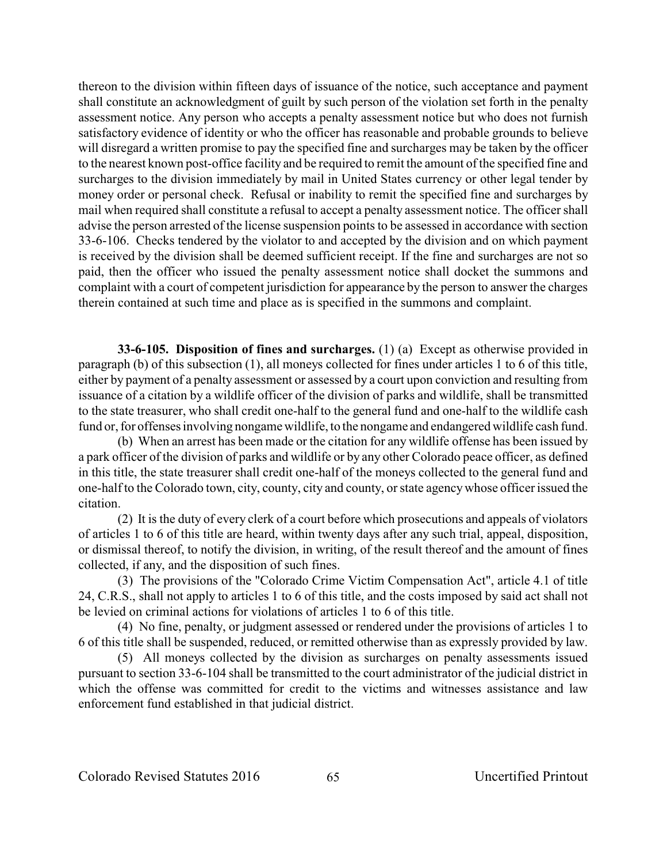thereon to the division within fifteen days of issuance of the notice, such acceptance and payment shall constitute an acknowledgment of guilt by such person of the violation set forth in the penalty assessment notice. Any person who accepts a penalty assessment notice but who does not furnish satisfactory evidence of identity or who the officer has reasonable and probable grounds to believe will disregard a written promise to pay the specified fine and surcharges may be taken by the officer to the nearest known post-office facility and be required to remit the amount of the specified fine and surcharges to the division immediately by mail in United States currency or other legal tender by money order or personal check. Refusal or inability to remit the specified fine and surcharges by mail when required shall constitute a refusal to accept a penalty assessment notice. The officer shall advise the person arrested of the license suspension points to be assessed in accordance with section 33-6-106. Checks tendered by the violator to and accepted by the division and on which payment is received by the division shall be deemed sufficient receipt. If the fine and surcharges are not so paid, then the officer who issued the penalty assessment notice shall docket the summons and complaint with a court of competent jurisdiction for appearance by the person to answer the charges therein contained at such time and place as is specified in the summons and complaint.

**33-6-105. Disposition of fines and surcharges.** (1) (a) Except as otherwise provided in paragraph (b) of this subsection (1), all moneys collected for fines under articles 1 to 6 of this title, either by payment of a penalty assessment or assessed by a court upon conviction and resulting from issuance of a citation by a wildlife officer of the division of parks and wildlife, shall be transmitted to the state treasurer, who shall credit one-half to the general fund and one-half to the wildlife cash fund or, for offenses involving nongame wildlife, to the nongame and endangered wildlife cash fund.

(b) When an arrest has been made or the citation for any wildlife offense has been issued by a park officer of the division of parks and wildlife or by any other Colorado peace officer, as defined in this title, the state treasurer shall credit one-half of the moneys collected to the general fund and one-half to the Colorado town, city, county, city and county, or state agencywhose officer issued the citation.

(2) It is the duty of every clerk of a court before which prosecutions and appeals of violators of articles 1 to 6 of this title are heard, within twenty days after any such trial, appeal, disposition, or dismissal thereof, to notify the division, in writing, of the result thereof and the amount of fines collected, if any, and the disposition of such fines.

(3) The provisions of the "Colorado Crime Victim Compensation Act", article 4.1 of title 24, C.R.S., shall not apply to articles 1 to 6 of this title, and the costs imposed by said act shall not be levied on criminal actions for violations of articles 1 to 6 of this title.

(4) No fine, penalty, or judgment assessed or rendered under the provisions of articles 1 to 6 of this title shall be suspended, reduced, or remitted otherwise than as expressly provided by law.

(5) All moneys collected by the division as surcharges on penalty assessments issued pursuant to section 33-6-104 shall be transmitted to the court administrator of the judicial district in which the offense was committed for credit to the victims and witnesses assistance and law enforcement fund established in that judicial district.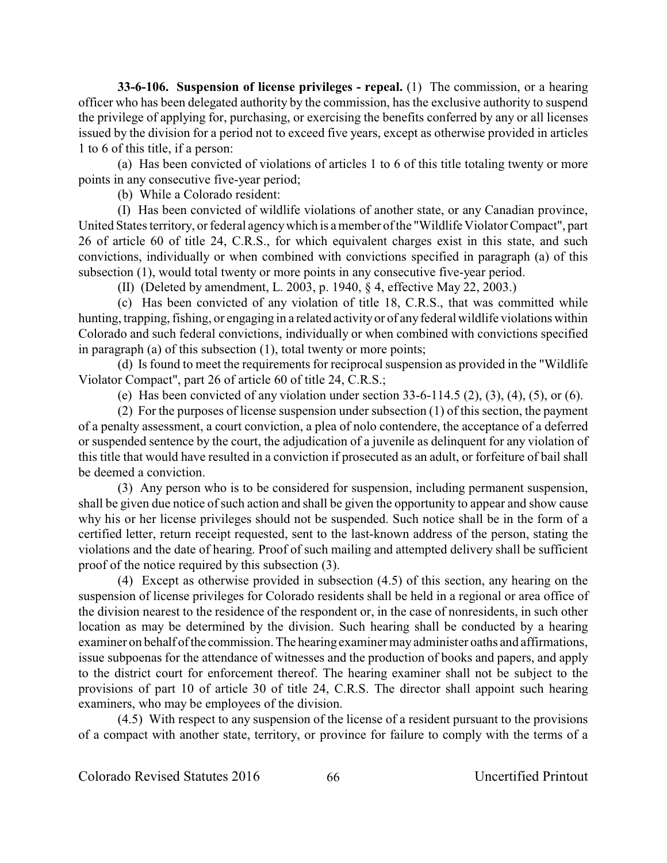**33-6-106. Suspension of license privileges - repeal.** (1) The commission, or a hearing officer who has been delegated authority by the commission, has the exclusive authority to suspend the privilege of applying for, purchasing, or exercising the benefits conferred by any or all licenses issued by the division for a period not to exceed five years, except as otherwise provided in articles 1 to 6 of this title, if a person:

(a) Has been convicted of violations of articles 1 to 6 of this title totaling twenty or more points in any consecutive five-year period;

(b) While a Colorado resident:

(I) Has been convicted of wildlife violations of another state, or any Canadian province, United States territory, or federal agencywhich is a member of the "Wildlife Violator Compact", part 26 of article 60 of title 24, C.R.S., for which equivalent charges exist in this state, and such convictions, individually or when combined with convictions specified in paragraph (a) of this subsection (1), would total twenty or more points in any consecutive five-year period.

(II) (Deleted by amendment, L. 2003, p. 1940, § 4, effective May 22, 2003.)

(c) Has been convicted of any violation of title 18, C.R.S., that was committed while hunting, trapping, fishing, or engaging in a related activityor of anyfederal wildlife violations within Colorado and such federal convictions, individually or when combined with convictions specified in paragraph (a) of this subsection (1), total twenty or more points;

(d) Is found to meet the requirements for reciprocal suspension as provided in the "Wildlife Violator Compact", part 26 of article 60 of title 24, C.R.S.;

(e) Has been convicted of any violation under section  $33-6-114.5$  (2), (3), (4), (5), or (6).

(2) For the purposes of license suspension under subsection (1) of this section, the payment of a penalty assessment, a court conviction, a plea of nolo contendere, the acceptance of a deferred or suspended sentence by the court, the adjudication of a juvenile as delinquent for any violation of this title that would have resulted in a conviction if prosecuted as an adult, or forfeiture of bail shall be deemed a conviction.

(3) Any person who is to be considered for suspension, including permanent suspension, shall be given due notice of such action and shall be given the opportunity to appear and show cause why his or her license privileges should not be suspended. Such notice shall be in the form of a certified letter, return receipt requested, sent to the last-known address of the person, stating the violations and the date of hearing. Proof of such mailing and attempted delivery shall be sufficient proof of the notice required by this subsection (3).

(4) Except as otherwise provided in subsection (4.5) of this section, any hearing on the suspension of license privileges for Colorado residents shall be held in a regional or area office of the division nearest to the residence of the respondent or, in the case of nonresidents, in such other location as may be determined by the division. Such hearing shall be conducted by a hearing examiner on behalf ofthe commission. The hearing examiner mayadminister oaths and affirmations, issue subpoenas for the attendance of witnesses and the production of books and papers, and apply to the district court for enforcement thereof. The hearing examiner shall not be subject to the provisions of part 10 of article 30 of title 24, C.R.S. The director shall appoint such hearing examiners, who may be employees of the division.

(4.5) With respect to any suspension of the license of a resident pursuant to the provisions of a compact with another state, territory, or province for failure to comply with the terms of a

Colorado Revised Statutes 2016 66 Uncertified Printout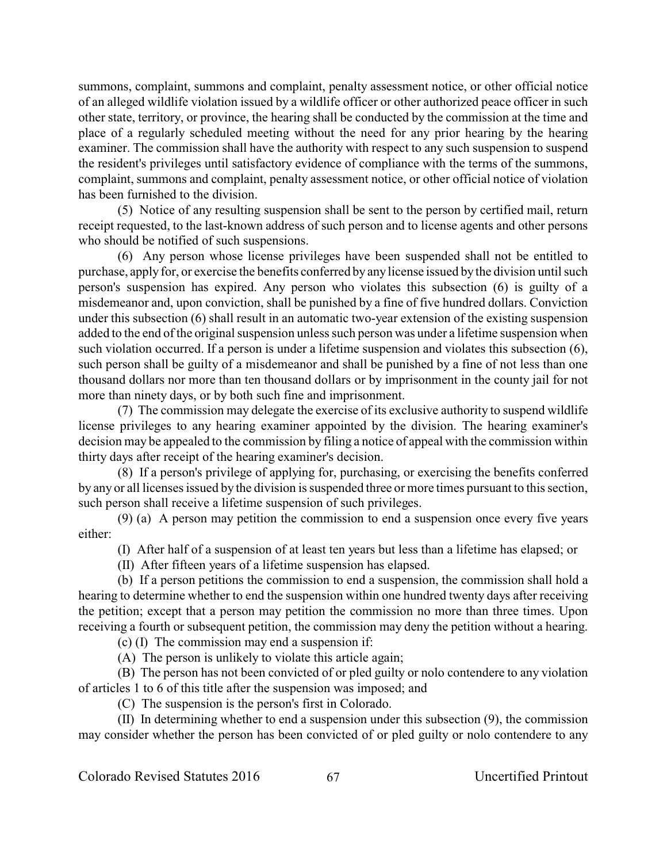summons, complaint, summons and complaint, penalty assessment notice, or other official notice of an alleged wildlife violation issued by a wildlife officer or other authorized peace officer in such other state, territory, or province, the hearing shall be conducted by the commission at the time and place of a regularly scheduled meeting without the need for any prior hearing by the hearing examiner. The commission shall have the authority with respect to any such suspension to suspend the resident's privileges until satisfactory evidence of compliance with the terms of the summons, complaint, summons and complaint, penalty assessment notice, or other official notice of violation has been furnished to the division.

(5) Notice of any resulting suspension shall be sent to the person by certified mail, return receipt requested, to the last-known address of such person and to license agents and other persons who should be notified of such suspensions.

(6) Any person whose license privileges have been suspended shall not be entitled to purchase, apply for, or exercise the benefits conferred by any license issued by the division until such person's suspension has expired. Any person who violates this subsection (6) is guilty of a misdemeanor and, upon conviction, shall be punished by a fine of five hundred dollars. Conviction under this subsection (6) shall result in an automatic two-year extension of the existing suspension added to the end of the original suspension unless such person was under a lifetime suspension when such violation occurred. If a person is under a lifetime suspension and violates this subsection (6), such person shall be guilty of a misdemeanor and shall be punished by a fine of not less than one thousand dollars nor more than ten thousand dollars or by imprisonment in the county jail for not more than ninety days, or by both such fine and imprisonment.

(7) The commission may delegate the exercise of its exclusive authority to suspend wildlife license privileges to any hearing examiner appointed by the division. The hearing examiner's decision may be appealed to the commission by filing a notice of appeal with the commission within thirty days after receipt of the hearing examiner's decision.

(8) If a person's privilege of applying for, purchasing, or exercising the benefits conferred by any or all licenses issued by the division is suspended three or more times pursuant to this section, such person shall receive a lifetime suspension of such privileges.

(9) (a) A person may petition the commission to end a suspension once every five years either:

(I) After half of a suspension of at least ten years but less than a lifetime has elapsed; or

(II) After fifteen years of a lifetime suspension has elapsed.

(b) If a person petitions the commission to end a suspension, the commission shall hold a hearing to determine whether to end the suspension within one hundred twenty days after receiving the petition; except that a person may petition the commission no more than three times. Upon receiving a fourth or subsequent petition, the commission may deny the petition without a hearing.

(c) (I) The commission may end a suspension if:

(A) The person is unlikely to violate this article again;

(B) The person has not been convicted of or pled guilty or nolo contendere to any violation of articles 1 to 6 of this title after the suspension was imposed; and

(C) The suspension is the person's first in Colorado.

(II) In determining whether to end a suspension under this subsection (9), the commission may consider whether the person has been convicted of or pled guilty or nolo contendere to any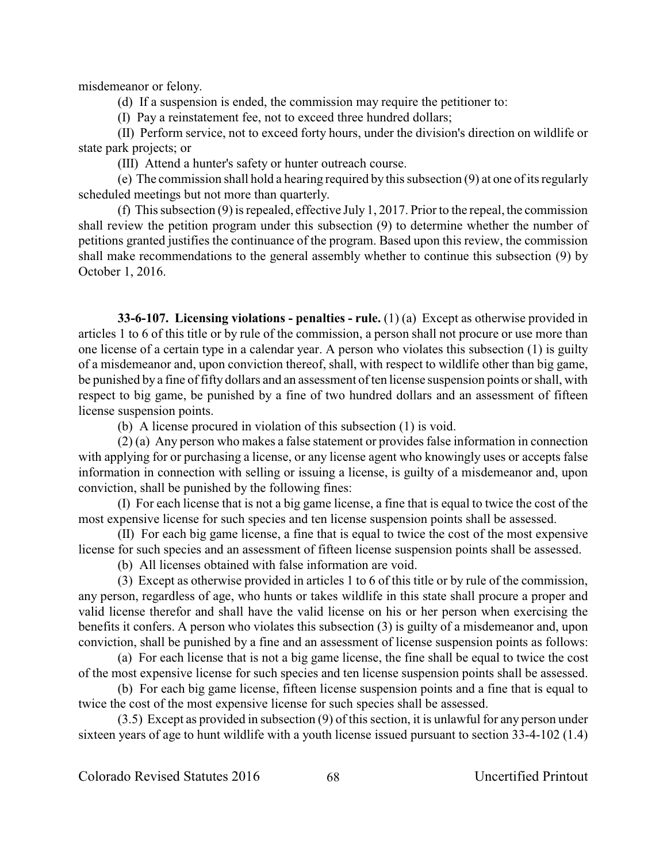misdemeanor or felony.

(d) If a suspension is ended, the commission may require the petitioner to:

(I) Pay a reinstatement fee, not to exceed three hundred dollars;

(II) Perform service, not to exceed forty hours, under the division's direction on wildlife or state park projects; or

(III) Attend a hunter's safety or hunter outreach course.

(e) The commission shall hold a hearing required by this subsection (9) at one of its regularly scheduled meetings but not more than quarterly.

(f) This subsection (9) is repealed, effective July 1, 2017. Prior to the repeal, the commission shall review the petition program under this subsection (9) to determine whether the number of petitions granted justifies the continuance of the program. Based upon this review, the commission shall make recommendations to the general assembly whether to continue this subsection (9) by October 1, 2016.

**33-6-107. Licensing violations - penalties - rule.** (1) (a) Except as otherwise provided in articles 1 to 6 of this title or by rule of the commission, a person shall not procure or use more than one license of a certain type in a calendar year. A person who violates this subsection (1) is guilty of a misdemeanor and, upon conviction thereof, shall, with respect to wildlife other than big game, be punished by a fine of fifty dollars and an assessment of ten license suspension points or shall, with respect to big game, be punished by a fine of two hundred dollars and an assessment of fifteen license suspension points.

(b) A license procured in violation of this subsection (1) is void.

(2) (a) Any person who makes a false statement or provides false information in connection with applying for or purchasing a license, or any license agent who knowingly uses or accepts false information in connection with selling or issuing a license, is guilty of a misdemeanor and, upon conviction, shall be punished by the following fines:

(I) For each license that is not a big game license, a fine that is equal to twice the cost of the most expensive license for such species and ten license suspension points shall be assessed.

(II) For each big game license, a fine that is equal to twice the cost of the most expensive license for such species and an assessment of fifteen license suspension points shall be assessed.

(b) All licenses obtained with false information are void.

(3) Except as otherwise provided in articles 1 to 6 of this title or by rule of the commission, any person, regardless of age, who hunts or takes wildlife in this state shall procure a proper and valid license therefor and shall have the valid license on his or her person when exercising the benefits it confers. A person who violates this subsection (3) is guilty of a misdemeanor and, upon conviction, shall be punished by a fine and an assessment of license suspension points as follows:

(a) For each license that is not a big game license, the fine shall be equal to twice the cost of the most expensive license for such species and ten license suspension points shall be assessed.

(b) For each big game license, fifteen license suspension points and a fine that is equal to twice the cost of the most expensive license for such species shall be assessed.

(3.5) Except as provided in subsection (9) of this section, it is unlawful for any person under sixteen years of age to hunt wildlife with a youth license issued pursuant to section 33-4-102 (1.4)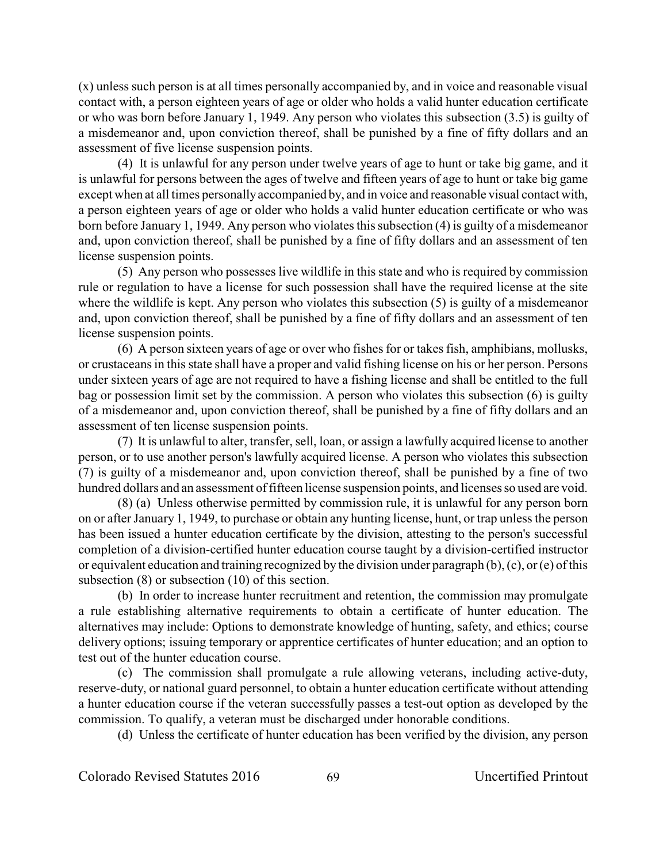(x) unless such person is at all times personally accompanied by, and in voice and reasonable visual contact with, a person eighteen years of age or older who holds a valid hunter education certificate or who was born before January 1, 1949. Any person who violates this subsection (3.5) is guilty of a misdemeanor and, upon conviction thereof, shall be punished by a fine of fifty dollars and an assessment of five license suspension points.

(4) It is unlawful for any person under twelve years of age to hunt or take big game, and it is unlawful for persons between the ages of twelve and fifteen years of age to hunt or take big game except when at all times personallyaccompanied by, and in voice and reasonable visual contact with, a person eighteen years of age or older who holds a valid hunter education certificate or who was born before January 1, 1949. Any person who violates this subsection (4) is guilty of a misdemeanor and, upon conviction thereof, shall be punished by a fine of fifty dollars and an assessment of ten license suspension points.

(5) Any person who possesses live wildlife in this state and who is required by commission rule or regulation to have a license for such possession shall have the required license at the site where the wildlife is kept. Any person who violates this subsection (5) is guilty of a misdemeanor and, upon conviction thereof, shall be punished by a fine of fifty dollars and an assessment of ten license suspension points.

(6) A person sixteen years of age or over who fishes for or takes fish, amphibians, mollusks, or crustaceans in this state shall have a proper and valid fishing license on his or her person. Persons under sixteen years of age are not required to have a fishing license and shall be entitled to the full bag or possession limit set by the commission. A person who violates this subsection (6) is guilty of a misdemeanor and, upon conviction thereof, shall be punished by a fine of fifty dollars and an assessment of ten license suspension points.

(7) It is unlawful to alter, transfer, sell, loan, or assign a lawfully acquired license to another person, or to use another person's lawfully acquired license. A person who violates this subsection (7) is guilty of a misdemeanor and, upon conviction thereof, shall be punished by a fine of two hundred dollars and an assessment of fifteen license suspension points, and licenses so used are void.

(8) (a) Unless otherwise permitted by commission rule, it is unlawful for any person born on or after January 1, 1949, to purchase or obtain any hunting license, hunt, or trap unless the person has been issued a hunter education certificate by the division, attesting to the person's successful completion of a division-certified hunter education course taught by a division-certified instructor or equivalent education and training recognized by the division under paragraph (b), (c), or (e) of this subsection (8) or subsection (10) of this section.

(b) In order to increase hunter recruitment and retention, the commission may promulgate a rule establishing alternative requirements to obtain a certificate of hunter education. The alternatives may include: Options to demonstrate knowledge of hunting, safety, and ethics; course delivery options; issuing temporary or apprentice certificates of hunter education; and an option to test out of the hunter education course.

(c) The commission shall promulgate a rule allowing veterans, including active-duty, reserve-duty, or national guard personnel, to obtain a hunter education certificate without attending a hunter education course if the veteran successfully passes a test-out option as developed by the commission. To qualify, a veteran must be discharged under honorable conditions.

(d) Unless the certificate of hunter education has been verified by the division, any person

Colorado Revised Statutes 2016 69 Uncertified Printout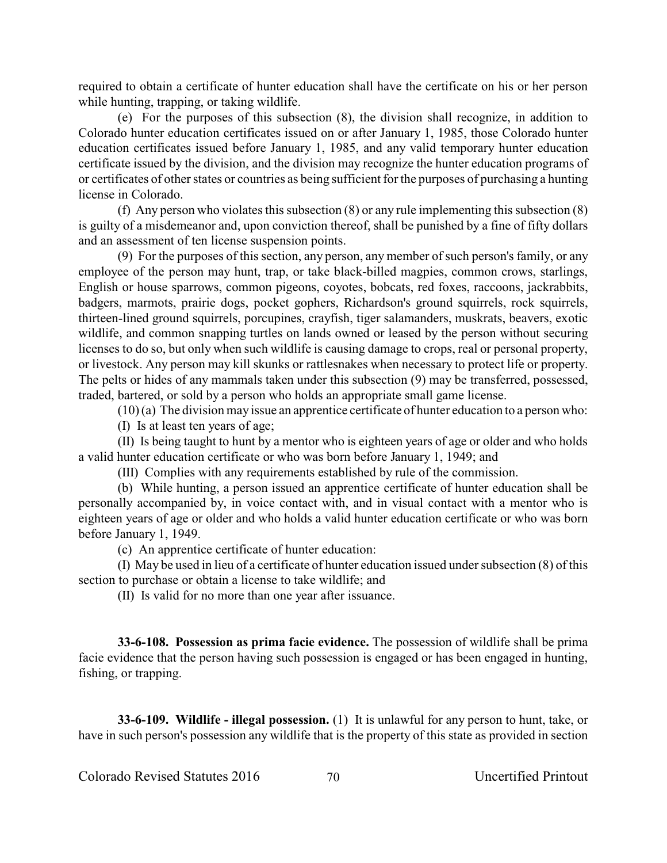required to obtain a certificate of hunter education shall have the certificate on his or her person while hunting, trapping, or taking wildlife.

(e) For the purposes of this subsection (8), the division shall recognize, in addition to Colorado hunter education certificates issued on or after January 1, 1985, those Colorado hunter education certificates issued before January 1, 1985, and any valid temporary hunter education certificate issued by the division, and the division may recognize the hunter education programs of or certificates of other states or countries as being sufficient for the purposes of purchasing a hunting license in Colorado.

(f) Any person who violates this subsection (8) or any rule implementing this subsection (8) is guilty of a misdemeanor and, upon conviction thereof, shall be punished by a fine of fifty dollars and an assessment of ten license suspension points.

(9) For the purposes of this section, any person, any member of such person's family, or any employee of the person may hunt, trap, or take black-billed magpies, common crows, starlings, English or house sparrows, common pigeons, coyotes, bobcats, red foxes, raccoons, jackrabbits, badgers, marmots, prairie dogs, pocket gophers, Richardson's ground squirrels, rock squirrels, thirteen-lined ground squirrels, porcupines, crayfish, tiger salamanders, muskrats, beavers, exotic wildlife, and common snapping turtles on lands owned or leased by the person without securing licenses to do so, but only when such wildlife is causing damage to crops, real or personal property, or livestock. Any person may kill skunks or rattlesnakes when necessary to protect life or property. The pelts or hides of any mammals taken under this subsection (9) may be transferred, possessed, traded, bartered, or sold by a person who holds an appropriate small game license.

(10) (a) The division may issue an apprentice certificate of hunter education to a person who:

(I) Is at least ten years of age;

(II) Is being taught to hunt by a mentor who is eighteen years of age or older and who holds a valid hunter education certificate or who was born before January 1, 1949; and

(III) Complies with any requirements established by rule of the commission.

(b) While hunting, a person issued an apprentice certificate of hunter education shall be personally accompanied by, in voice contact with, and in visual contact with a mentor who is eighteen years of age or older and who holds a valid hunter education certificate or who was born before January 1, 1949.

(c) An apprentice certificate of hunter education:

(I) May be used in lieu of a certificate of hunter education issued under subsection (8) of this section to purchase or obtain a license to take wildlife; and

(II) Is valid for no more than one year after issuance.

**33-6-108. Possession as prima facie evidence.** The possession of wildlife shall be prima facie evidence that the person having such possession is engaged or has been engaged in hunting, fishing, or trapping.

**33-6-109. Wildlife - illegal possession.** (1) It is unlawful for any person to hunt, take, or have in such person's possession any wildlife that is the property of this state as provided in section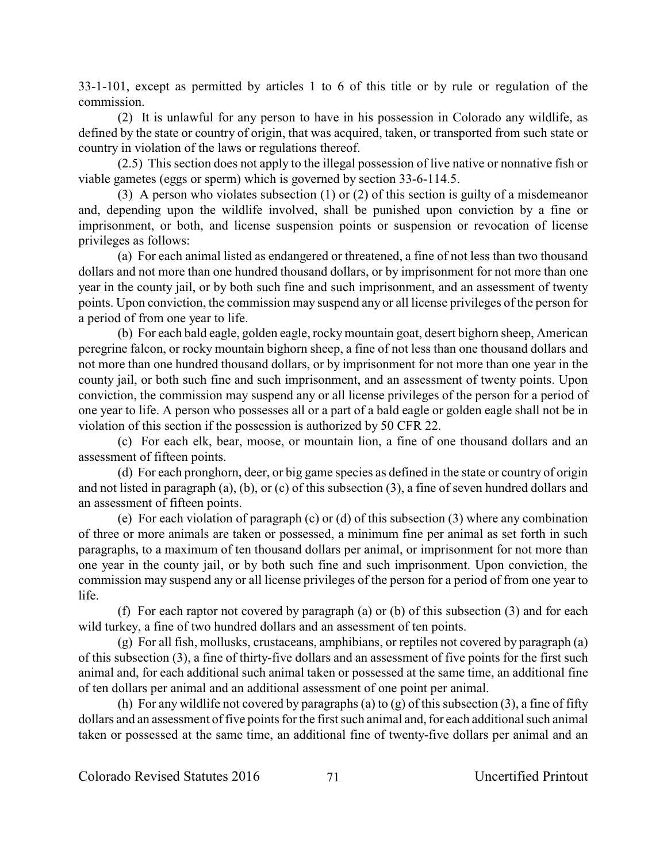33-1-101, except as permitted by articles 1 to 6 of this title or by rule or regulation of the commission.

(2) It is unlawful for any person to have in his possession in Colorado any wildlife, as defined by the state or country of origin, that was acquired, taken, or transported from such state or country in violation of the laws or regulations thereof.

(2.5) This section does not apply to the illegal possession of live native or nonnative fish or viable gametes (eggs or sperm) which is governed by section 33-6-114.5.

(3) A person who violates subsection (1) or (2) of this section is guilty of a misdemeanor and, depending upon the wildlife involved, shall be punished upon conviction by a fine or imprisonment, or both, and license suspension points or suspension or revocation of license privileges as follows:

(a) For each animal listed as endangered or threatened, a fine of not less than two thousand dollars and not more than one hundred thousand dollars, or by imprisonment for not more than one year in the county jail, or by both such fine and such imprisonment, and an assessment of twenty points. Upon conviction, the commission may suspend any or all license privileges of the person for a period of from one year to life.

(b) For each bald eagle, golden eagle, rockymountain goat, desert bighorn sheep, American peregrine falcon, or rocky mountain bighorn sheep, a fine of not less than one thousand dollars and not more than one hundred thousand dollars, or by imprisonment for not more than one year in the county jail, or both such fine and such imprisonment, and an assessment of twenty points. Upon conviction, the commission may suspend any or all license privileges of the person for a period of one year to life. A person who possesses all or a part of a bald eagle or golden eagle shall not be in violation of this section if the possession is authorized by 50 CFR 22.

(c) For each elk, bear, moose, or mountain lion, a fine of one thousand dollars and an assessment of fifteen points.

(d) For each pronghorn, deer, or big game species as defined in the state or country of origin and not listed in paragraph (a), (b), or (c) of this subsection (3), a fine of seven hundred dollars and an assessment of fifteen points.

(e) For each violation of paragraph (c) or (d) of this subsection (3) where any combination of three or more animals are taken or possessed, a minimum fine per animal as set forth in such paragraphs, to a maximum of ten thousand dollars per animal, or imprisonment for not more than one year in the county jail, or by both such fine and such imprisonment. Upon conviction, the commission may suspend any or all license privileges of the person for a period of from one year to life.

(f) For each raptor not covered by paragraph (a) or (b) of this subsection (3) and for each wild turkey, a fine of two hundred dollars and an assessment of ten points.

(g) For all fish, mollusks, crustaceans, amphibians, or reptiles not covered by paragraph (a) of this subsection (3), a fine of thirty-five dollars and an assessment of five points for the first such animal and, for each additional such animal taken or possessed at the same time, an additional fine of ten dollars per animal and an additional assessment of one point per animal.

(h) For any wildlife not covered by paragraphs (a) to (g) of this subsection (3), a fine of fifty dollars and an assessment of five points for the first such animal and, for each additional such animal taken or possessed at the same time, an additional fine of twenty-five dollars per animal and an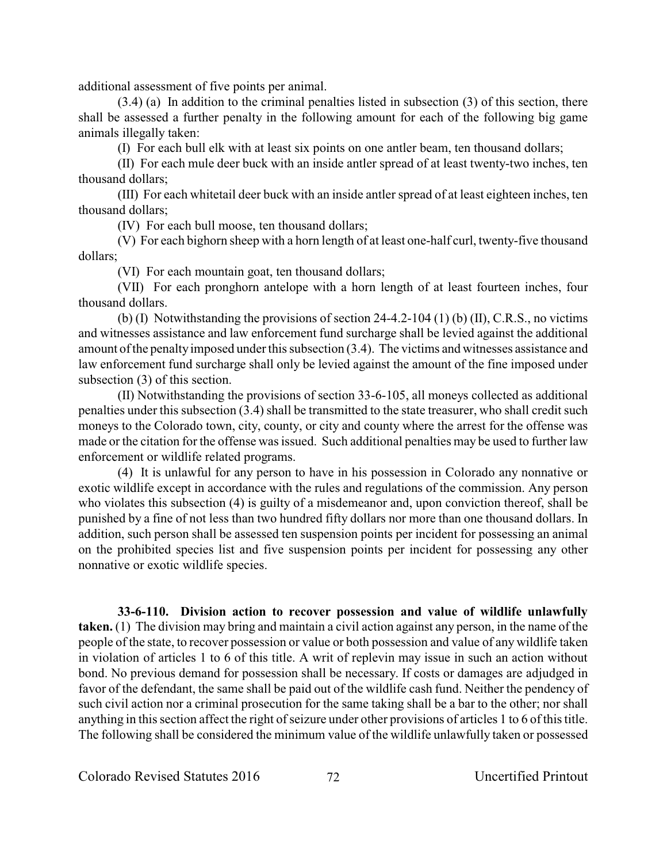additional assessment of five points per animal.

(3.4) (a) In addition to the criminal penalties listed in subsection (3) of this section, there shall be assessed a further penalty in the following amount for each of the following big game animals illegally taken:

(I) For each bull elk with at least six points on one antler beam, ten thousand dollars;

(II) For each mule deer buck with an inside antler spread of at least twenty-two inches, ten thousand dollars;

(III) For each whitetail deer buck with an inside antler spread of at least eighteen inches, ten thousand dollars;

(IV) For each bull moose, ten thousand dollars;

(V) For each bighorn sheep with a horn length of at least one-half curl, twenty-five thousand dollars;

(VI) For each mountain goat, ten thousand dollars;

(VII) For each pronghorn antelope with a horn length of at least fourteen inches, four thousand dollars.

(b) (I) Notwithstanding the provisions of section 24-4.2-104 (1) (b) (II), C.R.S., no victims and witnesses assistance and law enforcement fund surcharge shall be levied against the additional amount of the penaltyimposed under this subsection (3.4). The victims and witnesses assistance and law enforcement fund surcharge shall only be levied against the amount of the fine imposed under subsection (3) of this section.

(II) Notwithstanding the provisions of section 33-6-105, all moneys collected as additional penalties under this subsection (3.4) shall be transmitted to the state treasurer, who shall credit such moneys to the Colorado town, city, county, or city and county where the arrest for the offense was made or the citation for the offense was issued. Such additional penalties may be used to further law enforcement or wildlife related programs.

(4) It is unlawful for any person to have in his possession in Colorado any nonnative or exotic wildlife except in accordance with the rules and regulations of the commission. Any person who violates this subsection (4) is guilty of a misdemeanor and, upon conviction thereof, shall be punished by a fine of not less than two hundred fifty dollars nor more than one thousand dollars. In addition, such person shall be assessed ten suspension points per incident for possessing an animal on the prohibited species list and five suspension points per incident for possessing any other nonnative or exotic wildlife species.

**33-6-110. Division action to recover possession and value of wildlife unlawfully taken.** (1) The division may bring and maintain a civil action against any person, in the name of the people of the state, to recover possession or value or both possession and value of any wildlife taken in violation of articles 1 to 6 of this title. A writ of replevin may issue in such an action without bond. No previous demand for possession shall be necessary. If costs or damages are adjudged in favor of the defendant, the same shall be paid out of the wildlife cash fund. Neither the pendency of such civil action nor a criminal prosecution for the same taking shall be a bar to the other; nor shall anything in this section affect the right of seizure under other provisions of articles 1 to 6 of this title. The following shall be considered the minimum value of the wildlife unlawfully taken or possessed

Colorado Revised Statutes 2016 72 Uncertified Printout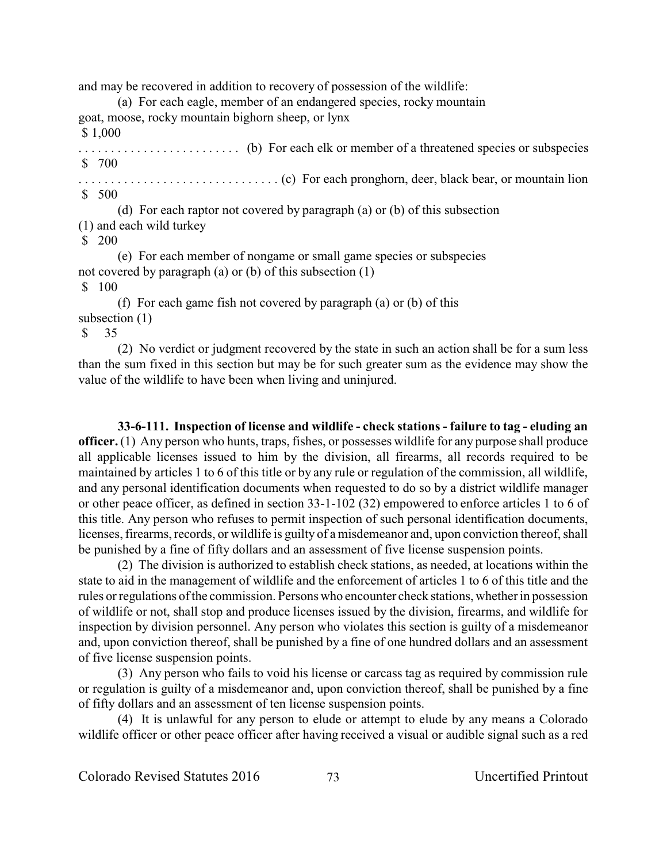and may be recovered in addition to recovery of possession of the wildlife:

(a) For each eagle, member of an endangered species, rocky mountain goat, moose, rocky mountain bighorn sheep, or lynx \$ 1,000

. . . . . . . . . . . . . . . . . . . . . . . . . (b) For each elk or member of a threatened species or subspecies \$ 700

. . . . . . . . . . . . . . . . . . . . . . . . . . . . . . . (c) For each pronghorn, deer, black bear, or mountain lion \$ 500

(d) For each raptor not covered by paragraph (a) or (b) of this subsection

(1) and each wild turkey

\$ 200

(e) For each member of nongame or small game species or subspecies not covered by paragraph (a) or (b) of this subsection (1)

\$ 100

(f) For each game fish not covered by paragraph (a) or (b) of this subsection (1)

\$ 35

(2) No verdict or judgment recovered by the state in such an action shall be for a sum less than the sum fixed in this section but may be for such greater sum as the evidence may show the value of the wildlife to have been when living and uninjured.

**33-6-111. Inspection of license and wildlife - check stations - failure to tag - eluding an officer.** (1) Any person who hunts, traps, fishes, or possesses wildlife for any purpose shall produce all applicable licenses issued to him by the division, all firearms, all records required to be maintained by articles 1 to 6 of this title or by any rule or regulation of the commission, all wildlife, and any personal identification documents when requested to do so by a district wildlife manager or other peace officer, as defined in section 33-1-102 (32) empowered to enforce articles 1 to 6 of this title. Any person who refuses to permit inspection of such personal identification documents, licenses, firearms, records, or wildlife is guilty of a misdemeanor and, upon conviction thereof, shall be punished by a fine of fifty dollars and an assessment of five license suspension points.

(2) The division is authorized to establish check stations, as needed, at locations within the state to aid in the management of wildlife and the enforcement of articles 1 to 6 of this title and the rules or regulations of the commission. Persons who encounter check stations, whether in possession of wildlife or not, shall stop and produce licenses issued by the division, firearms, and wildlife for inspection by division personnel. Any person who violates this section is guilty of a misdemeanor and, upon conviction thereof, shall be punished by a fine of one hundred dollars and an assessment of five license suspension points.

(3) Any person who fails to void his license or carcass tag as required by commission rule or regulation is guilty of a misdemeanor and, upon conviction thereof, shall be punished by a fine of fifty dollars and an assessment of ten license suspension points.

(4) It is unlawful for any person to elude or attempt to elude by any means a Colorado wildlife officer or other peace officer after having received a visual or audible signal such as a red

Colorado Revised Statutes 2016 73 Uncertified Printout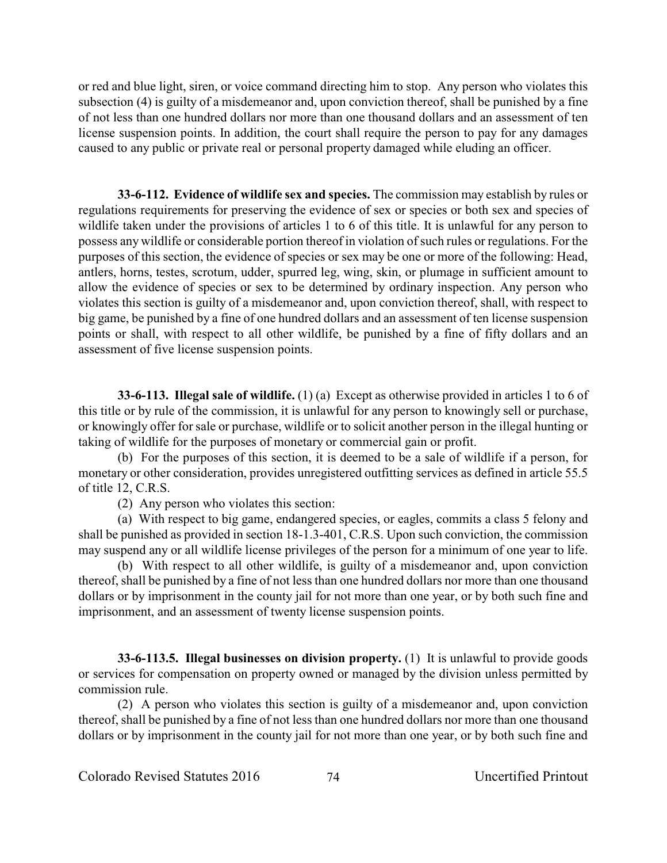or red and blue light, siren, or voice command directing him to stop. Any person who violates this subsection (4) is guilty of a misdemeanor and, upon conviction thereof, shall be punished by a fine of not less than one hundred dollars nor more than one thousand dollars and an assessment of ten license suspension points. In addition, the court shall require the person to pay for any damages caused to any public or private real or personal property damaged while eluding an officer.

**33-6-112. Evidence of wildlife sex and species.** The commission may establish by rules or regulations requirements for preserving the evidence of sex or species or both sex and species of wildlife taken under the provisions of articles 1 to 6 of this title. It is unlawful for any person to possess any wildlife or considerable portion thereof in violation of such rules or regulations. For the purposes of this section, the evidence of species or sex may be one or more of the following: Head, antlers, horns, testes, scrotum, udder, spurred leg, wing, skin, or plumage in sufficient amount to allow the evidence of species or sex to be determined by ordinary inspection. Any person who violates this section is guilty of a misdemeanor and, upon conviction thereof, shall, with respect to big game, be punished by a fine of one hundred dollars and an assessment of ten license suspension points or shall, with respect to all other wildlife, be punished by a fine of fifty dollars and an assessment of five license suspension points.

**33-6-113. Illegal sale of wildlife.** (1) (a) Except as otherwise provided in articles 1 to 6 of this title or by rule of the commission, it is unlawful for any person to knowingly sell or purchase, or knowingly offer for sale or purchase, wildlife or to solicit another person in the illegal hunting or taking of wildlife for the purposes of monetary or commercial gain or profit.

(b) For the purposes of this section, it is deemed to be a sale of wildlife if a person, for monetary or other consideration, provides unregistered outfitting services as defined in article 55.5 of title 12, C.R.S.

(2) Any person who violates this section:

(a) With respect to big game, endangered species, or eagles, commits a class 5 felony and shall be punished as provided in section 18-1.3-401, C.R.S. Upon such conviction, the commission may suspend any or all wildlife license privileges of the person for a minimum of one year to life.

(b) With respect to all other wildlife, is guilty of a misdemeanor and, upon conviction thereof, shall be punished by a fine of not less than one hundred dollars nor more than one thousand dollars or by imprisonment in the county jail for not more than one year, or by both such fine and imprisonment, and an assessment of twenty license suspension points.

**33-6-113.5. Illegal businesses on division property.** (1) It is unlawful to provide goods or services for compensation on property owned or managed by the division unless permitted by commission rule.

(2) A person who violates this section is guilty of a misdemeanor and, upon conviction thereof, shall be punished by a fine of not less than one hundred dollars nor more than one thousand dollars or by imprisonment in the county jail for not more than one year, or by both such fine and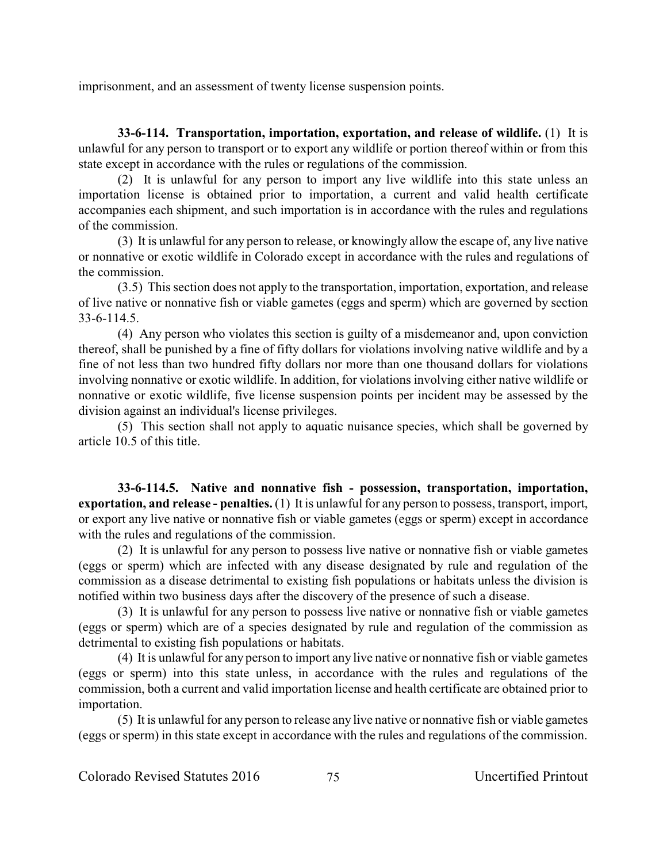imprisonment, and an assessment of twenty license suspension points.

**33-6-114. Transportation, importation, exportation, and release of wildlife.** (1) It is unlawful for any person to transport or to export any wildlife or portion thereof within or from this state except in accordance with the rules or regulations of the commission.

(2) It is unlawful for any person to import any live wildlife into this state unless an importation license is obtained prior to importation, a current and valid health certificate accompanies each shipment, and such importation is in accordance with the rules and regulations of the commission.

(3) It is unlawful for any person to release, or knowingly allow the escape of, any live native or nonnative or exotic wildlife in Colorado except in accordance with the rules and regulations of the commission.

(3.5) This section does not apply to the transportation, importation, exportation, and release of live native or nonnative fish or viable gametes (eggs and sperm) which are governed by section 33-6-114.5.

(4) Any person who violates this section is guilty of a misdemeanor and, upon conviction thereof, shall be punished by a fine of fifty dollars for violations involving native wildlife and by a fine of not less than two hundred fifty dollars nor more than one thousand dollars for violations involving nonnative or exotic wildlife. In addition, for violations involving either native wildlife or nonnative or exotic wildlife, five license suspension points per incident may be assessed by the division against an individual's license privileges.

(5) This section shall not apply to aquatic nuisance species, which shall be governed by article 10.5 of this title.

**33-6-114.5. Native and nonnative fish - possession, transportation, importation, exportation, and release - penalties.** (1) It is unlawful for any person to possess, transport, import, or export any live native or nonnative fish or viable gametes (eggs or sperm) except in accordance with the rules and regulations of the commission.

(2) It is unlawful for any person to possess live native or nonnative fish or viable gametes (eggs or sperm) which are infected with any disease designated by rule and regulation of the commission as a disease detrimental to existing fish populations or habitats unless the division is notified within two business days after the discovery of the presence of such a disease.

(3) It is unlawful for any person to possess live native or nonnative fish or viable gametes (eggs or sperm) which are of a species designated by rule and regulation of the commission as detrimental to existing fish populations or habitats.

(4) It is unlawful for any person to import any live native or nonnative fish or viable gametes (eggs or sperm) into this state unless, in accordance with the rules and regulations of the commission, both a current and valid importation license and health certificate are obtained prior to importation.

(5) It is unlawful for any person to release any live native or nonnative fish or viable gametes (eggs or sperm) in this state except in accordance with the rules and regulations of the commission.

Colorado Revised Statutes 2016 75 Uncertified Printout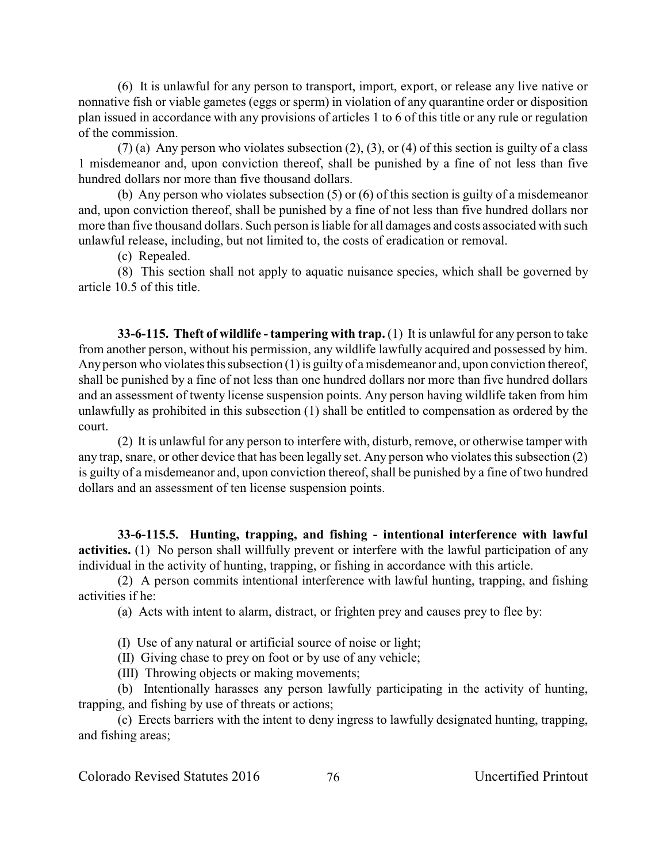(6) It is unlawful for any person to transport, import, export, or release any live native or nonnative fish or viable gametes (eggs or sperm) in violation of any quarantine order or disposition plan issued in accordance with any provisions of articles 1 to 6 of this title or any rule or regulation of the commission.

 $(7)$  (a) Any person who violates subsection  $(2)$ ,  $(3)$ , or  $(4)$  of this section is guilty of a class 1 misdemeanor and, upon conviction thereof, shall be punished by a fine of not less than five hundred dollars nor more than five thousand dollars.

(b) Any person who violates subsection (5) or (6) of this section is guilty of a misdemeanor and, upon conviction thereof, shall be punished by a fine of not less than five hundred dollars nor more than five thousand dollars. Such person is liable for all damages and costs associated with such unlawful release, including, but not limited to, the costs of eradication or removal.

(c) Repealed.

(8) This section shall not apply to aquatic nuisance species, which shall be governed by article 10.5 of this title.

**33-6-115. Theft of wildlife - tampering with trap.** (1) It is unlawful for any person to take from another person, without his permission, any wildlife lawfully acquired and possessed by him. Anyperson who violates this subsection (1) is guilty of a misdemeanor and, upon conviction thereof, shall be punished by a fine of not less than one hundred dollars nor more than five hundred dollars and an assessment of twenty license suspension points. Any person having wildlife taken from him unlawfully as prohibited in this subsection (1) shall be entitled to compensation as ordered by the court.

(2) It is unlawful for any person to interfere with, disturb, remove, or otherwise tamper with any trap, snare, or other device that has been legally set. Any person who violates this subsection (2) is guilty of a misdemeanor and, upon conviction thereof, shall be punished by a fine of two hundred dollars and an assessment of ten license suspension points.

**33-6-115.5. Hunting, trapping, and fishing - intentional interference with lawful activities.** (1) No person shall willfully prevent or interfere with the lawful participation of any individual in the activity of hunting, trapping, or fishing in accordance with this article.

(2) A person commits intentional interference with lawful hunting, trapping, and fishing activities if he:

(a) Acts with intent to alarm, distract, or frighten prey and causes prey to flee by:

(I) Use of any natural or artificial source of noise or light;

(II) Giving chase to prey on foot or by use of any vehicle;

(III) Throwing objects or making movements;

(b) Intentionally harasses any person lawfully participating in the activity of hunting, trapping, and fishing by use of threats or actions;

(c) Erects barriers with the intent to deny ingress to lawfully designated hunting, trapping, and fishing areas;

Colorado Revised Statutes 2016 76 Uncertified Printout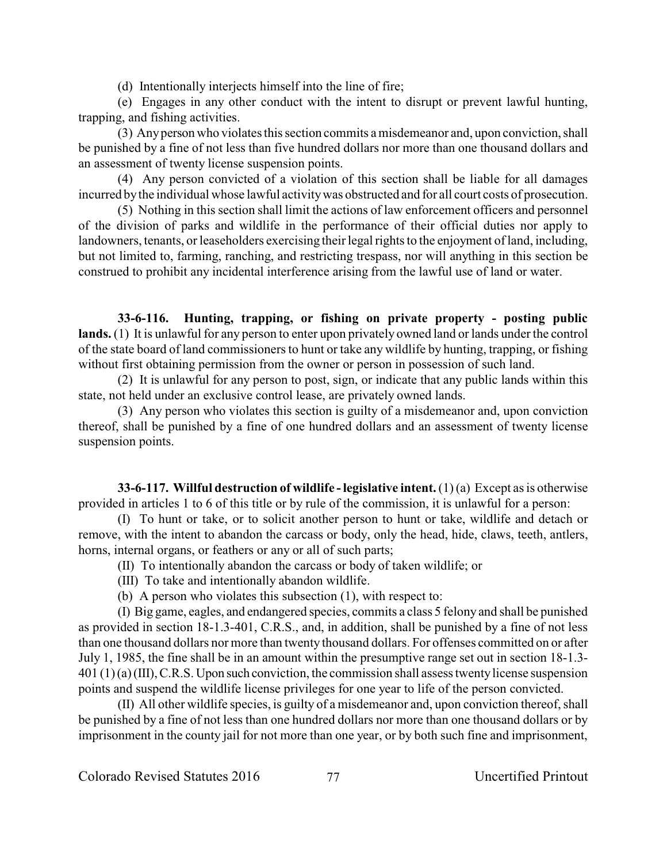(d) Intentionally interjects himself into the line of fire;

(e) Engages in any other conduct with the intent to disrupt or prevent lawful hunting, trapping, and fishing activities.

(3) Anyperson who violates this section commits amisdemeanor and, upon conviction, shall be punished by a fine of not less than five hundred dollars nor more than one thousand dollars and an assessment of twenty license suspension points.

(4) Any person convicted of a violation of this section shall be liable for all damages incurred by the individual whose lawful activity was obstructed and for all court costs of prosecution.

(5) Nothing in this section shall limit the actions of law enforcement officers and personnel of the division of parks and wildlife in the performance of their official duties nor apply to landowners, tenants, or leaseholders exercising their legal rights to the enjoyment of land, including, but not limited to, farming, ranching, and restricting trespass, nor will anything in this section be construed to prohibit any incidental interference arising from the lawful use of land or water.

**33-6-116. Hunting, trapping, or fishing on private property - posting public lands.** (1) It is unlawful for any person to enter upon privately owned land or lands under the control of the state board of land commissioners to hunt or take any wildlife by hunting, trapping, or fishing without first obtaining permission from the owner or person in possession of such land.

(2) It is unlawful for any person to post, sign, or indicate that any public lands within this state, not held under an exclusive control lease, are privately owned lands.

(3) Any person who violates this section is guilty of a misdemeanor and, upon conviction thereof, shall be punished by a fine of one hundred dollars and an assessment of twenty license suspension points.

**33-6-117. Willful destruction of wildlife - legislative intent.** (1) (a) Except as is otherwise provided in articles 1 to 6 of this title or by rule of the commission, it is unlawful for a person:

(I) To hunt or take, or to solicit another person to hunt or take, wildlife and detach or remove, with the intent to abandon the carcass or body, only the head, hide, claws, teeth, antlers, horns, internal organs, or feathers or any or all of such parts;

(II) To intentionally abandon the carcass or body of taken wildlife; or

- (III) To take and intentionally abandon wildlife.
- (b) A person who violates this subsection (1), with respect to:

(I) Big game, eagles, and endangered species, commits a class 5 felony and shall be punished as provided in section 18-1.3-401, C.R.S., and, in addition, shall be punished by a fine of not less than one thousand dollars nor more than twenty thousand dollars. For offenses committed on or after July 1, 1985, the fine shall be in an amount within the presumptive range set out in section 18-1.3- 401 (1) (a) (III), C.R.S. Upon such conviction, the commission shall assess twentylicense suspension points and suspend the wildlife license privileges for one year to life of the person convicted.

(II) All other wildlife species, is guilty of a misdemeanor and, upon conviction thereof, shall be punished by a fine of not less than one hundred dollars nor more than one thousand dollars or by imprisonment in the county jail for not more than one year, or by both such fine and imprisonment,

Colorado Revised Statutes 2016 77 Uncertified Printout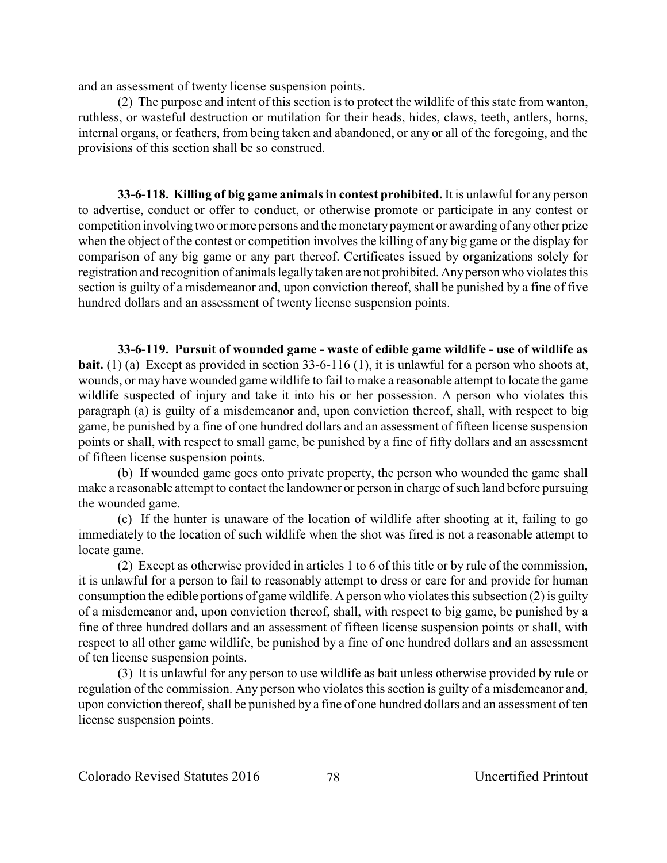and an assessment of twenty license suspension points.

(2) The purpose and intent of this section is to protect the wildlife of this state from wanton, ruthless, or wasteful destruction or mutilation for their heads, hides, claws, teeth, antlers, horns, internal organs, or feathers, from being taken and abandoned, or any or all of the foregoing, and the provisions of this section shall be so construed.

**33-6-118. Killing of big game animals in contest prohibited.** It is unlawful for any person to advertise, conduct or offer to conduct, or otherwise promote or participate in any contest or competition involving two or more persons and the monetarypayment or awarding of any other prize when the object of the contest or competition involves the killing of any big game or the display for comparison of any big game or any part thereof. Certificates issued by organizations solely for registration and recognition of animals legally taken are not prohibited. Anyperson who violates this section is guilty of a misdemeanor and, upon conviction thereof, shall be punished by a fine of five hundred dollars and an assessment of twenty license suspension points.

**33-6-119. Pursuit of wounded game - waste of edible game wildlife - use of wildlife as bait.** (1) (a) Except as provided in section 33-6-116 (1), it is unlawful for a person who shoots at, wounds, or may have wounded game wildlife to fail to make a reasonable attempt to locate the game wildlife suspected of injury and take it into his or her possession. A person who violates this paragraph (a) is guilty of a misdemeanor and, upon conviction thereof, shall, with respect to big game, be punished by a fine of one hundred dollars and an assessment of fifteen license suspension points or shall, with respect to small game, be punished by a fine of fifty dollars and an assessment of fifteen license suspension points.

(b) If wounded game goes onto private property, the person who wounded the game shall make a reasonable attempt to contact the landowner or person in charge of such land before pursuing the wounded game.

(c) If the hunter is unaware of the location of wildlife after shooting at it, failing to go immediately to the location of such wildlife when the shot was fired is not a reasonable attempt to locate game.

(2) Except as otherwise provided in articles 1 to 6 of this title or by rule of the commission, it is unlawful for a person to fail to reasonably attempt to dress or care for and provide for human consumption the edible portions of game wildlife. A person who violates this subsection (2) is guilty of a misdemeanor and, upon conviction thereof, shall, with respect to big game, be punished by a fine of three hundred dollars and an assessment of fifteen license suspension points or shall, with respect to all other game wildlife, be punished by a fine of one hundred dollars and an assessment of ten license suspension points.

(3) It is unlawful for any person to use wildlife as bait unless otherwise provided by rule or regulation of the commission. Any person who violates this section is guilty of a misdemeanor and, upon conviction thereof, shall be punished by a fine of one hundred dollars and an assessment of ten license suspension points.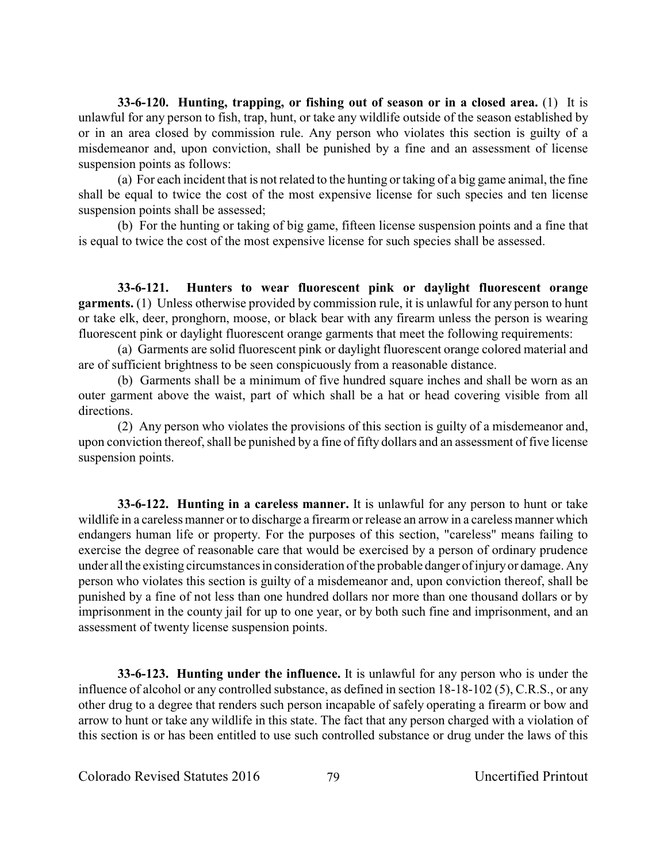**33-6-120. Hunting, trapping, or fishing out of season or in a closed area.** (1) It is unlawful for any person to fish, trap, hunt, or take any wildlife outside of the season established by or in an area closed by commission rule. Any person who violates this section is guilty of a misdemeanor and, upon conviction, shall be punished by a fine and an assessment of license suspension points as follows:

(a) For each incident that is not related to the hunting or taking of a big game animal, the fine shall be equal to twice the cost of the most expensive license for such species and ten license suspension points shall be assessed;

(b) For the hunting or taking of big game, fifteen license suspension points and a fine that is equal to twice the cost of the most expensive license for such species shall be assessed.

**33-6-121. Hunters to wear fluorescent pink or daylight fluorescent orange garments.** (1) Unless otherwise provided by commission rule, it is unlawful for any person to hunt or take elk, deer, pronghorn, moose, or black bear with any firearm unless the person is wearing fluorescent pink or daylight fluorescent orange garments that meet the following requirements:

(a) Garments are solid fluorescent pink or daylight fluorescent orange colored material and are of sufficient brightness to be seen conspicuously from a reasonable distance.

(b) Garments shall be a minimum of five hundred square inches and shall be worn as an outer garment above the waist, part of which shall be a hat or head covering visible from all directions.

(2) Any person who violates the provisions of this section is guilty of a misdemeanor and, upon conviction thereof, shall be punished by a fine of fifty dollars and an assessment of five license suspension points.

**33-6-122. Hunting in a careless manner.** It is unlawful for any person to hunt or take wildlife in a careless manner or to discharge a firearm or release an arrow in a careless manner which endangers human life or property. For the purposes of this section, "careless" means failing to exercise the degree of reasonable care that would be exercised by a person of ordinary prudence under all the existing circumstances in consideration of the probable danger of injuryor damage. Any person who violates this section is guilty of a misdemeanor and, upon conviction thereof, shall be punished by a fine of not less than one hundred dollars nor more than one thousand dollars or by imprisonment in the county jail for up to one year, or by both such fine and imprisonment, and an assessment of twenty license suspension points.

**33-6-123. Hunting under the influence.** It is unlawful for any person who is under the influence of alcohol or any controlled substance, as defined in section 18-18-102 (5), C.R.S., or any other drug to a degree that renders such person incapable of safely operating a firearm or bow and arrow to hunt or take any wildlife in this state. The fact that any person charged with a violation of this section is or has been entitled to use such controlled substance or drug under the laws of this

Colorado Revised Statutes 2016 79 Uncertified Printout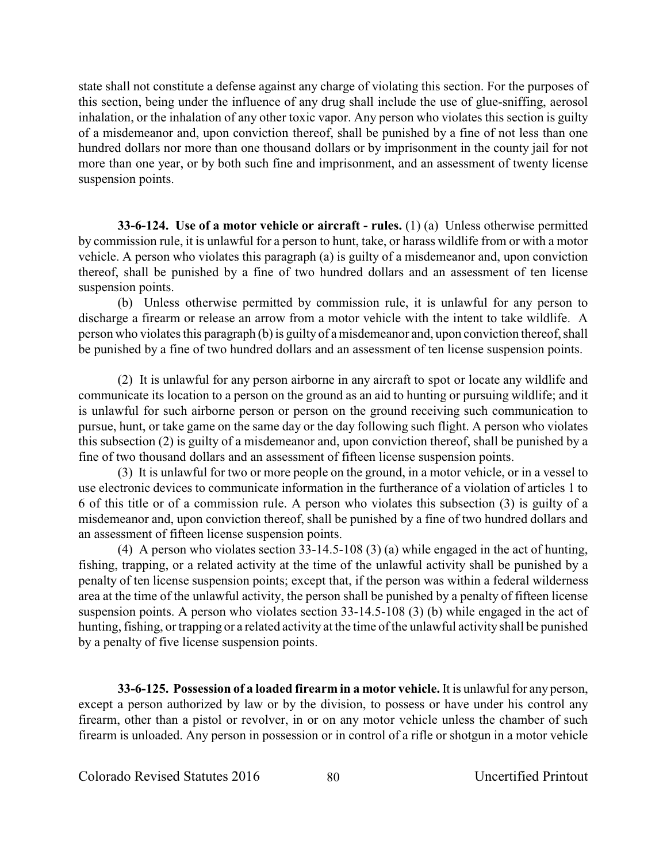state shall not constitute a defense against any charge of violating this section. For the purposes of this section, being under the influence of any drug shall include the use of glue-sniffing, aerosol inhalation, or the inhalation of any other toxic vapor. Any person who violates this section is guilty of a misdemeanor and, upon conviction thereof, shall be punished by a fine of not less than one hundred dollars nor more than one thousand dollars or by imprisonment in the county jail for not more than one year, or by both such fine and imprisonment, and an assessment of twenty license suspension points.

**33-6-124. Use of a motor vehicle or aircraft - rules.** (1) (a) Unless otherwise permitted by commission rule, it is unlawful for a person to hunt, take, or harass wildlife from or with a motor vehicle. A person who violates this paragraph (a) is guilty of a misdemeanor and, upon conviction thereof, shall be punished by a fine of two hundred dollars and an assessment of ten license suspension points.

(b) Unless otherwise permitted by commission rule, it is unlawful for any person to discharge a firearm or release an arrow from a motor vehicle with the intent to take wildlife. A person who violates this paragraph (b) is guilty of a misdemeanor and, upon conviction thereof, shall be punished by a fine of two hundred dollars and an assessment of ten license suspension points.

(2) It is unlawful for any person airborne in any aircraft to spot or locate any wildlife and communicate its location to a person on the ground as an aid to hunting or pursuing wildlife; and it is unlawful for such airborne person or person on the ground receiving such communication to pursue, hunt, or take game on the same day or the day following such flight. A person who violates this subsection (2) is guilty of a misdemeanor and, upon conviction thereof, shall be punished by a fine of two thousand dollars and an assessment of fifteen license suspension points.

(3) It is unlawful for two or more people on the ground, in a motor vehicle, or in a vessel to use electronic devices to communicate information in the furtherance of a violation of articles 1 to 6 of this title or of a commission rule. A person who violates this subsection (3) is guilty of a misdemeanor and, upon conviction thereof, shall be punished by a fine of two hundred dollars and an assessment of fifteen license suspension points.

(4) A person who violates section 33-14.5-108 (3) (a) while engaged in the act of hunting, fishing, trapping, or a related activity at the time of the unlawful activity shall be punished by a penalty of ten license suspension points; except that, if the person was within a federal wilderness area at the time of the unlawful activity, the person shall be punished by a penalty of fifteen license suspension points. A person who violates section 33-14.5-108 (3) (b) while engaged in the act of hunting, fishing, or trapping or a related activity at the time of the unlawful activity shall be punished by a penalty of five license suspension points.

**33-6-125. Possession of a loaded firearm in a motor vehicle.** It is unlawful for any person, except a person authorized by law or by the division, to possess or have under his control any firearm, other than a pistol or revolver, in or on any motor vehicle unless the chamber of such firearm is unloaded. Any person in possession or in control of a rifle or shotgun in a motor vehicle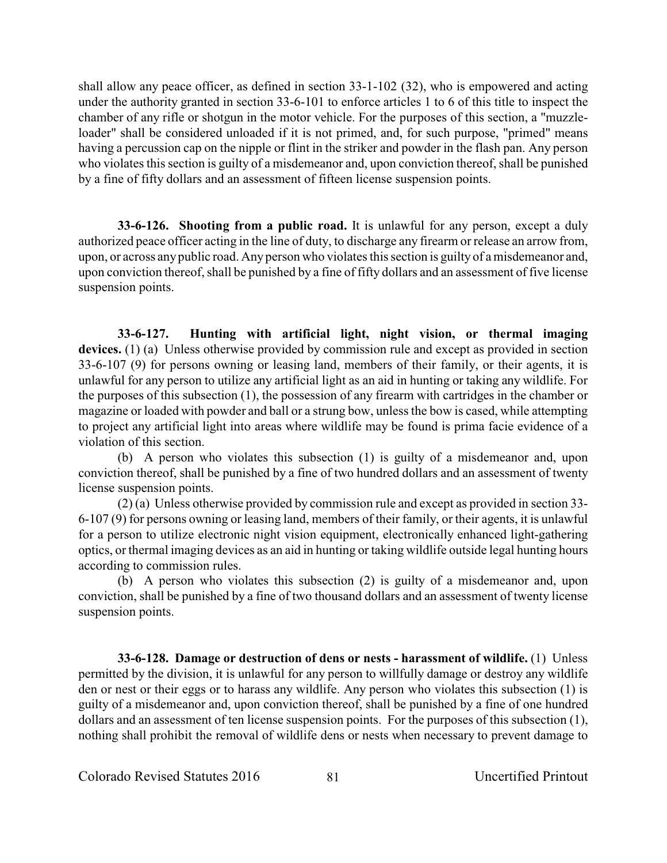shall allow any peace officer, as defined in section 33-1-102 (32), who is empowered and acting under the authority granted in section 33-6-101 to enforce articles 1 to 6 of this title to inspect the chamber of any rifle or shotgun in the motor vehicle. For the purposes of this section, a "muzzleloader" shall be considered unloaded if it is not primed, and, for such purpose, "primed" means having a percussion cap on the nipple or flint in the striker and powder in the flash pan. Any person who violates this section is guilty of a misdemeanor and, upon conviction thereof, shall be punished by a fine of fifty dollars and an assessment of fifteen license suspension points.

**33-6-126. Shooting from a public road.** It is unlawful for any person, except a duly authorized peace officer acting in the line of duty, to discharge any firearm or release an arrow from, upon, or across anypublic road. Any person who violates this section is guilty of a misdemeanor and, upon conviction thereof, shall be punished by a fine of fifty dollars and an assessment of five license suspension points.

**33-6-127. Hunting with artificial light, night vision, or thermal imaging devices.** (1) (a) Unless otherwise provided by commission rule and except as provided in section 33-6-107 (9) for persons owning or leasing land, members of their family, or their agents, it is unlawful for any person to utilize any artificial light as an aid in hunting or taking any wildlife. For the purposes of this subsection (1), the possession of any firearm with cartridges in the chamber or magazine or loaded with powder and ball or a strung bow, unless the bow is cased, while attempting to project any artificial light into areas where wildlife may be found is prima facie evidence of a violation of this section.

(b) A person who violates this subsection (1) is guilty of a misdemeanor and, upon conviction thereof, shall be punished by a fine of two hundred dollars and an assessment of twenty license suspension points.

(2) (a) Unless otherwise provided by commission rule and except as provided in section 33- 6-107 (9) for persons owning or leasing land, members of their family, or their agents, it is unlawful for a person to utilize electronic night vision equipment, electronically enhanced light-gathering optics, or thermal imaging devices as an aid in hunting or taking wildlife outside legal hunting hours according to commission rules.

(b) A person who violates this subsection (2) is guilty of a misdemeanor and, upon conviction, shall be punished by a fine of two thousand dollars and an assessment of twenty license suspension points.

**33-6-128. Damage or destruction of dens or nests - harassment of wildlife.** (1) Unless permitted by the division, it is unlawful for any person to willfully damage or destroy any wildlife den or nest or their eggs or to harass any wildlife. Any person who violates this subsection (1) is guilty of a misdemeanor and, upon conviction thereof, shall be punished by a fine of one hundred dollars and an assessment of ten license suspension points. For the purposes of this subsection (1), nothing shall prohibit the removal of wildlife dens or nests when necessary to prevent damage to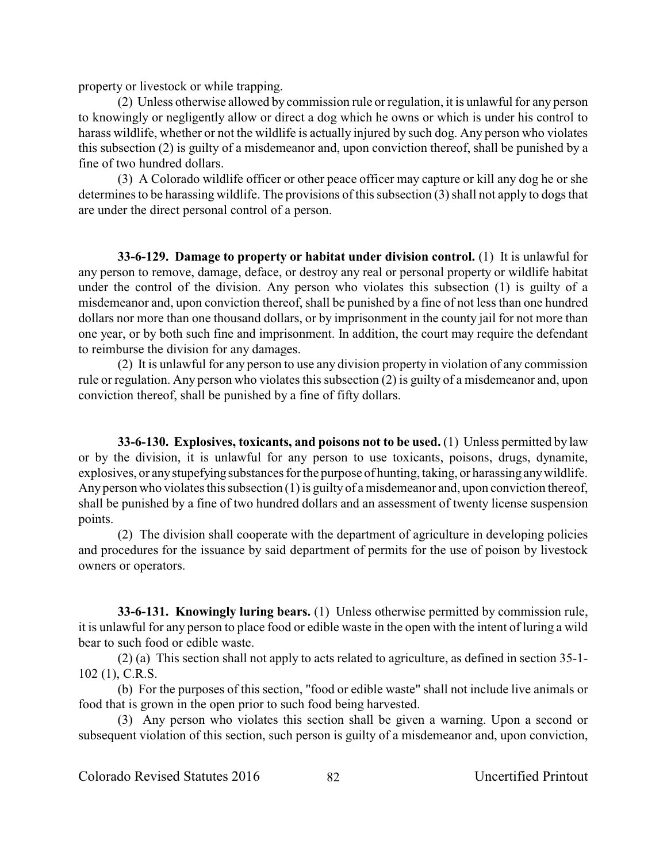property or livestock or while trapping.

(2) Unless otherwise allowed by commission rule or regulation, it is unlawful for any person to knowingly or negligently allow or direct a dog which he owns or which is under his control to harass wildlife, whether or not the wildlife is actually injured by such dog. Any person who violates this subsection (2) is guilty of a misdemeanor and, upon conviction thereof, shall be punished by a fine of two hundred dollars.

(3) A Colorado wildlife officer or other peace officer may capture or kill any dog he or she determines to be harassing wildlife. The provisions of this subsection (3) shall not apply to dogs that are under the direct personal control of a person.

**33-6-129. Damage to property or habitat under division control.** (1) It is unlawful for any person to remove, damage, deface, or destroy any real or personal property or wildlife habitat under the control of the division. Any person who violates this subsection (1) is guilty of a misdemeanor and, upon conviction thereof, shall be punished by a fine of not less than one hundred dollars nor more than one thousand dollars, or by imprisonment in the county jail for not more than one year, or by both such fine and imprisonment. In addition, the court may require the defendant to reimburse the division for any damages.

(2) It is unlawful for any person to use any division property in violation of any commission rule or regulation. Any person who violates this subsection (2) is guilty of a misdemeanor and, upon conviction thereof, shall be punished by a fine of fifty dollars.

**33-6-130. Explosives, toxicants, and poisons not to be used.** (1) Unless permitted by law or by the division, it is unlawful for any person to use toxicants, poisons, drugs, dynamite, explosives, or anystupefying substances for the purpose of hunting, taking, or harassing anywildlife. Any person who violates this subsection (1) is guilty of a misdemeanor and, upon conviction thereof, shall be punished by a fine of two hundred dollars and an assessment of twenty license suspension points.

(2) The division shall cooperate with the department of agriculture in developing policies and procedures for the issuance by said department of permits for the use of poison by livestock owners or operators.

**33-6-131. Knowingly luring bears.** (1) Unless otherwise permitted by commission rule, it is unlawful for any person to place food or edible waste in the open with the intent of luring a wild bear to such food or edible waste.

(2) (a) This section shall not apply to acts related to agriculture, as defined in section 35-1- 102 (1), C.R.S.

(b) For the purposes of this section, "food or edible waste" shall not include live animals or food that is grown in the open prior to such food being harvested.

(3) Any person who violates this section shall be given a warning. Upon a second or subsequent violation of this section, such person is guilty of a misdemeanor and, upon conviction,

Colorado Revised Statutes 2016 82 Uncertified Printout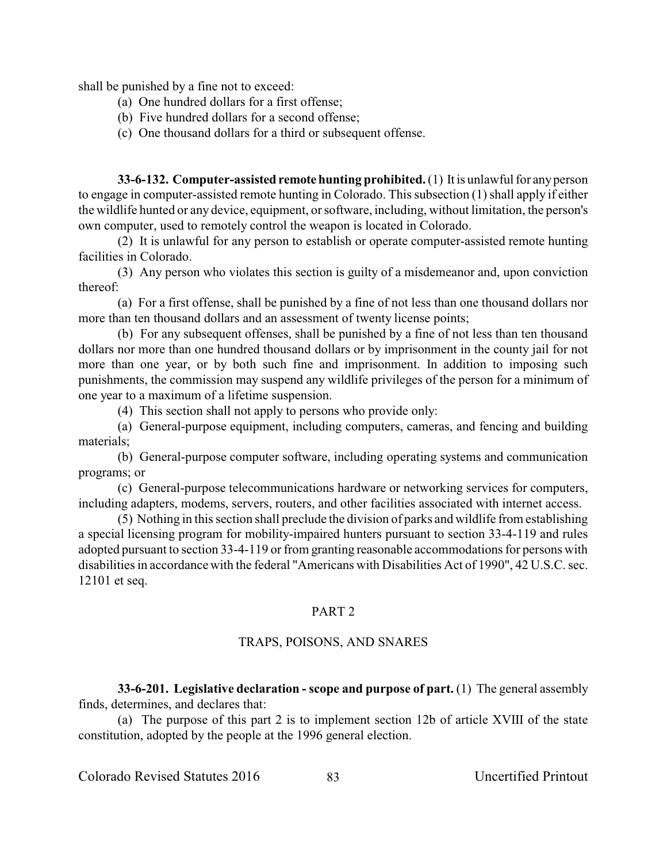shall be punished by a fine not to exceed:

- (a) One hundred dollars for a first offense;
- (b) Five hundred dollars for a second offense;
- (c) One thousand dollars for a third or subsequent offense.

**33-6-132. Computer-assisted remote hunting prohibited.** (1) It is unlawful for any person to engage in computer-assisted remote hunting in Colorado. This subsection (1) shall apply if either the wildlife hunted or any device, equipment, or software, including, without limitation, the person's own computer, used to remotely control the weapon is located in Colorado.

(2) It is unlawful for any person to establish or operate computer-assisted remote hunting facilities in Colorado.

(3) Any person who violates this section is guilty of a misdemeanor and, upon conviction thereof:

(a) For a first offense, shall be punished by a fine of not less than one thousand dollars nor more than ten thousand dollars and an assessment of twenty license points;

(b) For any subsequent offenses, shall be punished by a fine of not less than ten thousand dollars nor more than one hundred thousand dollars or by imprisonment in the county jail for not more than one year, or by both such fine and imprisonment. In addition to imposing such punishments, the commission may suspend any wildlife privileges of the person for a minimum of one year to a maximum of a lifetime suspension.

(4) This section shall not apply to persons who provide only:

(a) General-purpose equipment, including computers, cameras, and fencing and building materials;

(b) General-purpose computer software, including operating systems and communication programs; or

(c) General-purpose telecommunications hardware or networking services for computers, including adapters, modems, servers, routers, and other facilities associated with internet access.

(5) Nothing in this section shall preclude the division of parks and wildlife from establishing a special licensing program for mobility-impaired hunters pursuant to section 33-4-119 and rules adopted pursuant to section 33-4-119 or from granting reasonable accommodations for persons with disabilities in accordance with the federal "Americans with Disabilities Act of 1990", 42 U.S.C. sec. 12101 et seq.

# PART<sub>2</sub>

# TRAPS, POISONS, AND SNARES

**33-6-201. Legislative declaration - scope and purpose of part.** (1) The general assembly finds, determines, and declares that:

(a) The purpose of this part 2 is to implement section 12b of article XVIII of the state constitution, adopted by the people at the 1996 general election.

Colorado Revised Statutes 2016 83 Uncertified Printout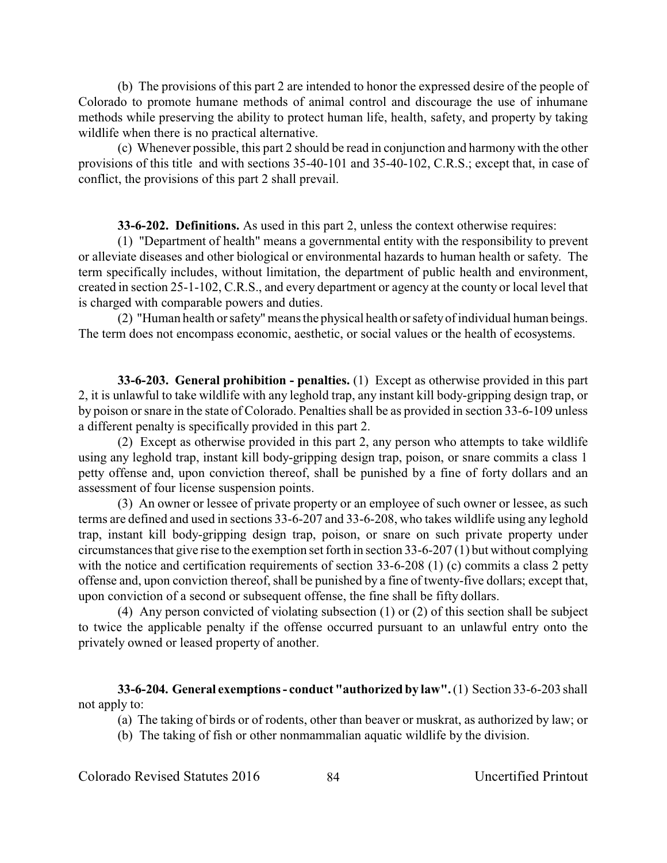(b) The provisions of this part 2 are intended to honor the expressed desire of the people of Colorado to promote humane methods of animal control and discourage the use of inhumane methods while preserving the ability to protect human life, health, safety, and property by taking wildlife when there is no practical alternative.

(c) Whenever possible, this part 2 should be read in conjunction and harmony with the other provisions of this title and with sections 35-40-101 and 35-40-102, C.R.S.; except that, in case of conflict, the provisions of this part 2 shall prevail.

**33-6-202. Definitions.** As used in this part 2, unless the context otherwise requires:

(1) "Department of health" means a governmental entity with the responsibility to prevent or alleviate diseases and other biological or environmental hazards to human health or safety. The term specifically includes, without limitation, the department of public health and environment, created in section 25-1-102, C.R.S., and every department or agency at the county or local level that is charged with comparable powers and duties.

(2) "Human health or safety"means the physical health or safetyof individual human beings. The term does not encompass economic, aesthetic, or social values or the health of ecosystems.

**33-6-203. General prohibition - penalties.** (1) Except as otherwise provided in this part 2, it is unlawful to take wildlife with any leghold trap, any instant kill body-gripping design trap, or by poison or snare in the state of Colorado. Penalties shall be as provided in section 33-6-109 unless a different penalty is specifically provided in this part 2.

(2) Except as otherwise provided in this part 2, any person who attempts to take wildlife using any leghold trap, instant kill body-gripping design trap, poison, or snare commits a class 1 petty offense and, upon conviction thereof, shall be punished by a fine of forty dollars and an assessment of four license suspension points.

(3) An owner or lessee of private property or an employee of such owner or lessee, as such terms are defined and used in sections 33-6-207 and 33-6-208, who takes wildlife using any leghold trap, instant kill body-gripping design trap, poison, or snare on such private property under circumstances that give rise to the exemption set forth in section 33-6-207 (1) but without complying with the notice and certification requirements of section 33-6-208 (1) (c) commits a class 2 petty offense and, upon conviction thereof, shall be punished by a fine of twenty-five dollars; except that, upon conviction of a second or subsequent offense, the fine shall be fifty dollars.

(4) Any person convicted of violating subsection (1) or (2) of this section shall be subject to twice the applicable penalty if the offense occurred pursuant to an unlawful entry onto the privately owned or leased property of another.

**33-6-204. General exemptions - conduct "authorized by law".** (1) Section 33-6-203 shall not apply to:

(a) The taking of birds or of rodents, other than beaver or muskrat, as authorized by law; or

(b) The taking of fish or other nonmammalian aquatic wildlife by the division.

Colorado Revised Statutes 2016 84 Uncertified Printout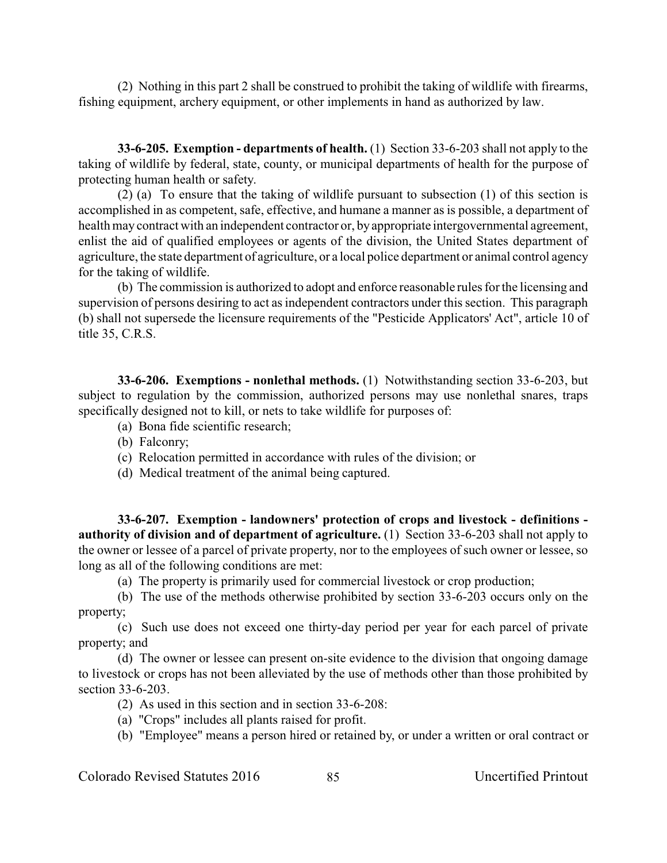(2) Nothing in this part 2 shall be construed to prohibit the taking of wildlife with firearms, fishing equipment, archery equipment, or other implements in hand as authorized by law.

**33-6-205. Exemption - departments of health.** (1) Section 33-6-203 shall not apply to the taking of wildlife by federal, state, county, or municipal departments of health for the purpose of protecting human health or safety.

(2) (a) To ensure that the taking of wildlife pursuant to subsection (1) of this section is accomplished in as competent, safe, effective, and humane a manner as is possible, a department of health may contract with an independent contractor or, by appropriate intergovernmental agreement, enlist the aid of qualified employees or agents of the division, the United States department of agriculture, the state department of agriculture, or a local police department or animal control agency for the taking of wildlife.

(b) The commission is authorized to adopt and enforce reasonable rules for the licensing and supervision of persons desiring to act as independent contractors under this section. This paragraph (b) shall not supersede the licensure requirements of the "Pesticide Applicators' Act", article 10 of title 35, C.R.S.

**33-6-206. Exemptions - nonlethal methods.** (1) Notwithstanding section 33-6-203, but subject to regulation by the commission, authorized persons may use nonlethal snares, traps specifically designed not to kill, or nets to take wildlife for purposes of:

- (a) Bona fide scientific research;
- (b) Falconry;
- (c) Relocation permitted in accordance with rules of the division; or
- (d) Medical treatment of the animal being captured.

**33-6-207. Exemption - landowners' protection of crops and livestock - definitions authority of division and of department of agriculture.** (1) Section 33-6-203 shall not apply to the owner or lessee of a parcel of private property, nor to the employees of such owner or lessee, so long as all of the following conditions are met:

(a) The property is primarily used for commercial livestock or crop production;

(b) The use of the methods otherwise prohibited by section 33-6-203 occurs only on the property;

(c) Such use does not exceed one thirty-day period per year for each parcel of private property; and

(d) The owner or lessee can present on-site evidence to the division that ongoing damage to livestock or crops has not been alleviated by the use of methods other than those prohibited by section 33-6-203.

(2) As used in this section and in section 33-6-208:

- (a) "Crops" includes all plants raised for profit.
- (b) "Employee" means a person hired or retained by, or under a written or oral contract or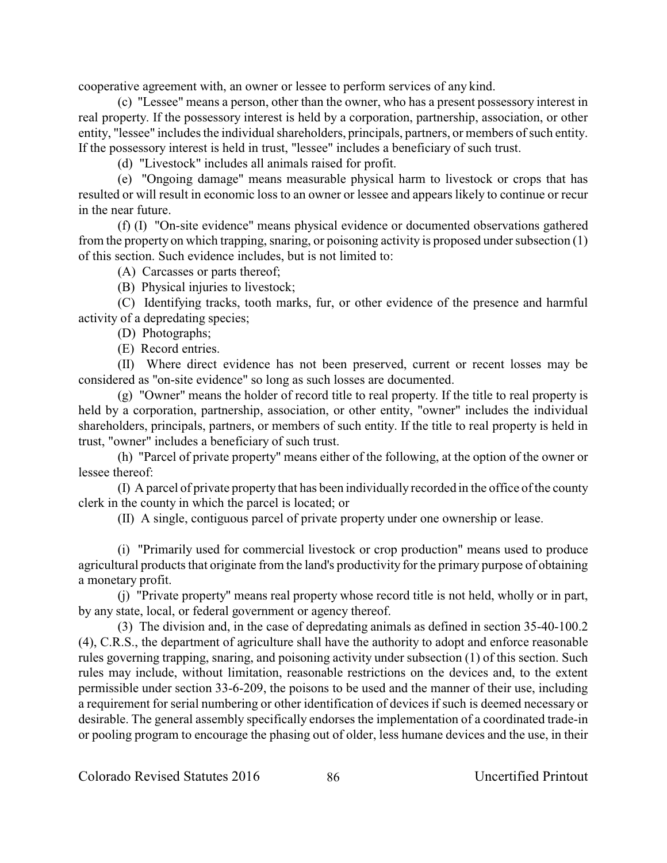cooperative agreement with, an owner or lessee to perform services of any kind.

(c) "Lessee" means a person, other than the owner, who has a present possessory interest in real property. If the possessory interest is held by a corporation, partnership, association, or other entity, "lessee" includes the individual shareholders, principals, partners, or members of such entity. If the possessory interest is held in trust, "lessee" includes a beneficiary of such trust.

(d) "Livestock" includes all animals raised for profit.

(e) "Ongoing damage" means measurable physical harm to livestock or crops that has resulted or will result in economic loss to an owner or lessee and appears likely to continue or recur in the near future.

(f) (I) "On-site evidence" means physical evidence or documented observations gathered from the property on which trapping, snaring, or poisoning activity is proposed under subsection (1) of this section. Such evidence includes, but is not limited to:

(A) Carcasses or parts thereof;

(B) Physical injuries to livestock;

(C) Identifying tracks, tooth marks, fur, or other evidence of the presence and harmful activity of a depredating species;

(D) Photographs;

(E) Record entries.

(II) Where direct evidence has not been preserved, current or recent losses may be considered as "on-site evidence" so long as such losses are documented.

(g) "Owner" means the holder of record title to real property. If the title to real property is held by a corporation, partnership, association, or other entity, "owner" includes the individual shareholders, principals, partners, or members of such entity. If the title to real property is held in trust, "owner" includes a beneficiary of such trust.

(h) "Parcel of private property" means either of the following, at the option of the owner or lessee thereof:

(I) A parcel of private property that has been individually recorded in the office of the county clerk in the county in which the parcel is located; or

(II) A single, contiguous parcel of private property under one ownership or lease.

(i) "Primarily used for commercial livestock or crop production" means used to produce agricultural products that originate from the land's productivity for the primary purpose of obtaining a monetary profit.

(j) "Private property" means real property whose record title is not held, wholly or in part, by any state, local, or federal government or agency thereof.

(3) The division and, in the case of depredating animals as defined in section 35-40-100.2 (4), C.R.S., the department of agriculture shall have the authority to adopt and enforce reasonable rules governing trapping, snaring, and poisoning activity under subsection (1) of this section. Such rules may include, without limitation, reasonable restrictions on the devices and, to the extent permissible under section 33-6-209, the poisons to be used and the manner of their use, including a requirement for serial numbering or other identification of devices if such is deemed necessary or desirable. The general assembly specifically endorses the implementation of a coordinated trade-in or pooling program to encourage the phasing out of older, less humane devices and the use, in their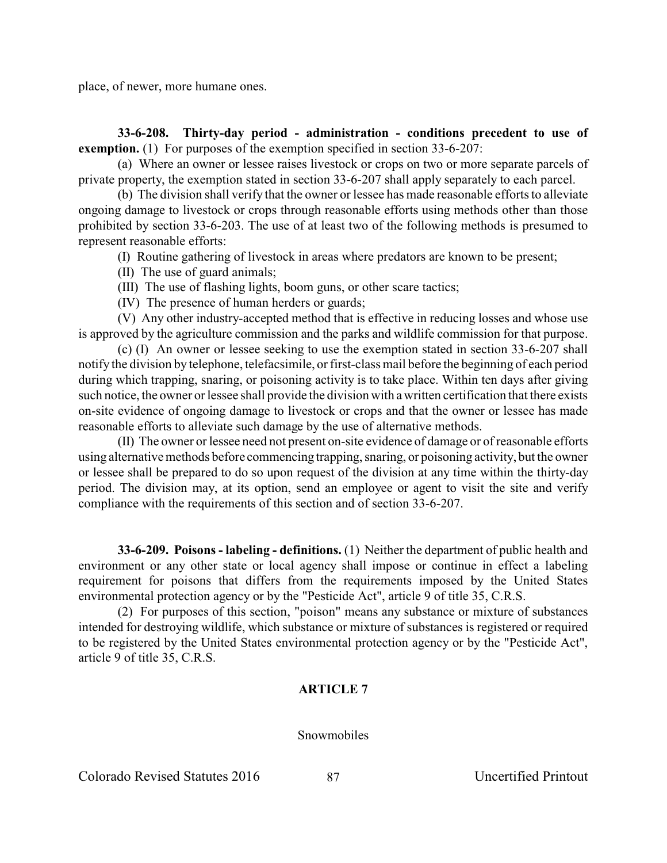place, of newer, more humane ones.

**33-6-208. Thirty-day period - administration - conditions precedent to use of exemption.** (1) For purposes of the exemption specified in section 33-6-207:

(a) Where an owner or lessee raises livestock or crops on two or more separate parcels of private property, the exemption stated in section 33-6-207 shall apply separately to each parcel.

(b) The division shall verify that the owner or lessee has made reasonable efforts to alleviate ongoing damage to livestock or crops through reasonable efforts using methods other than those prohibited by section 33-6-203. The use of at least two of the following methods is presumed to represent reasonable efforts:

(I) Routine gathering of livestock in areas where predators are known to be present;

- (II) The use of guard animals;
- (III) The use of flashing lights, boom guns, or other scare tactics;
- (IV) The presence of human herders or guards;

(V) Any other industry-accepted method that is effective in reducing losses and whose use is approved by the agriculture commission and the parks and wildlife commission for that purpose.

(c) (I) An owner or lessee seeking to use the exemption stated in section 33-6-207 shall notify the division by telephone, telefacsimile, or first-class mail before the beginning of each period during which trapping, snaring, or poisoning activity is to take place. Within ten days after giving such notice, the owner or lessee shall provide the division with a written certification that there exists on-site evidence of ongoing damage to livestock or crops and that the owner or lessee has made reasonable efforts to alleviate such damage by the use of alternative methods.

(II) The owner or lessee need not present on-site evidence of damage or of reasonable efforts using alternative methods before commencing trapping, snaring, or poisoning activity, but the owner or lessee shall be prepared to do so upon request of the division at any time within the thirty-day period. The division may, at its option, send an employee or agent to visit the site and verify compliance with the requirements of this section and of section 33-6-207.

**33-6-209. Poisons - labeling - definitions.** (1) Neither the department of public health and environment or any other state or local agency shall impose or continue in effect a labeling requirement for poisons that differs from the requirements imposed by the United States environmental protection agency or by the "Pesticide Act", article 9 of title 35, C.R.S.

(2) For purposes of this section, "poison" means any substance or mixture of substances intended for destroying wildlife, which substance or mixture of substances is registered or required to be registered by the United States environmental protection agency or by the "Pesticide Act", article 9 of title 35, C.R.S.

# **ARTICLE 7**

Snowmobiles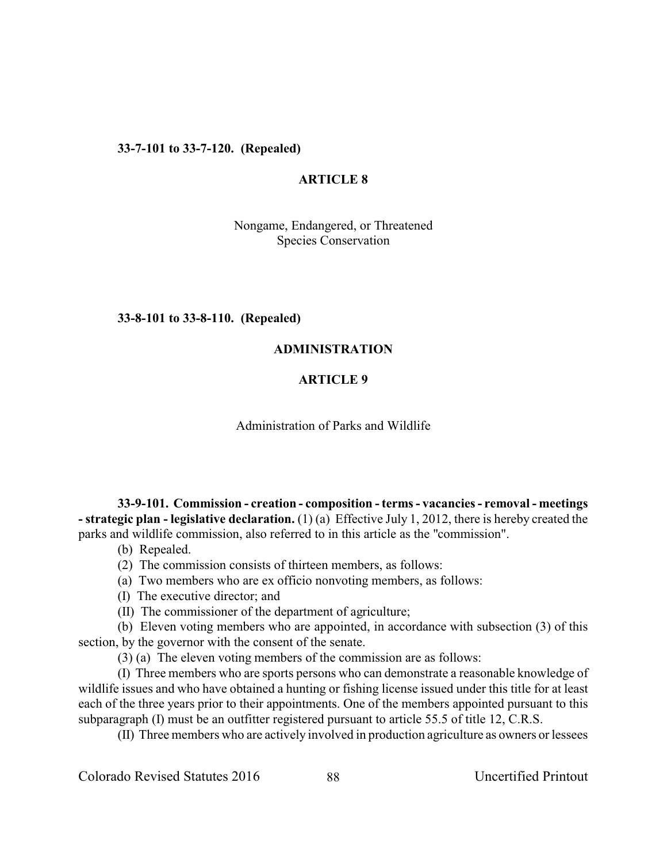## **33-7-101 to 33-7-120. (Repealed)**

# **ARTICLE 8**

Nongame, Endangered, or Threatened Species Conservation

## **33-8-101 to 33-8-110. (Repealed)**

## **ADMINISTRATION**

## **ARTICLE 9**

## Administration of Parks and Wildlife

**33-9-101. Commission - creation - composition - terms - vacancies - removal - meetings - strategic plan - legislative declaration.** (1) (a) Effective July 1, 2012, there is hereby created the parks and wildlife commission, also referred to in this article as the "commission".

- (b) Repealed.
- (2) The commission consists of thirteen members, as follows:
- (a) Two members who are ex officio nonvoting members, as follows:
- (I) The executive director; and
- (II) The commissioner of the department of agriculture;

(b) Eleven voting members who are appointed, in accordance with subsection (3) of this section, by the governor with the consent of the senate.

(3) (a) The eleven voting members of the commission are as follows:

(I) Three members who are sports persons who can demonstrate a reasonable knowledge of wildlife issues and who have obtained a hunting or fishing license issued under this title for at least each of the three years prior to their appointments. One of the members appointed pursuant to this subparagraph (I) must be an outfitter registered pursuant to article 55.5 of title 12, C.R.S.

(II) Three members who are actively involved in production agriculture as owners or lessees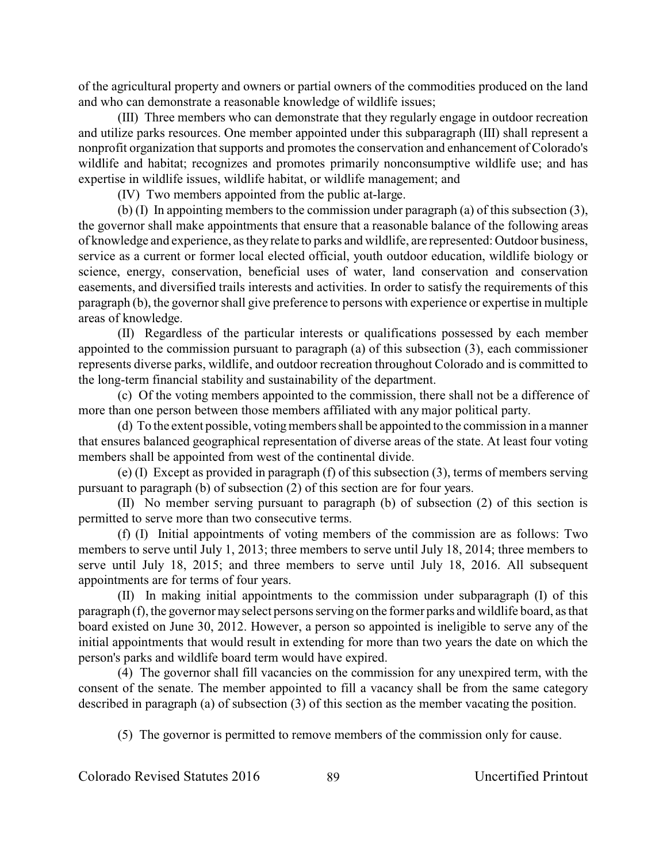of the agricultural property and owners or partial owners of the commodities produced on the land and who can demonstrate a reasonable knowledge of wildlife issues;

(III) Three members who can demonstrate that they regularly engage in outdoor recreation and utilize parks resources. One member appointed under this subparagraph (III) shall represent a nonprofit organization that supports and promotes the conservation and enhancement of Colorado's wildlife and habitat; recognizes and promotes primarily nonconsumptive wildlife use; and has expertise in wildlife issues, wildlife habitat, or wildlife management; and

(IV) Two members appointed from the public at-large.

(b) (I) In appointing members to the commission under paragraph (a) of this subsection (3), the governor shall make appointments that ensure that a reasonable balance of the following areas of knowledge and experience, as they relate to parks and wildlife, are represented: Outdoor business, service as a current or former local elected official, youth outdoor education, wildlife biology or science, energy, conservation, beneficial uses of water, land conservation and conservation easements, and diversified trails interests and activities. In order to satisfy the requirements of this paragraph (b), the governor shall give preference to persons with experience or expertise in multiple areas of knowledge.

(II) Regardless of the particular interests or qualifications possessed by each member appointed to the commission pursuant to paragraph (a) of this subsection (3), each commissioner represents diverse parks, wildlife, and outdoor recreation throughout Colorado and is committed to the long-term financial stability and sustainability of the department.

(c) Of the voting members appointed to the commission, there shall not be a difference of more than one person between those members affiliated with any major political party.

(d) To the extent possible, voting members shall be appointed to the commission in a manner that ensures balanced geographical representation of diverse areas of the state. At least four voting members shall be appointed from west of the continental divide.

(e) (I) Except as provided in paragraph (f) of this subsection (3), terms of members serving pursuant to paragraph (b) of subsection (2) of this section are for four years.

(II) No member serving pursuant to paragraph (b) of subsection (2) of this section is permitted to serve more than two consecutive terms.

(f) (I) Initial appointments of voting members of the commission are as follows: Two members to serve until July 1, 2013; three members to serve until July 18, 2014; three members to serve until July 18, 2015; and three members to serve until July 18, 2016. All subsequent appointments are for terms of four years.

(II) In making initial appointments to the commission under subparagraph (I) of this paragraph (f), the governor may select persons serving on the former parks and wildlife board, as that board existed on June 30, 2012. However, a person so appointed is ineligible to serve any of the initial appointments that would result in extending for more than two years the date on which the person's parks and wildlife board term would have expired.

(4) The governor shall fill vacancies on the commission for any unexpired term, with the consent of the senate. The member appointed to fill a vacancy shall be from the same category described in paragraph (a) of subsection (3) of this section as the member vacating the position.

(5) The governor is permitted to remove members of the commission only for cause.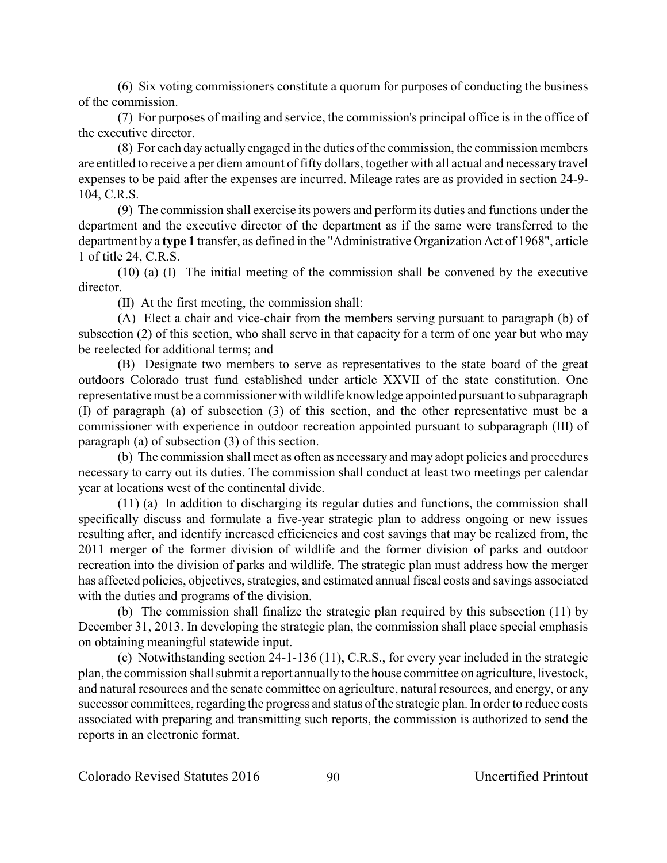(6) Six voting commissioners constitute a quorum for purposes of conducting the business of the commission.

(7) For purposes of mailing and service, the commission's principal office is in the office of the executive director.

(8) For each day actually engaged in the duties of the commission, the commission members are entitled to receive a per diem amount of fifty dollars, together with all actual and necessarytravel expenses to be paid after the expenses are incurred. Mileage rates are as provided in section 24-9- 104, C.R.S.

(9) The commission shall exercise its powers and perform its duties and functions under the department and the executive director of the department as if the same were transferred to the department by a **type 1** transfer, as defined in the "Administrative Organization Act of 1968", article 1 of title 24, C.R.S.

(10) (a) (I) The initial meeting of the commission shall be convened by the executive director.

(II) At the first meeting, the commission shall:

(A) Elect a chair and vice-chair from the members serving pursuant to paragraph (b) of subsection (2) of this section, who shall serve in that capacity for a term of one year but who may be reelected for additional terms; and

(B) Designate two members to serve as representatives to the state board of the great outdoors Colorado trust fund established under article XXVII of the state constitution. One representative must be a commissioner with wildlife knowledge appointed pursuant to subparagraph (I) of paragraph (a) of subsection (3) of this section, and the other representative must be a commissioner with experience in outdoor recreation appointed pursuant to subparagraph (III) of paragraph (a) of subsection (3) of this section.

(b) The commission shall meet as often as necessary and may adopt policies and procedures necessary to carry out its duties. The commission shall conduct at least two meetings per calendar year at locations west of the continental divide.

(11) (a) In addition to discharging its regular duties and functions, the commission shall specifically discuss and formulate a five-year strategic plan to address ongoing or new issues resulting after, and identify increased efficiencies and cost savings that may be realized from, the 2011 merger of the former division of wildlife and the former division of parks and outdoor recreation into the division of parks and wildlife. The strategic plan must address how the merger has affected policies, objectives, strategies, and estimated annual fiscal costs and savings associated with the duties and programs of the division.

(b) The commission shall finalize the strategic plan required by this subsection (11) by December 31, 2013. In developing the strategic plan, the commission shall place special emphasis on obtaining meaningful statewide input.

(c) Notwithstanding section 24-1-136 (11), C.R.S., for every year included in the strategic plan, the commission shall submit a report annuallyto the house committee on agriculture, livestock, and natural resources and the senate committee on agriculture, natural resources, and energy, or any successor committees, regarding the progress and status of the strategic plan. In order to reduce costs associated with preparing and transmitting such reports, the commission is authorized to send the reports in an electronic format.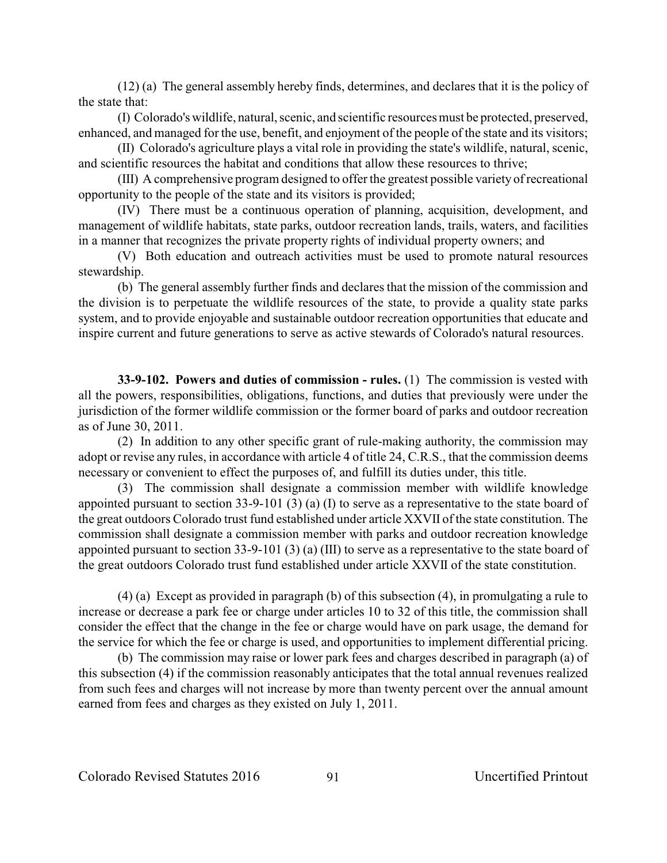(12) (a) The general assembly hereby finds, determines, and declares that it is the policy of the state that:

(I) Colorado's wildlife, natural, scenic, and scientific resources must be protected, preserved, enhanced, and managed for the use, benefit, and enjoyment of the people of the state and its visitors;

(II) Colorado's agriculture plays a vital role in providing the state's wildlife, natural, scenic, and scientific resources the habitat and conditions that allow these resources to thrive;

(III) A comprehensive program designed to offer the greatest possible variety ofrecreational opportunity to the people of the state and its visitors is provided;

(IV) There must be a continuous operation of planning, acquisition, development, and management of wildlife habitats, state parks, outdoor recreation lands, trails, waters, and facilities in a manner that recognizes the private property rights of individual property owners; and

(V) Both education and outreach activities must be used to promote natural resources stewardship.

(b) The general assembly further finds and declares that the mission of the commission and the division is to perpetuate the wildlife resources of the state, to provide a quality state parks system, and to provide enjoyable and sustainable outdoor recreation opportunities that educate and inspire current and future generations to serve as active stewards of Colorado's natural resources.

**33-9-102. Powers and duties of commission - rules.** (1) The commission is vested with all the powers, responsibilities, obligations, functions, and duties that previously were under the jurisdiction of the former wildlife commission or the former board of parks and outdoor recreation as of June 30, 2011.

(2) In addition to any other specific grant of rule-making authority, the commission may adopt or revise any rules, in accordance with article 4 of title 24, C.R.S., that the commission deems necessary or convenient to effect the purposes of, and fulfill its duties under, this title.

(3) The commission shall designate a commission member with wildlife knowledge appointed pursuant to section 33-9-101 (3) (a) (I) to serve as a representative to the state board of the great outdoors Colorado trust fund established under article XXVII of the state constitution. The commission shall designate a commission member with parks and outdoor recreation knowledge appointed pursuant to section 33-9-101 (3) (a) (III) to serve as a representative to the state board of the great outdoors Colorado trust fund established under article XXVII of the state constitution.

(4) (a) Except as provided in paragraph (b) of this subsection (4), in promulgating a rule to increase or decrease a park fee or charge under articles 10 to 32 of this title, the commission shall consider the effect that the change in the fee or charge would have on park usage, the demand for the service for which the fee or charge is used, and opportunities to implement differential pricing.

(b) The commission may raise or lower park fees and charges described in paragraph (a) of this subsection (4) if the commission reasonably anticipates that the total annual revenues realized from such fees and charges will not increase by more than twenty percent over the annual amount earned from fees and charges as they existed on July 1, 2011.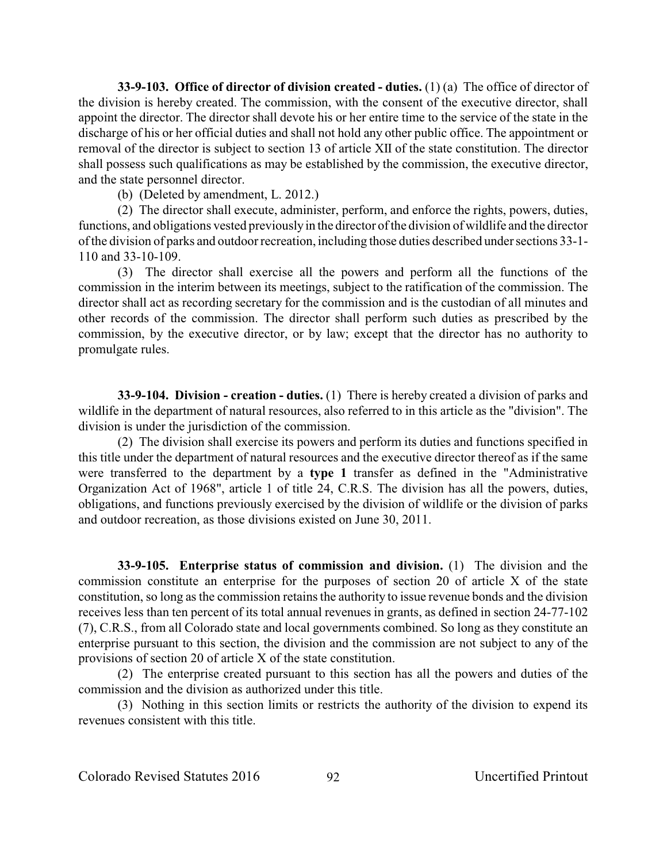**33-9-103. Office of director of division created - duties.** (1) (a) The office of director of the division is hereby created. The commission, with the consent of the executive director, shall appoint the director. The director shall devote his or her entire time to the service of the state in the discharge of his or her official duties and shall not hold any other public office. The appointment or removal of the director is subject to section 13 of article XII of the state constitution. The director shall possess such qualifications as may be established by the commission, the executive director, and the state personnel director.

(b) (Deleted by amendment, L. 2012.)

(2) The director shall execute, administer, perform, and enforce the rights, powers, duties, functions, and obligations vested previouslyin the director of the division of wildlife and the director of the division of parks and outdoor recreation, including those duties described under sections 33-1- 110 and 33-10-109.

(3) The director shall exercise all the powers and perform all the functions of the commission in the interim between its meetings, subject to the ratification of the commission. The director shall act as recording secretary for the commission and is the custodian of all minutes and other records of the commission. The director shall perform such duties as prescribed by the commission, by the executive director, or by law; except that the director has no authority to promulgate rules.

**33-9-104. Division - creation - duties.** (1) There is hereby created a division of parks and wildlife in the department of natural resources, also referred to in this article as the "division". The division is under the jurisdiction of the commission.

(2) The division shall exercise its powers and perform its duties and functions specified in this title under the department of natural resources and the executive director thereof as if the same were transferred to the department by a **type 1** transfer as defined in the "Administrative Organization Act of 1968", article 1 of title 24, C.R.S. The division has all the powers, duties, obligations, and functions previously exercised by the division of wildlife or the division of parks and outdoor recreation, as those divisions existed on June 30, 2011.

**33-9-105. Enterprise status of commission and division.** (1) The division and the commission constitute an enterprise for the purposes of section 20 of article X of the state constitution, so long as the commission retains the authority to issue revenue bonds and the division receives less than ten percent of its total annual revenues in grants, as defined in section 24-77-102 (7), C.R.S., from all Colorado state and local governments combined. So long as they constitute an enterprise pursuant to this section, the division and the commission are not subject to any of the provisions of section 20 of article X of the state constitution.

(2) The enterprise created pursuant to this section has all the powers and duties of the commission and the division as authorized under this title.

(3) Nothing in this section limits or restricts the authority of the division to expend its revenues consistent with this title.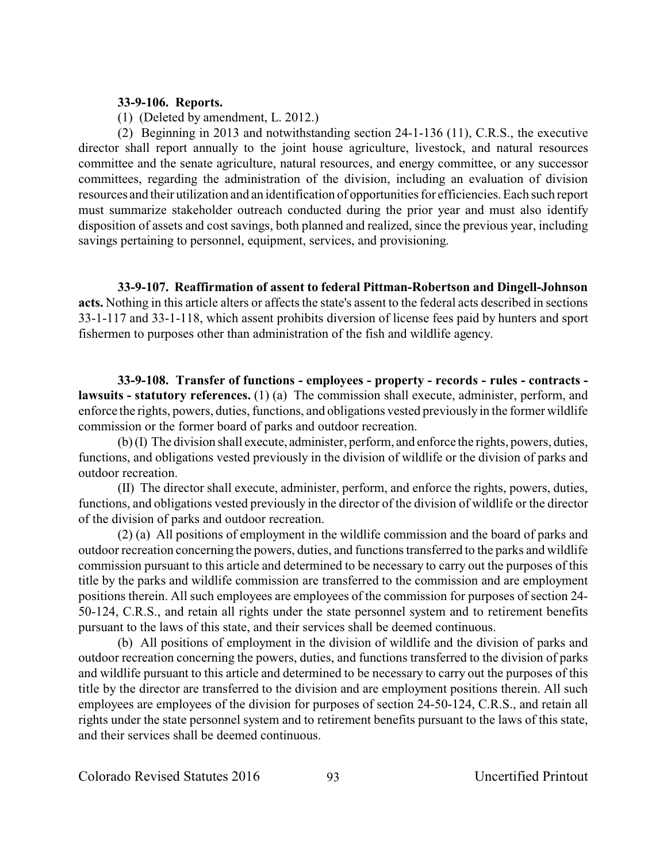#### **33-9-106. Reports.**

(1) (Deleted by amendment, L. 2012.)

(2) Beginning in 2013 and notwithstanding section 24-1-136 (11), C.R.S., the executive director shall report annually to the joint house agriculture, livestock, and natural resources committee and the senate agriculture, natural resources, and energy committee, or any successor committees, regarding the administration of the division, including an evaluation of division resources and their utilization and an identification of opportunities for efficiencies. Each such report must summarize stakeholder outreach conducted during the prior year and must also identify disposition of assets and cost savings, both planned and realized, since the previous year, including savings pertaining to personnel, equipment, services, and provisioning.

**33-9-107. Reaffirmation of assent to federal Pittman-Robertson and Dingell-Johnson acts.** Nothing in this article alters or affects the state's assent to the federal acts described in sections 33-1-117 and 33-1-118, which assent prohibits diversion of license fees paid by hunters and sport fishermen to purposes other than administration of the fish and wildlife agency.

**33-9-108. Transfer of functions - employees - property - records - rules - contracts lawsuits - statutory references.** (1) (a) The commission shall execute, administer, perform, and enforce the rights, powers, duties, functions, and obligations vested previously in the former wildlife commission or the former board of parks and outdoor recreation.

(b) (I) The division shall execute, administer, perform, and enforce the rights, powers, duties, functions, and obligations vested previously in the division of wildlife or the division of parks and outdoor recreation.

(II) The director shall execute, administer, perform, and enforce the rights, powers, duties, functions, and obligations vested previously in the director of the division of wildlife or the director of the division of parks and outdoor recreation.

(2) (a) All positions of employment in the wildlife commission and the board of parks and outdoor recreation concerning the powers, duties, and functions transferred to the parks and wildlife commission pursuant to this article and determined to be necessary to carry out the purposes of this title by the parks and wildlife commission are transferred to the commission and are employment positions therein. All such employees are employees of the commission for purposes of section 24- 50-124, C.R.S., and retain all rights under the state personnel system and to retirement benefits pursuant to the laws of this state, and their services shall be deemed continuous.

(b) All positions of employment in the division of wildlife and the division of parks and outdoor recreation concerning the powers, duties, and functions transferred to the division of parks and wildlife pursuant to this article and determined to be necessary to carry out the purposes of this title by the director are transferred to the division and are employment positions therein. All such employees are employees of the division for purposes of section 24-50-124, C.R.S., and retain all rights under the state personnel system and to retirement benefits pursuant to the laws of this state, and their services shall be deemed continuous.

Colorado Revised Statutes 2016 93 Uncertified Printout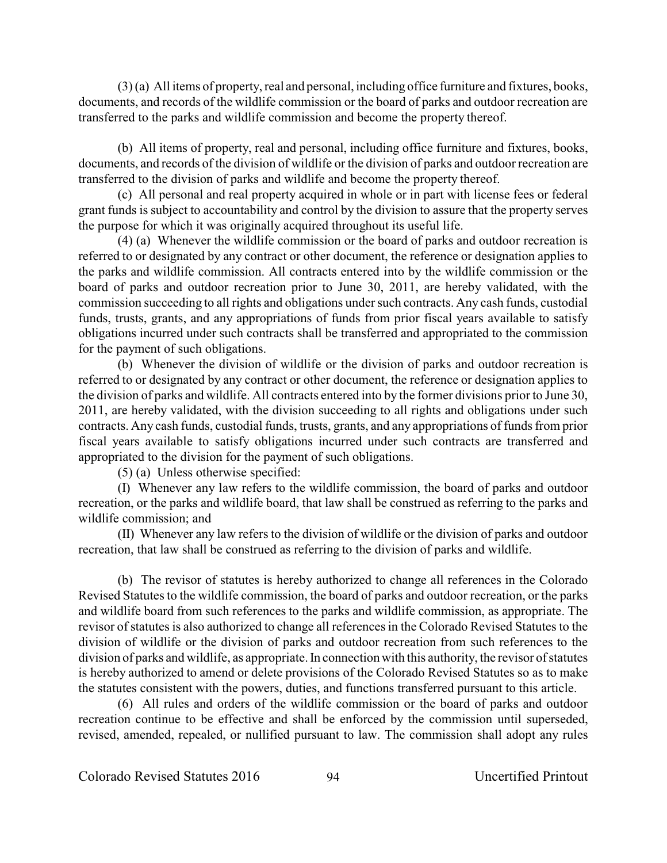(3) (a) All items of property, real and personal, including office furniture and fixtures, books, documents, and records of the wildlife commission or the board of parks and outdoor recreation are transferred to the parks and wildlife commission and become the property thereof.

(b) All items of property, real and personal, including office furniture and fixtures, books, documents, and records of the division of wildlife or the division of parks and outdoor recreation are transferred to the division of parks and wildlife and become the property thereof.

(c) All personal and real property acquired in whole or in part with license fees or federal grant funds is subject to accountability and control by the division to assure that the property serves the purpose for which it was originally acquired throughout its useful life.

(4) (a) Whenever the wildlife commission or the board of parks and outdoor recreation is referred to or designated by any contract or other document, the reference or designation applies to the parks and wildlife commission. All contracts entered into by the wildlife commission or the board of parks and outdoor recreation prior to June 30, 2011, are hereby validated, with the commission succeeding to all rights and obligations under such contracts. Any cash funds, custodial funds, trusts, grants, and any appropriations of funds from prior fiscal years available to satisfy obligations incurred under such contracts shall be transferred and appropriated to the commission for the payment of such obligations.

(b) Whenever the division of wildlife or the division of parks and outdoor recreation is referred to or designated by any contract or other document, the reference or designation applies to the division of parks and wildlife. All contracts entered into by the former divisions prior to June 30, 2011, are hereby validated, with the division succeeding to all rights and obligations under such contracts. Any cash funds, custodial funds, trusts, grants, and any appropriations of funds from prior fiscal years available to satisfy obligations incurred under such contracts are transferred and appropriated to the division for the payment of such obligations.

(5) (a) Unless otherwise specified:

(I) Whenever any law refers to the wildlife commission, the board of parks and outdoor recreation, or the parks and wildlife board, that law shall be construed as referring to the parks and wildlife commission; and

(II) Whenever any law refers to the division of wildlife or the division of parks and outdoor recreation, that law shall be construed as referring to the division of parks and wildlife.

(b) The revisor of statutes is hereby authorized to change all references in the Colorado Revised Statutes to the wildlife commission, the board of parks and outdoor recreation, or the parks and wildlife board from such references to the parks and wildlife commission, as appropriate. The revisor of statutes is also authorized to change all references in the Colorado Revised Statutes to the division of wildlife or the division of parks and outdoor recreation from such references to the division of parks and wildlife, as appropriate. In connection with this authority, the revisor of statutes is hereby authorized to amend or delete provisions of the Colorado Revised Statutes so as to make the statutes consistent with the powers, duties, and functions transferred pursuant to this article.

(6) All rules and orders of the wildlife commission or the board of parks and outdoor recreation continue to be effective and shall be enforced by the commission until superseded, revised, amended, repealed, or nullified pursuant to law. The commission shall adopt any rules

Colorado Revised Statutes 2016 94 Uncertified Printout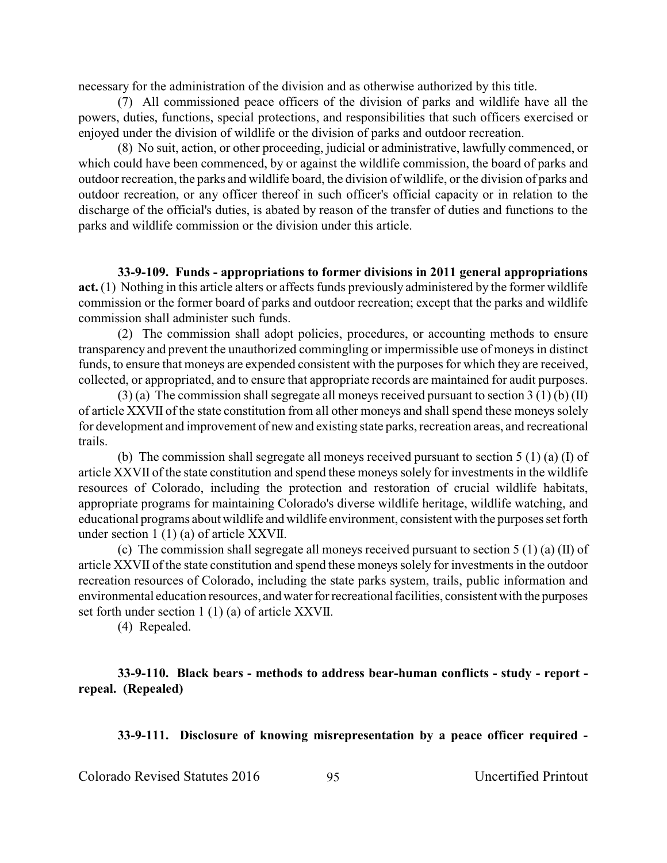necessary for the administration of the division and as otherwise authorized by this title.

(7) All commissioned peace officers of the division of parks and wildlife have all the powers, duties, functions, special protections, and responsibilities that such officers exercised or enjoyed under the division of wildlife or the division of parks and outdoor recreation.

(8) No suit, action, or other proceeding, judicial or administrative, lawfully commenced, or which could have been commenced, by or against the wildlife commission, the board of parks and outdoor recreation, the parks and wildlife board, the division of wildlife, or the division of parks and outdoor recreation, or any officer thereof in such officer's official capacity or in relation to the discharge of the official's duties, is abated by reason of the transfer of duties and functions to the parks and wildlife commission or the division under this article.

**33-9-109. Funds - appropriations to former divisions in 2011 general appropriations act.** (1) Nothing in this article alters or affects funds previously administered by the former wildlife commission or the former board of parks and outdoor recreation; except that the parks and wildlife commission shall administer such funds.

(2) The commission shall adopt policies, procedures, or accounting methods to ensure transparency and prevent the unauthorized commingling or impermissible use of moneys in distinct funds, to ensure that moneys are expended consistent with the purposes for which they are received, collected, or appropriated, and to ensure that appropriate records are maintained for audit purposes.

(3) (a) The commission shall segregate all moneys received pursuant to section  $3(1)(b)(II)$ of article XXVII of the state constitution from all other moneys and shall spend these moneys solely for development and improvement of new and existing state parks, recreation areas, and recreational trails.

(b) The commission shall segregate all moneys received pursuant to section 5 (1) (a) (I) of article XXVII of the state constitution and spend these moneys solely for investments in the wildlife resources of Colorado, including the protection and restoration of crucial wildlife habitats, appropriate programs for maintaining Colorado's diverse wildlife heritage, wildlife watching, and educational programs about wildlife and wildlife environment, consistent with the purposes set forth under section 1 (1) (a) of article XXVII.

(c) The commission shall segregate all moneys received pursuant to section 5 (1) (a) (II) of article XXVII of the state constitution and spend these moneys solely for investments in the outdoor recreation resources of Colorado, including the state parks system, trails, public information and environmental education resources, and water for recreational facilities, consistent with the purposes set forth under section 1 (1) (a) of article XXVII.

(4) Repealed.

**33-9-110. Black bears - methods to address bear-human conflicts - study - report repeal. (Repealed)** 

**33-9-111. Disclosure of knowing misrepresentation by a peace officer required -**

Colorado Revised Statutes 2016 95 Uncertified Printout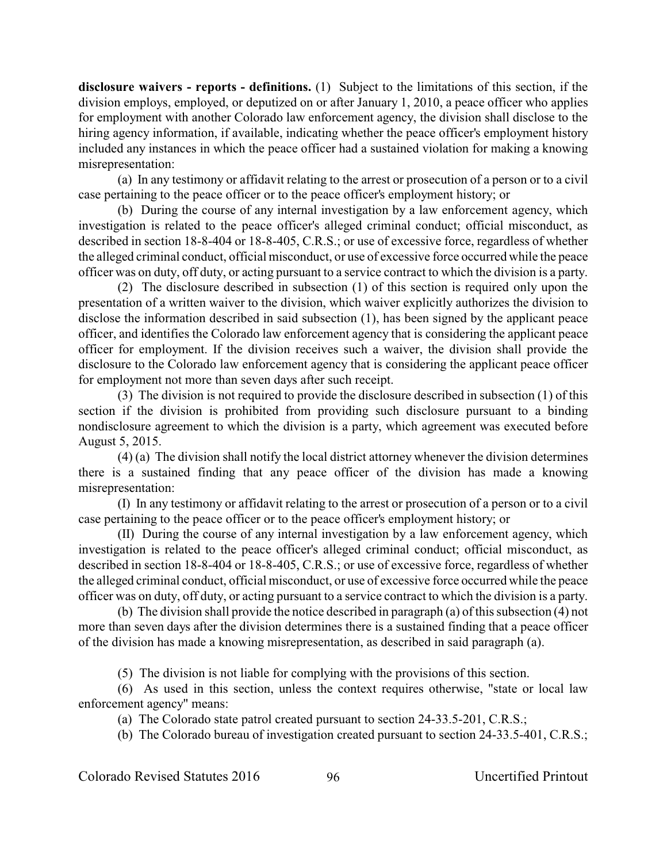**disclosure waivers - reports - definitions.** (1) Subject to the limitations of this section, if the division employs, employed, or deputized on or after January 1, 2010, a peace officer who applies for employment with another Colorado law enforcement agency, the division shall disclose to the hiring agency information, if available, indicating whether the peace officer's employment history included any instances in which the peace officer had a sustained violation for making a knowing misrepresentation:

(a) In any testimony or affidavit relating to the arrest or prosecution of a person or to a civil case pertaining to the peace officer or to the peace officer's employment history; or

(b) During the course of any internal investigation by a law enforcement agency, which investigation is related to the peace officer's alleged criminal conduct; official misconduct, as described in section 18-8-404 or 18-8-405, C.R.S.; or use of excessive force, regardless of whether the alleged criminal conduct, official misconduct, or use of excessive force occurred while the peace officer was on duty, off duty, or acting pursuant to a service contract to which the division is a party.

(2) The disclosure described in subsection (1) of this section is required only upon the presentation of a written waiver to the division, which waiver explicitly authorizes the division to disclose the information described in said subsection (1), has been signed by the applicant peace officer, and identifies the Colorado law enforcement agency that is considering the applicant peace officer for employment. If the division receives such a waiver, the division shall provide the disclosure to the Colorado law enforcement agency that is considering the applicant peace officer for employment not more than seven days after such receipt.

(3) The division is not required to provide the disclosure described in subsection (1) of this section if the division is prohibited from providing such disclosure pursuant to a binding nondisclosure agreement to which the division is a party, which agreement was executed before August 5, 2015.

(4) (a) The division shall notify the local district attorney whenever the division determines there is a sustained finding that any peace officer of the division has made a knowing misrepresentation:

(I) In any testimony or affidavit relating to the arrest or prosecution of a person or to a civil case pertaining to the peace officer or to the peace officer's employment history; or

(II) During the course of any internal investigation by a law enforcement agency, which investigation is related to the peace officer's alleged criminal conduct; official misconduct, as described in section 18-8-404 or 18-8-405, C.R.S.; or use of excessive force, regardless of whether the alleged criminal conduct, official misconduct, or use of excessive force occurred while the peace officer was on duty, off duty, or acting pursuant to a service contract to which the division is a party.

(b) The division shall provide the notice described in paragraph (a) of this subsection (4) not more than seven days after the division determines there is a sustained finding that a peace officer of the division has made a knowing misrepresentation, as described in said paragraph (a).

(5) The division is not liable for complying with the provisions of this section.

(6) As used in this section, unless the context requires otherwise, "state or local law enforcement agency" means:

(a) The Colorado state patrol created pursuant to section 24-33.5-201, C.R.S.;

(b) The Colorado bureau of investigation created pursuant to section 24-33.5-401, C.R.S.;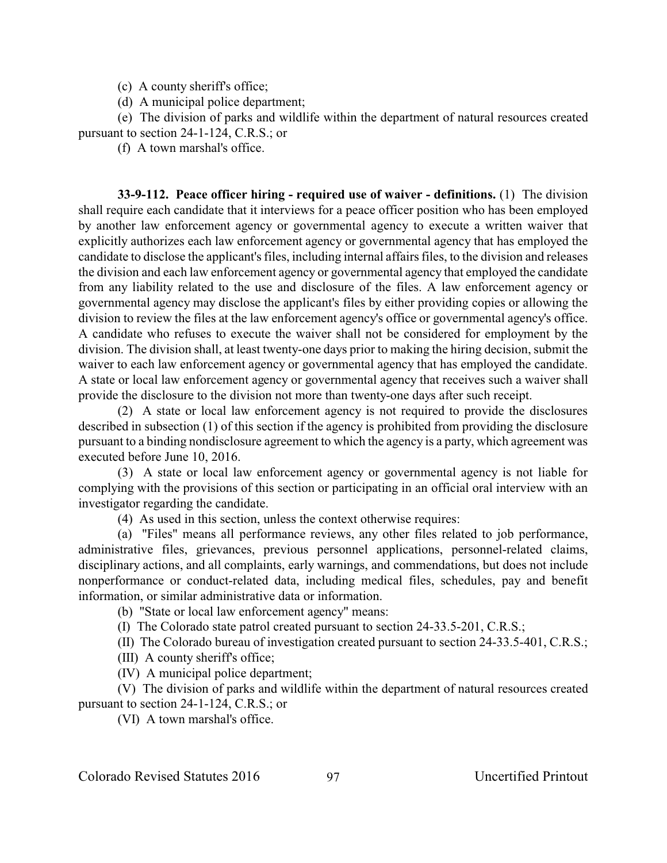(c) A county sheriff's office;

(d) A municipal police department;

(e) The division of parks and wildlife within the department of natural resources created pursuant to section 24-1-124, C.R.S.; or

(f) A town marshal's office.

**33-9-112. Peace officer hiring - required use of waiver - definitions.** (1) The division shall require each candidate that it interviews for a peace officer position who has been employed by another law enforcement agency or governmental agency to execute a written waiver that explicitly authorizes each law enforcement agency or governmental agency that has employed the candidate to disclose the applicant's files, including internal affairs files, to the division and releases the division and each law enforcement agency or governmental agency that employed the candidate from any liability related to the use and disclosure of the files. A law enforcement agency or governmental agency may disclose the applicant's files by either providing copies or allowing the division to review the files at the law enforcement agency's office or governmental agency's office. A candidate who refuses to execute the waiver shall not be considered for employment by the division. The division shall, at least twenty-one days prior to making the hiring decision, submit the waiver to each law enforcement agency or governmental agency that has employed the candidate. A state or local law enforcement agency or governmental agency that receives such a waiver shall provide the disclosure to the division not more than twenty-one days after such receipt.

(2) A state or local law enforcement agency is not required to provide the disclosures described in subsection (1) of this section if the agency is prohibited from providing the disclosure pursuant to a binding nondisclosure agreement to which the agency is a party, which agreement was executed before June 10, 2016.

(3) A state or local law enforcement agency or governmental agency is not liable for complying with the provisions of this section or participating in an official oral interview with an investigator regarding the candidate.

(4) As used in this section, unless the context otherwise requires:

(a) "Files" means all performance reviews, any other files related to job performance, administrative files, grievances, previous personnel applications, personnel-related claims, disciplinary actions, and all complaints, early warnings, and commendations, but does not include nonperformance or conduct-related data, including medical files, schedules, pay and benefit information, or similar administrative data or information.

(b) "State or local law enforcement agency" means:

(I) The Colorado state patrol created pursuant to section 24-33.5-201, C.R.S.;

(II) The Colorado bureau of investigation created pursuant to section 24-33.5-401, C.R.S.;

(III) A county sheriff's office;

(IV) A municipal police department;

(V) The division of parks and wildlife within the department of natural resources created pursuant to section 24-1-124, C.R.S.; or

(VI) A town marshal's office.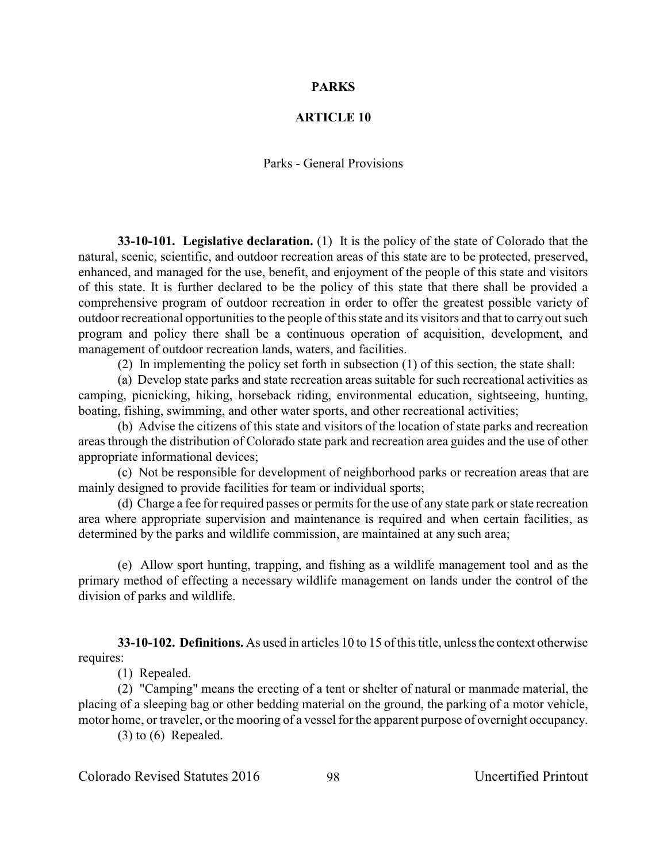#### **PARKS**

#### **ARTICLE 10**

### Parks - General Provisions

**33-10-101. Legislative declaration.** (1) It is the policy of the state of Colorado that the natural, scenic, scientific, and outdoor recreation areas of this state are to be protected, preserved, enhanced, and managed for the use, benefit, and enjoyment of the people of this state and visitors of this state. It is further declared to be the policy of this state that there shall be provided a comprehensive program of outdoor recreation in order to offer the greatest possible variety of outdoor recreational opportunities to the people of this state and its visitors and that to carry out such program and policy there shall be a continuous operation of acquisition, development, and management of outdoor recreation lands, waters, and facilities.

(2) In implementing the policy set forth in subsection (1) of this section, the state shall:

(a) Develop state parks and state recreation areas suitable for such recreational activities as camping, picnicking, hiking, horseback riding, environmental education, sightseeing, hunting, boating, fishing, swimming, and other water sports, and other recreational activities;

(b) Advise the citizens of this state and visitors of the location of state parks and recreation areas through the distribution of Colorado state park and recreation area guides and the use of other appropriate informational devices;

(c) Not be responsible for development of neighborhood parks or recreation areas that are mainly designed to provide facilities for team or individual sports;

(d) Charge a fee for required passes or permits for the use of any state park or state recreation area where appropriate supervision and maintenance is required and when certain facilities, as determined by the parks and wildlife commission, are maintained at any such area;

(e) Allow sport hunting, trapping, and fishing as a wildlife management tool and as the primary method of effecting a necessary wildlife management on lands under the control of the division of parks and wildlife.

**33-10-102. Definitions.** As used in articles 10 to 15 of this title, unless the context otherwise requires:

(1) Repealed.

(2) "Camping" means the erecting of a tent or shelter of natural or manmade material, the placing of a sleeping bag or other bedding material on the ground, the parking of a motor vehicle, motor home, or traveler, or the mooring of a vessel for the apparent purpose of overnight occupancy.

(3) to (6) Repealed.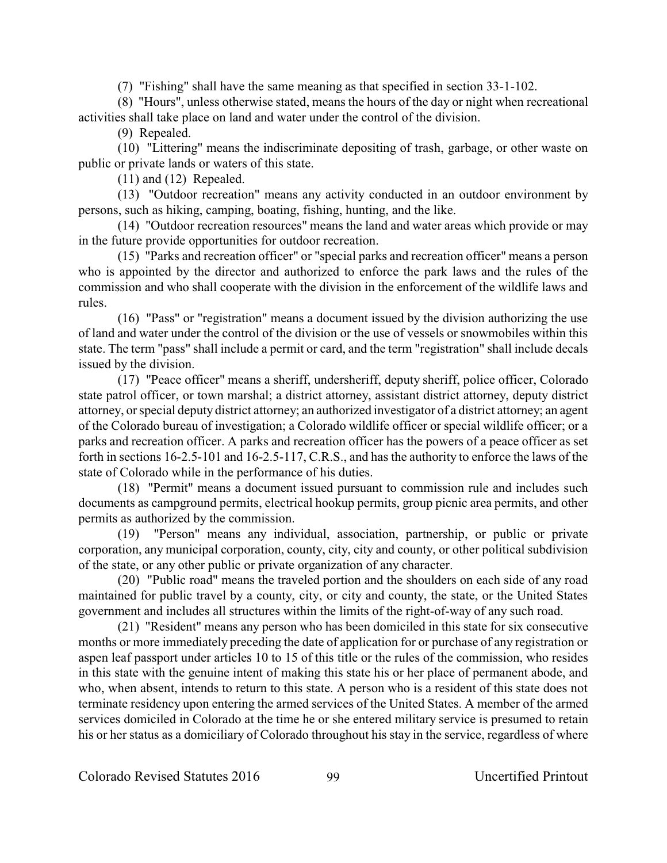(7) "Fishing" shall have the same meaning as that specified in section 33-1-102.

(8) "Hours", unless otherwise stated, means the hours of the day or night when recreational activities shall take place on land and water under the control of the division.

(9) Repealed.

(10) "Littering" means the indiscriminate depositing of trash, garbage, or other waste on public or private lands or waters of this state.

(11) and (12) Repealed.

(13) "Outdoor recreation" means any activity conducted in an outdoor environment by persons, such as hiking, camping, boating, fishing, hunting, and the like.

(14) "Outdoor recreation resources" means the land and water areas which provide or may in the future provide opportunities for outdoor recreation.

(15) "Parks and recreation officer" or "special parks and recreation officer" means a person who is appointed by the director and authorized to enforce the park laws and the rules of the commission and who shall cooperate with the division in the enforcement of the wildlife laws and rules.

(16) "Pass" or "registration" means a document issued by the division authorizing the use of land and water under the control of the division or the use of vessels or snowmobiles within this state. The term "pass" shall include a permit or card, and the term "registration" shall include decals issued by the division.

(17) "Peace officer" means a sheriff, undersheriff, deputy sheriff, police officer, Colorado state patrol officer, or town marshal; a district attorney, assistant district attorney, deputy district attorney, or special deputy district attorney; an authorized investigator of a district attorney; an agent of the Colorado bureau of investigation; a Colorado wildlife officer or special wildlife officer; or a parks and recreation officer. A parks and recreation officer has the powers of a peace officer as set forth in sections 16-2.5-101 and 16-2.5-117, C.R.S., and has the authority to enforce the laws of the state of Colorado while in the performance of his duties.

(18) "Permit" means a document issued pursuant to commission rule and includes such documents as campground permits, electrical hookup permits, group picnic area permits, and other permits as authorized by the commission.

(19) "Person" means any individual, association, partnership, or public or private corporation, any municipal corporation, county, city, city and county, or other political subdivision of the state, or any other public or private organization of any character.

(20) "Public road" means the traveled portion and the shoulders on each side of any road maintained for public travel by a county, city, or city and county, the state, or the United States government and includes all structures within the limits of the right-of-way of any such road.

(21) "Resident" means any person who has been domiciled in this state for six consecutive months or more immediately preceding the date of application for or purchase of any registration or aspen leaf passport under articles 10 to 15 of this title or the rules of the commission, who resides in this state with the genuine intent of making this state his or her place of permanent abode, and who, when absent, intends to return to this state. A person who is a resident of this state does not terminate residency upon entering the armed services of the United States. A member of the armed services domiciled in Colorado at the time he or she entered military service is presumed to retain his or her status as a domiciliary of Colorado throughout his stay in the service, regardless of where

Colorado Revised Statutes 2016 99 Uncertified Printout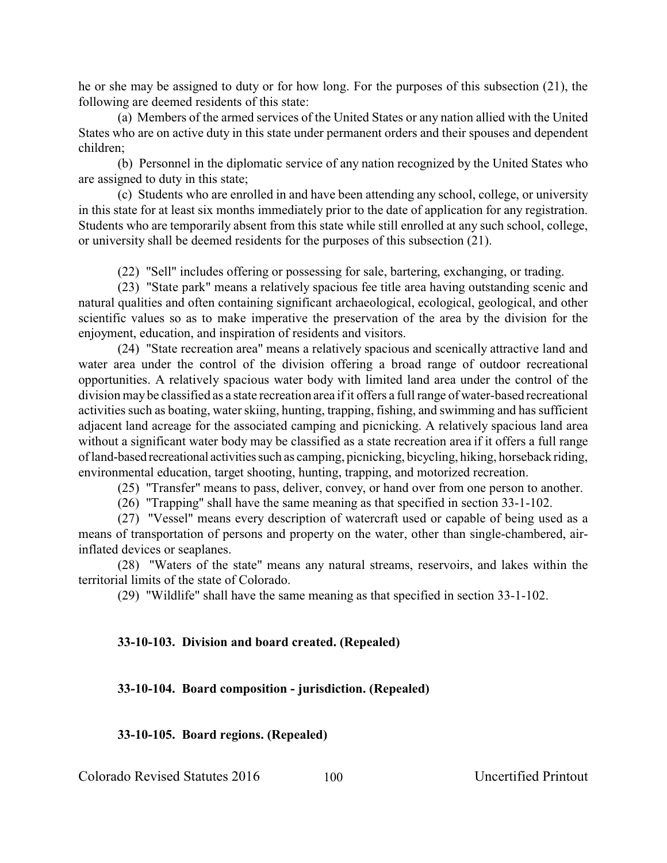he or she may be assigned to duty or for how long. For the purposes of this subsection (21), the following are deemed residents of this state:

(a) Members of the armed services of the United States or any nation allied with the United States who are on active duty in this state under permanent orders and their spouses and dependent children;

(b) Personnel in the diplomatic service of any nation recognized by the United States who are assigned to duty in this state;

(c) Students who are enrolled in and have been attending any school, college, or university in this state for at least six months immediately prior to the date of application for any registration. Students who are temporarily absent from this state while still enrolled at any such school, college, or university shall be deemed residents for the purposes of this subsection (21).

(22) "Sell" includes offering or possessing for sale, bartering, exchanging, or trading.

(23) "State park" means a relatively spacious fee title area having outstanding scenic and natural qualities and often containing significant archaeological, ecological, geological, and other scientific values so as to make imperative the preservation of the area by the division for the enjoyment, education, and inspiration of residents and visitors.

(24) "State recreation area" means a relatively spacious and scenically attractive land and water area under the control of the division offering a broad range of outdoor recreational opportunities. A relatively spacious water body with limited land area under the control of the division maybe classified as a state recreation area if it offers a full range of water-based recreational activities such as boating, water skiing, hunting, trapping, fishing, and swimming and has sufficient adjacent land acreage for the associated camping and picnicking. A relatively spacious land area without a significant water body may be classified as a state recreation area if it offers a full range of land-based recreational activities such as camping, picnicking, bicycling, hiking, horseback riding, environmental education, target shooting, hunting, trapping, and motorized recreation.

(25) "Transfer" means to pass, deliver, convey, or hand over from one person to another.

(26) "Trapping" shall have the same meaning as that specified in section 33-1-102.

(27) "Vessel" means every description of watercraft used or capable of being used as a means of transportation of persons and property on the water, other than single-chambered, airinflated devices or seaplanes.

(28) "Waters of the state" means any natural streams, reservoirs, and lakes within the territorial limits of the state of Colorado.

(29) "Wildlife" shall have the same meaning as that specified in section 33-1-102.

# **33-10-103. Division and board created. (Repealed)**

# **33-10-104. Board composition - jurisdiction. (Repealed)**

**33-10-105. Board regions. (Repealed)** 

Colorado Revised Statutes 2016 100 Uncertified Printout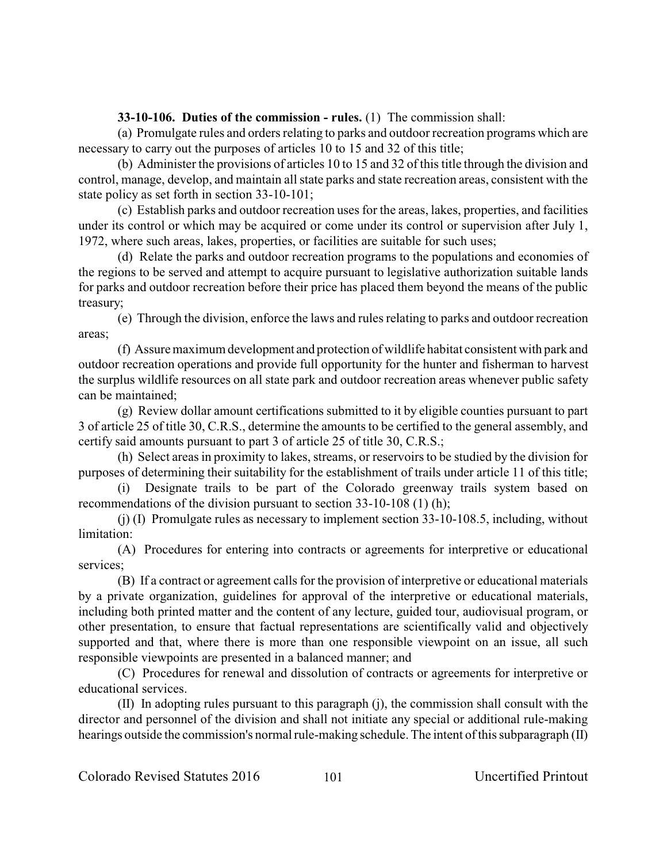## **33-10-106. Duties of the commission - rules.** (1) The commission shall:

(a) Promulgate rules and orders relating to parks and outdoor recreation programs which are necessary to carry out the purposes of articles 10 to 15 and 32 of this title;

(b) Administer the provisions of articles 10 to 15 and 32 of this title through the division and control, manage, develop, and maintain all state parks and state recreation areas, consistent with the state policy as set forth in section 33-10-101;

(c) Establish parks and outdoor recreation uses for the areas, lakes, properties, and facilities under its control or which may be acquired or come under its control or supervision after July 1, 1972, where such areas, lakes, properties, or facilities are suitable for such uses;

(d) Relate the parks and outdoor recreation programs to the populations and economies of the regions to be served and attempt to acquire pursuant to legislative authorization suitable lands for parks and outdoor recreation before their price has placed them beyond the means of the public treasury;

(e) Through the division, enforce the laws and rules relating to parks and outdoor recreation areas;

(f) Assure maximum development and protection of wildlife habitat consistent with park and outdoor recreation operations and provide full opportunity for the hunter and fisherman to harvest the surplus wildlife resources on all state park and outdoor recreation areas whenever public safety can be maintained;

(g) Review dollar amount certifications submitted to it by eligible counties pursuant to part 3 of article 25 of title 30, C.R.S., determine the amounts to be certified to the general assembly, and certify said amounts pursuant to part 3 of article 25 of title 30, C.R.S.;

(h) Select areas in proximity to lakes, streams, or reservoirs to be studied by the division for purposes of determining their suitability for the establishment of trails under article 11 of this title;

(i) Designate trails to be part of the Colorado greenway trails system based on recommendations of the division pursuant to section 33-10-108 (1) (h);

(j) (I) Promulgate rules as necessary to implement section 33-10-108.5, including, without limitation:

(A) Procedures for entering into contracts or agreements for interpretive or educational services;

(B) If a contract or agreement calls for the provision of interpretive or educational materials by a private organization, guidelines for approval of the interpretive or educational materials, including both printed matter and the content of any lecture, guided tour, audiovisual program, or other presentation, to ensure that factual representations are scientifically valid and objectively supported and that, where there is more than one responsible viewpoint on an issue, all such responsible viewpoints are presented in a balanced manner; and

(C) Procedures for renewal and dissolution of contracts or agreements for interpretive or educational services.

(II) In adopting rules pursuant to this paragraph (j), the commission shall consult with the director and personnel of the division and shall not initiate any special or additional rule-making hearings outside the commission's normal rule-making schedule. The intent of this subparagraph (II)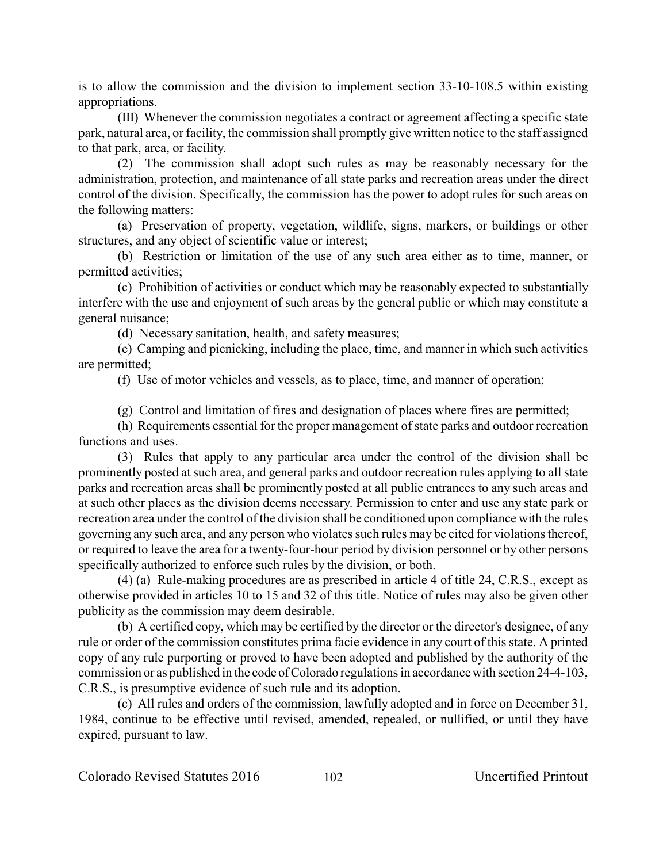is to allow the commission and the division to implement section 33-10-108.5 within existing appropriations.

(III) Whenever the commission negotiates a contract or agreement affecting a specific state park, natural area, or facility, the commission shall promptly give written notice to the staff assigned to that park, area, or facility.

(2) The commission shall adopt such rules as may be reasonably necessary for the administration, protection, and maintenance of all state parks and recreation areas under the direct control of the division. Specifically, the commission has the power to adopt rules for such areas on the following matters:

(a) Preservation of property, vegetation, wildlife, signs, markers, or buildings or other structures, and any object of scientific value or interest;

(b) Restriction or limitation of the use of any such area either as to time, manner, or permitted activities;

(c) Prohibition of activities or conduct which may be reasonably expected to substantially interfere with the use and enjoyment of such areas by the general public or which may constitute a general nuisance;

(d) Necessary sanitation, health, and safety measures;

(e) Camping and picnicking, including the place, time, and manner in which such activities are permitted;

(f) Use of motor vehicles and vessels, as to place, time, and manner of operation;

(g) Control and limitation of fires and designation of places where fires are permitted;

(h) Requirements essential for the proper management of state parks and outdoor recreation functions and uses.

(3) Rules that apply to any particular area under the control of the division shall be prominently posted at such area, and general parks and outdoor recreation rules applying to all state parks and recreation areas shall be prominently posted at all public entrances to any such areas and at such other places as the division deems necessary. Permission to enter and use any state park or recreation area under the control of the division shall be conditioned upon compliance with the rules governing any such area, and any person who violates such rules may be cited for violations thereof, or required to leave the area for a twenty-four-hour period by division personnel or by other persons specifically authorized to enforce such rules by the division, or both.

(4) (a) Rule-making procedures are as prescribed in article 4 of title 24, C.R.S., except as otherwise provided in articles 10 to 15 and 32 of this title. Notice of rules may also be given other publicity as the commission may deem desirable.

(b) A certified copy, which may be certified by the director or the director's designee, of any rule or order of the commission constitutes prima facie evidence in any court of this state. A printed copy of any rule purporting or proved to have been adopted and published by the authority of the commission or as published in the code of Colorado regulations in accordance with section 24-4-103, C.R.S., is presumptive evidence of such rule and its adoption.

(c) All rules and orders of the commission, lawfully adopted and in force on December 31, 1984, continue to be effective until revised, amended, repealed, or nullified, or until they have expired, pursuant to law.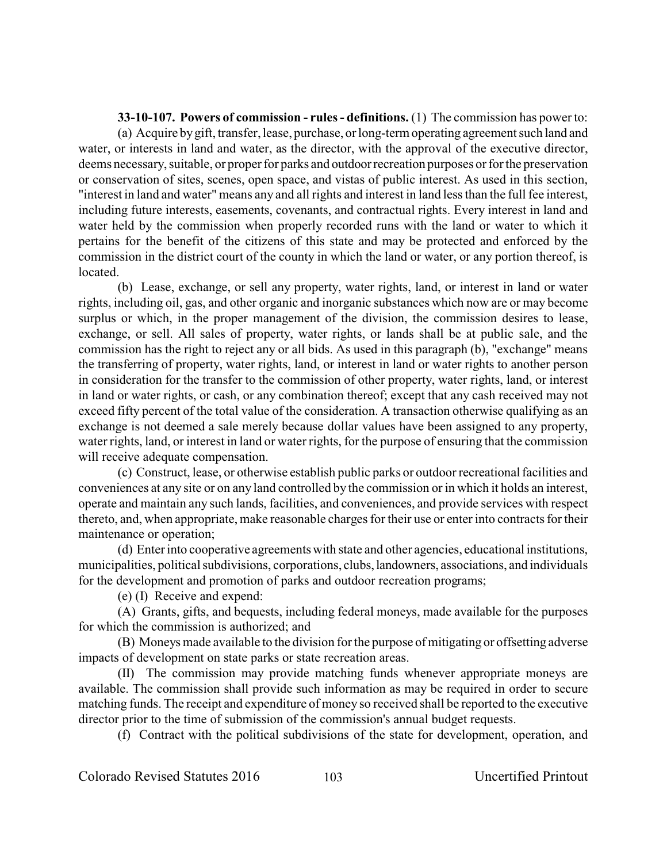**33-10-107. Powers of commission - rules - definitions.** (1) The commission has power to: (a) Acquire bygift, transfer, lease, purchase, or long-term operating agreement such land and water, or interests in land and water, as the director, with the approval of the executive director, deems necessary, suitable, or proper for parks and outdoorrecreation purposes or for the preservation or conservation of sites, scenes, open space, and vistas of public interest. As used in this section, "interest in land and water" means any and all rights and interest in land less than the full fee interest, including future interests, easements, covenants, and contractual rights. Every interest in land and water held by the commission when properly recorded runs with the land or water to which it pertains for the benefit of the citizens of this state and may be protected and enforced by the commission in the district court of the county in which the land or water, or any portion thereof, is located.

(b) Lease, exchange, or sell any property, water rights, land, or interest in land or water rights, including oil, gas, and other organic and inorganic substances which now are or may become surplus or which, in the proper management of the division, the commission desires to lease, exchange, or sell. All sales of property, water rights, or lands shall be at public sale, and the commission has the right to reject any or all bids. As used in this paragraph (b), "exchange" means the transferring of property, water rights, land, or interest in land or water rights to another person in consideration for the transfer to the commission of other property, water rights, land, or interest in land or water rights, or cash, or any combination thereof; except that any cash received may not exceed fifty percent of the total value of the consideration. A transaction otherwise qualifying as an exchange is not deemed a sale merely because dollar values have been assigned to any property, water rights, land, or interest in land or water rights, for the purpose of ensuring that the commission will receive adequate compensation.

(c) Construct, lease, or otherwise establish public parks or outdoor recreational facilities and conveniences at any site or on any land controlled by the commission or in which it holds an interest, operate and maintain any such lands, facilities, and conveniences, and provide services with respect thereto, and, when appropriate, make reasonable charges for their use or enter into contracts for their maintenance or operation;

(d) Enter into cooperative agreements with state and other agencies, educational institutions, municipalities, political subdivisions, corporations, clubs, landowners, associations, and individuals for the development and promotion of parks and outdoor recreation programs;

(e) (I) Receive and expend:

(A) Grants, gifts, and bequests, including federal moneys, made available for the purposes for which the commission is authorized; and

(B) Moneys made available to the division for the purpose of mitigating or offsetting adverse impacts of development on state parks or state recreation areas.

(II) The commission may provide matching funds whenever appropriate moneys are available. The commission shall provide such information as may be required in order to secure matching funds. The receipt and expenditure of money so received shall be reported to the executive director prior to the time of submission of the commission's annual budget requests.

(f) Contract with the political subdivisions of the state for development, operation, and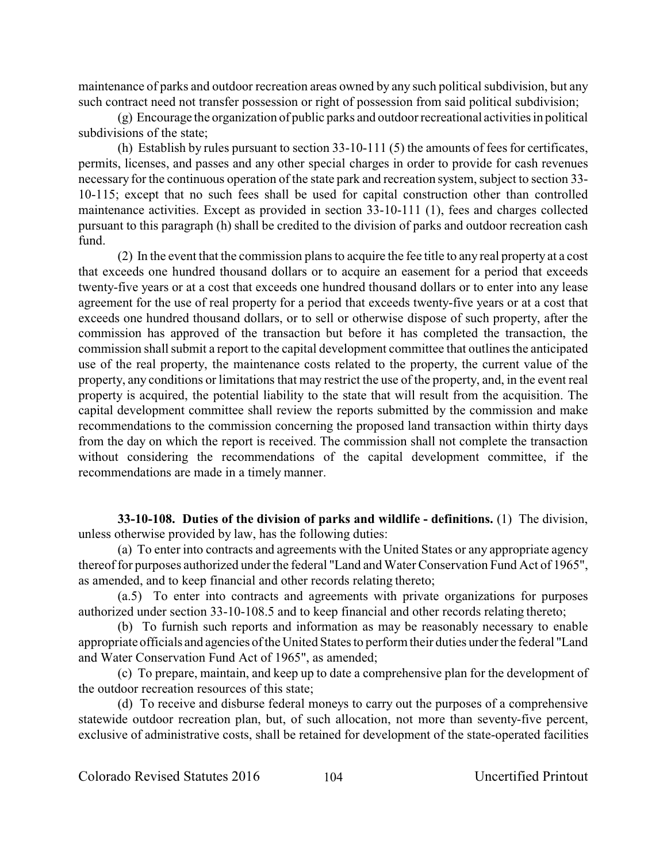maintenance of parks and outdoor recreation areas owned by any such political subdivision, but any such contract need not transfer possession or right of possession from said political subdivision;

(g) Encourage the organization of public parks and outdoor recreational activities in political subdivisions of the state;

(h) Establish by rules pursuant to section 33-10-111 (5) the amounts of fees for certificates, permits, licenses, and passes and any other special charges in order to provide for cash revenues necessary for the continuous operation of the state park and recreation system, subject to section 33- 10-115; except that no such fees shall be used for capital construction other than controlled maintenance activities. Except as provided in section 33-10-111 (1), fees and charges collected pursuant to this paragraph (h) shall be credited to the division of parks and outdoor recreation cash fund.

(2) In the event that the commission plans to acquire the fee title to any real property at a cost that exceeds one hundred thousand dollars or to acquire an easement for a period that exceeds twenty-five years or at a cost that exceeds one hundred thousand dollars or to enter into any lease agreement for the use of real property for a period that exceeds twenty-five years or at a cost that exceeds one hundred thousand dollars, or to sell or otherwise dispose of such property, after the commission has approved of the transaction but before it has completed the transaction, the commission shall submit a report to the capital development committee that outlines the anticipated use of the real property, the maintenance costs related to the property, the current value of the property, any conditions or limitations that may restrict the use of the property, and, in the event real property is acquired, the potential liability to the state that will result from the acquisition. The capital development committee shall review the reports submitted by the commission and make recommendations to the commission concerning the proposed land transaction within thirty days from the day on which the report is received. The commission shall not complete the transaction without considering the recommendations of the capital development committee, if the recommendations are made in a timely manner.

**33-10-108. Duties of the division of parks and wildlife - definitions.** (1) The division, unless otherwise provided by law, has the following duties:

(a) To enter into contracts and agreements with the United States or any appropriate agency thereof for purposes authorized under the federal "Land and Water Conservation Fund Act of 1965", as amended, and to keep financial and other records relating thereto;

(a.5) To enter into contracts and agreements with private organizations for purposes authorized under section 33-10-108.5 and to keep financial and other records relating thereto;

(b) To furnish such reports and information as may be reasonably necessary to enable appropriate officials and agencies of the United States to perform their duties under the federal "Land and Water Conservation Fund Act of 1965", as amended;

(c) To prepare, maintain, and keep up to date a comprehensive plan for the development of the outdoor recreation resources of this state;

(d) To receive and disburse federal moneys to carry out the purposes of a comprehensive statewide outdoor recreation plan, but, of such allocation, not more than seventy-five percent, exclusive of administrative costs, shall be retained for development of the state-operated facilities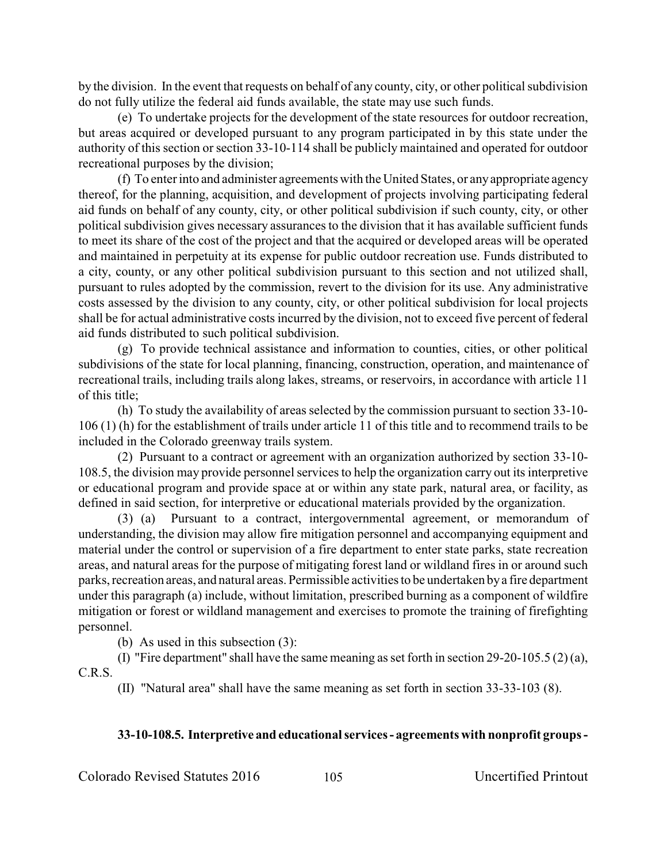by the division. In the event that requests on behalf of any county, city, or other political subdivision do not fully utilize the federal aid funds available, the state may use such funds.

(e) To undertake projects for the development of the state resources for outdoor recreation, but areas acquired or developed pursuant to any program participated in by this state under the authority of this section or section 33-10-114 shall be publicly maintained and operated for outdoor recreational purposes by the division;

(f) To enter into and administer agreements with the United States, or anyappropriate agency thereof, for the planning, acquisition, and development of projects involving participating federal aid funds on behalf of any county, city, or other political subdivision if such county, city, or other political subdivision gives necessary assurances to the division that it has available sufficient funds to meet its share of the cost of the project and that the acquired or developed areas will be operated and maintained in perpetuity at its expense for public outdoor recreation use. Funds distributed to a city, county, or any other political subdivision pursuant to this section and not utilized shall, pursuant to rules adopted by the commission, revert to the division for its use. Any administrative costs assessed by the division to any county, city, or other political subdivision for local projects shall be for actual administrative costs incurred by the division, not to exceed five percent of federal aid funds distributed to such political subdivision.

(g) To provide technical assistance and information to counties, cities, or other political subdivisions of the state for local planning, financing, construction, operation, and maintenance of recreational trails, including trails along lakes, streams, or reservoirs, in accordance with article 11 of this title;

(h) To study the availability of areas selected by the commission pursuant to section 33-10- 106 (1) (h) for the establishment of trails under article 11 of this title and to recommend trails to be included in the Colorado greenway trails system.

(2) Pursuant to a contract or agreement with an organization authorized by section 33-10- 108.5, the division may provide personnel services to help the organization carry out its interpretive or educational program and provide space at or within any state park, natural area, or facility, as defined in said section, for interpretive or educational materials provided by the organization.

(3) (a) Pursuant to a contract, intergovernmental agreement, or memorandum of understanding, the division may allow fire mitigation personnel and accompanying equipment and material under the control or supervision of a fire department to enter state parks, state recreation areas, and natural areas for the purpose of mitigating forest land or wildland fires in or around such parks, recreation areas, and natural areas. Permissible activities to be undertaken bya fire department under this paragraph (a) include, without limitation, prescribed burning as a component of wildfire mitigation or forest or wildland management and exercises to promote the training of firefighting personnel.

(b) As used in this subsection (3):

(I) "Fire department" shall have the same meaning as set forth in section 29-20-105.5 (2) (a), C.R.S.

(II) "Natural area" shall have the same meaning as set forth in section 33-33-103 (8).

# **33-10-108.5. Interpretive and educational services - agreements with nonprofit groups -**

Colorado Revised Statutes 2016 105 Uncertified Printout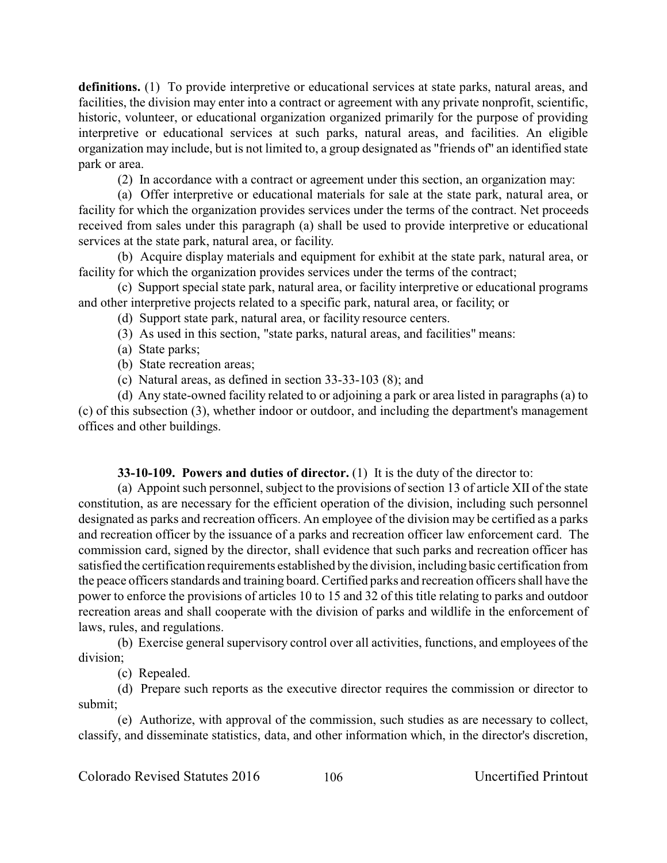**definitions.** (1) To provide interpretive or educational services at state parks, natural areas, and facilities, the division may enter into a contract or agreement with any private nonprofit, scientific, historic, volunteer, or educational organization organized primarily for the purpose of providing interpretive or educational services at such parks, natural areas, and facilities. An eligible organization may include, but is not limited to, a group designated as "friends of" an identified state park or area.

(2) In accordance with a contract or agreement under this section, an organization may:

(a) Offer interpretive or educational materials for sale at the state park, natural area, or facility for which the organization provides services under the terms of the contract. Net proceeds received from sales under this paragraph (a) shall be used to provide interpretive or educational services at the state park, natural area, or facility.

(b) Acquire display materials and equipment for exhibit at the state park, natural area, or facility for which the organization provides services under the terms of the contract;

(c) Support special state park, natural area, or facility interpretive or educational programs and other interpretive projects related to a specific park, natural area, or facility; or

(d) Support state park, natural area, or facility resource centers.

(3) As used in this section, "state parks, natural areas, and facilities" means:

- (a) State parks;
- (b) State recreation areas;
- (c) Natural areas, as defined in section 33-33-103 (8); and

(d) Any state-owned facility related to or adjoining a park or area listed in paragraphs (a) to (c) of this subsection (3), whether indoor or outdoor, and including the department's management offices and other buildings.

# **33-10-109. Powers and duties of director.** (1) It is the duty of the director to:

(a) Appoint such personnel, subject to the provisions of section 13 of article XII of the state constitution, as are necessary for the efficient operation of the division, including such personnel designated as parks and recreation officers. An employee of the division may be certified as a parks and recreation officer by the issuance of a parks and recreation officer law enforcement card. The commission card, signed by the director, shall evidence that such parks and recreation officer has satisfied the certification requirements established by the division, including basic certification from the peace officers standards and training board. Certified parks and recreation officers shall have the power to enforce the provisions of articles 10 to 15 and 32 of this title relating to parks and outdoor recreation areas and shall cooperate with the division of parks and wildlife in the enforcement of laws, rules, and regulations.

(b) Exercise general supervisory control over all activities, functions, and employees of the division;

(c) Repealed.

(d) Prepare such reports as the executive director requires the commission or director to submit;

(e) Authorize, with approval of the commission, such studies as are necessary to collect, classify, and disseminate statistics, data, and other information which, in the director's discretion,

Colorado Revised Statutes 2016 106 Uncertified Printout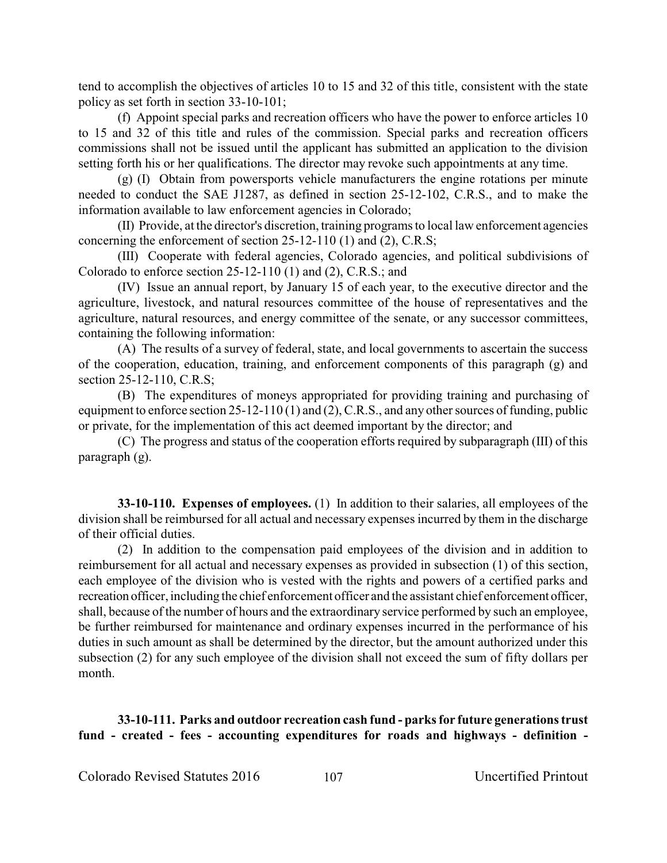tend to accomplish the objectives of articles 10 to 15 and 32 of this title, consistent with the state policy as set forth in section 33-10-101;

(f) Appoint special parks and recreation officers who have the power to enforce articles 10 to 15 and 32 of this title and rules of the commission. Special parks and recreation officers commissions shall not be issued until the applicant has submitted an application to the division setting forth his or her qualifications. The director may revoke such appointments at any time.

(g) (I) Obtain from powersports vehicle manufacturers the engine rotations per minute needed to conduct the SAE J1287, as defined in section 25-12-102, C.R.S., and to make the information available to law enforcement agencies in Colorado;

(II) Provide, at the director's discretion, training programs to local law enforcement agencies concerning the enforcement of section 25-12-110 (1) and (2), C.R.S;

(III) Cooperate with federal agencies, Colorado agencies, and political subdivisions of Colorado to enforce section 25-12-110 (1) and (2), C.R.S.; and

(IV) Issue an annual report, by January 15 of each year, to the executive director and the agriculture, livestock, and natural resources committee of the house of representatives and the agriculture, natural resources, and energy committee of the senate, or any successor committees, containing the following information:

(A) The results of a survey of federal, state, and local governments to ascertain the success of the cooperation, education, training, and enforcement components of this paragraph (g) and section 25-12-110, C.R.S;

(B) The expenditures of moneys appropriated for providing training and purchasing of equipment to enforce section 25-12-110 (1) and (2), C.R.S., and any other sources of funding, public or private, for the implementation of this act deemed important by the director; and

(C) The progress and status of the cooperation efforts required by subparagraph (III) of this paragraph (g).

**33-10-110. Expenses of employees.** (1) In addition to their salaries, all employees of the division shall be reimbursed for all actual and necessary expenses incurred by them in the discharge of their official duties.

(2) In addition to the compensation paid employees of the division and in addition to reimbursement for all actual and necessary expenses as provided in subsection (1) of this section, each employee of the division who is vested with the rights and powers of a certified parks and recreation officer, including the chief enforcement officer and the assistant chief enforcement officer, shall, because of the number of hours and the extraordinary service performed by such an employee, be further reimbursed for maintenance and ordinary expenses incurred in the performance of his duties in such amount as shall be determined by the director, but the amount authorized under this subsection (2) for any such employee of the division shall not exceed the sum of fifty dollars per month.

**33-10-111. Parks and outdoor recreation cash fund - parks for future generations trust fund - created - fees - accounting expenditures for roads and highways - definition -**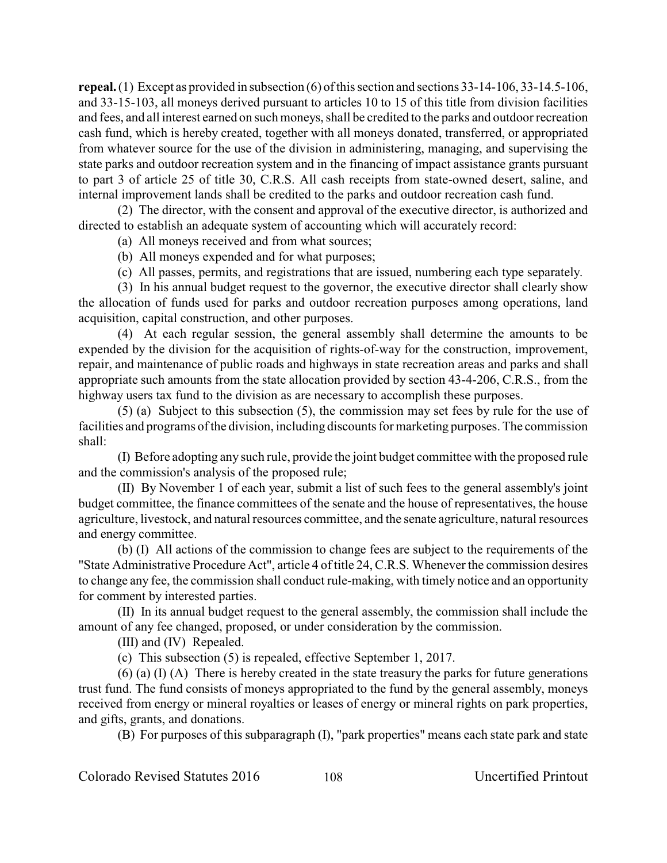**repeal.** (1) Except as provided in subsection (6) of this section and sections 33-14-106, 33-14.5-106, and 33-15-103, all moneys derived pursuant to articles 10 to 15 of this title from division facilities and fees, and all interest earned on such moneys, shall be credited to the parks and outdoor recreation cash fund, which is hereby created, together with all moneys donated, transferred, or appropriated from whatever source for the use of the division in administering, managing, and supervising the state parks and outdoor recreation system and in the financing of impact assistance grants pursuant to part 3 of article 25 of title 30, C.R.S. All cash receipts from state-owned desert, saline, and internal improvement lands shall be credited to the parks and outdoor recreation cash fund.

(2) The director, with the consent and approval of the executive director, is authorized and directed to establish an adequate system of accounting which will accurately record:

(a) All moneys received and from what sources;

(b) All moneys expended and for what purposes;

(c) All passes, permits, and registrations that are issued, numbering each type separately.

(3) In his annual budget request to the governor, the executive director shall clearly show the allocation of funds used for parks and outdoor recreation purposes among operations, land acquisition, capital construction, and other purposes.

(4) At each regular session, the general assembly shall determine the amounts to be expended by the division for the acquisition of rights-of-way for the construction, improvement, repair, and maintenance of public roads and highways in state recreation areas and parks and shall appropriate such amounts from the state allocation provided by section 43-4-206, C.R.S., from the highway users tax fund to the division as are necessary to accomplish these purposes.

(5) (a) Subject to this subsection (5), the commission may set fees by rule for the use of facilities and programs of the division, including discounts for marketing purposes. The commission shall:

(I) Before adopting any such rule, provide the joint budget committee with the proposed rule and the commission's analysis of the proposed rule;

(II) By November 1 of each year, submit a list of such fees to the general assembly's joint budget committee, the finance committees of the senate and the house of representatives, the house agriculture, livestock, and natural resources committee, and the senate agriculture, natural resources and energy committee.

(b) (I) All actions of the commission to change fees are subject to the requirements of the "State Administrative Procedure Act", article 4 of title 24, C.R.S. Whenever the commission desires to change any fee, the commission shall conduct rule-making, with timely notice and an opportunity for comment by interested parties.

(II) In its annual budget request to the general assembly, the commission shall include the amount of any fee changed, proposed, or under consideration by the commission.

(III) and (IV) Repealed.

(c) This subsection (5) is repealed, effective September 1, 2017.

(6) (a) (I) (A) There is hereby created in the state treasury the parks for future generations trust fund. The fund consists of moneys appropriated to the fund by the general assembly, moneys received from energy or mineral royalties or leases of energy or mineral rights on park properties, and gifts, grants, and donations.

(B) For purposes of this subparagraph (I), "park properties" means each state park and state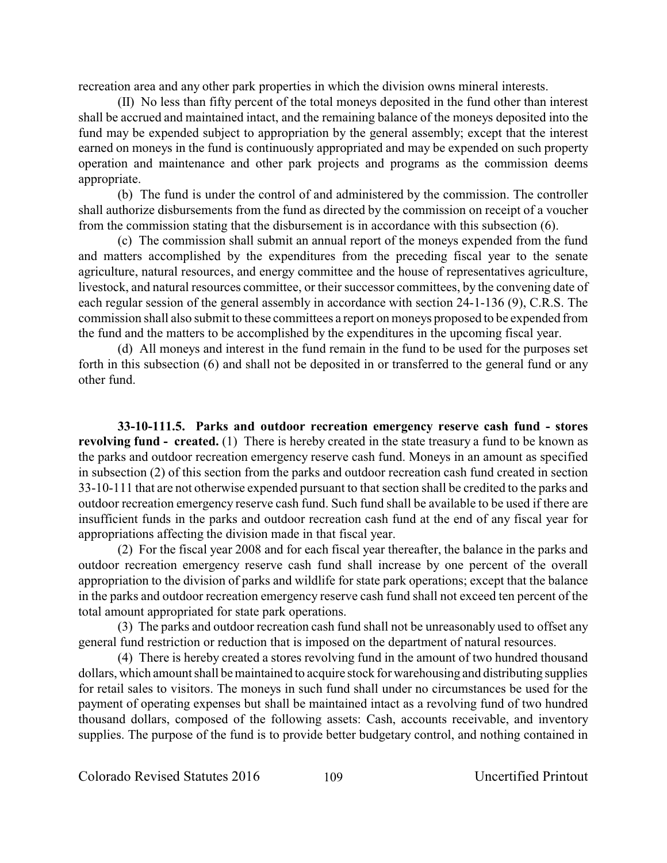recreation area and any other park properties in which the division owns mineral interests.

(II) No less than fifty percent of the total moneys deposited in the fund other than interest shall be accrued and maintained intact, and the remaining balance of the moneys deposited into the fund may be expended subject to appropriation by the general assembly; except that the interest earned on moneys in the fund is continuously appropriated and may be expended on such property operation and maintenance and other park projects and programs as the commission deems appropriate.

(b) The fund is under the control of and administered by the commission. The controller shall authorize disbursements from the fund as directed by the commission on receipt of a voucher from the commission stating that the disbursement is in accordance with this subsection (6).

(c) The commission shall submit an annual report of the moneys expended from the fund and matters accomplished by the expenditures from the preceding fiscal year to the senate agriculture, natural resources, and energy committee and the house of representatives agriculture, livestock, and natural resources committee, or their successor committees, by the convening date of each regular session of the general assembly in accordance with section 24-1-136 (9), C.R.S. The commission shall also submit to these committees a report on moneys proposed to be expended from the fund and the matters to be accomplished by the expenditures in the upcoming fiscal year.

(d) All moneys and interest in the fund remain in the fund to be used for the purposes set forth in this subsection (6) and shall not be deposited in or transferred to the general fund or any other fund.

**33-10-111.5. Parks and outdoor recreation emergency reserve cash fund - stores revolving fund - created.** (1) There is hereby created in the state treasury a fund to be known as the parks and outdoor recreation emergency reserve cash fund. Moneys in an amount as specified in subsection (2) of this section from the parks and outdoor recreation cash fund created in section 33-10-111 that are not otherwise expended pursuant to that section shall be credited to the parks and outdoor recreation emergency reserve cash fund. Such fund shall be available to be used if there are insufficient funds in the parks and outdoor recreation cash fund at the end of any fiscal year for appropriations affecting the division made in that fiscal year.

(2) For the fiscal year 2008 and for each fiscal year thereafter, the balance in the parks and outdoor recreation emergency reserve cash fund shall increase by one percent of the overall appropriation to the division of parks and wildlife for state park operations; except that the balance in the parks and outdoor recreation emergency reserve cash fund shall not exceed ten percent of the total amount appropriated for state park operations.

(3) The parks and outdoor recreation cash fund shall not be unreasonably used to offset any general fund restriction or reduction that is imposed on the department of natural resources.

(4) There is hereby created a stores revolving fund in the amount of two hundred thousand dollars, which amount shall be maintained to acquire stock for warehousing and distributing supplies for retail sales to visitors. The moneys in such fund shall under no circumstances be used for the payment of operating expenses but shall be maintained intact as a revolving fund of two hundred thousand dollars, composed of the following assets: Cash, accounts receivable, and inventory supplies. The purpose of the fund is to provide better budgetary control, and nothing contained in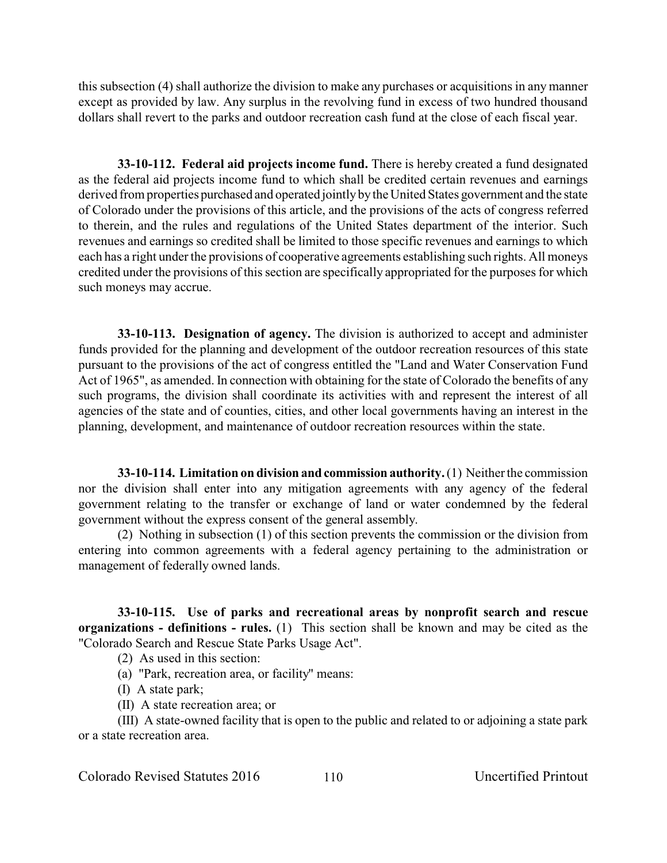this subsection (4) shall authorize the division to make any purchases or acquisitions in any manner except as provided by law. Any surplus in the revolving fund in excess of two hundred thousand dollars shall revert to the parks and outdoor recreation cash fund at the close of each fiscal year.

**33-10-112. Federal aid projects income fund.** There is hereby created a fund designated as the federal aid projects income fund to which shall be credited certain revenues and earnings derived from properties purchased and operated jointly by the United States government and the state of Colorado under the provisions of this article, and the provisions of the acts of congress referred to therein, and the rules and regulations of the United States department of the interior. Such revenues and earnings so credited shall be limited to those specific revenues and earnings to which each has a right under the provisions of cooperative agreements establishing such rights. All moneys credited under the provisions of this section are specifically appropriated for the purposes for which such moneys may accrue.

**33-10-113. Designation of agency.** The division is authorized to accept and administer funds provided for the planning and development of the outdoor recreation resources of this state pursuant to the provisions of the act of congress entitled the "Land and Water Conservation Fund Act of 1965", as amended. In connection with obtaining for the state of Colorado the benefits of any such programs, the division shall coordinate its activities with and represent the interest of all agencies of the state and of counties, cities, and other local governments having an interest in the planning, development, and maintenance of outdoor recreation resources within the state.

**33-10-114. Limitation on division andcommission authority.** (1) Neither the commission nor the division shall enter into any mitigation agreements with any agency of the federal government relating to the transfer or exchange of land or water condemned by the federal government without the express consent of the general assembly.

(2) Nothing in subsection (1) of this section prevents the commission or the division from entering into common agreements with a federal agency pertaining to the administration or management of federally owned lands.

**33-10-115. Use of parks and recreational areas by nonprofit search and rescue organizations - definitions - rules.** (1) This section shall be known and may be cited as the "Colorado Search and Rescue State Parks Usage Act".

(2) As used in this section:

(a) "Park, recreation area, or facility" means:

(I) A state park;

(II) A state recreation area; or

(III) A state-owned facility that is open to the public and related to or adjoining a state park or a state recreation area.

Colorado Revised Statutes 2016 110 Uncertified Printout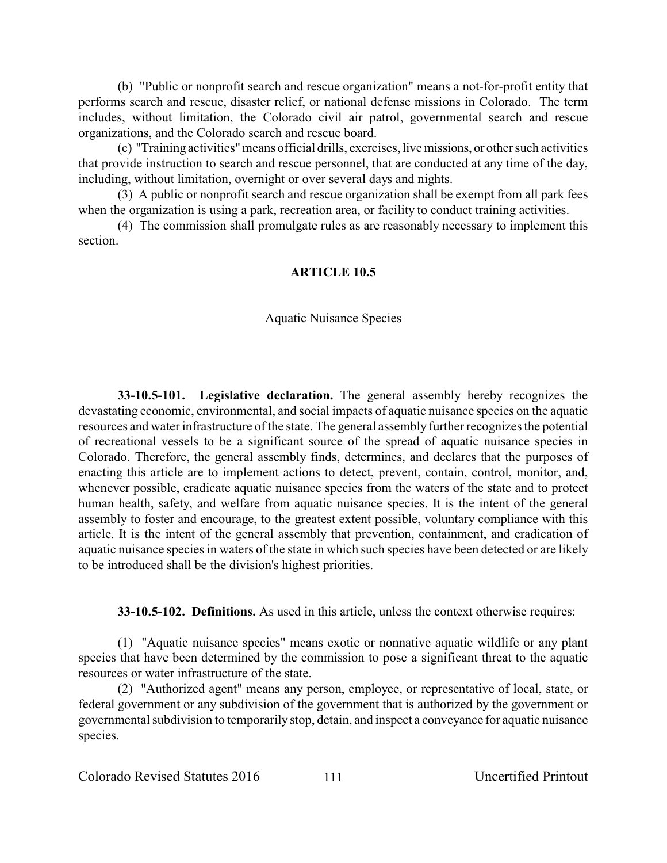(b) "Public or nonprofit search and rescue organization" means a not-for-profit entity that performs search and rescue, disaster relief, or national defense missions in Colorado. The term includes, without limitation, the Colorado civil air patrol, governmental search and rescue organizations, and the Colorado search and rescue board.

(c) "Training activities"means official drills, exercises, live missions, or other such activities that provide instruction to search and rescue personnel, that are conducted at any time of the day, including, without limitation, overnight or over several days and nights.

(3) A public or nonprofit search and rescue organization shall be exempt from all park fees when the organization is using a park, recreation area, or facility to conduct training activities.

(4) The commission shall promulgate rules as are reasonably necessary to implement this section.

#### **ARTICLE 10.5**

### Aquatic Nuisance Species

**33-10.5-101. Legislative declaration.** The general assembly hereby recognizes the devastating economic, environmental, and social impacts of aquatic nuisance species on the aquatic resources and water infrastructure of the state. The general assembly further recognizes the potential of recreational vessels to be a significant source of the spread of aquatic nuisance species in Colorado. Therefore, the general assembly finds, determines, and declares that the purposes of enacting this article are to implement actions to detect, prevent, contain, control, monitor, and, whenever possible, eradicate aquatic nuisance species from the waters of the state and to protect human health, safety, and welfare from aquatic nuisance species. It is the intent of the general assembly to foster and encourage, to the greatest extent possible, voluntary compliance with this article. It is the intent of the general assembly that prevention, containment, and eradication of aquatic nuisance species in waters of the state in which such species have been detected or are likely to be introduced shall be the division's highest priorities.

**33-10.5-102. Definitions.** As used in this article, unless the context otherwise requires:

(1) "Aquatic nuisance species" means exotic or nonnative aquatic wildlife or any plant species that have been determined by the commission to pose a significant threat to the aquatic resources or water infrastructure of the state.

(2) "Authorized agent" means any person, employee, or representative of local, state, or federal government or any subdivision of the government that is authorized by the government or governmental subdivision to temporarily stop, detain, and inspect a conveyance for aquatic nuisance species.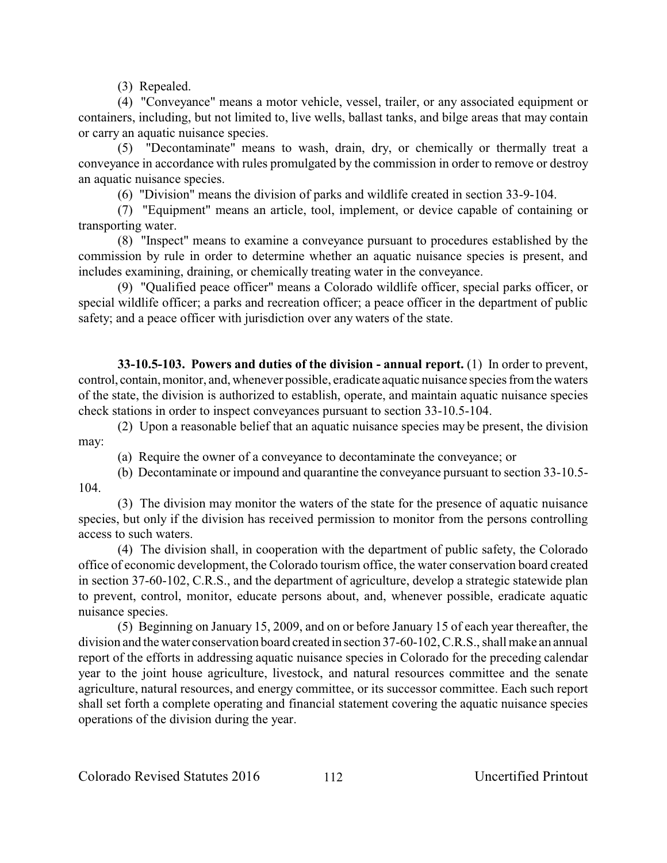(3) Repealed.

(4) "Conveyance" means a motor vehicle, vessel, trailer, or any associated equipment or containers, including, but not limited to, live wells, ballast tanks, and bilge areas that may contain or carry an aquatic nuisance species.

(5) "Decontaminate" means to wash, drain, dry, or chemically or thermally treat a conveyance in accordance with rules promulgated by the commission in order to remove or destroy an aquatic nuisance species.

(6) "Division" means the division of parks and wildlife created in section 33-9-104.

(7) "Equipment" means an article, tool, implement, or device capable of containing or transporting water.

(8) "Inspect" means to examine a conveyance pursuant to procedures established by the commission by rule in order to determine whether an aquatic nuisance species is present, and includes examining, draining, or chemically treating water in the conveyance.

(9) "Qualified peace officer" means a Colorado wildlife officer, special parks officer, or special wildlife officer; a parks and recreation officer; a peace officer in the department of public safety; and a peace officer with jurisdiction over any waters of the state.

**33-10.5-103. Powers and duties of the division - annual report.** (1) In order to prevent, control, contain, monitor, and, whenever possible, eradicate aquatic nuisance species from the waters of the state, the division is authorized to establish, operate, and maintain aquatic nuisance species check stations in order to inspect conveyances pursuant to section 33-10.5-104.

(2) Upon a reasonable belief that an aquatic nuisance species may be present, the division may:

(a) Require the owner of a conveyance to decontaminate the conveyance; or

(b) Decontaminate or impound and quarantine the conveyance pursuant to section 33-10.5- 104.

(3) The division may monitor the waters of the state for the presence of aquatic nuisance species, but only if the division has received permission to monitor from the persons controlling access to such waters.

(4) The division shall, in cooperation with the department of public safety, the Colorado office of economic development, the Colorado tourism office, the water conservation board created in section 37-60-102, C.R.S., and the department of agriculture, develop a strategic statewide plan to prevent, control, monitor, educate persons about, and, whenever possible, eradicate aquatic nuisance species.

(5) Beginning on January 15, 2009, and on or before January 15 of each year thereafter, the division and the water conservation board created in section 37-60-102, C.R.S., shall make an annual report of the efforts in addressing aquatic nuisance species in Colorado for the preceding calendar year to the joint house agriculture, livestock, and natural resources committee and the senate agriculture, natural resources, and energy committee, or its successor committee. Each such report shall set forth a complete operating and financial statement covering the aquatic nuisance species operations of the division during the year.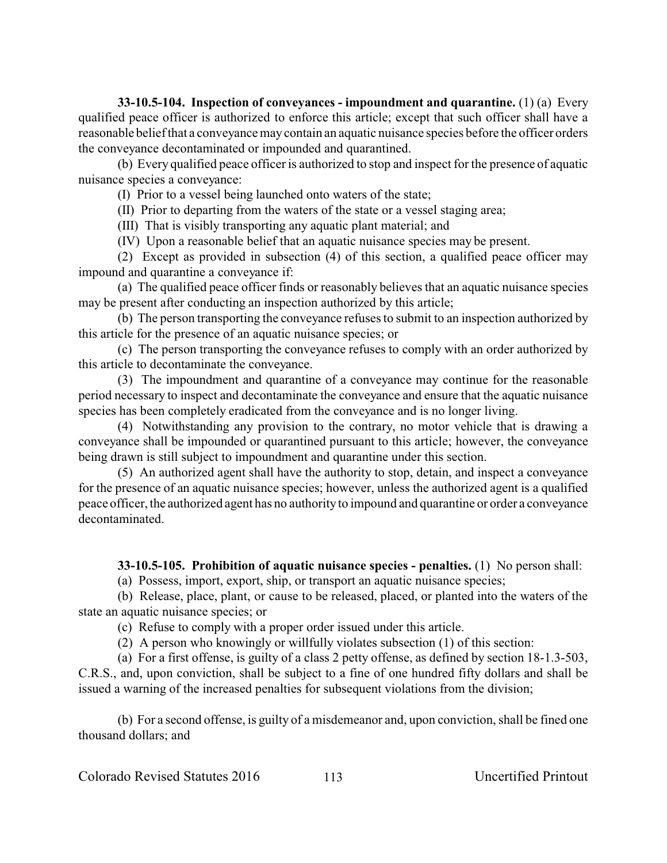**33-10.5-104. Inspection of conveyances - impoundment and quarantine.** (1) (a) Every qualified peace officer is authorized to enforce this article; except that such officer shall have a reasonable belief that a conveyance maycontain an aquatic nuisance species before the officer orders the conveyance decontaminated or impounded and quarantined.

(b) Every qualified peace officer is authorized to stop and inspect for the presence of aquatic nuisance species a conveyance:

(I) Prior to a vessel being launched onto waters of the state;

(II) Prior to departing from the waters of the state or a vessel staging area;

(III) That is visibly transporting any aquatic plant material; and

(IV) Upon a reasonable belief that an aquatic nuisance species may be present.

(2) Except as provided in subsection (4) of this section, a qualified peace officer may impound and quarantine a conveyance if:

(a) The qualified peace officer finds or reasonably believes that an aquatic nuisance species may be present after conducting an inspection authorized by this article;

(b) The person transporting the conveyance refuses to submit to an inspection authorized by this article for the presence of an aquatic nuisance species; or

(c) The person transporting the conveyance refuses to comply with an order authorized by this article to decontaminate the conveyance.

(3) The impoundment and quarantine of a conveyance may continue for the reasonable period necessary to inspect and decontaminate the conveyance and ensure that the aquatic nuisance species has been completely eradicated from the conveyance and is no longer living.

(4) Notwithstanding any provision to the contrary, no motor vehicle that is drawing a conveyance shall be impounded or quarantined pursuant to this article; however, the conveyance being drawn is still subject to impoundment and quarantine under this section.

(5) An authorized agent shall have the authority to stop, detain, and inspect a conveyance for the presence of an aquatic nuisance species; however, unless the authorized agent is a qualified peace officer, the authorized agent has no authority to impound and quarantine or order a conveyance decontaminated.

**33-10.5-105. Prohibition of aquatic nuisance species - penalties.** (1) No person shall:

(a) Possess, import, export, ship, or transport an aquatic nuisance species;

(b) Release, place, plant, or cause to be released, placed, or planted into the waters of the state an aquatic nuisance species; or

(c) Refuse to comply with a proper order issued under this article.

(2) A person who knowingly or willfully violates subsection (1) of this section:

(a) For a first offense, is guilty of a class 2 petty offense, as defined by section 18-1.3-503, C.R.S., and, upon conviction, shall be subject to a fine of one hundred fifty dollars and shall be issued a warning of the increased penalties for subsequent violations from the division;

(b) For a second offense, is guilty of a misdemeanor and, upon conviction, shall be fined one thousand dollars; and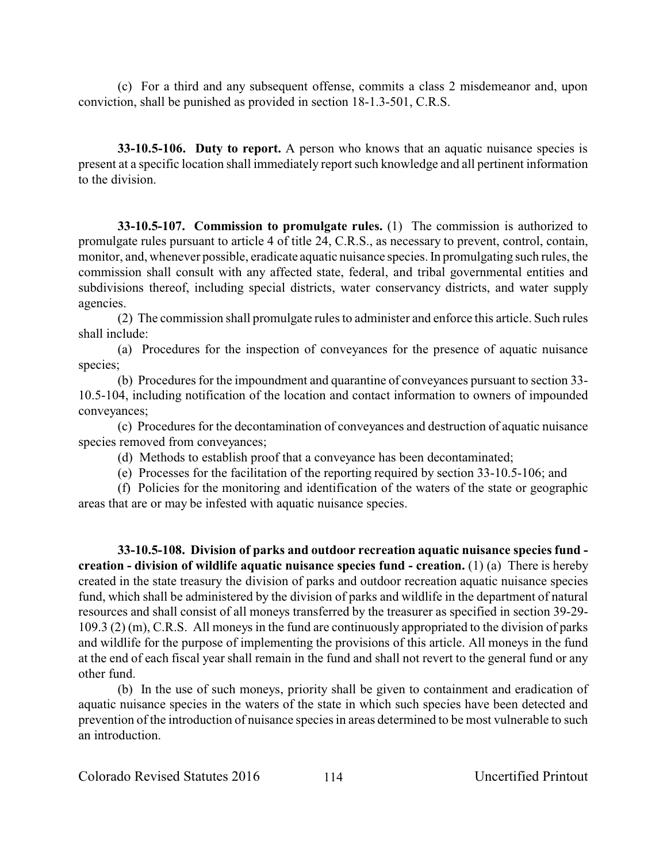(c) For a third and any subsequent offense, commits a class 2 misdemeanor and, upon conviction, shall be punished as provided in section 18-1.3-501, C.R.S.

**33-10.5-106. Duty to report.** A person who knows that an aquatic nuisance species is present at a specific location shall immediately report such knowledge and all pertinent information to the division.

**33-10.5-107. Commission to promulgate rules.** (1) The commission is authorized to promulgate rules pursuant to article 4 of title 24, C.R.S., as necessary to prevent, control, contain, monitor, and, whenever possible, eradicate aquatic nuisance species. In promulgating such rules, the commission shall consult with any affected state, federal, and tribal governmental entities and subdivisions thereof, including special districts, water conservancy districts, and water supply agencies.

(2) The commission shall promulgate rules to administer and enforce this article. Such rules shall include:

(a) Procedures for the inspection of conveyances for the presence of aquatic nuisance species;

(b) Procedures for the impoundment and quarantine of conveyances pursuant to section 33- 10.5-104, including notification of the location and contact information to owners of impounded conveyances;

(c) Procedures for the decontamination of conveyances and destruction of aquatic nuisance species removed from conveyances;

(d) Methods to establish proof that a conveyance has been decontaminated;

(e) Processes for the facilitation of the reporting required by section 33-10.5-106; and

(f) Policies for the monitoring and identification of the waters of the state or geographic areas that are or may be infested with aquatic nuisance species.

**33-10.5-108. Division of parks and outdoor recreation aquatic nuisance species fund creation - division of wildlife aquatic nuisance species fund - creation.** (1) (a) There is hereby created in the state treasury the division of parks and outdoor recreation aquatic nuisance species fund, which shall be administered by the division of parks and wildlife in the department of natural resources and shall consist of all moneys transferred by the treasurer as specified in section 39-29- 109.3 (2) (m), C.R.S. All moneys in the fund are continuously appropriated to the division of parks and wildlife for the purpose of implementing the provisions of this article. All moneys in the fund at the end of each fiscal year shall remain in the fund and shall not revert to the general fund or any other fund.

(b) In the use of such moneys, priority shall be given to containment and eradication of aquatic nuisance species in the waters of the state in which such species have been detected and prevention of the introduction of nuisance species in areas determined to be most vulnerable to such an introduction.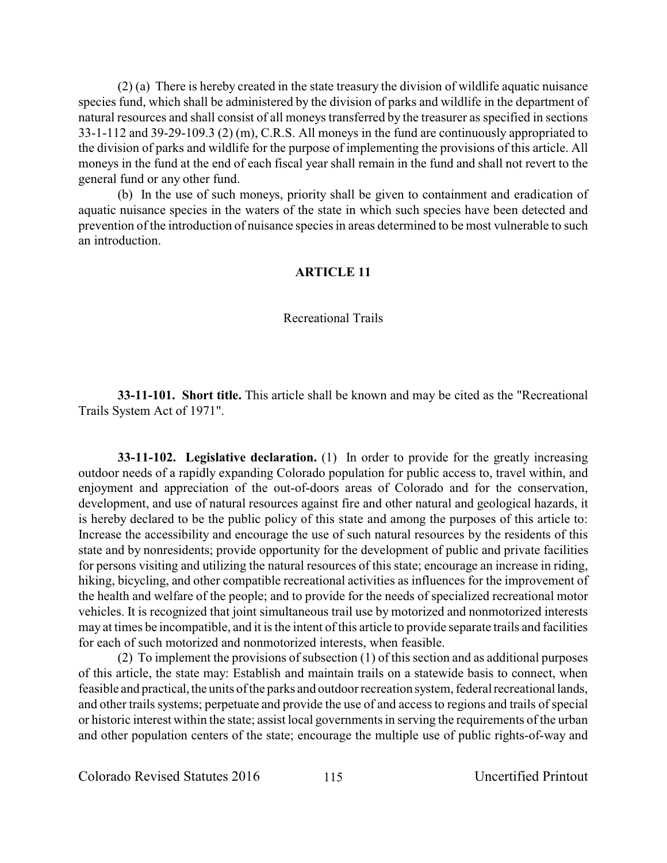(2) (a) There is hereby created in the state treasury the division of wildlife aquatic nuisance species fund, which shall be administered by the division of parks and wildlife in the department of natural resources and shall consist of all moneys transferred by the treasurer as specified in sections 33-1-112 and 39-29-109.3 (2) (m), C.R.S. All moneys in the fund are continuously appropriated to the division of parks and wildlife for the purpose of implementing the provisions of this article. All moneys in the fund at the end of each fiscal year shall remain in the fund and shall not revert to the general fund or any other fund.

(b) In the use of such moneys, priority shall be given to containment and eradication of aquatic nuisance species in the waters of the state in which such species have been detected and prevention of the introduction of nuisance species in areas determined to be most vulnerable to such an introduction.

#### **ARTICLE 11**

#### Recreational Trails

**33-11-101. Short title.** This article shall be known and may be cited as the "Recreational Trails System Act of 1971".

**33-11-102.** Legislative declaration. (1) In order to provide for the greatly increasing outdoor needs of a rapidly expanding Colorado population for public access to, travel within, and enjoyment and appreciation of the out-of-doors areas of Colorado and for the conservation, development, and use of natural resources against fire and other natural and geological hazards, it is hereby declared to be the public policy of this state and among the purposes of this article to: Increase the accessibility and encourage the use of such natural resources by the residents of this state and by nonresidents; provide opportunity for the development of public and private facilities for persons visiting and utilizing the natural resources of this state; encourage an increase in riding, hiking, bicycling, and other compatible recreational activities as influences for the improvement of the health and welfare of the people; and to provide for the needs of specialized recreational motor vehicles. It is recognized that joint simultaneous trail use by motorized and nonmotorized interests may at times be incompatible, and it is the intent of this article to provide separate trails and facilities for each of such motorized and nonmotorized interests, when feasible.

(2) To implement the provisions of subsection (1) of this section and as additional purposes of this article, the state may: Establish and maintain trails on a statewide basis to connect, when feasible and practical, the units of the parks and outdoor recreation system, federal recreational lands, and other trails systems; perpetuate and provide the use of and access to regions and trails of special or historic interest within the state; assist local governments in serving the requirements of the urban and other population centers of the state; encourage the multiple use of public rights-of-way and

Colorado Revised Statutes 2016 115 Uncertified Printout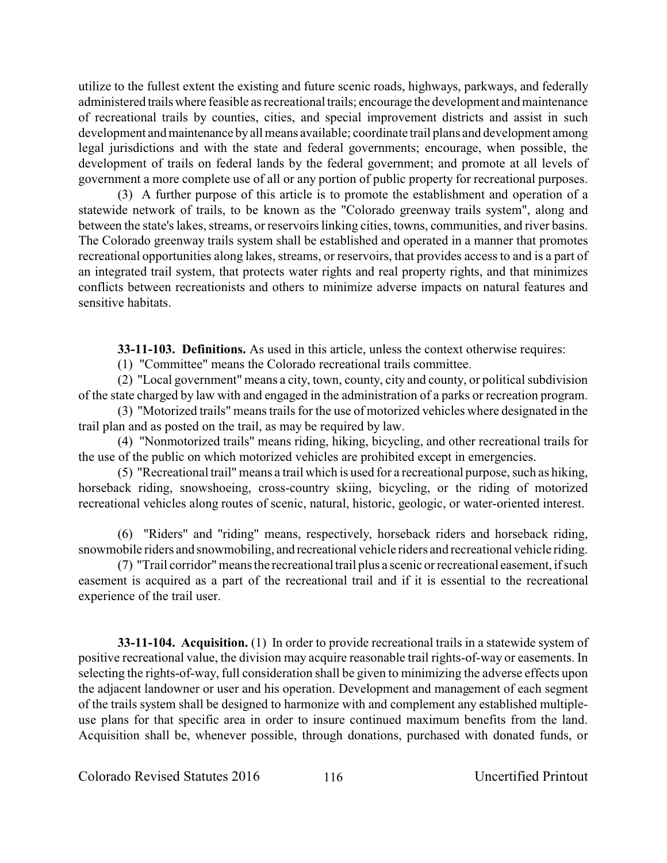utilize to the fullest extent the existing and future scenic roads, highways, parkways, and federally administered trailswhere feasible as recreational trails; encourage the development and maintenance of recreational trails by counties, cities, and special improvement districts and assist in such development and maintenance byall means available; coordinate trail plans and development among legal jurisdictions and with the state and federal governments; encourage, when possible, the development of trails on federal lands by the federal government; and promote at all levels of government a more complete use of all or any portion of public property for recreational purposes.

(3) A further purpose of this article is to promote the establishment and operation of a statewide network of trails, to be known as the "Colorado greenway trails system", along and between the state's lakes, streams, or reservoirs linking cities, towns, communities, and river basins. The Colorado greenway trails system shall be established and operated in a manner that promotes recreational opportunities along lakes, streams, or reservoirs, that provides access to and is a part of an integrated trail system, that protects water rights and real property rights, and that minimizes conflicts between recreationists and others to minimize adverse impacts on natural features and sensitive habitats.

**33-11-103. Definitions.** As used in this article, unless the context otherwise requires:

(1) "Committee" means the Colorado recreational trails committee.

(2) "Local government" means a city, town, county, city and county, or political subdivision of the state charged by law with and engaged in the administration of a parks or recreation program.

(3) "Motorized trails" means trails for the use of motorized vehicles where designated in the trail plan and as posted on the trail, as may be required by law.

(4) "Nonmotorized trails" means riding, hiking, bicycling, and other recreational trails for the use of the public on which motorized vehicles are prohibited except in emergencies.

(5) "Recreational trail" means a trail which is used for a recreational purpose, such as hiking, horseback riding, snowshoeing, cross-country skiing, bicycling, or the riding of motorized recreational vehicles along routes of scenic, natural, historic, geologic, or water-oriented interest.

(6) "Riders" and "riding" means, respectively, horseback riders and horseback riding, snowmobile riders and snowmobiling, and recreational vehicle riders and recreational vehicle riding.

(7) "Trail corridor"means the recreational trail plus a scenic or recreational easement, if such easement is acquired as a part of the recreational trail and if it is essential to the recreational experience of the trail user.

**33-11-104. Acquisition.** (1) In order to provide recreational trails in a statewide system of positive recreational value, the division may acquire reasonable trail rights-of-way or easements. In selecting the rights-of-way, full consideration shall be given to minimizing the adverse effects upon the adjacent landowner or user and his operation. Development and management of each segment of the trails system shall be designed to harmonize with and complement any established multipleuse plans for that specific area in order to insure continued maximum benefits from the land. Acquisition shall be, whenever possible, through donations, purchased with donated funds, or

Colorado Revised Statutes 2016 116 Uncertified Printout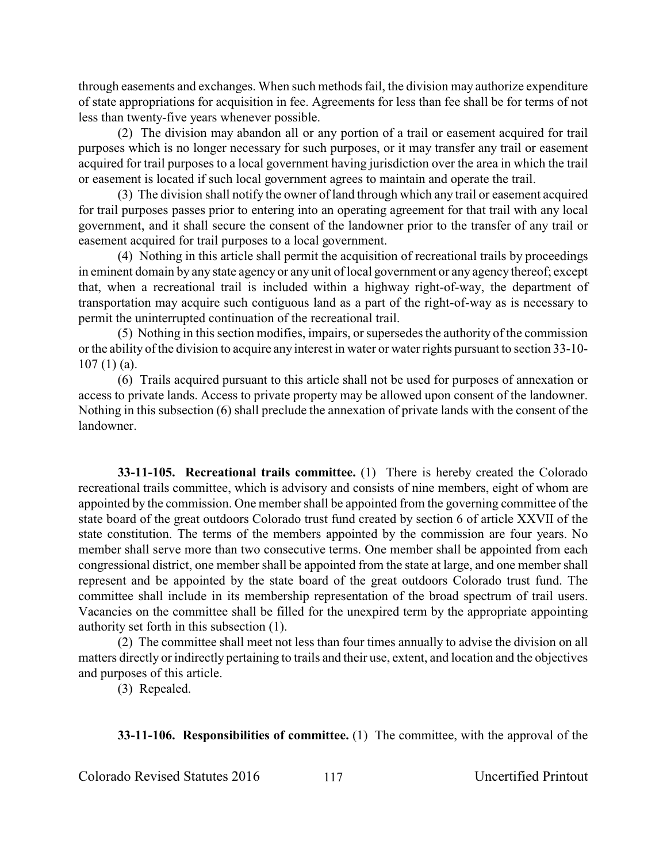through easements and exchanges. When such methods fail, the division may authorize expenditure of state appropriations for acquisition in fee. Agreements for less than fee shall be for terms of not less than twenty-five years whenever possible.

(2) The division may abandon all or any portion of a trail or easement acquired for trail purposes which is no longer necessary for such purposes, or it may transfer any trail or easement acquired for trail purposes to a local government having jurisdiction over the area in which the trail or easement is located if such local government agrees to maintain and operate the trail.

(3) The division shall notify the owner of land through which any trail or easement acquired for trail purposes passes prior to entering into an operating agreement for that trail with any local government, and it shall secure the consent of the landowner prior to the transfer of any trail or easement acquired for trail purposes to a local government.

(4) Nothing in this article shall permit the acquisition of recreational trails by proceedings in eminent domain by any state agency or any unit of local government or any agency thereof; except that, when a recreational trail is included within a highway right-of-way, the department of transportation may acquire such contiguous land as a part of the right-of-way as is necessary to permit the uninterrupted continuation of the recreational trail.

(5) Nothing in this section modifies, impairs, or supersedes the authority of the commission or the ability of the division to acquire any interest in water or water rights pursuant to section 33-10-107 (1) (a).

(6) Trails acquired pursuant to this article shall not be used for purposes of annexation or access to private lands. Access to private property may be allowed upon consent of the landowner. Nothing in this subsection (6) shall preclude the annexation of private lands with the consent of the landowner.

**33-11-105. Recreational trails committee.** (1) There is hereby created the Colorado recreational trails committee, which is advisory and consists of nine members, eight of whom are appointed by the commission. One member shall be appointed from the governing committee of the state board of the great outdoors Colorado trust fund created by section 6 of article XXVII of the state constitution. The terms of the members appointed by the commission are four years. No member shall serve more than two consecutive terms. One member shall be appointed from each congressional district, one member shall be appointed from the state at large, and one member shall represent and be appointed by the state board of the great outdoors Colorado trust fund. The committee shall include in its membership representation of the broad spectrum of trail users. Vacancies on the committee shall be filled for the unexpired term by the appropriate appointing authority set forth in this subsection (1).

(2) The committee shall meet not less than four times annually to advise the division on all matters directly or indirectly pertaining to trails and their use, extent, and location and the objectives and purposes of this article.

(3) Repealed.

**33-11-106. Responsibilities of committee.** (1) The committee, with the approval of the

Colorado Revised Statutes 2016 117 Uncertified Printout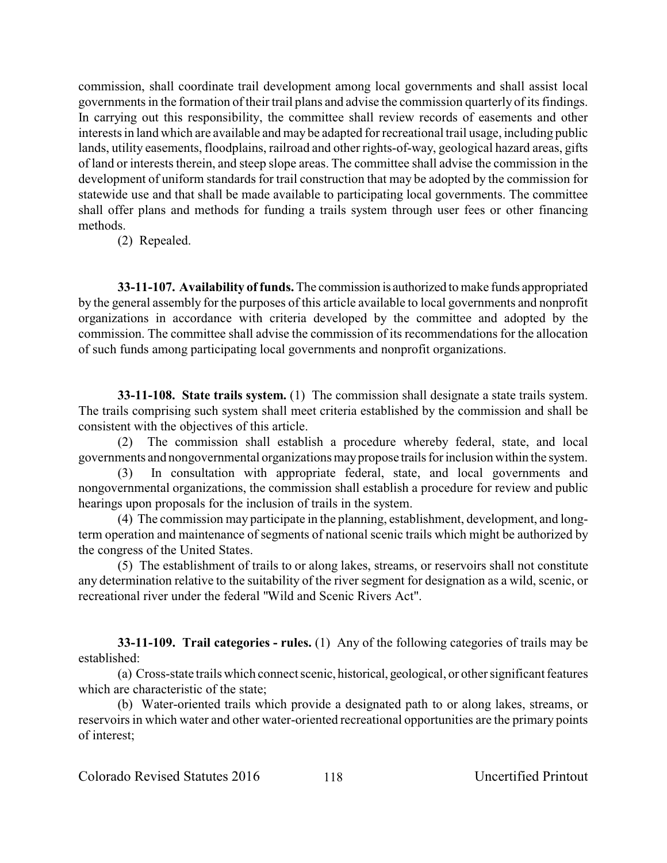commission, shall coordinate trail development among local governments and shall assist local governments in the formation of their trail plans and advise the commission quarterly of its findings. In carrying out this responsibility, the committee shall review records of easements and other interests in land which are available and may be adapted for recreational trail usage, including public lands, utility easements, floodplains, railroad and other rights-of-way, geological hazard areas, gifts of land or interests therein, and steep slope areas. The committee shall advise the commission in the development of uniform standards for trail construction that may be adopted by the commission for statewide use and that shall be made available to participating local governments. The committee shall offer plans and methods for funding a trails system through user fees or other financing methods.

(2) Repealed.

**33-11-107. Availability offunds.** The commission is authorized to make funds appropriated by the general assembly for the purposes of this article available to local governments and nonprofit organizations in accordance with criteria developed by the committee and adopted by the commission. The committee shall advise the commission of its recommendations for the allocation of such funds among participating local governments and nonprofit organizations.

**33-11-108. State trails system.** (1) The commission shall designate a state trails system. The trails comprising such system shall meet criteria established by the commission and shall be consistent with the objectives of this article.

(2) The commission shall establish a procedure whereby federal, state, and local governments and nongovernmental organizations maypropose trails for inclusion within the system.

(3) In consultation with appropriate federal, state, and local governments and nongovernmental organizations, the commission shall establish a procedure for review and public hearings upon proposals for the inclusion of trails in the system.

(4) The commission may participate in the planning, establishment, development, and longterm operation and maintenance of segments of national scenic trails which might be authorized by the congress of the United States.

(5) The establishment of trails to or along lakes, streams, or reservoirs shall not constitute any determination relative to the suitability of the river segment for designation as a wild, scenic, or recreational river under the federal "Wild and Scenic Rivers Act".

**33-11-109. Trail categories - rules.** (1) Any of the following categories of trails may be established:

(a) Cross-state trails which connect scenic, historical, geological, or other significant features which are characteristic of the state;

(b) Water-oriented trails which provide a designated path to or along lakes, streams, or reservoirs in which water and other water-oriented recreational opportunities are the primary points of interest;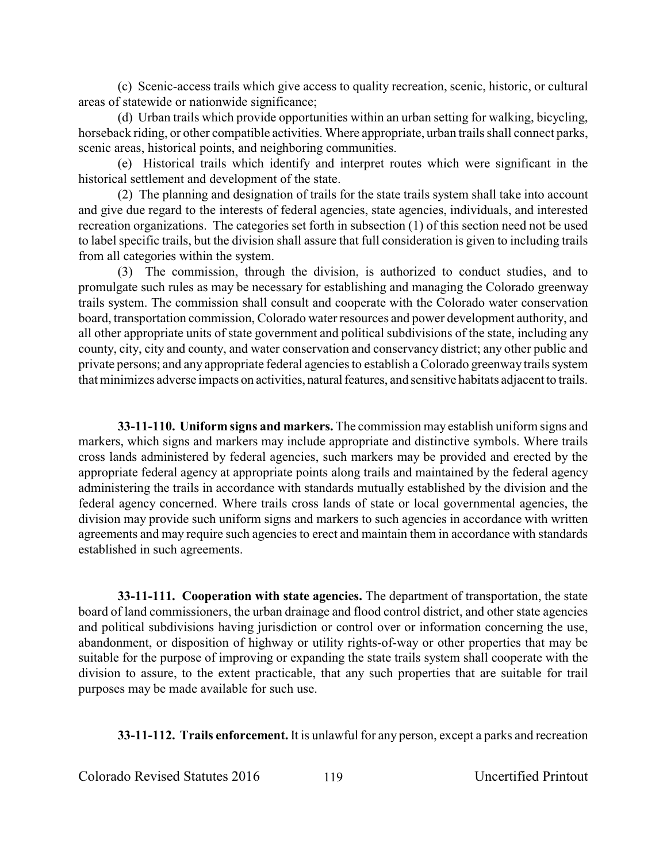(c) Scenic-access trails which give access to quality recreation, scenic, historic, or cultural areas of statewide or nationwide significance;

(d) Urban trails which provide opportunities within an urban setting for walking, bicycling, horseback riding, or other compatible activities. Where appropriate, urban trails shall connect parks, scenic areas, historical points, and neighboring communities.

(e) Historical trails which identify and interpret routes which were significant in the historical settlement and development of the state.

(2) The planning and designation of trails for the state trails system shall take into account and give due regard to the interests of federal agencies, state agencies, individuals, and interested recreation organizations. The categories set forth in subsection (1) of this section need not be used to label specific trails, but the division shall assure that full consideration is given to including trails from all categories within the system.

(3) The commission, through the division, is authorized to conduct studies, and to promulgate such rules as may be necessary for establishing and managing the Colorado greenway trails system. The commission shall consult and cooperate with the Colorado water conservation board, transportation commission, Colorado water resources and power development authority, and all other appropriate units of state government and political subdivisions of the state, including any county, city, city and county, and water conservation and conservancy district; any other public and private persons; and any appropriate federal agencies to establish a Colorado greenway trails system that minimizes adverse impacts on activities, natural features, and sensitive habitats adjacent to trails.

**33-11-110. Uniform signs and markers.** The commission may establish uniform signs and markers, which signs and markers may include appropriate and distinctive symbols. Where trails cross lands administered by federal agencies, such markers may be provided and erected by the appropriate federal agency at appropriate points along trails and maintained by the federal agency administering the trails in accordance with standards mutually established by the division and the federal agency concerned. Where trails cross lands of state or local governmental agencies, the division may provide such uniform signs and markers to such agencies in accordance with written agreements and may require such agencies to erect and maintain them in accordance with standards established in such agreements.

**33-11-111. Cooperation with state agencies.** The department of transportation, the state board of land commissioners, the urban drainage and flood control district, and other state agencies and political subdivisions having jurisdiction or control over or information concerning the use, abandonment, or disposition of highway or utility rights-of-way or other properties that may be suitable for the purpose of improving or expanding the state trails system shall cooperate with the division to assure, to the extent practicable, that any such properties that are suitable for trail purposes may be made available for such use.

**33-11-112. Trails enforcement.** It is unlawful for any person, except a parks and recreation

Colorado Revised Statutes 2016 119 Uncertified Printout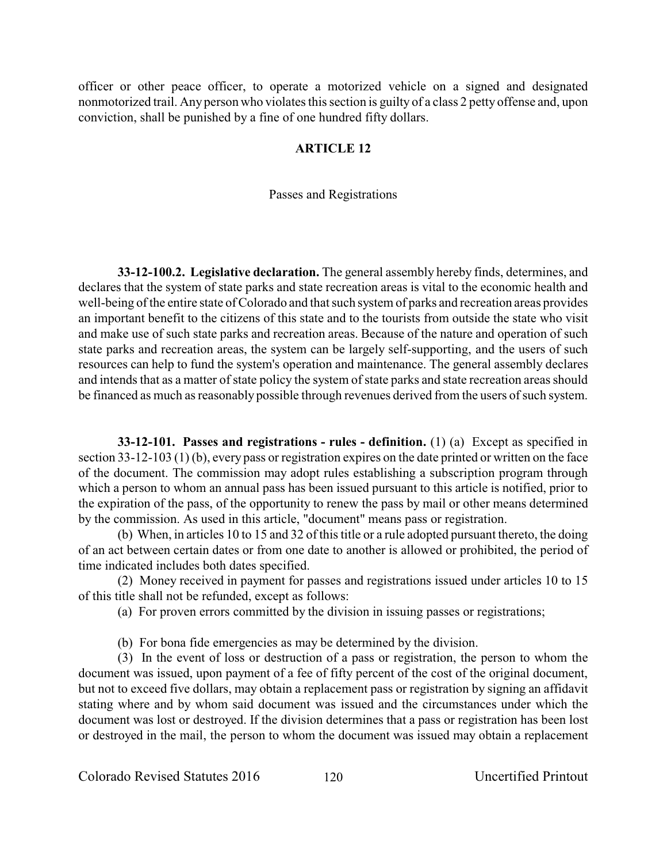officer or other peace officer, to operate a motorized vehicle on a signed and designated nonmotorized trail. Any person who violates this section is guilty of a class 2 petty offense and, upon conviction, shall be punished by a fine of one hundred fifty dollars.

## **ARTICLE 12**

#### Passes and Registrations

**33-12-100.2. Legislative declaration.** The general assembly hereby finds, determines, and declares that the system of state parks and state recreation areas is vital to the economic health and well-being of the entire state of Colorado and that such system of parks and recreation areas provides an important benefit to the citizens of this state and to the tourists from outside the state who visit and make use of such state parks and recreation areas. Because of the nature and operation of such state parks and recreation areas, the system can be largely self-supporting, and the users of such resources can help to fund the system's operation and maintenance. The general assembly declares and intends that as a matter of state policy the system of state parks and state recreation areas should be financed as much as reasonably possible through revenues derived from the users of such system.

**33-12-101. Passes and registrations - rules - definition.** (1) (a) Except as specified in section 33-12-103 (1) (b), every pass or registration expires on the date printed or written on the face of the document. The commission may adopt rules establishing a subscription program through which a person to whom an annual pass has been issued pursuant to this article is notified, prior to the expiration of the pass, of the opportunity to renew the pass by mail or other means determined by the commission. As used in this article, "document" means pass or registration.

(b) When, in articles 10 to 15 and 32 of this title or a rule adopted pursuant thereto, the doing of an act between certain dates or from one date to another is allowed or prohibited, the period of time indicated includes both dates specified.

(2) Money received in payment for passes and registrations issued under articles 10 to 15 of this title shall not be refunded, except as follows:

(a) For proven errors committed by the division in issuing passes or registrations;

(b) For bona fide emergencies as may be determined by the division.

(3) In the event of loss or destruction of a pass or registration, the person to whom the document was issued, upon payment of a fee of fifty percent of the cost of the original document, but not to exceed five dollars, may obtain a replacement pass or registration by signing an affidavit stating where and by whom said document was issued and the circumstances under which the document was lost or destroyed. If the division determines that a pass or registration has been lost or destroyed in the mail, the person to whom the document was issued may obtain a replacement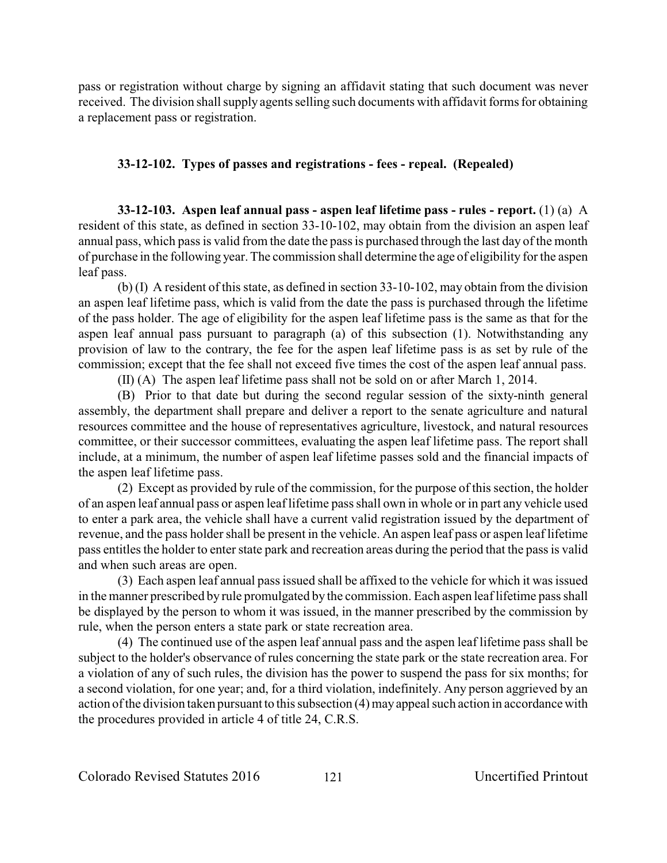pass or registration without charge by signing an affidavit stating that such document was never received. The division shall supply agents selling such documents with affidavit forms for obtaining a replacement pass or registration.

## **33-12-102. Types of passes and registrations - fees - repeal. (Repealed)**

**33-12-103. Aspen leaf annual pass - aspen leaf lifetime pass - rules - report.** (1) (a) A resident of this state, as defined in section 33-10-102, may obtain from the division an aspen leaf annual pass, which pass is valid from the date the pass is purchased through the last day of the month of purchase in the following year. The commission shall determine the age of eligibility for the aspen leaf pass.

(b) (I) A resident of this state, as defined in section 33-10-102, may obtain from the division an aspen leaf lifetime pass, which is valid from the date the pass is purchased through the lifetime of the pass holder. The age of eligibility for the aspen leaf lifetime pass is the same as that for the aspen leaf annual pass pursuant to paragraph (a) of this subsection (1). Notwithstanding any provision of law to the contrary, the fee for the aspen leaf lifetime pass is as set by rule of the commission; except that the fee shall not exceed five times the cost of the aspen leaf annual pass.

(II) (A) The aspen leaf lifetime pass shall not be sold on or after March 1, 2014.

(B) Prior to that date but during the second regular session of the sixty-ninth general assembly, the department shall prepare and deliver a report to the senate agriculture and natural resources committee and the house of representatives agriculture, livestock, and natural resources committee, or their successor committees, evaluating the aspen leaf lifetime pass. The report shall include, at a minimum, the number of aspen leaf lifetime passes sold and the financial impacts of the aspen leaf lifetime pass.

(2) Except as provided by rule of the commission, for the purpose of this section, the holder of an aspen leaf annual pass or aspen leaf lifetime pass shall own in whole or in part any vehicle used to enter a park area, the vehicle shall have a current valid registration issued by the department of revenue, and the pass holder shall be present in the vehicle. An aspen leaf pass or aspen leaf lifetime pass entitles the holder to enter state park and recreation areas during the period that the pass is valid and when such areas are open.

(3) Each aspen leaf annual pass issued shall be affixed to the vehicle for which it was issued in the manner prescribed by rule promulgated by the commission. Each aspen leaf lifetime pass shall be displayed by the person to whom it was issued, in the manner prescribed by the commission by rule, when the person enters a state park or state recreation area.

(4) The continued use of the aspen leaf annual pass and the aspen leaf lifetime pass shall be subject to the holder's observance of rules concerning the state park or the state recreation area. For a violation of any of such rules, the division has the power to suspend the pass for six months; for a second violation, for one year; and, for a third violation, indefinitely. Any person aggrieved by an action of the division taken pursuant to this subsection (4) may appeal such action in accordance with the procedures provided in article 4 of title 24, C.R.S.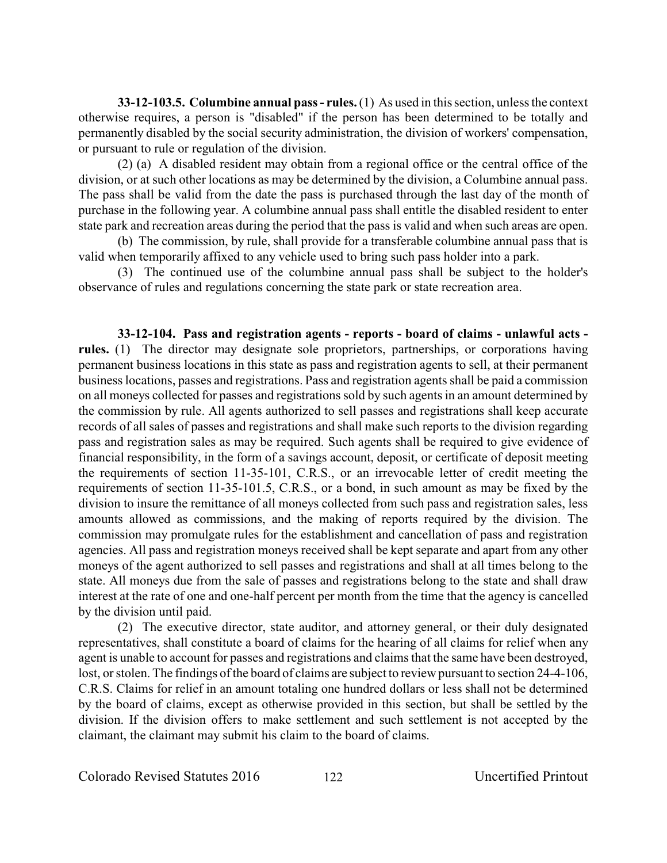**33-12-103.5. Columbine annual pass - rules.** (1) As used in this section, unless the context otherwise requires, a person is "disabled" if the person has been determined to be totally and permanently disabled by the social security administration, the division of workers' compensation, or pursuant to rule or regulation of the division.

(2) (a) A disabled resident may obtain from a regional office or the central office of the division, or at such other locations as may be determined by the division, a Columbine annual pass. The pass shall be valid from the date the pass is purchased through the last day of the month of purchase in the following year. A columbine annual pass shall entitle the disabled resident to enter state park and recreation areas during the period that the pass is valid and when such areas are open.

(b) The commission, by rule, shall provide for a transferable columbine annual pass that is valid when temporarily affixed to any vehicle used to bring such pass holder into a park.

(3) The continued use of the columbine annual pass shall be subject to the holder's observance of rules and regulations concerning the state park or state recreation area.

**33-12-104. Pass and registration agents - reports - board of claims - unlawful acts rules.** (1) The director may designate sole proprietors, partnerships, or corporations having permanent business locations in this state as pass and registration agents to sell, at their permanent business locations, passes and registrations. Pass and registration agents shall be paid a commission on all moneys collected for passes and registrations sold by such agents in an amount determined by the commission by rule. All agents authorized to sell passes and registrations shall keep accurate records of all sales of passes and registrations and shall make such reports to the division regarding pass and registration sales as may be required. Such agents shall be required to give evidence of financial responsibility, in the form of a savings account, deposit, or certificate of deposit meeting the requirements of section 11-35-101, C.R.S., or an irrevocable letter of credit meeting the requirements of section 11-35-101.5, C.R.S., or a bond, in such amount as may be fixed by the division to insure the remittance of all moneys collected from such pass and registration sales, less amounts allowed as commissions, and the making of reports required by the division. The commission may promulgate rules for the establishment and cancellation of pass and registration agencies. All pass and registration moneys received shall be kept separate and apart from any other moneys of the agent authorized to sell passes and registrations and shall at all times belong to the state. All moneys due from the sale of passes and registrations belong to the state and shall draw interest at the rate of one and one-half percent per month from the time that the agency is cancelled by the division until paid.

(2) The executive director, state auditor, and attorney general, or their duly designated representatives, shall constitute a board of claims for the hearing of all claims for relief when any agent is unable to account for passes and registrations and claims that the same have been destroyed, lost, or stolen. The findings of the board of claims are subject to review pursuant to section 24-4-106, C.R.S. Claims for relief in an amount totaling one hundred dollars or less shall not be determined by the board of claims, except as otherwise provided in this section, but shall be settled by the division. If the division offers to make settlement and such settlement is not accepted by the claimant, the claimant may submit his claim to the board of claims.

Colorado Revised Statutes 2016 122 Uncertified Printout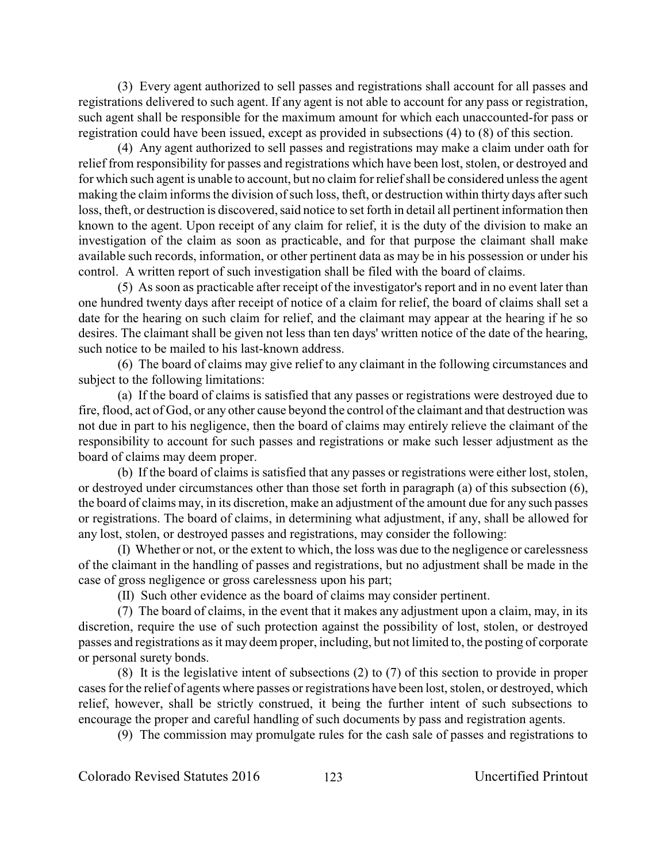(3) Every agent authorized to sell passes and registrations shall account for all passes and registrations delivered to such agent. If any agent is not able to account for any pass or registration, such agent shall be responsible for the maximum amount for which each unaccounted-for pass or registration could have been issued, except as provided in subsections (4) to (8) of this section.

(4) Any agent authorized to sell passes and registrations may make a claim under oath for relief from responsibility for passes and registrations which have been lost, stolen, or destroyed and for which such agent is unable to account, but no claim for relief shall be considered unless the agent making the claim informs the division of such loss, theft, or destruction within thirty days after such loss, theft, or destruction is discovered, said notice to set forth in detail all pertinent information then known to the agent. Upon receipt of any claim for relief, it is the duty of the division to make an investigation of the claim as soon as practicable, and for that purpose the claimant shall make available such records, information, or other pertinent data as may be in his possession or under his control. A written report of such investigation shall be filed with the board of claims.

(5) As soon as practicable after receipt of the investigator's report and in no event later than one hundred twenty days after receipt of notice of a claim for relief, the board of claims shall set a date for the hearing on such claim for relief, and the claimant may appear at the hearing if he so desires. The claimant shall be given not less than ten days' written notice of the date of the hearing, such notice to be mailed to his last-known address.

(6) The board of claims may give relief to any claimant in the following circumstances and subject to the following limitations:

(a) If the board of claims is satisfied that any passes or registrations were destroyed due to fire, flood, act of God, or any other cause beyond the control of the claimant and that destruction was not due in part to his negligence, then the board of claims may entirely relieve the claimant of the responsibility to account for such passes and registrations or make such lesser adjustment as the board of claims may deem proper.

(b) If the board of claims is satisfied that any passes or registrations were either lost, stolen, or destroyed under circumstances other than those set forth in paragraph (a) of this subsection (6), the board of claims may, in its discretion, make an adjustment of the amount due for any such passes or registrations. The board of claims, in determining what adjustment, if any, shall be allowed for any lost, stolen, or destroyed passes and registrations, may consider the following:

(I) Whether or not, or the extent to which, the loss was due to the negligence or carelessness of the claimant in the handling of passes and registrations, but no adjustment shall be made in the case of gross negligence or gross carelessness upon his part;

(II) Such other evidence as the board of claims may consider pertinent.

(7) The board of claims, in the event that it makes any adjustment upon a claim, may, in its discretion, require the use of such protection against the possibility of lost, stolen, or destroyed passes and registrations as it may deem proper, including, but not limited to, the posting of corporate or personal surety bonds.

(8) It is the legislative intent of subsections (2) to (7) of this section to provide in proper cases for the relief of agents where passes or registrations have been lost, stolen, or destroyed, which relief, however, shall be strictly construed, it being the further intent of such subsections to encourage the proper and careful handling of such documents by pass and registration agents.

(9) The commission may promulgate rules for the cash sale of passes and registrations to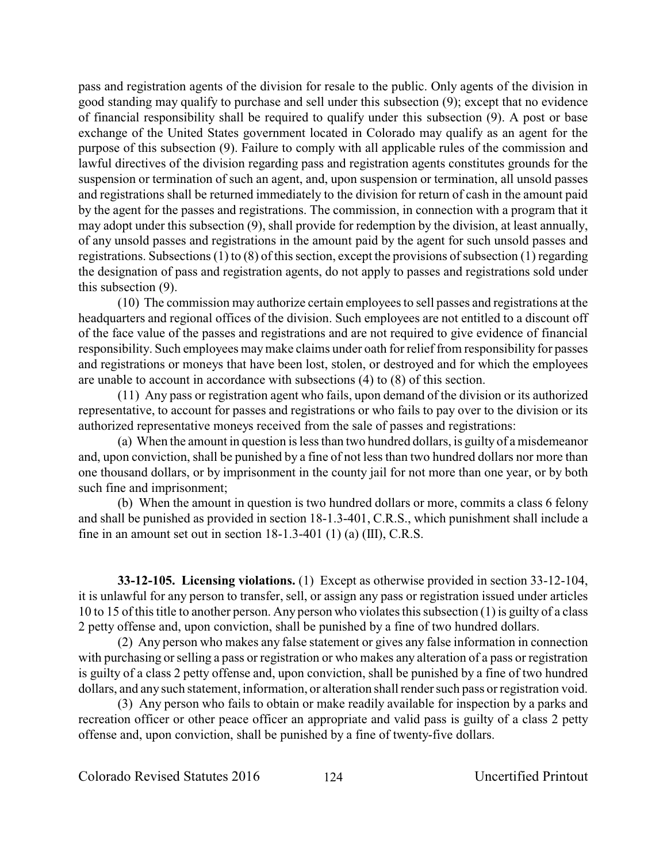pass and registration agents of the division for resale to the public. Only agents of the division in good standing may qualify to purchase and sell under this subsection (9); except that no evidence of financial responsibility shall be required to qualify under this subsection (9). A post or base exchange of the United States government located in Colorado may qualify as an agent for the purpose of this subsection (9). Failure to comply with all applicable rules of the commission and lawful directives of the division regarding pass and registration agents constitutes grounds for the suspension or termination of such an agent, and, upon suspension or termination, all unsold passes and registrations shall be returned immediately to the division for return of cash in the amount paid by the agent for the passes and registrations. The commission, in connection with a program that it may adopt under this subsection (9), shall provide for redemption by the division, at least annually, of any unsold passes and registrations in the amount paid by the agent for such unsold passes and registrations. Subsections (1) to (8) of this section, except the provisions of subsection (1) regarding the designation of pass and registration agents, do not apply to passes and registrations sold under this subsection (9).

(10) The commission may authorize certain employees to sell passes and registrations at the headquarters and regional offices of the division. Such employees are not entitled to a discount off of the face value of the passes and registrations and are not required to give evidence of financial responsibility. Such employees maymake claims under oath for relief from responsibility for passes and registrations or moneys that have been lost, stolen, or destroyed and for which the employees are unable to account in accordance with subsections (4) to (8) of this section.

(11) Any pass or registration agent who fails, upon demand of the division or its authorized representative, to account for passes and registrations or who fails to pay over to the division or its authorized representative moneys received from the sale of passes and registrations:

(a) When the amount in question is less than two hundred dollars, is guilty of a misdemeanor and, upon conviction, shall be punished by a fine of not less than two hundred dollars nor more than one thousand dollars, or by imprisonment in the county jail for not more than one year, or by both such fine and imprisonment;

(b) When the amount in question is two hundred dollars or more, commits a class 6 felony and shall be punished as provided in section 18-1.3-401, C.R.S., which punishment shall include a fine in an amount set out in section  $18-1.3-401$  (1) (a) (III), C.R.S.

**33-12-105. Licensing violations.** (1) Except as otherwise provided in section 33-12-104, it is unlawful for any person to transfer, sell, or assign any pass or registration issued under articles 10 to 15 of this title to another person. Any person who violates this subsection (1) is guilty of a class 2 petty offense and, upon conviction, shall be punished by a fine of two hundred dollars.

(2) Any person who makes any false statement or gives any false information in connection with purchasing or selling a pass or registration or who makes any alteration of a pass or registration is guilty of a class 2 petty offense and, upon conviction, shall be punished by a fine of two hundred dollars, and any such statement, information, or alteration shall render such pass or registration void.

(3) Any person who fails to obtain or make readily available for inspection by a parks and recreation officer or other peace officer an appropriate and valid pass is guilty of a class 2 petty offense and, upon conviction, shall be punished by a fine of twenty-five dollars.

Colorado Revised Statutes 2016 124 Uncertified Printout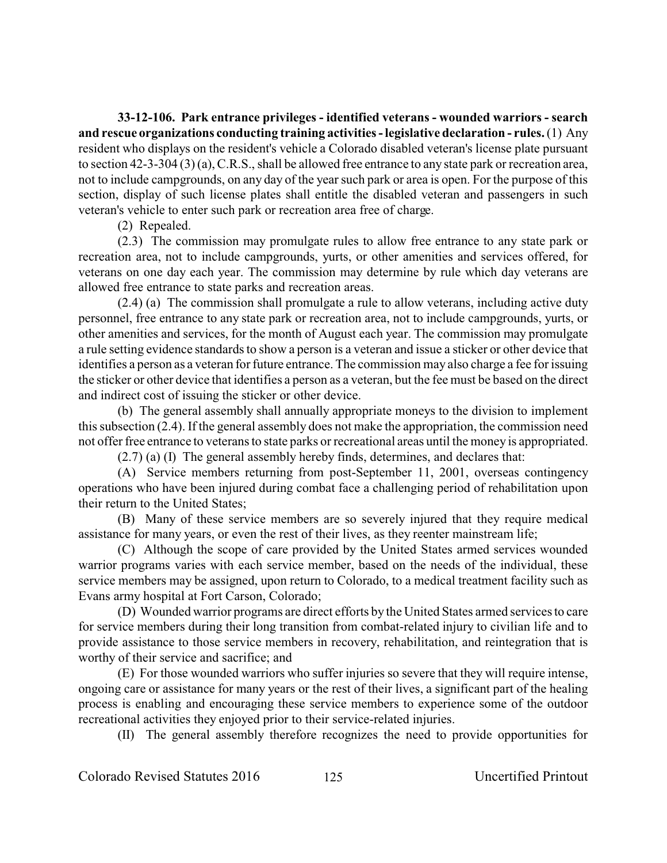**33-12-106. Park entrance privileges - identified veterans - wounded warriors - search and rescue organizations conducting training activities - legislative declaration - rules.** (1) Any resident who displays on the resident's vehicle a Colorado disabled veteran's license plate pursuant to section 42-3-304 (3) (a), C.R.S., shall be allowed free entrance to any state park or recreation area, not to include campgrounds, on any day of the year such park or area is open. For the purpose of this section, display of such license plates shall entitle the disabled veteran and passengers in such veteran's vehicle to enter such park or recreation area free of charge.

(2) Repealed.

(2.3) The commission may promulgate rules to allow free entrance to any state park or recreation area, not to include campgrounds, yurts, or other amenities and services offered, for veterans on one day each year. The commission may determine by rule which day veterans are allowed free entrance to state parks and recreation areas.

(2.4) (a) The commission shall promulgate a rule to allow veterans, including active duty personnel, free entrance to any state park or recreation area, not to include campgrounds, yurts, or other amenities and services, for the month of August each year. The commission may promulgate a rule setting evidence standards to show a person is a veteran and issue a sticker or other device that identifies a person as a veteran for future entrance. The commission may also charge a fee for issuing the sticker or other device that identifies a person as a veteran, but the fee must be based on the direct and indirect cost of issuing the sticker or other device.

(b) The general assembly shall annually appropriate moneys to the division to implement this subsection (2.4). If the general assembly does not make the appropriation, the commission need not offer free entrance to veterans to state parks or recreational areas until the money is appropriated.

(2.7) (a) (I) The general assembly hereby finds, determines, and declares that:

(A) Service members returning from post-September 11, 2001, overseas contingency operations who have been injured during combat face a challenging period of rehabilitation upon their return to the United States;

(B) Many of these service members are so severely injured that they require medical assistance for many years, or even the rest of their lives, as they reenter mainstream life;

(C) Although the scope of care provided by the United States armed services wounded warrior programs varies with each service member, based on the needs of the individual, these service members may be assigned, upon return to Colorado, to a medical treatment facility such as Evans army hospital at Fort Carson, Colorado;

(D) Wounded warrior programs are direct efforts by the United States armed services to care for service members during their long transition from combat-related injury to civilian life and to provide assistance to those service members in recovery, rehabilitation, and reintegration that is worthy of their service and sacrifice; and

(E) For those wounded warriors who suffer injuries so severe that they will require intense, ongoing care or assistance for many years or the rest of their lives, a significant part of the healing process is enabling and encouraging these service members to experience some of the outdoor recreational activities they enjoyed prior to their service-related injuries.

(II) The general assembly therefore recognizes the need to provide opportunities for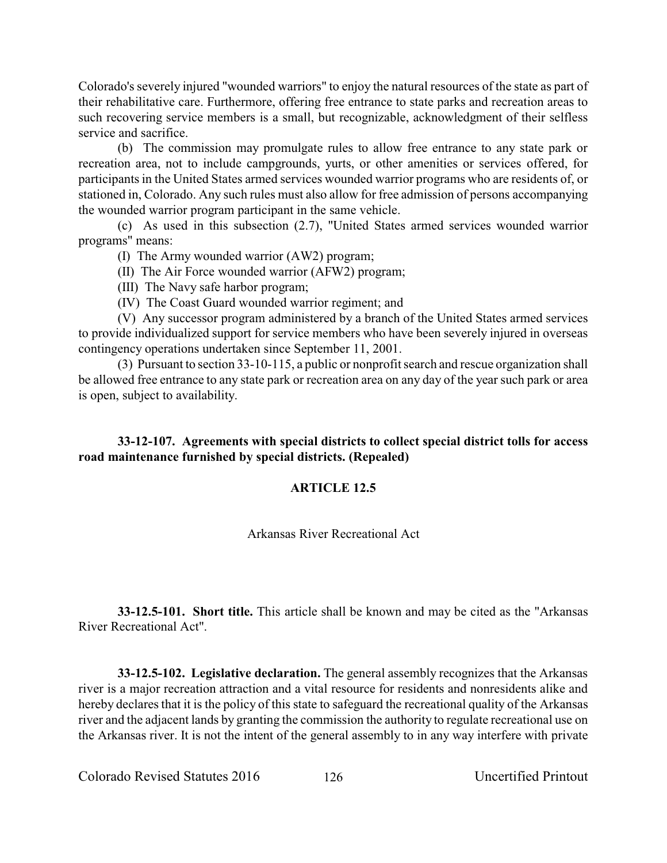Colorado's severely injured "wounded warriors" to enjoy the natural resources of the state as part of their rehabilitative care. Furthermore, offering free entrance to state parks and recreation areas to such recovering service members is a small, but recognizable, acknowledgment of their selfless service and sacrifice.

(b) The commission may promulgate rules to allow free entrance to any state park or recreation area, not to include campgrounds, yurts, or other amenities or services offered, for participants in the United States armed services wounded warrior programs who are residents of, or stationed in, Colorado. Any such rules must also allow for free admission of persons accompanying the wounded warrior program participant in the same vehicle.

(c) As used in this subsection (2.7), "United States armed services wounded warrior programs" means:

(I) The Army wounded warrior (AW2) program;

(II) The Air Force wounded warrior (AFW2) program;

(III) The Navy safe harbor program;

(IV) The Coast Guard wounded warrior regiment; and

(V) Any successor program administered by a branch of the United States armed services to provide individualized support for service members who have been severely injured in overseas contingency operations undertaken since September 11, 2001.

(3) Pursuant to section 33-10-115, a public or nonprofit search and rescue organization shall be allowed free entrance to any state park or recreation area on any day of the year such park or area is open, subject to availability.

## **33-12-107. Agreements with special districts to collect special district tolls for access road maintenance furnished by special districts. (Repealed)**

## **ARTICLE 12.5**

### Arkansas River Recreational Act

**33-12.5-101. Short title.** This article shall be known and may be cited as the "Arkansas River Recreational Act".

**33-12.5-102. Legislative declaration.** The general assembly recognizes that the Arkansas river is a major recreation attraction and a vital resource for residents and nonresidents alike and hereby declares that it is the policy of this state to safeguard the recreational quality of the Arkansas river and the adjacent lands by granting the commission the authority to regulate recreational use on the Arkansas river. It is not the intent of the general assembly to in any way interfere with private

Colorado Revised Statutes 2016 126 Uncertified Printout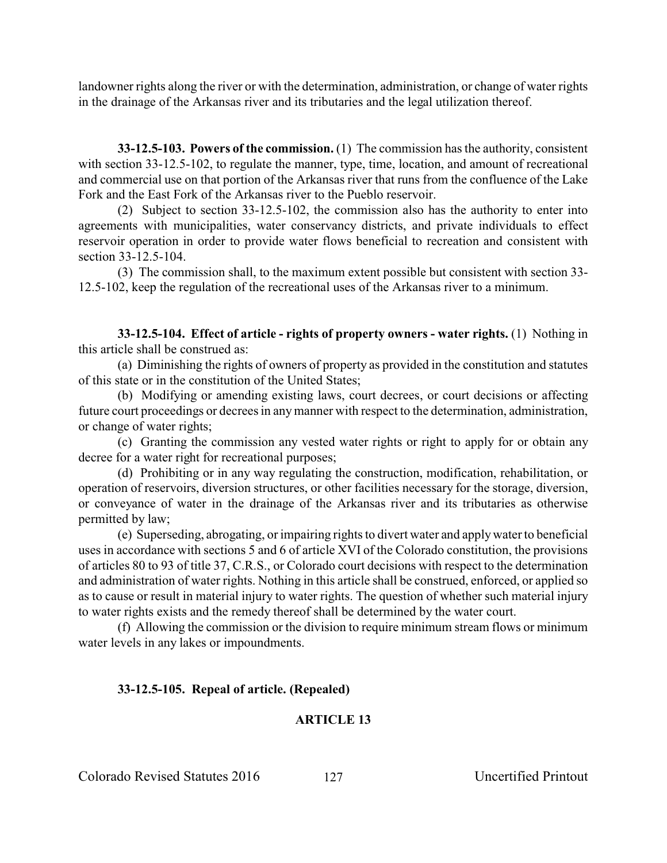landowner rights along the river or with the determination, administration, or change of water rights in the drainage of the Arkansas river and its tributaries and the legal utilization thereof.

**33-12.5-103. Powers of the commission.** (1) The commission has the authority, consistent with section 33-12.5-102, to regulate the manner, type, time, location, and amount of recreational and commercial use on that portion of the Arkansas river that runs from the confluence of the Lake Fork and the East Fork of the Arkansas river to the Pueblo reservoir.

(2) Subject to section 33-12.5-102, the commission also has the authority to enter into agreements with municipalities, water conservancy districts, and private individuals to effect reservoir operation in order to provide water flows beneficial to recreation and consistent with section 33-12.5-104.

(3) The commission shall, to the maximum extent possible but consistent with section 33- 12.5-102, keep the regulation of the recreational uses of the Arkansas river to a minimum.

**33-12.5-104. Effect of article - rights of property owners - water rights.** (1) Nothing in this article shall be construed as:

(a) Diminishing the rights of owners of property as provided in the constitution and statutes of this state or in the constitution of the United States;

(b) Modifying or amending existing laws, court decrees, or court decisions or affecting future court proceedings or decrees in anymanner with respect to the determination, administration, or change of water rights;

(c) Granting the commission any vested water rights or right to apply for or obtain any decree for a water right for recreational purposes;

(d) Prohibiting or in any way regulating the construction, modification, rehabilitation, or operation of reservoirs, diversion structures, or other facilities necessary for the storage, diversion, or conveyance of water in the drainage of the Arkansas river and its tributaries as otherwise permitted by law;

(e) Superseding, abrogating, or impairing rights to divert water and applywater to beneficial uses in accordance with sections 5 and 6 of article XVI of the Colorado constitution, the provisions of articles 80 to 93 of title 37, C.R.S., or Colorado court decisions with respect to the determination and administration of water rights. Nothing in this article shall be construed, enforced, or applied so as to cause or result in material injury to water rights. The question of whether such material injury to water rights exists and the remedy thereof shall be determined by the water court.

(f) Allowing the commission or the division to require minimum stream flows or minimum water levels in any lakes or impoundments.

# **33-12.5-105. Repeal of article. (Repealed)**

# **ARTICLE 13**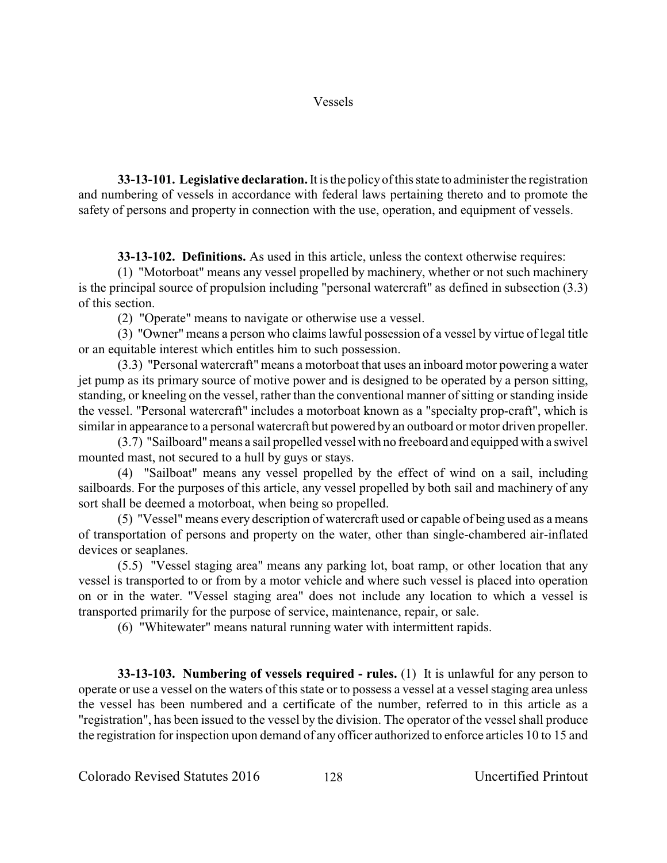### Vessels

**33-13-101. Legislative declaration.** It is the policyof this state to administer the registration and numbering of vessels in accordance with federal laws pertaining thereto and to promote the safety of persons and property in connection with the use, operation, and equipment of vessels.

**33-13-102. Definitions.** As used in this article, unless the context otherwise requires:

(1) "Motorboat" means any vessel propelled by machinery, whether or not such machinery is the principal source of propulsion including "personal watercraft" as defined in subsection (3.3) of this section.

(2) "Operate" means to navigate or otherwise use a vessel.

(3) "Owner" means a person who claims lawful possession of a vessel by virtue of legal title or an equitable interest which entitles him to such possession.

(3.3) "Personal watercraft" means a motorboat that uses an inboard motor powering a water jet pump as its primary source of motive power and is designed to be operated by a person sitting, standing, or kneeling on the vessel, rather than the conventional manner of sitting or standing inside the vessel. "Personal watercraft" includes a motorboat known as a "specialty prop-craft", which is similar in appearance to a personal watercraft but powered by an outboard or motor driven propeller.

(3.7) "Sailboard"means a sail propelled vessel with no freeboard and equipped with a swivel mounted mast, not secured to a hull by guys or stays.

(4) "Sailboat" means any vessel propelled by the effect of wind on a sail, including sailboards. For the purposes of this article, any vessel propelled by both sail and machinery of any sort shall be deemed a motorboat, when being so propelled.

(5) "Vessel" means every description of watercraft used or capable of being used as a means of transportation of persons and property on the water, other than single-chambered air-inflated devices or seaplanes.

(5.5) "Vessel staging area" means any parking lot, boat ramp, or other location that any vessel is transported to or from by a motor vehicle and where such vessel is placed into operation on or in the water. "Vessel staging area" does not include any location to which a vessel is transported primarily for the purpose of service, maintenance, repair, or sale.

(6) "Whitewater" means natural running water with intermittent rapids.

**33-13-103. Numbering of vessels required - rules.** (1) It is unlawful for any person to operate or use a vessel on the waters of this state or to possess a vessel at a vessel staging area unless the vessel has been numbered and a certificate of the number, referred to in this article as a "registration", has been issued to the vessel by the division. The operator of the vessel shall produce the registration for inspection upon demand of any officer authorized to enforce articles 10 to 15 and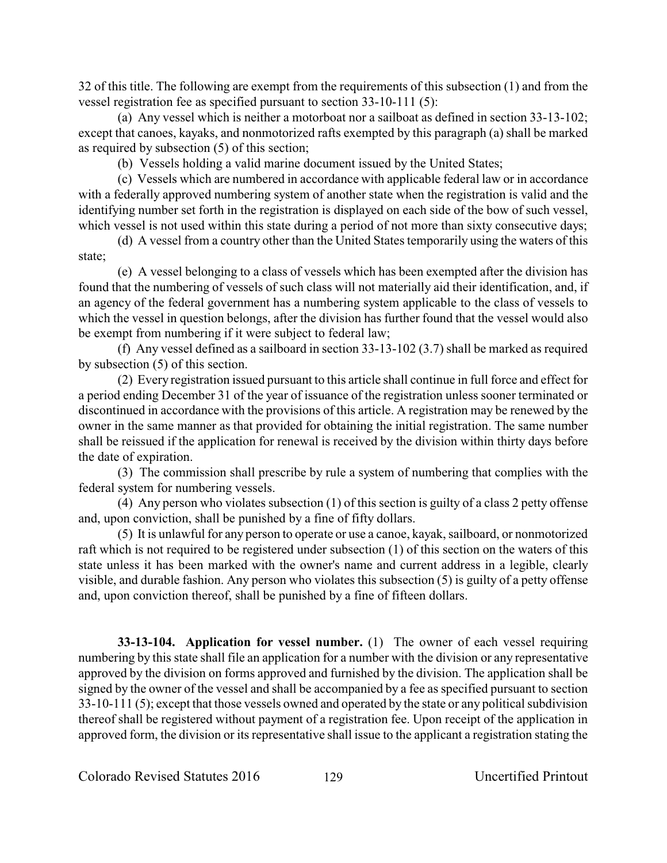32 of this title. The following are exempt from the requirements of this subsection (1) and from the vessel registration fee as specified pursuant to section 33-10-111 (5):

(a) Any vessel which is neither a motorboat nor a sailboat as defined in section 33-13-102; except that canoes, kayaks, and nonmotorized rafts exempted by this paragraph (a) shall be marked as required by subsection (5) of this section;

(b) Vessels holding a valid marine document issued by the United States;

(c) Vessels which are numbered in accordance with applicable federal law or in accordance with a federally approved numbering system of another state when the registration is valid and the identifying number set forth in the registration is displayed on each side of the bow of such vessel, which vessel is not used within this state during a period of not more than sixty consecutive days;

(d) A vessel from a country other than the United States temporarily using the waters of this state;

(e) A vessel belonging to a class of vessels which has been exempted after the division has found that the numbering of vessels of such class will not materially aid their identification, and, if an agency of the federal government has a numbering system applicable to the class of vessels to which the vessel in question belongs, after the division has further found that the vessel would also be exempt from numbering if it were subject to federal law;

(f) Any vessel defined as a sailboard in section 33-13-102 (3.7) shall be marked as required by subsection (5) of this section.

(2) Every registration issued pursuant to this article shall continue in full force and effect for a period ending December 31 of the year of issuance of the registration unless sooner terminated or discontinued in accordance with the provisions of this article. A registration may be renewed by the owner in the same manner as that provided for obtaining the initial registration. The same number shall be reissued if the application for renewal is received by the division within thirty days before the date of expiration.

(3) The commission shall prescribe by rule a system of numbering that complies with the federal system for numbering vessels.

(4) Any person who violates subsection (1) of this section is guilty of a class 2 petty offense and, upon conviction, shall be punished by a fine of fifty dollars.

(5) It is unlawful for any person to operate or use a canoe, kayak, sailboard, or nonmotorized raft which is not required to be registered under subsection (1) of this section on the waters of this state unless it has been marked with the owner's name and current address in a legible, clearly visible, and durable fashion. Any person who violates this subsection (5) is guilty of a petty offense and, upon conviction thereof, shall be punished by a fine of fifteen dollars.

**33-13-104. Application for vessel number.** (1) The owner of each vessel requiring numbering by this state shall file an application for a number with the division or any representative approved by the division on forms approved and furnished by the division. The application shall be signed by the owner of the vessel and shall be accompanied by a fee as specified pursuant to section 33-10-111 (5); except that those vessels owned and operated by the state or any political subdivision thereof shall be registered without payment of a registration fee. Upon receipt of the application in approved form, the division or its representative shall issue to the applicant a registration stating the

Colorado Revised Statutes 2016 129 Uncertified Printout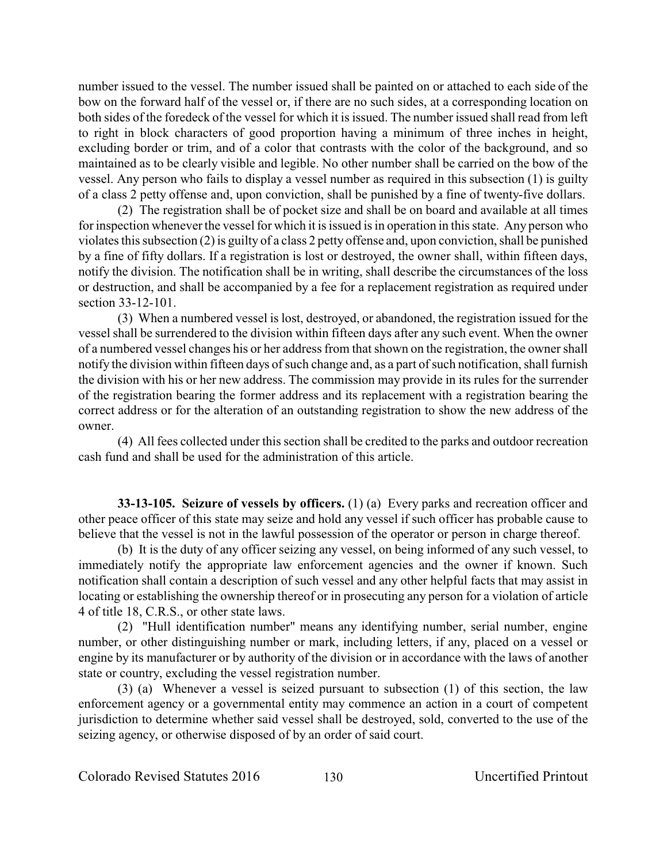number issued to the vessel. The number issued shall be painted on or attached to each side of the bow on the forward half of the vessel or, if there are no such sides, at a corresponding location on both sides of the foredeck of the vessel for which it is issued. The number issued shall read from left to right in block characters of good proportion having a minimum of three inches in height, excluding border or trim, and of a color that contrasts with the color of the background, and so maintained as to be clearly visible and legible. No other number shall be carried on the bow of the vessel. Any person who fails to display a vessel number as required in this subsection (1) is guilty of a class 2 petty offense and, upon conviction, shall be punished by a fine of twenty-five dollars.

(2) The registration shall be of pocket size and shall be on board and available at all times for inspection whenever the vessel for which it is issued is in operation in this state. Any person who violates this subsection (2) is guilty of a class 2 petty offense and, upon conviction, shall be punished by a fine of fifty dollars. If a registration is lost or destroyed, the owner shall, within fifteen days, notify the division. The notification shall be in writing, shall describe the circumstances of the loss or destruction, and shall be accompanied by a fee for a replacement registration as required under section 33-12-101.

(3) When a numbered vessel is lost, destroyed, or abandoned, the registration issued for the vessel shall be surrendered to the division within fifteen days after any such event. When the owner of a numbered vessel changes his or her address from that shown on the registration, the owner shall notify the division within fifteen days of such change and, as a part of such notification, shall furnish the division with his or her new address. The commission may provide in its rules for the surrender of the registration bearing the former address and its replacement with a registration bearing the correct address or for the alteration of an outstanding registration to show the new address of the owner.

(4) All fees collected under this section shall be credited to the parks and outdoor recreation cash fund and shall be used for the administration of this article.

**33-13-105. Seizure of vessels by officers.** (1) (a) Every parks and recreation officer and other peace officer of this state may seize and hold any vessel if such officer has probable cause to believe that the vessel is not in the lawful possession of the operator or person in charge thereof.

(b) It is the duty of any officer seizing any vessel, on being informed of any such vessel, to immediately notify the appropriate law enforcement agencies and the owner if known. Such notification shall contain a description of such vessel and any other helpful facts that may assist in locating or establishing the ownership thereof or in prosecuting any person for a violation of article 4 of title 18, C.R.S., or other state laws.

(2) "Hull identification number" means any identifying number, serial number, engine number, or other distinguishing number or mark, including letters, if any, placed on a vessel or engine by its manufacturer or by authority of the division or in accordance with the laws of another state or country, excluding the vessel registration number.

(3) (a) Whenever a vessel is seized pursuant to subsection (1) of this section, the law enforcement agency or a governmental entity may commence an action in a court of competent jurisdiction to determine whether said vessel shall be destroyed, sold, converted to the use of the seizing agency, or otherwise disposed of by an order of said court.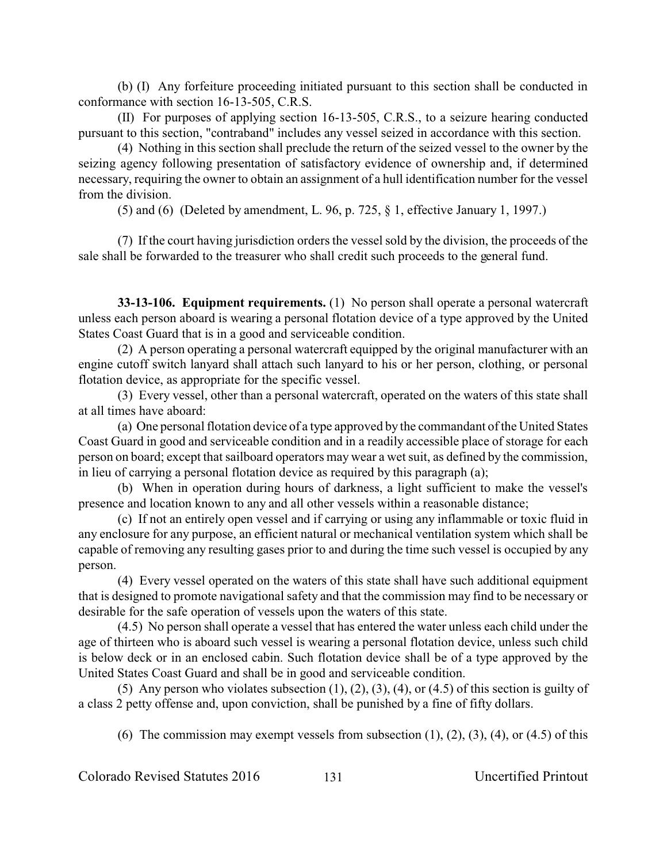(b) (I) Any forfeiture proceeding initiated pursuant to this section shall be conducted in conformance with section 16-13-505, C.R.S.

(II) For purposes of applying section 16-13-505, C.R.S., to a seizure hearing conducted pursuant to this section, "contraband" includes any vessel seized in accordance with this section.

(4) Nothing in this section shall preclude the return of the seized vessel to the owner by the seizing agency following presentation of satisfactory evidence of ownership and, if determined necessary, requiring the owner to obtain an assignment of a hull identification number for the vessel from the division.

(5) and (6) (Deleted by amendment, L. 96, p. 725, § 1, effective January 1, 1997.)

(7) If the court having jurisdiction orders the vessel sold by the division, the proceeds of the sale shall be forwarded to the treasurer who shall credit such proceeds to the general fund.

**33-13-106. Equipment requirements.** (1) No person shall operate a personal watercraft unless each person aboard is wearing a personal flotation device of a type approved by the United States Coast Guard that is in a good and serviceable condition.

(2) A person operating a personal watercraft equipped by the original manufacturer with an engine cutoff switch lanyard shall attach such lanyard to his or her person, clothing, or personal flotation device, as appropriate for the specific vessel.

(3) Every vessel, other than a personal watercraft, operated on the waters of this state shall at all times have aboard:

(a) One personal flotation device of a type approved by the commandant of the United States Coast Guard in good and serviceable condition and in a readily accessible place of storage for each person on board; except that sailboard operators may wear a wet suit, as defined by the commission, in lieu of carrying a personal flotation device as required by this paragraph (a);

(b) When in operation during hours of darkness, a light sufficient to make the vessel's presence and location known to any and all other vessels within a reasonable distance;

(c) If not an entirely open vessel and if carrying or using any inflammable or toxic fluid in any enclosure for any purpose, an efficient natural or mechanical ventilation system which shall be capable of removing any resulting gases prior to and during the time such vessel is occupied by any person.

(4) Every vessel operated on the waters of this state shall have such additional equipment that is designed to promote navigational safety and that the commission may find to be necessary or desirable for the safe operation of vessels upon the waters of this state.

(4.5) No person shall operate a vessel that has entered the water unless each child under the age of thirteen who is aboard such vessel is wearing a personal flotation device, unless such child is below deck or in an enclosed cabin. Such flotation device shall be of a type approved by the United States Coast Guard and shall be in good and serviceable condition.

(5) Any person who violates subsection  $(1)$ ,  $(2)$ ,  $(3)$ ,  $(4)$ , or  $(4.5)$  of this section is guilty of a class 2 petty offense and, upon conviction, shall be punished by a fine of fifty dollars.

(6) The commission may exempt vessels from subsection  $(1)$ ,  $(2)$ ,  $(3)$ ,  $(4)$ , or  $(4.5)$  of this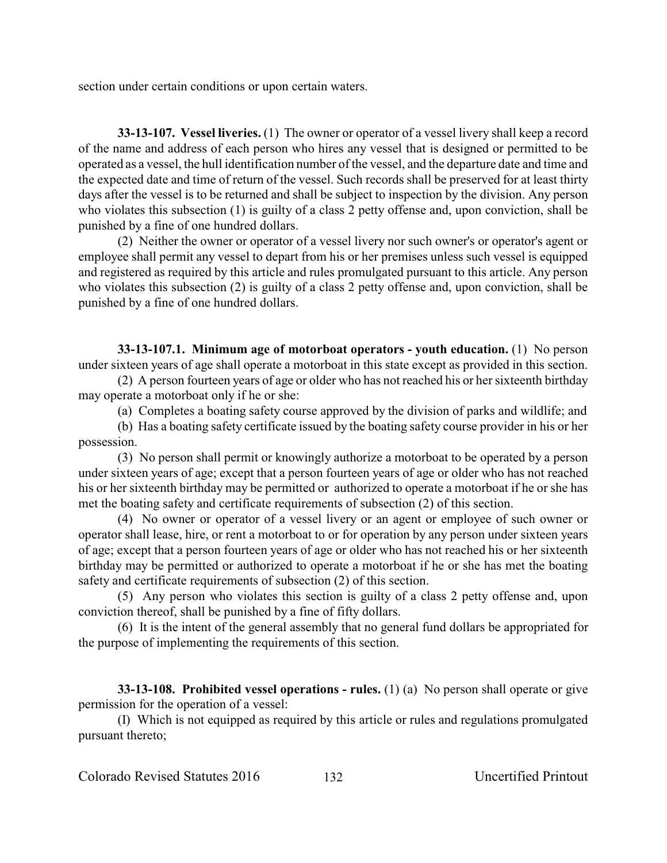section under certain conditions or upon certain waters.

**33-13-107. Vessel liveries.** (1) The owner or operator of a vessel livery shall keep a record of the name and address of each person who hires any vessel that is designed or permitted to be operated as a vessel, the hull identification number of the vessel, and the departure date and time and the expected date and time of return of the vessel. Such records shall be preserved for at least thirty days after the vessel is to be returned and shall be subject to inspection by the division. Any person who violates this subsection (1) is guilty of a class 2 petty offense and, upon conviction, shall be punished by a fine of one hundred dollars.

(2) Neither the owner or operator of a vessel livery nor such owner's or operator's agent or employee shall permit any vessel to depart from his or her premises unless such vessel is equipped and registered as required by this article and rules promulgated pursuant to this article. Any person who violates this subsection (2) is guilty of a class 2 petty offense and, upon conviction, shall be punished by a fine of one hundred dollars.

**33-13-107.1. Minimum age of motorboat operators - youth education.** (1) No person under sixteen years of age shall operate a motorboat in this state except as provided in this section.

(2) A person fourteen years of age or older who has not reached his or her sixteenth birthday may operate a motorboat only if he or she:

(a) Completes a boating safety course approved by the division of parks and wildlife; and

(b) Has a boating safety certificate issued by the boating safety course provider in his or her possession.

(3) No person shall permit or knowingly authorize a motorboat to be operated by a person under sixteen years of age; except that a person fourteen years of age or older who has not reached his or her sixteenth birthday may be permitted or authorized to operate a motorboat if he or she has met the boating safety and certificate requirements of subsection (2) of this section.

(4) No owner or operator of a vessel livery or an agent or employee of such owner or operator shall lease, hire, or rent a motorboat to or for operation by any person under sixteen years of age; except that a person fourteen years of age or older who has not reached his or her sixteenth birthday may be permitted or authorized to operate a motorboat if he or she has met the boating safety and certificate requirements of subsection (2) of this section.

(5) Any person who violates this section is guilty of a class 2 petty offense and, upon conviction thereof, shall be punished by a fine of fifty dollars.

(6) It is the intent of the general assembly that no general fund dollars be appropriated for the purpose of implementing the requirements of this section.

**33-13-108. Prohibited vessel operations - rules.** (1) (a) No person shall operate or give permission for the operation of a vessel:

(I) Which is not equipped as required by this article or rules and regulations promulgated pursuant thereto;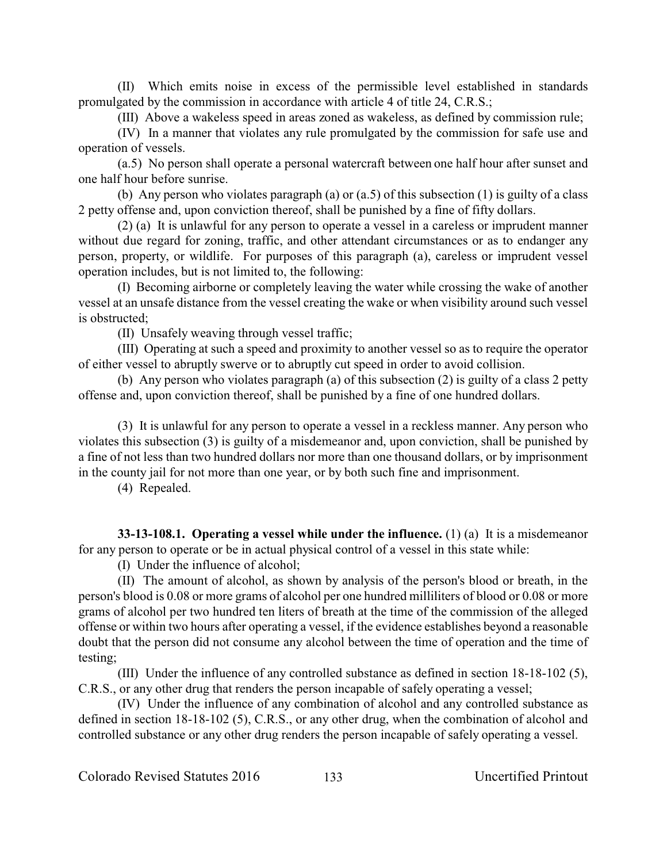(II) Which emits noise in excess of the permissible level established in standards promulgated by the commission in accordance with article 4 of title 24, C.R.S.;

(III) Above a wakeless speed in areas zoned as wakeless, as defined by commission rule;

(IV) In a manner that violates any rule promulgated by the commission for safe use and operation of vessels.

(a.5) No person shall operate a personal watercraft between one half hour after sunset and one half hour before sunrise.

(b) Any person who violates paragraph (a) or (a.5) of this subsection (1) is guilty of a class 2 petty offense and, upon conviction thereof, shall be punished by a fine of fifty dollars.

(2) (a) It is unlawful for any person to operate a vessel in a careless or imprudent manner without due regard for zoning, traffic, and other attendant circumstances or as to endanger any person, property, or wildlife. For purposes of this paragraph (a), careless or imprudent vessel operation includes, but is not limited to, the following:

(I) Becoming airborne or completely leaving the water while crossing the wake of another vessel at an unsafe distance from the vessel creating the wake or when visibility around such vessel is obstructed;

(II) Unsafely weaving through vessel traffic;

(III) Operating at such a speed and proximity to another vessel so as to require the operator of either vessel to abruptly swerve or to abruptly cut speed in order to avoid collision.

(b) Any person who violates paragraph (a) of this subsection (2) is guilty of a class 2 petty offense and, upon conviction thereof, shall be punished by a fine of one hundred dollars.

(3) It is unlawful for any person to operate a vessel in a reckless manner. Any person who violates this subsection (3) is guilty of a misdemeanor and, upon conviction, shall be punished by a fine of not less than two hundred dollars nor more than one thousand dollars, or by imprisonment in the county jail for not more than one year, or by both such fine and imprisonment.

(4) Repealed.

**33-13-108.1. Operating a vessel while under the influence.** (1) (a) It is a misdemeanor for any person to operate or be in actual physical control of a vessel in this state while:

(I) Under the influence of alcohol;

(II) The amount of alcohol, as shown by analysis of the person's blood or breath, in the person's blood is 0.08 or more grams of alcohol per one hundred milliliters of blood or 0.08 or more grams of alcohol per two hundred ten liters of breath at the time of the commission of the alleged offense or within two hours after operating a vessel, if the evidence establishes beyond a reasonable doubt that the person did not consume any alcohol between the time of operation and the time of testing;

(III) Under the influence of any controlled substance as defined in section 18-18-102 (5), C.R.S., or any other drug that renders the person incapable of safely operating a vessel;

(IV) Under the influence of any combination of alcohol and any controlled substance as defined in section 18-18-102 (5), C.R.S., or any other drug, when the combination of alcohol and controlled substance or any other drug renders the person incapable of safely operating a vessel.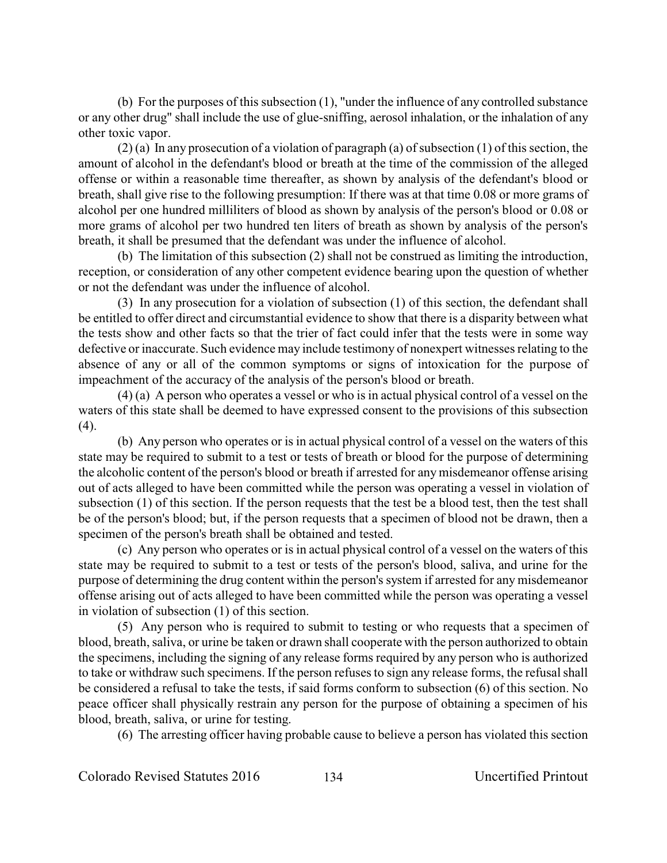(b) For the purposes of this subsection (1), "under the influence of any controlled substance or any other drug" shall include the use of glue-sniffing, aerosol inhalation, or the inhalation of any other toxic vapor.

 $(2)$  (a) In any prosecution of a violation of paragraph (a) of subsection (1) of this section, the amount of alcohol in the defendant's blood or breath at the time of the commission of the alleged offense or within a reasonable time thereafter, as shown by analysis of the defendant's blood or breath, shall give rise to the following presumption: If there was at that time 0.08 or more grams of alcohol per one hundred milliliters of blood as shown by analysis of the person's blood or 0.08 or more grams of alcohol per two hundred ten liters of breath as shown by analysis of the person's breath, it shall be presumed that the defendant was under the influence of alcohol.

(b) The limitation of this subsection (2) shall not be construed as limiting the introduction, reception, or consideration of any other competent evidence bearing upon the question of whether or not the defendant was under the influence of alcohol.

(3) In any prosecution for a violation of subsection (1) of this section, the defendant shall be entitled to offer direct and circumstantial evidence to show that there is a disparity between what the tests show and other facts so that the trier of fact could infer that the tests were in some way defective or inaccurate. Such evidence may include testimony of nonexpert witnesses relating to the absence of any or all of the common symptoms or signs of intoxication for the purpose of impeachment of the accuracy of the analysis of the person's blood or breath.

(4) (a) A person who operates a vessel or who is in actual physical control of a vessel on the waters of this state shall be deemed to have expressed consent to the provisions of this subsection (4).

(b) Any person who operates or is in actual physical control of a vessel on the waters of this state may be required to submit to a test or tests of breath or blood for the purpose of determining the alcoholic content of the person's blood or breath if arrested for any misdemeanor offense arising out of acts alleged to have been committed while the person was operating a vessel in violation of subsection (1) of this section. If the person requests that the test be a blood test, then the test shall be of the person's blood; but, if the person requests that a specimen of blood not be drawn, then a specimen of the person's breath shall be obtained and tested.

(c) Any person who operates or is in actual physical control of a vessel on the waters of this state may be required to submit to a test or tests of the person's blood, saliva, and urine for the purpose of determining the drug content within the person's system if arrested for any misdemeanor offense arising out of acts alleged to have been committed while the person was operating a vessel in violation of subsection (1) of this section.

(5) Any person who is required to submit to testing or who requests that a specimen of blood, breath, saliva, or urine be taken or drawn shall cooperate with the person authorized to obtain the specimens, including the signing of any release forms required by any person who is authorized to take or withdraw such specimens. If the person refuses to sign any release forms, the refusal shall be considered a refusal to take the tests, if said forms conform to subsection (6) of this section. No peace officer shall physically restrain any person for the purpose of obtaining a specimen of his blood, breath, saliva, or urine for testing.

(6) The arresting officer having probable cause to believe a person has violated this section

Colorado Revised Statutes 2016 134 Uncertified Printout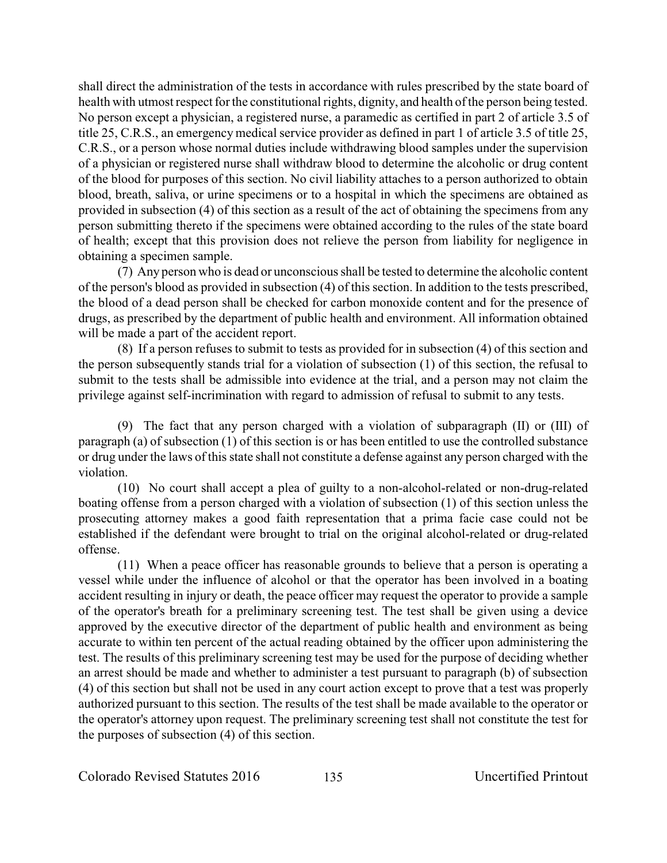shall direct the administration of the tests in accordance with rules prescribed by the state board of health with utmost respect for the constitutional rights, dignity, and health of the person being tested. No person except a physician, a registered nurse, a paramedic as certified in part 2 of article 3.5 of title 25, C.R.S., an emergency medical service provider as defined in part 1 of article 3.5 of title 25, C.R.S., or a person whose normal duties include withdrawing blood samples under the supervision of a physician or registered nurse shall withdraw blood to determine the alcoholic or drug content of the blood for purposes of this section. No civil liability attaches to a person authorized to obtain blood, breath, saliva, or urine specimens or to a hospital in which the specimens are obtained as provided in subsection (4) of this section as a result of the act of obtaining the specimens from any person submitting thereto if the specimens were obtained according to the rules of the state board of health; except that this provision does not relieve the person from liability for negligence in obtaining a specimen sample.

(7) Any person who is dead or unconscious shall be tested to determine the alcoholic content of the person's blood as provided in subsection (4) of this section. In addition to the tests prescribed, the blood of a dead person shall be checked for carbon monoxide content and for the presence of drugs, as prescribed by the department of public health and environment. All information obtained will be made a part of the accident report.

(8) If a person refuses to submit to tests as provided for in subsection (4) of this section and the person subsequently stands trial for a violation of subsection (1) of this section, the refusal to submit to the tests shall be admissible into evidence at the trial, and a person may not claim the privilege against self-incrimination with regard to admission of refusal to submit to any tests.

(9) The fact that any person charged with a violation of subparagraph (II) or (III) of paragraph (a) of subsection (1) of this section is or has been entitled to use the controlled substance or drug under the laws of this state shall not constitute a defense against any person charged with the violation.

(10) No court shall accept a plea of guilty to a non-alcohol-related or non-drug-related boating offense from a person charged with a violation of subsection (1) of this section unless the prosecuting attorney makes a good faith representation that a prima facie case could not be established if the defendant were brought to trial on the original alcohol-related or drug-related offense.

(11) When a peace officer has reasonable grounds to believe that a person is operating a vessel while under the influence of alcohol or that the operator has been involved in a boating accident resulting in injury or death, the peace officer may request the operator to provide a sample of the operator's breath for a preliminary screening test. The test shall be given using a device approved by the executive director of the department of public health and environment as being accurate to within ten percent of the actual reading obtained by the officer upon administering the test. The results of this preliminary screening test may be used for the purpose of deciding whether an arrest should be made and whether to administer a test pursuant to paragraph (b) of subsection (4) of this section but shall not be used in any court action except to prove that a test was properly authorized pursuant to this section. The results of the test shall be made available to the operator or the operator's attorney upon request. The preliminary screening test shall not constitute the test for the purposes of subsection (4) of this section.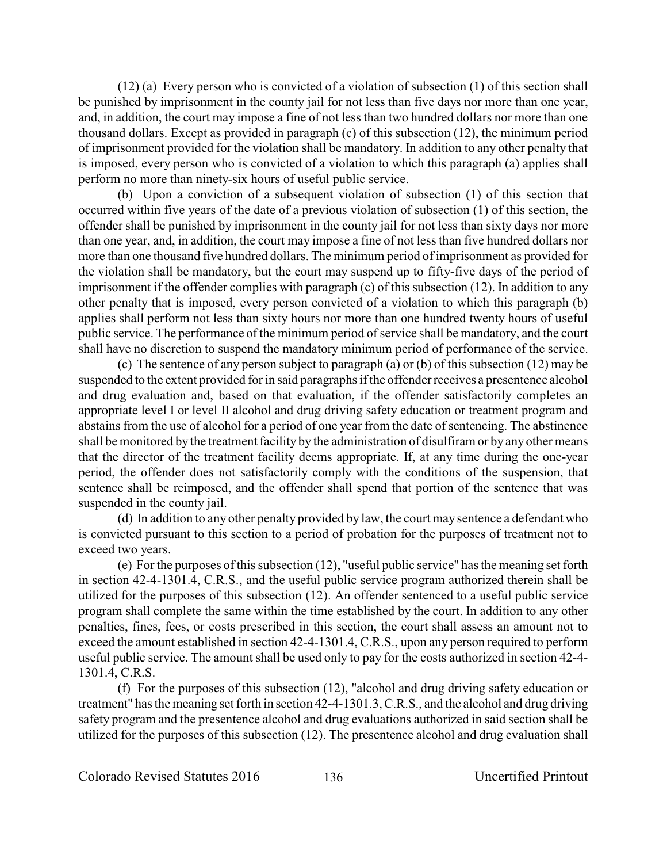(12) (a) Every person who is convicted of a violation of subsection (1) of this section shall be punished by imprisonment in the county jail for not less than five days nor more than one year, and, in addition, the court may impose a fine of not less than two hundred dollars nor more than one thousand dollars. Except as provided in paragraph (c) of this subsection (12), the minimum period of imprisonment provided for the violation shall be mandatory. In addition to any other penalty that is imposed, every person who is convicted of a violation to which this paragraph (a) applies shall perform no more than ninety-six hours of useful public service.

(b) Upon a conviction of a subsequent violation of subsection (1) of this section that occurred within five years of the date of a previous violation of subsection (1) of this section, the offender shall be punished by imprisonment in the county jail for not less than sixty days nor more than one year, and, in addition, the court may impose a fine of not less than five hundred dollars nor more than one thousand five hundred dollars. The minimum period of imprisonment as provided for the violation shall be mandatory, but the court may suspend up to fifty-five days of the period of imprisonment if the offender complies with paragraph (c) of this subsection (12). In addition to any other penalty that is imposed, every person convicted of a violation to which this paragraph (b) applies shall perform not less than sixty hours nor more than one hundred twenty hours of useful public service. The performance of the minimum period of service shall be mandatory, and the court shall have no discretion to suspend the mandatory minimum period of performance of the service.

(c) The sentence of any person subject to paragraph (a) or (b) of this subsection (12) may be suspended to the extent provided for in said paragraphs if the offender receives a presentence alcohol and drug evaluation and, based on that evaluation, if the offender satisfactorily completes an appropriate level I or level II alcohol and drug driving safety education or treatment program and abstains from the use of alcohol for a period of one year from the date of sentencing. The abstinence shall be monitored by the treatment facility by the administration of disulfiram or by any other means that the director of the treatment facility deems appropriate. If, at any time during the one-year period, the offender does not satisfactorily comply with the conditions of the suspension, that sentence shall be reimposed, and the offender shall spend that portion of the sentence that was suspended in the county jail.

(d) In addition to any other penalty provided by law, the court may sentence a defendant who is convicted pursuant to this section to a period of probation for the purposes of treatment not to exceed two years.

(e) For the purposes of this subsection (12), "useful public service" has the meaning set forth in section 42-4-1301.4, C.R.S., and the useful public service program authorized therein shall be utilized for the purposes of this subsection (12). An offender sentenced to a useful public service program shall complete the same within the time established by the court. In addition to any other penalties, fines, fees, or costs prescribed in this section, the court shall assess an amount not to exceed the amount established in section 42-4-1301.4, C.R.S., upon any person required to perform useful public service. The amount shall be used only to pay for the costs authorized in section 42-4- 1301.4, C.R.S.

(f) For the purposes of this subsection (12), "alcohol and drug driving safety education or treatment" has the meaning set forth in section 42-4-1301.3, C.R.S., and the alcohol and drug driving safety program and the presentence alcohol and drug evaluations authorized in said section shall be utilized for the purposes of this subsection (12). The presentence alcohol and drug evaluation shall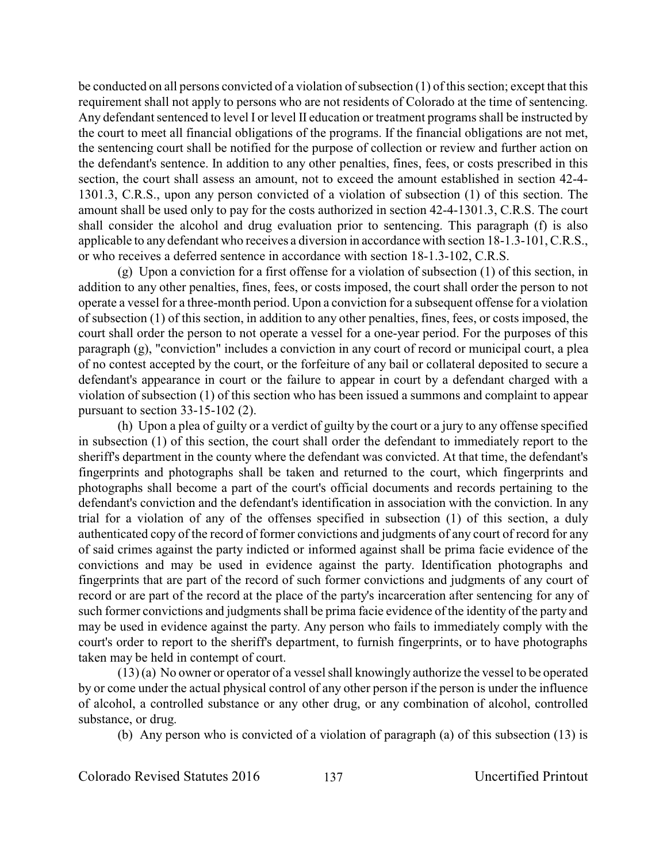be conducted on all persons convicted of a violation of subsection (1) of this section; except that this requirement shall not apply to persons who are not residents of Colorado at the time of sentencing. Any defendant sentenced to level I or level II education or treatment programs shall be instructed by the court to meet all financial obligations of the programs. If the financial obligations are not met, the sentencing court shall be notified for the purpose of collection or review and further action on the defendant's sentence. In addition to any other penalties, fines, fees, or costs prescribed in this section, the court shall assess an amount, not to exceed the amount established in section 42-4- 1301.3, C.R.S., upon any person convicted of a violation of subsection (1) of this section. The amount shall be used only to pay for the costs authorized in section 42-4-1301.3, C.R.S. The court shall consider the alcohol and drug evaluation prior to sentencing. This paragraph (f) is also applicable to any defendant who receives a diversion in accordance with section 18-1.3-101, C.R.S., or who receives a deferred sentence in accordance with section 18-1.3-102, C.R.S.

(g) Upon a conviction for a first offense for a violation of subsection (1) of this section, in addition to any other penalties, fines, fees, or costs imposed, the court shall order the person to not operate a vessel for a three-month period. Upon a conviction for a subsequent offense for a violation of subsection (1) of this section, in addition to any other penalties, fines, fees, or costs imposed, the court shall order the person to not operate a vessel for a one-year period. For the purposes of this paragraph (g), "conviction" includes a conviction in any court of record or municipal court, a plea of no contest accepted by the court, or the forfeiture of any bail or collateral deposited to secure a defendant's appearance in court or the failure to appear in court by a defendant charged with a violation of subsection (1) of this section who has been issued a summons and complaint to appear pursuant to section 33-15-102 (2).

(h) Upon a plea of guilty or a verdict of guilty by the court or a jury to any offense specified in subsection (1) of this section, the court shall order the defendant to immediately report to the sheriff's department in the county where the defendant was convicted. At that time, the defendant's fingerprints and photographs shall be taken and returned to the court, which fingerprints and photographs shall become a part of the court's official documents and records pertaining to the defendant's conviction and the defendant's identification in association with the conviction. In any trial for a violation of any of the offenses specified in subsection (1) of this section, a duly authenticated copy of the record of former convictions and judgments of any court of record for any of said crimes against the party indicted or informed against shall be prima facie evidence of the convictions and may be used in evidence against the party. Identification photographs and fingerprints that are part of the record of such former convictions and judgments of any court of record or are part of the record at the place of the party's incarceration after sentencing for any of such former convictions and judgments shall be prima facie evidence of the identity of the party and may be used in evidence against the party. Any person who fails to immediately comply with the court's order to report to the sheriff's department, to furnish fingerprints, or to have photographs taken may be held in contempt of court.

(13) (a) No owner or operator of a vessel shall knowingly authorize the vessel to be operated by or come under the actual physical control of any other person if the person is under the influence of alcohol, a controlled substance or any other drug, or any combination of alcohol, controlled substance, or drug.

(b) Any person who is convicted of a violation of paragraph (a) of this subsection (13) is

Colorado Revised Statutes 2016 137 Uncertified Printout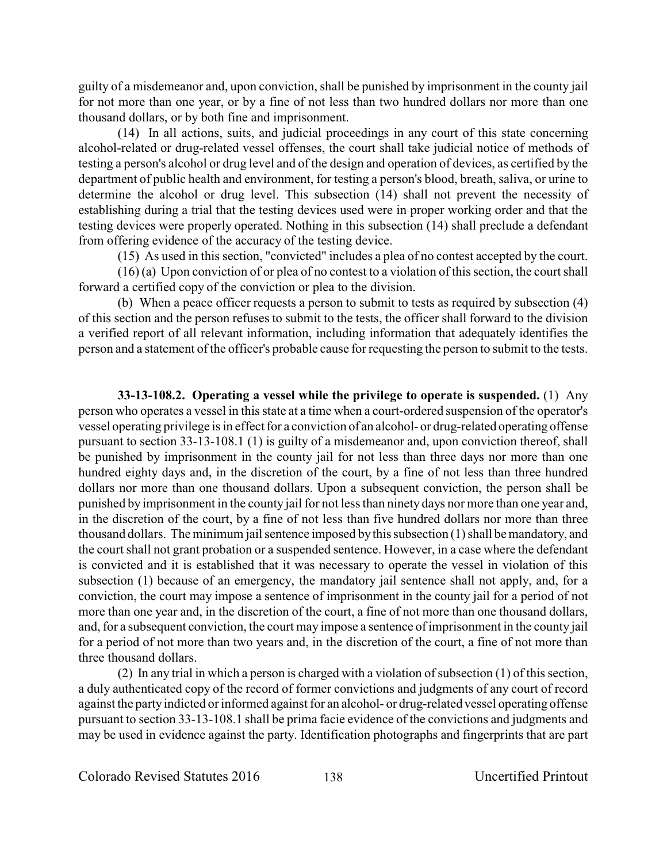guilty of a misdemeanor and, upon conviction, shall be punished by imprisonment in the county jail for not more than one year, or by a fine of not less than two hundred dollars nor more than one thousand dollars, or by both fine and imprisonment.

(14) In all actions, suits, and judicial proceedings in any court of this state concerning alcohol-related or drug-related vessel offenses, the court shall take judicial notice of methods of testing a person's alcohol or drug level and of the design and operation of devices, as certified by the department of public health and environment, for testing a person's blood, breath, saliva, or urine to determine the alcohol or drug level. This subsection (14) shall not prevent the necessity of establishing during a trial that the testing devices used were in proper working order and that the testing devices were properly operated. Nothing in this subsection (14) shall preclude a defendant from offering evidence of the accuracy of the testing device.

(15) As used in this section, "convicted" includes a plea of no contest accepted by the court.

(16) (a) Upon conviction of or plea of no contest to a violation of this section, the court shall forward a certified copy of the conviction or plea to the division.

(b) When a peace officer requests a person to submit to tests as required by subsection (4) of this section and the person refuses to submit to the tests, the officer shall forward to the division a verified report of all relevant information, including information that adequately identifies the person and a statement of the officer's probable cause for requesting the person to submit to the tests.

**33-13-108.2. Operating a vessel while the privilege to operate is suspended.** (1) Any person who operates a vessel in this state at a time when a court-ordered suspension of the operator's vessel operating privilege is in effect for a conviction of an alcohol- or drug-related operating offense pursuant to section 33-13-108.1 (1) is guilty of a misdemeanor and, upon conviction thereof, shall be punished by imprisonment in the county jail for not less than three days nor more than one hundred eighty days and, in the discretion of the court, by a fine of not less than three hundred dollars nor more than one thousand dollars. Upon a subsequent conviction, the person shall be punished by imprisonment in the county jail for not less than ninety days nor more than one year and, in the discretion of the court, by a fine of not less than five hundred dollars nor more than three thousand dollars. The minimum jail sentence imposed bythis subsection (1) shall be mandatory, and the court shall not grant probation or a suspended sentence. However, in a case where the defendant is convicted and it is established that it was necessary to operate the vessel in violation of this subsection (1) because of an emergency, the mandatory jail sentence shall not apply, and, for a conviction, the court may impose a sentence of imprisonment in the county jail for a period of not more than one year and, in the discretion of the court, a fine of not more than one thousand dollars, and, for a subsequent conviction, the court may impose a sentence of imprisonment in the county jail for a period of not more than two years and, in the discretion of the court, a fine of not more than three thousand dollars.

(2) In any trial in which a person is charged with a violation of subsection (1) of this section, a duly authenticated copy of the record of former convictions and judgments of any court of record against the partyindicted or informed against for an alcohol- or drug-related vessel operating offense pursuant to section 33-13-108.1 shall be prima facie evidence of the convictions and judgments and may be used in evidence against the party. Identification photographs and fingerprints that are part

Colorado Revised Statutes 2016 138 Uncertified Printout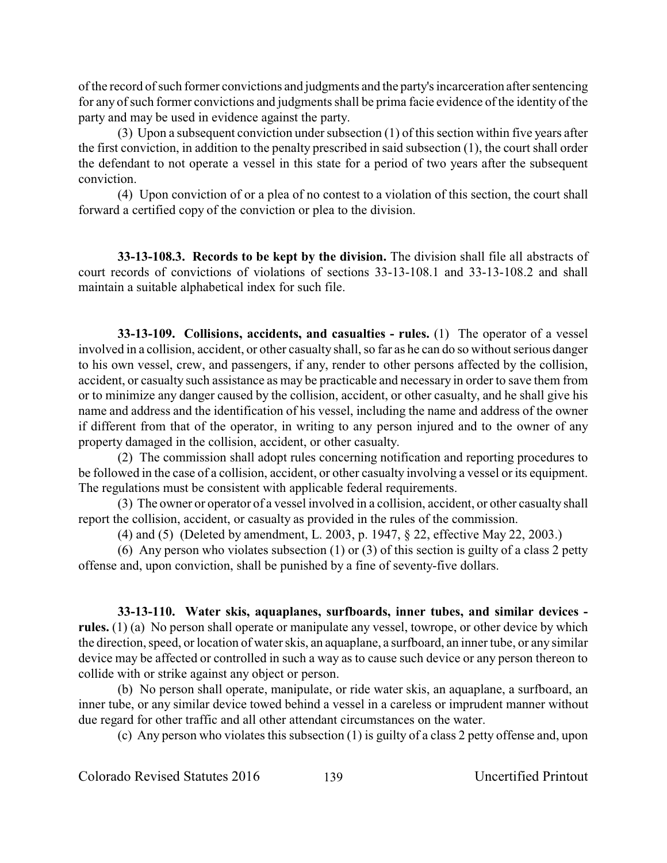of the record of such former convictions and judgments and the party's incarceration after sentencing for any of such former convictions and judgments shall be prima facie evidence of the identity of the party and may be used in evidence against the party.

(3) Upon a subsequent conviction under subsection (1) of this section within five years after the first conviction, in addition to the penalty prescribed in said subsection (1), the court shall order the defendant to not operate a vessel in this state for a period of two years after the subsequent conviction.

(4) Upon conviction of or a plea of no contest to a violation of this section, the court shall forward a certified copy of the conviction or plea to the division.

**33-13-108.3. Records to be kept by the division.** The division shall file all abstracts of court records of convictions of violations of sections 33-13-108.1 and 33-13-108.2 and shall maintain a suitable alphabetical index for such file.

**33-13-109. Collisions, accidents, and casualties - rules.** (1) The operator of a vessel involved in a collision, accident, or other casualty shall, so far as he can do so without serious danger to his own vessel, crew, and passengers, if any, render to other persons affected by the collision, accident, or casualty such assistance as may be practicable and necessary in order to save them from or to minimize any danger caused by the collision, accident, or other casualty, and he shall give his name and address and the identification of his vessel, including the name and address of the owner if different from that of the operator, in writing to any person injured and to the owner of any property damaged in the collision, accident, or other casualty.

(2) The commission shall adopt rules concerning notification and reporting procedures to be followed in the case of a collision, accident, or other casualty involving a vessel or its equipment. The regulations must be consistent with applicable federal requirements.

(3) The owner or operator of a vessel involved in a collision, accident, or other casualty shall report the collision, accident, or casualty as provided in the rules of the commission.

(4) and (5) (Deleted by amendment, L. 2003, p. 1947, § 22, effective May 22, 2003.)

(6) Any person who violates subsection (1) or (3) of this section is guilty of a class 2 petty offense and, upon conviction, shall be punished by a fine of seventy-five dollars.

**33-13-110. Water skis, aquaplanes, surfboards, inner tubes, and similar devices rules.** (1) (a) No person shall operate or manipulate any vessel, towrope, or other device by which the direction, speed, or location of water skis, an aquaplane, a surfboard, an inner tube, or any similar device may be affected or controlled in such a way as to cause such device or any person thereon to collide with or strike against any object or person.

(b) No person shall operate, manipulate, or ride water skis, an aquaplane, a surfboard, an inner tube, or any similar device towed behind a vessel in a careless or imprudent manner without due regard for other traffic and all other attendant circumstances on the water.

(c) Any person who violates this subsection (1) is guilty of a class 2 petty offense and, upon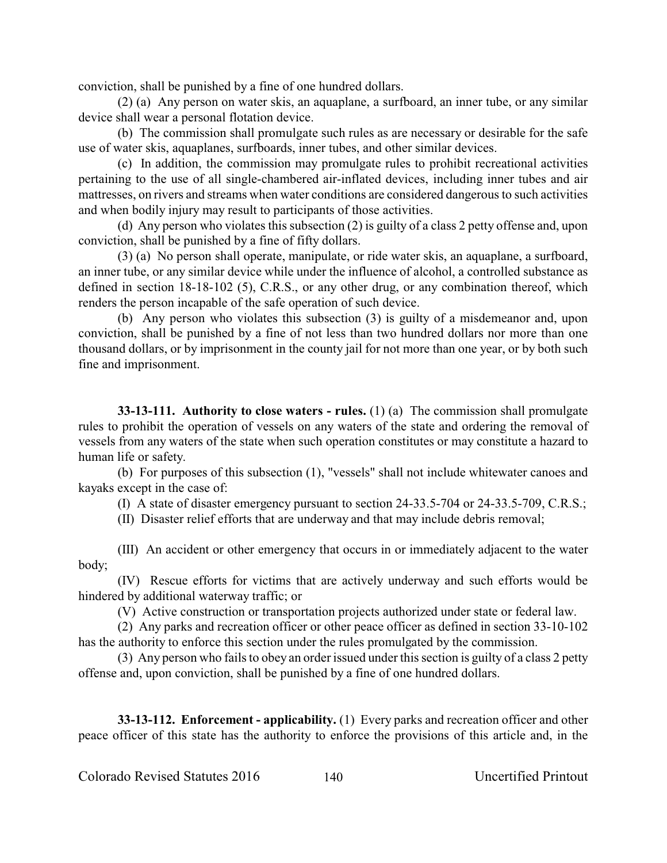conviction, shall be punished by a fine of one hundred dollars.

(2) (a) Any person on water skis, an aquaplane, a surfboard, an inner tube, or any similar device shall wear a personal flotation device.

(b) The commission shall promulgate such rules as are necessary or desirable for the safe use of water skis, aquaplanes, surfboards, inner tubes, and other similar devices.

(c) In addition, the commission may promulgate rules to prohibit recreational activities pertaining to the use of all single-chambered air-inflated devices, including inner tubes and air mattresses, on rivers and streams when water conditions are considered dangerous to such activities and when bodily injury may result to participants of those activities.

(d) Any person who violates this subsection (2) is guilty of a class 2 petty offense and, upon conviction, shall be punished by a fine of fifty dollars.

(3) (a) No person shall operate, manipulate, or ride water skis, an aquaplane, a surfboard, an inner tube, or any similar device while under the influence of alcohol, a controlled substance as defined in section 18-18-102 (5), C.R.S., or any other drug, or any combination thereof, which renders the person incapable of the safe operation of such device.

(b) Any person who violates this subsection (3) is guilty of a misdemeanor and, upon conviction, shall be punished by a fine of not less than two hundred dollars nor more than one thousand dollars, or by imprisonment in the county jail for not more than one year, or by both such fine and imprisonment.

**33-13-111. Authority to close waters - rules.** (1) (a) The commission shall promulgate rules to prohibit the operation of vessels on any waters of the state and ordering the removal of vessels from any waters of the state when such operation constitutes or may constitute a hazard to human life or safety.

(b) For purposes of this subsection (1), "vessels" shall not include whitewater canoes and kayaks except in the case of:

(I) A state of disaster emergency pursuant to section 24-33.5-704 or 24-33.5-709, C.R.S.;

(II) Disaster relief efforts that are underway and that may include debris removal;

(III) An accident or other emergency that occurs in or immediately adjacent to the water body;

(IV) Rescue efforts for victims that are actively underway and such efforts would be hindered by additional waterway traffic; or

(V) Active construction or transportation projects authorized under state or federal law.

(2) Any parks and recreation officer or other peace officer as defined in section 33-10-102 has the authority to enforce this section under the rules promulgated by the commission.

(3) Any person who fails to obey an order issued under this section is guilty of a class 2 petty offense and, upon conviction, shall be punished by a fine of one hundred dollars.

**33-13-112. Enforcement - applicability.** (1) Every parks and recreation officer and other peace officer of this state has the authority to enforce the provisions of this article and, in the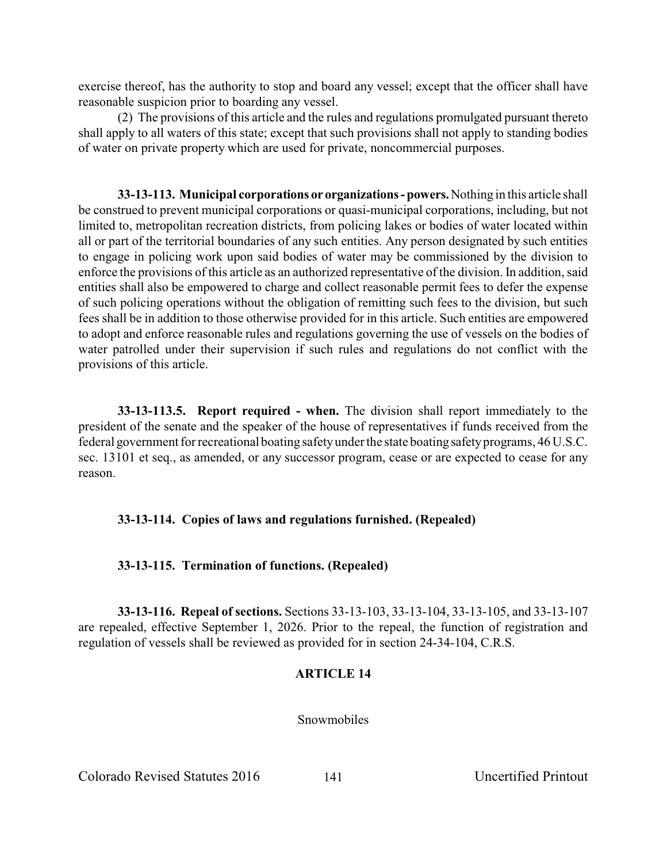exercise thereof, has the authority to stop and board any vessel; except that the officer shall have reasonable suspicion prior to boarding any vessel.

(2) The provisions of this article and the rules and regulations promulgated pursuant thereto shall apply to all waters of this state; except that such provisions shall not apply to standing bodies of water on private property which are used for private, noncommercial purposes.

**33-13-113. Municipal corporations or organizations-powers.**Nothing in this article shall be construed to prevent municipal corporations or quasi-municipal corporations, including, but not limited to, metropolitan recreation districts, from policing lakes or bodies of water located within all or part of the territorial boundaries of any such entities. Any person designated by such entities to engage in policing work upon said bodies of water may be commissioned by the division to enforce the provisions of this article as an authorized representative of the division. In addition, said entities shall also be empowered to charge and collect reasonable permit fees to defer the expense of such policing operations without the obligation of remitting such fees to the division, but such fees shall be in addition to those otherwise provided for in this article. Such entities are empowered to adopt and enforce reasonable rules and regulations governing the use of vessels on the bodies of water patrolled under their supervision if such rules and regulations do not conflict with the provisions of this article.

**33-13-113.5. Report required - when.** The division shall report immediately to the president of the senate and the speaker of the house of representatives if funds received from the federal government for recreational boating safetyunder the state boating safetyprograms, 46 U.S.C. sec. 13101 et seq., as amended, or any successor program, cease or are expected to cease for any reason.

## **33-13-114. Copies of laws and regulations furnished. (Repealed)**

## **33-13-115. Termination of functions. (Repealed)**

**33-13-116. Repeal of sections.** Sections 33-13-103, 33-13-104, 33-13-105, and 33-13-107 are repealed, effective September 1, 2026. Prior to the repeal, the function of registration and regulation of vessels shall be reviewed as provided for in section 24-34-104, C.R.S.

# **ARTICLE 14**

Snowmobiles

Colorado Revised Statutes 2016 141 Uncertified Printout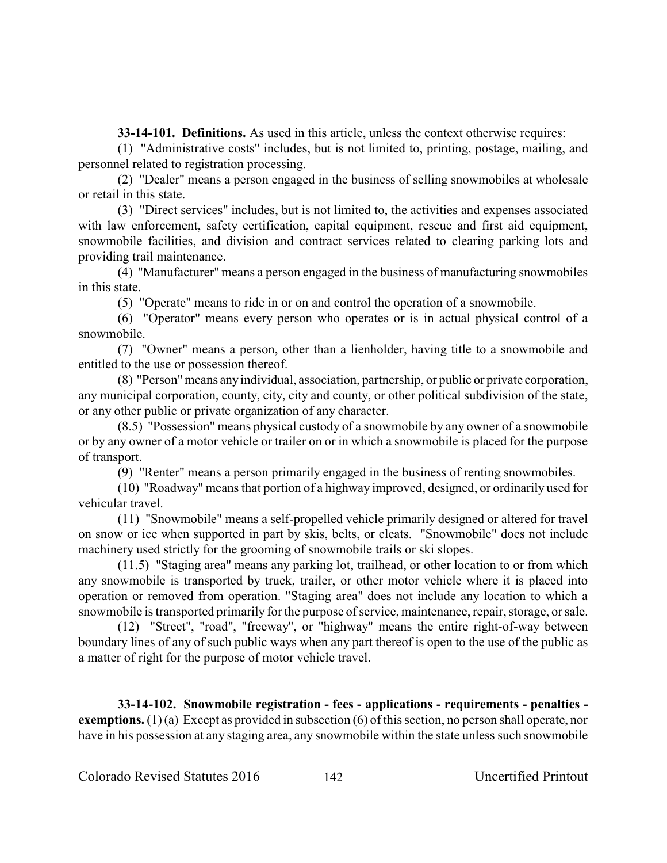**33-14-101. Definitions.** As used in this article, unless the context otherwise requires:

(1) "Administrative costs" includes, but is not limited to, printing, postage, mailing, and personnel related to registration processing.

(2) "Dealer" means a person engaged in the business of selling snowmobiles at wholesale or retail in this state.

(3) "Direct services" includes, but is not limited to, the activities and expenses associated with law enforcement, safety certification, capital equipment, rescue and first aid equipment, snowmobile facilities, and division and contract services related to clearing parking lots and providing trail maintenance.

(4) "Manufacturer" means a person engaged in the business of manufacturing snowmobiles in this state.

(5) "Operate" means to ride in or on and control the operation of a snowmobile.

(6) "Operator" means every person who operates or is in actual physical control of a snowmobile.

(7) "Owner" means a person, other than a lienholder, having title to a snowmobile and entitled to the use or possession thereof.

(8) "Person"means anyindividual, association, partnership, or public or private corporation, any municipal corporation, county, city, city and county, or other political subdivision of the state, or any other public or private organization of any character.

(8.5) "Possession" means physical custody of a snowmobile by any owner of a snowmobile or by any owner of a motor vehicle or trailer on or in which a snowmobile is placed for the purpose of transport.

(9) "Renter" means a person primarily engaged in the business of renting snowmobiles.

(10) "Roadway" means that portion of a highway improved, designed, or ordinarily used for vehicular travel.

(11) "Snowmobile" means a self-propelled vehicle primarily designed or altered for travel on snow or ice when supported in part by skis, belts, or cleats. "Snowmobile" does not include machinery used strictly for the grooming of snowmobile trails or ski slopes.

(11.5) "Staging area" means any parking lot, trailhead, or other location to or from which any snowmobile is transported by truck, trailer, or other motor vehicle where it is placed into operation or removed from operation. "Staging area" does not include any location to which a snowmobile is transported primarily for the purpose of service, maintenance, repair, storage, or sale.

(12) "Street", "road", "freeway", or "highway" means the entire right-of-way between boundary lines of any of such public ways when any part thereof is open to the use of the public as a matter of right for the purpose of motor vehicle travel.

**33-14-102. Snowmobile registration - fees - applications - requirements - penalties exemptions.** (1) (a) Except as provided in subsection (6) of this section, no person shall operate, nor have in his possession at any staging area, any snowmobile within the state unless such snowmobile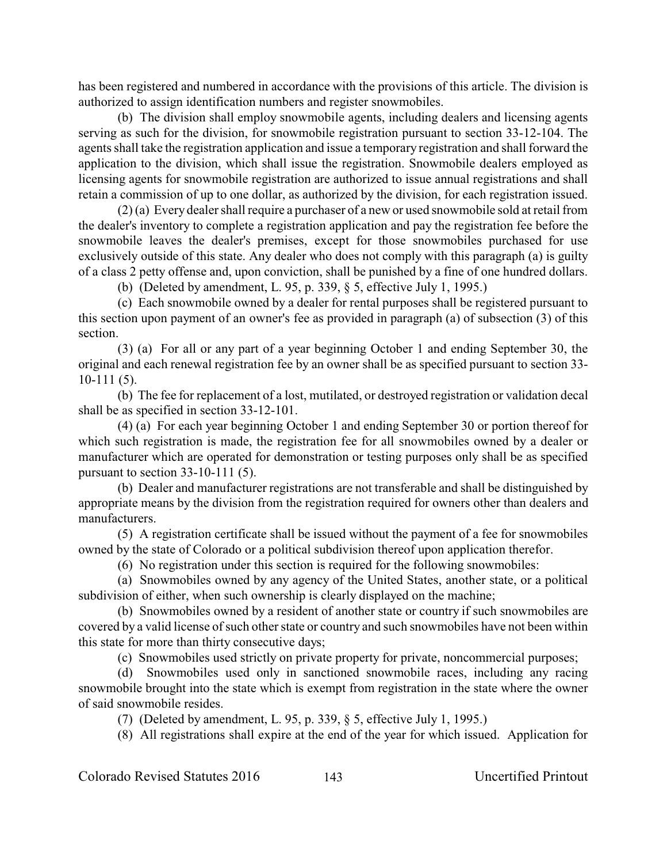has been registered and numbered in accordance with the provisions of this article. The division is authorized to assign identification numbers and register snowmobiles.

(b) The division shall employ snowmobile agents, including dealers and licensing agents serving as such for the division, for snowmobile registration pursuant to section 33-12-104. The agents shall take the registration application and issue a temporary registration and shall forward the application to the division, which shall issue the registration. Snowmobile dealers employed as licensing agents for snowmobile registration are authorized to issue annual registrations and shall retain a commission of up to one dollar, as authorized by the division, for each registration issued.

(2) (a) Every dealer shall require a purchaser of a new or used snowmobile sold at retail from the dealer's inventory to complete a registration application and pay the registration fee before the snowmobile leaves the dealer's premises, except for those snowmobiles purchased for use exclusively outside of this state. Any dealer who does not comply with this paragraph (a) is guilty of a class 2 petty offense and, upon conviction, shall be punished by a fine of one hundred dollars.

(b) (Deleted by amendment, L. 95, p. 339, § 5, effective July 1, 1995.)

(c) Each snowmobile owned by a dealer for rental purposes shall be registered pursuant to this section upon payment of an owner's fee as provided in paragraph (a) of subsection (3) of this section.

(3) (a) For all or any part of a year beginning October 1 and ending September 30, the original and each renewal registration fee by an owner shall be as specified pursuant to section 33- 10-111 (5).

(b) The fee for replacement of a lost, mutilated, or destroyed registration or validation decal shall be as specified in section 33-12-101.

(4) (a) For each year beginning October 1 and ending September 30 or portion thereof for which such registration is made, the registration fee for all snowmobiles owned by a dealer or manufacturer which are operated for demonstration or testing purposes only shall be as specified pursuant to section 33-10-111 (5).

(b) Dealer and manufacturer registrations are not transferable and shall be distinguished by appropriate means by the division from the registration required for owners other than dealers and manufacturers.

(5) A registration certificate shall be issued without the payment of a fee for snowmobiles owned by the state of Colorado or a political subdivision thereof upon application therefor.

(6) No registration under this section is required for the following snowmobiles:

(a) Snowmobiles owned by any agency of the United States, another state, or a political subdivision of either, when such ownership is clearly displayed on the machine;

(b) Snowmobiles owned by a resident of another state or country if such snowmobiles are covered by a valid license of such other state or country and such snowmobiles have not been within this state for more than thirty consecutive days;

(c) Snowmobiles used strictly on private property for private, noncommercial purposes;

(d) Snowmobiles used only in sanctioned snowmobile races, including any racing snowmobile brought into the state which is exempt from registration in the state where the owner of said snowmobile resides.

(7) (Deleted by amendment, L. 95, p. 339, § 5, effective July 1, 1995.)

(8) All registrations shall expire at the end of the year for which issued. Application for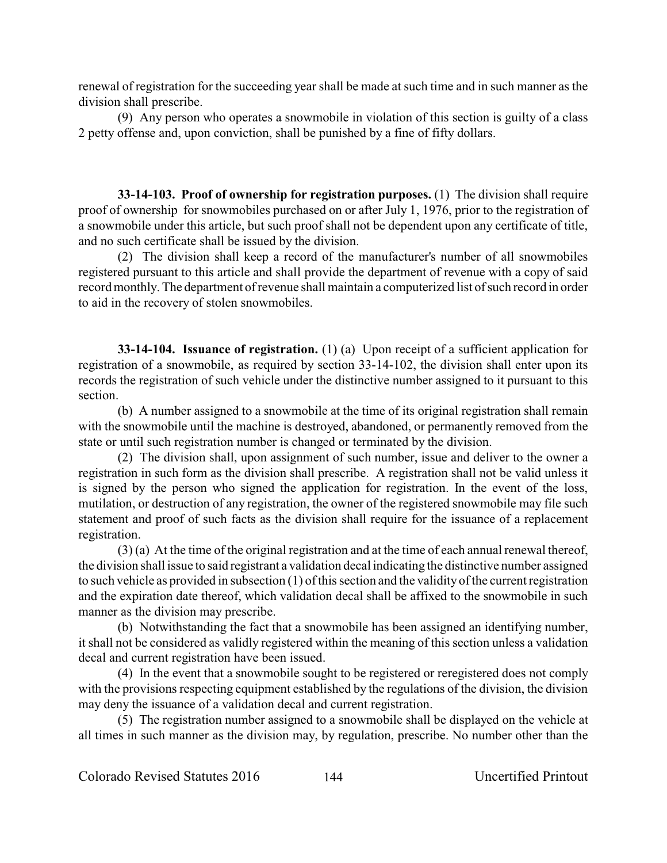renewal of registration for the succeeding year shall be made at such time and in such manner as the division shall prescribe.

(9) Any person who operates a snowmobile in violation of this section is guilty of a class 2 petty offense and, upon conviction, shall be punished by a fine of fifty dollars.

**33-14-103. Proof of ownership for registration purposes.** (1) The division shall require proof of ownership for snowmobiles purchased on or after July 1, 1976, prior to the registration of a snowmobile under this article, but such proof shall not be dependent upon any certificate of title, and no such certificate shall be issued by the division.

(2) The division shall keep a record of the manufacturer's number of all snowmobiles registered pursuant to this article and shall provide the department of revenue with a copy of said record monthly. The department of revenue shall maintain a computerized list of such record in order to aid in the recovery of stolen snowmobiles.

**33-14-104. Issuance of registration.** (1) (a) Upon receipt of a sufficient application for registration of a snowmobile, as required by section 33-14-102, the division shall enter upon its records the registration of such vehicle under the distinctive number assigned to it pursuant to this section.

(b) A number assigned to a snowmobile at the time of its original registration shall remain with the snowmobile until the machine is destroyed, abandoned, or permanently removed from the state or until such registration number is changed or terminated by the division.

(2) The division shall, upon assignment of such number, issue and deliver to the owner a registration in such form as the division shall prescribe. A registration shall not be valid unless it is signed by the person who signed the application for registration. In the event of the loss, mutilation, or destruction of any registration, the owner of the registered snowmobile may file such statement and proof of such facts as the division shall require for the issuance of a replacement registration.

 $(3)$  (a) At the time of the original registration and at the time of each annual renewal thereof, the division shall issue to said registrant a validation decal indicating the distinctive number assigned to such vehicle as provided in subsection (1) of this section and the validity of the current registration and the expiration date thereof, which validation decal shall be affixed to the snowmobile in such manner as the division may prescribe.

(b) Notwithstanding the fact that a snowmobile has been assigned an identifying number, it shall not be considered as validly registered within the meaning of this section unless a validation decal and current registration have been issued.

(4) In the event that a snowmobile sought to be registered or reregistered does not comply with the provisions respecting equipment established by the regulations of the division, the division may deny the issuance of a validation decal and current registration.

(5) The registration number assigned to a snowmobile shall be displayed on the vehicle at all times in such manner as the division may, by regulation, prescribe. No number other than the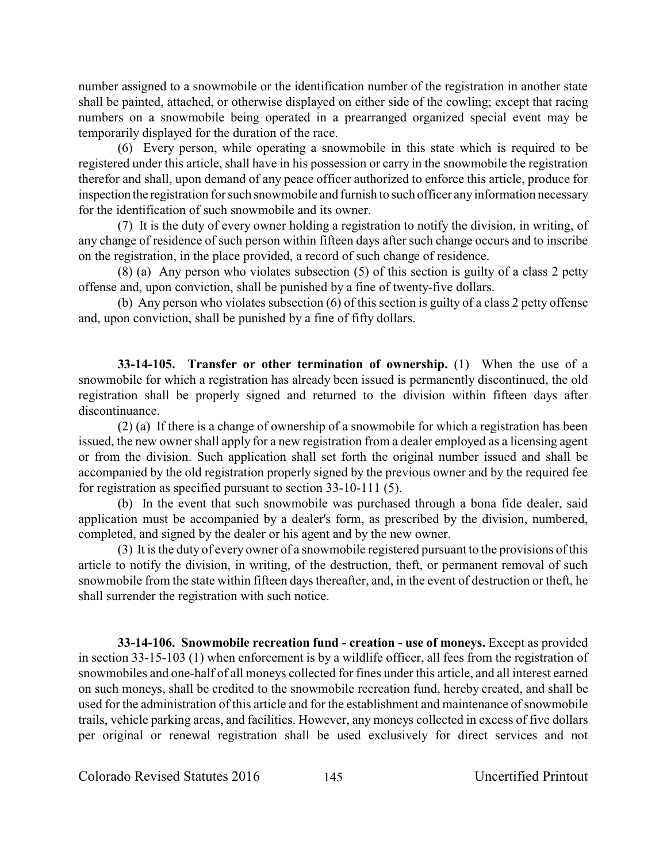number assigned to a snowmobile or the identification number of the registration in another state shall be painted, attached, or otherwise displayed on either side of the cowling; except that racing numbers on a snowmobile being operated in a prearranged organized special event may be temporarily displayed for the duration of the race.

(6) Every person, while operating a snowmobile in this state which is required to be registered under this article, shall have in his possession or carry in the snowmobile the registration therefor and shall, upon demand of any peace officer authorized to enforce this article, produce for inspection the registration for such snowmobile and furnish to such officer anyinformation necessary for the identification of such snowmobile and its owner.

(7) It is the duty of every owner holding a registration to notify the division, in writing, of any change of residence of such person within fifteen days after such change occurs and to inscribe on the registration, in the place provided, a record of such change of residence.

(8) (a) Any person who violates subsection (5) of this section is guilty of a class 2 petty offense and, upon conviction, shall be punished by a fine of twenty-five dollars.

(b) Any person who violates subsection (6) of this section is guilty of a class 2 petty offense and, upon conviction, shall be punished by a fine of fifty dollars.

**33-14-105. Transfer or other termination of ownership.** (1) When the use of a snowmobile for which a registration has already been issued is permanently discontinued, the old registration shall be properly signed and returned to the division within fifteen days after discontinuance.

(2) (a) If there is a change of ownership of a snowmobile for which a registration has been issued, the new owner shall apply for a new registration from a dealer employed as a licensing agent or from the division. Such application shall set forth the original number issued and shall be accompanied by the old registration properly signed by the previous owner and by the required fee for registration as specified pursuant to section 33-10-111 (5).

(b) In the event that such snowmobile was purchased through a bona fide dealer, said application must be accompanied by a dealer's form, as prescribed by the division, numbered, completed, and signed by the dealer or his agent and by the new owner.

(3) It is the duty of every owner of a snowmobile registered pursuant to the provisions of this article to notify the division, in writing, of the destruction, theft, or permanent removal of such snowmobile from the state within fifteen days thereafter, and, in the event of destruction or theft, he shall surrender the registration with such notice.

**33-14-106. Snowmobile recreation fund - creation - use of moneys.** Except as provided in section 33-15-103 (1) when enforcement is by a wildlife officer, all fees from the registration of snowmobiles and one-half of all moneys collected for fines under this article, and all interest earned on such moneys, shall be credited to the snowmobile recreation fund, hereby created, and shall be used for the administration of this article and for the establishment and maintenance of snowmobile trails, vehicle parking areas, and facilities. However, any moneys collected in excess of five dollars per original or renewal registration shall be used exclusively for direct services and not

Colorado Revised Statutes 2016 145 Uncertified Printout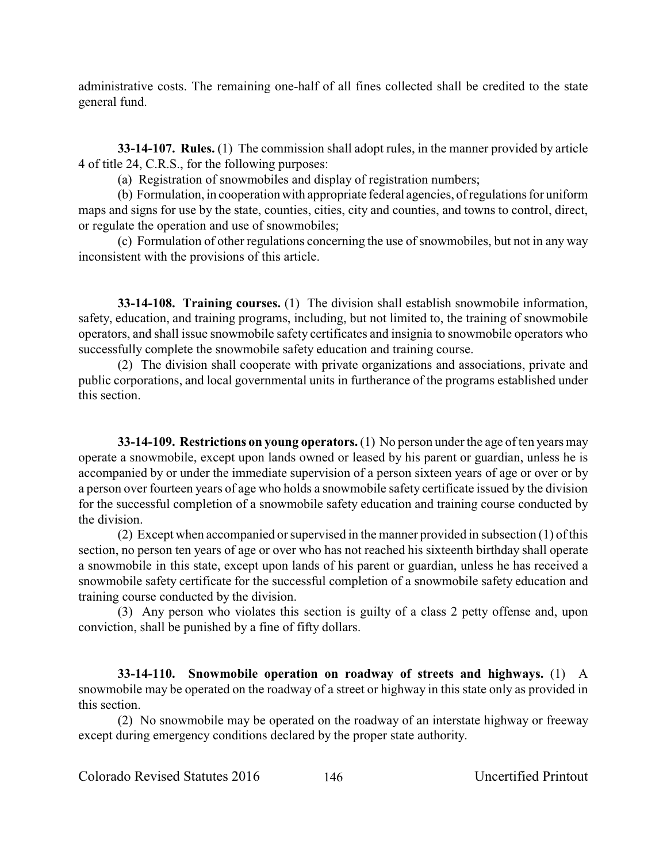administrative costs. The remaining one-half of all fines collected shall be credited to the state general fund.

**33-14-107. Rules.** (1) The commission shall adopt rules, in the manner provided by article 4 of title 24, C.R.S., for the following purposes:

(a) Registration of snowmobiles and display of registration numbers;

(b) Formulation, in cooperation with appropriate federal agencies, of regulations for uniform maps and signs for use by the state, counties, cities, city and counties, and towns to control, direct, or regulate the operation and use of snowmobiles;

(c) Formulation of other regulations concerning the use of snowmobiles, but not in any way inconsistent with the provisions of this article.

**33-14-108. Training courses.** (1) The division shall establish snowmobile information, safety, education, and training programs, including, but not limited to, the training of snowmobile operators, and shall issue snowmobile safety certificates and insignia to snowmobile operators who successfully complete the snowmobile safety education and training course.

(2) The division shall cooperate with private organizations and associations, private and public corporations, and local governmental units in furtherance of the programs established under this section.

**33-14-109. Restrictions on young operators.** (1) No person under the age of ten years may operate a snowmobile, except upon lands owned or leased by his parent or guardian, unless he is accompanied by or under the immediate supervision of a person sixteen years of age or over or by a person over fourteen years of age who holds a snowmobile safety certificate issued by the division for the successful completion of a snowmobile safety education and training course conducted by the division.

(2) Except when accompanied or supervised in the manner provided in subsection (1) of this section, no person ten years of age or over who has not reached his sixteenth birthday shall operate a snowmobile in this state, except upon lands of his parent or guardian, unless he has received a snowmobile safety certificate for the successful completion of a snowmobile safety education and training course conducted by the division.

(3) Any person who violates this section is guilty of a class 2 petty offense and, upon conviction, shall be punished by a fine of fifty dollars.

**33-14-110. Snowmobile operation on roadway of streets and highways.** (1) A snowmobile may be operated on the roadway of a street or highway in this state only as provided in this section.

(2) No snowmobile may be operated on the roadway of an interstate highway or freeway except during emergency conditions declared by the proper state authority.

Colorado Revised Statutes 2016 146 Uncertified Printout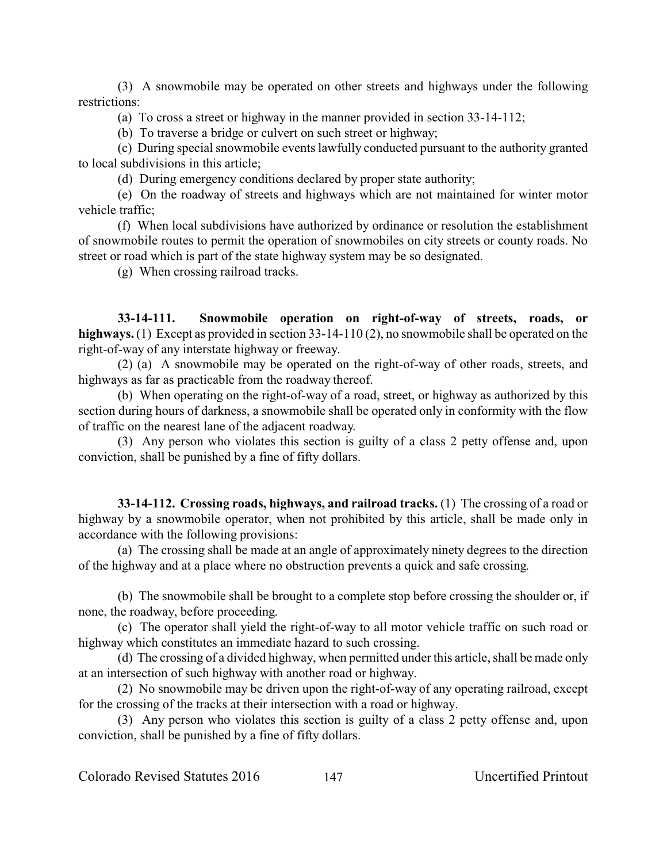(3) A snowmobile may be operated on other streets and highways under the following restrictions:

(a) To cross a street or highway in the manner provided in section 33-14-112;

(b) To traverse a bridge or culvert on such street or highway;

(c) During special snowmobile events lawfully conducted pursuant to the authority granted to local subdivisions in this article;

(d) During emergency conditions declared by proper state authority;

(e) On the roadway of streets and highways which are not maintained for winter motor vehicle traffic;

(f) When local subdivisions have authorized by ordinance or resolution the establishment of snowmobile routes to permit the operation of snowmobiles on city streets or county roads. No street or road which is part of the state highway system may be so designated.

(g) When crossing railroad tracks.

**33-14-111. Snowmobile operation on right-of-way of streets, roads, or highways.** (1) Except as provided in section 33-14-110 (2), no snowmobile shall be operated on the right-of-way of any interstate highway or freeway.

(2) (a) A snowmobile may be operated on the right-of-way of other roads, streets, and highways as far as practicable from the roadway thereof.

(b) When operating on the right-of-way of a road, street, or highway as authorized by this section during hours of darkness, a snowmobile shall be operated only in conformity with the flow of traffic on the nearest lane of the adjacent roadway.

(3) Any person who violates this section is guilty of a class 2 petty offense and, upon conviction, shall be punished by a fine of fifty dollars.

**33-14-112. Crossing roads, highways, and railroad tracks.** (1) The crossing of a road or highway by a snowmobile operator, when not prohibited by this article, shall be made only in accordance with the following provisions:

(a) The crossing shall be made at an angle of approximately ninety degrees to the direction of the highway and at a place where no obstruction prevents a quick and safe crossing.

(b) The snowmobile shall be brought to a complete stop before crossing the shoulder or, if none, the roadway, before proceeding.

(c) The operator shall yield the right-of-way to all motor vehicle traffic on such road or highway which constitutes an immediate hazard to such crossing.

(d) The crossing of a divided highway, when permitted under this article, shall be made only at an intersection of such highway with another road or highway.

(2) No snowmobile may be driven upon the right-of-way of any operating railroad, except for the crossing of the tracks at their intersection with a road or highway.

(3) Any person who violates this section is guilty of a class 2 petty offense and, upon conviction, shall be punished by a fine of fifty dollars.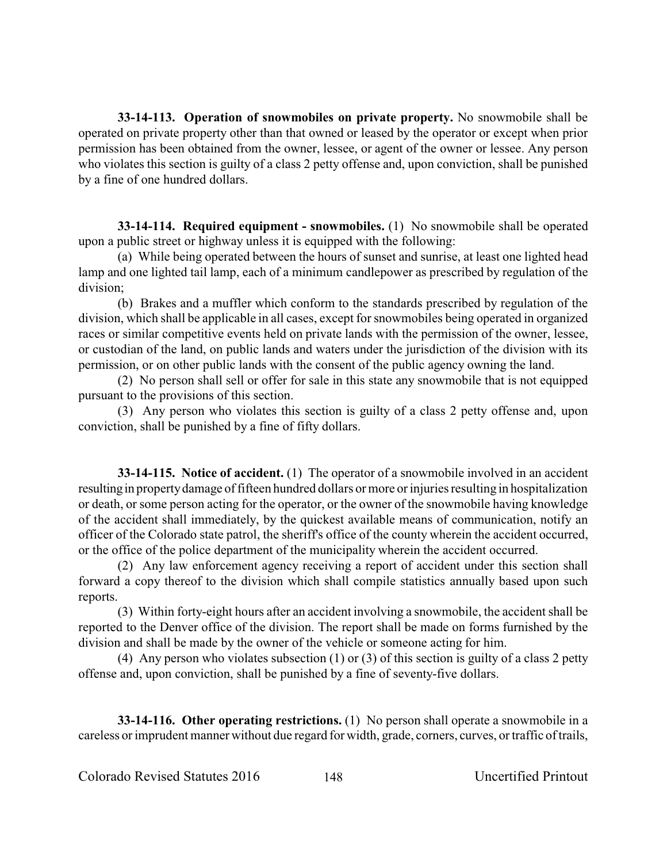**33-14-113. Operation of snowmobiles on private property.** No snowmobile shall be operated on private property other than that owned or leased by the operator or except when prior permission has been obtained from the owner, lessee, or agent of the owner or lessee. Any person who violates this section is guilty of a class 2 petty offense and, upon conviction, shall be punished by a fine of one hundred dollars.

**33-14-114. Required equipment - snowmobiles.** (1) No snowmobile shall be operated upon a public street or highway unless it is equipped with the following:

(a) While being operated between the hours of sunset and sunrise, at least one lighted head lamp and one lighted tail lamp, each of a minimum candlepower as prescribed by regulation of the division;

(b) Brakes and a muffler which conform to the standards prescribed by regulation of the division, which shall be applicable in all cases, except for snowmobiles being operated in organized races or similar competitive events held on private lands with the permission of the owner, lessee, or custodian of the land, on public lands and waters under the jurisdiction of the division with its permission, or on other public lands with the consent of the public agency owning the land.

(2) No person shall sell or offer for sale in this state any snowmobile that is not equipped pursuant to the provisions of this section.

(3) Any person who violates this section is guilty of a class 2 petty offense and, upon conviction, shall be punished by a fine of fifty dollars.

**33-14-115. Notice of accident.** (1) The operator of a snowmobile involved in an accident resultingin propertydamage of fifteen hundred dollars or more or injuries resulting in hospitalization or death, or some person acting for the operator, or the owner of the snowmobile having knowledge of the accident shall immediately, by the quickest available means of communication, notify an officer of the Colorado state patrol, the sheriff's office of the county wherein the accident occurred, or the office of the police department of the municipality wherein the accident occurred.

(2) Any law enforcement agency receiving a report of accident under this section shall forward a copy thereof to the division which shall compile statistics annually based upon such reports.

(3) Within forty-eight hours after an accident involving a snowmobile, the accident shall be reported to the Denver office of the division. The report shall be made on forms furnished by the division and shall be made by the owner of the vehicle or someone acting for him.

(4) Any person who violates subsection (1) or (3) of this section is guilty of a class 2 petty offense and, upon conviction, shall be punished by a fine of seventy-five dollars.

**33-14-116. Other operating restrictions.** (1) No person shall operate a snowmobile in a careless or imprudent manner without due regard for width, grade, corners, curves, or traffic of trails,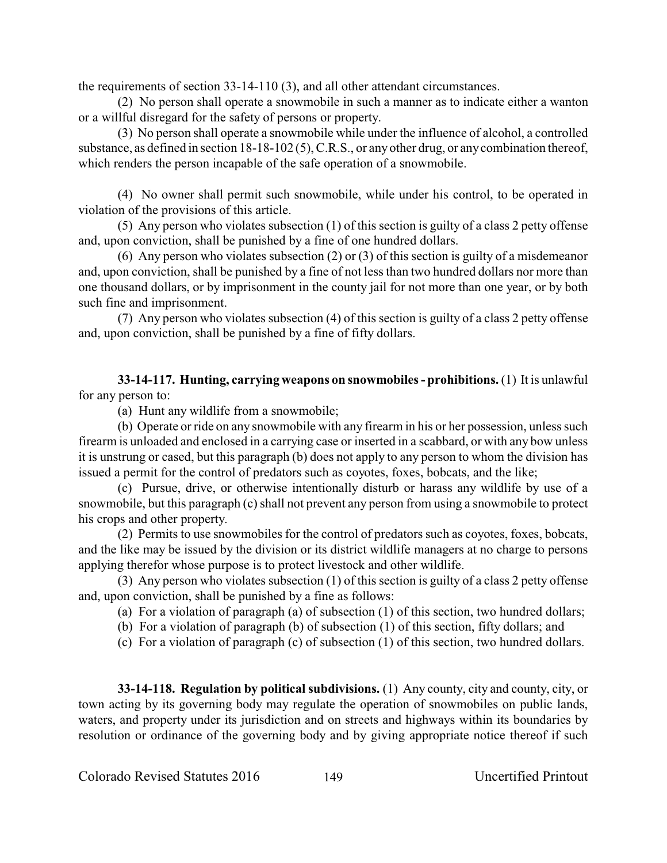the requirements of section 33-14-110 (3), and all other attendant circumstances.

(2) No person shall operate a snowmobile in such a manner as to indicate either a wanton or a willful disregard for the safety of persons or property.

(3) No person shall operate a snowmobile while under the influence of alcohol, a controlled substance, as defined in section 18-18-102 (5), C.R.S., or any other drug, or anycombination thereof, which renders the person incapable of the safe operation of a snowmobile.

(4) No owner shall permit such snowmobile, while under his control, to be operated in violation of the provisions of this article.

(5) Any person who violates subsection (1) of this section is guilty of a class 2 petty offense and, upon conviction, shall be punished by a fine of one hundred dollars.

(6) Any person who violates subsection (2) or (3) of this section is guilty of a misdemeanor and, upon conviction, shall be punished by a fine of not less than two hundred dollars nor more than one thousand dollars, or by imprisonment in the county jail for not more than one year, or by both such fine and imprisonment.

(7) Any person who violates subsection (4) of this section is guilty of a class 2 petty offense and, upon conviction, shall be punished by a fine of fifty dollars.

**33-14-117. Hunting, carrying weapons on snowmobiles - prohibitions.** (1) It is unlawful for any person to:

(a) Hunt any wildlife from a snowmobile;

(b) Operate or ride on any snowmobile with any firearm in his or her possession, unless such firearm is unloaded and enclosed in a carrying case or inserted in a scabbard, or with any bow unless it is unstrung or cased, but this paragraph (b) does not apply to any person to whom the division has issued a permit for the control of predators such as coyotes, foxes, bobcats, and the like;

(c) Pursue, drive, or otherwise intentionally disturb or harass any wildlife by use of a snowmobile, but this paragraph (c) shall not prevent any person from using a snowmobile to protect his crops and other property.

(2) Permits to use snowmobiles for the control of predators such as coyotes, foxes, bobcats, and the like may be issued by the division or its district wildlife managers at no charge to persons applying therefor whose purpose is to protect livestock and other wildlife.

(3) Any person who violates subsection (1) of this section is guilty of a class 2 petty offense and, upon conviction, shall be punished by a fine as follows:

(a) For a violation of paragraph (a) of subsection (1) of this section, two hundred dollars;

(b) For a violation of paragraph (b) of subsection (1) of this section, fifty dollars; and

(c) For a violation of paragraph (c) of subsection (1) of this section, two hundred dollars.

**33-14-118. Regulation by political subdivisions.** (1) Any county, city and county, city, or town acting by its governing body may regulate the operation of snowmobiles on public lands, waters, and property under its jurisdiction and on streets and highways within its boundaries by resolution or ordinance of the governing body and by giving appropriate notice thereof if such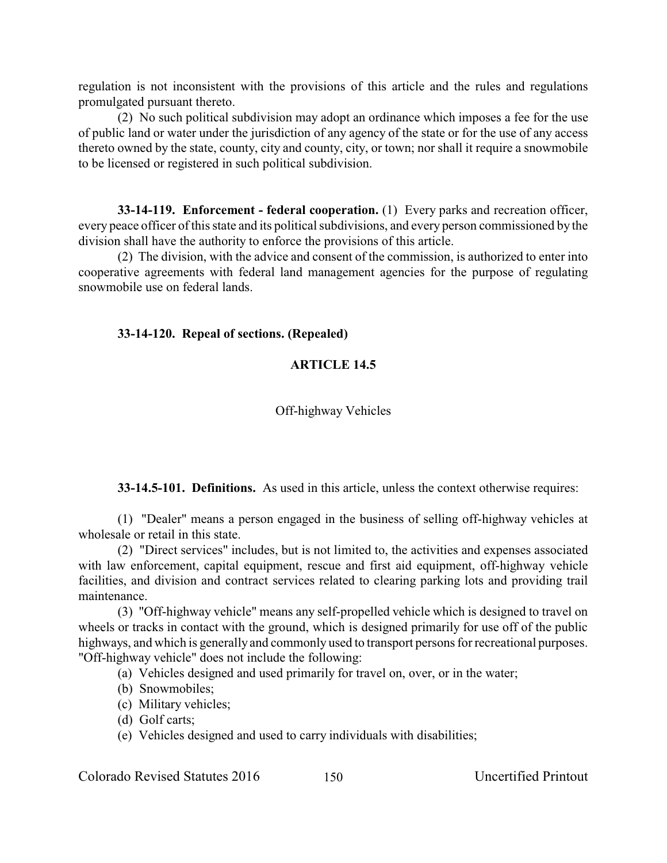regulation is not inconsistent with the provisions of this article and the rules and regulations promulgated pursuant thereto.

(2) No such political subdivision may adopt an ordinance which imposes a fee for the use of public land or water under the jurisdiction of any agency of the state or for the use of any access thereto owned by the state, county, city and county, city, or town; nor shall it require a snowmobile to be licensed or registered in such political subdivision.

**33-14-119. Enforcement - federal cooperation.** (1) Every parks and recreation officer, every peace officer of this state and its political subdivisions, and every person commissioned by the division shall have the authority to enforce the provisions of this article.

(2) The division, with the advice and consent of the commission, is authorized to enter into cooperative agreements with federal land management agencies for the purpose of regulating snowmobile use on federal lands.

## **33-14-120. Repeal of sections. (Repealed)**

## **ARTICLE 14.5**

## Off-highway Vehicles

**33-14.5-101. Definitions.** As used in this article, unless the context otherwise requires:

(1) "Dealer" means a person engaged in the business of selling off-highway vehicles at wholesale or retail in this state.

(2) "Direct services" includes, but is not limited to, the activities and expenses associated with law enforcement, capital equipment, rescue and first aid equipment, off-highway vehicle facilities, and division and contract services related to clearing parking lots and providing trail maintenance.

(3) "Off-highway vehicle" means any self-propelled vehicle which is designed to travel on wheels or tracks in contact with the ground, which is designed primarily for use off of the public highways, and which is generally and commonly used to transport persons for recreational purposes. "Off-highway vehicle" does not include the following:

(a) Vehicles designed and used primarily for travel on, over, or in the water;

- (b) Snowmobiles;
- (c) Military vehicles;
- (d) Golf carts;
- (e) Vehicles designed and used to carry individuals with disabilities;

Colorado Revised Statutes 2016 150 Uncertified Printout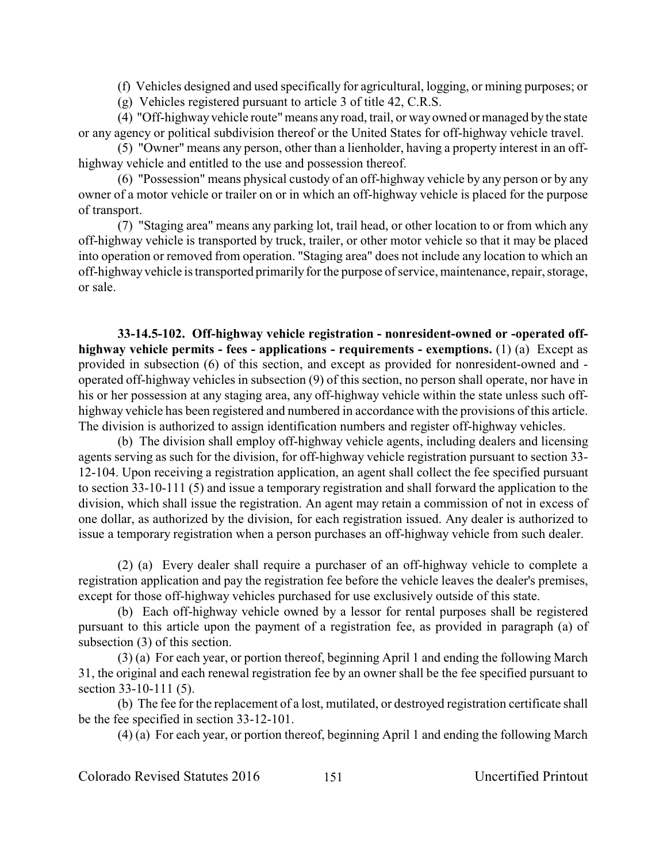(f) Vehicles designed and used specifically for agricultural, logging, or mining purposes; or

(g) Vehicles registered pursuant to article 3 of title 42, C.R.S.

(4) "Off-highwayvehicle route"means any road, trail, or wayowned or managed by the state or any agency or political subdivision thereof or the United States for off-highway vehicle travel.

(5) "Owner" means any person, other than a lienholder, having a property interest in an offhighway vehicle and entitled to the use and possession thereof.

(6) "Possession" means physical custody of an off-highway vehicle by any person or by any owner of a motor vehicle or trailer on or in which an off-highway vehicle is placed for the purpose of transport.

(7) "Staging area" means any parking lot, trail head, or other location to or from which any off-highway vehicle is transported by truck, trailer, or other motor vehicle so that it may be placed into operation or removed from operation. "Staging area" does not include any location to which an off-highwayvehicle is transported primarily for the purpose of service, maintenance, repair, storage, or sale.

**33-14.5-102. Off-highway vehicle registration - nonresident-owned or -operated offhighway vehicle permits - fees - applications - requirements - exemptions.** (1) (a) Except as provided in subsection (6) of this section, and except as provided for nonresident-owned and operated off-highway vehicles in subsection (9) of this section, no person shall operate, nor have in his or her possession at any staging area, any off-highway vehicle within the state unless such offhighway vehicle has been registered and numbered in accordance with the provisions of this article. The division is authorized to assign identification numbers and register off-highway vehicles.

(b) The division shall employ off-highway vehicle agents, including dealers and licensing agents serving as such for the division, for off-highway vehicle registration pursuant to section 33- 12-104. Upon receiving a registration application, an agent shall collect the fee specified pursuant to section 33-10-111 (5) and issue a temporary registration and shall forward the application to the division, which shall issue the registration. An agent may retain a commission of not in excess of one dollar, as authorized by the division, for each registration issued. Any dealer is authorized to issue a temporary registration when a person purchases an off-highway vehicle from such dealer.

(2) (a) Every dealer shall require a purchaser of an off-highway vehicle to complete a registration application and pay the registration fee before the vehicle leaves the dealer's premises, except for those off-highway vehicles purchased for use exclusively outside of this state.

(b) Each off-highway vehicle owned by a lessor for rental purposes shall be registered pursuant to this article upon the payment of a registration fee, as provided in paragraph (a) of subsection (3) of this section.

(3) (a) For each year, or portion thereof, beginning April 1 and ending the following March 31, the original and each renewal registration fee by an owner shall be the fee specified pursuant to section 33-10-111 (5).

(b) The fee for the replacement of a lost, mutilated, or destroyed registration certificate shall be the fee specified in section 33-12-101.

(4) (a) For each year, or portion thereof, beginning April 1 and ending the following March

Colorado Revised Statutes 2016 151 Uncertified Printout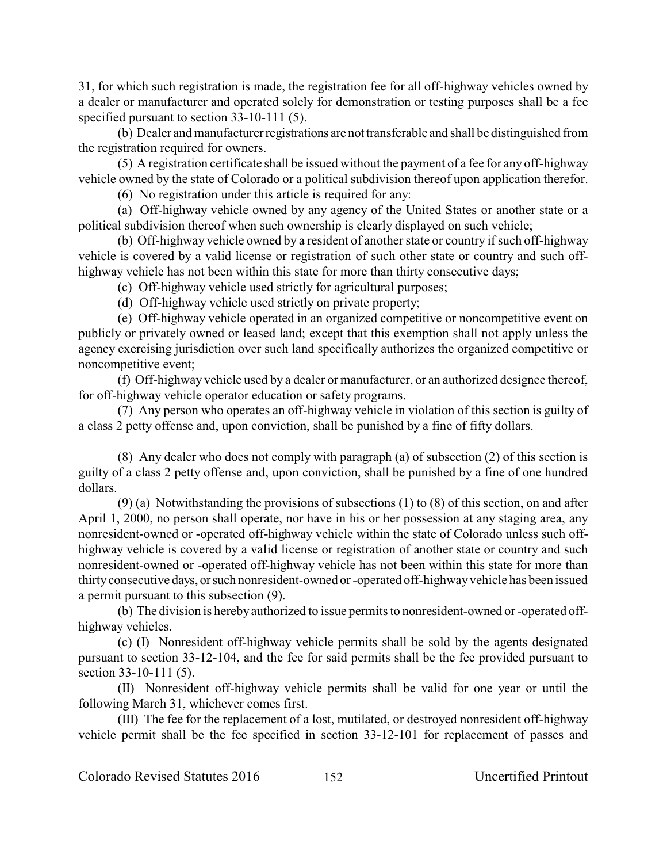31, for which such registration is made, the registration fee for all off-highway vehicles owned by a dealer or manufacturer and operated solely for demonstration or testing purposes shall be a fee specified pursuant to section 33-10-111 (5).

(b) Dealer and manufacturer registrations are not transferable and shall be distinguished from the registration required for owners.

(5) A registration certificate shall be issued without the payment of a fee for any off-highway vehicle owned by the state of Colorado or a political subdivision thereof upon application therefor.

(6) No registration under this article is required for any:

(a) Off-highway vehicle owned by any agency of the United States or another state or a political subdivision thereof when such ownership is clearly displayed on such vehicle;

(b) Off-highway vehicle owned by a resident of another state or country if such off-highway vehicle is covered by a valid license or registration of such other state or country and such offhighway vehicle has not been within this state for more than thirty consecutive days;

(c) Off-highway vehicle used strictly for agricultural purposes;

(d) Off-highway vehicle used strictly on private property;

(e) Off-highway vehicle operated in an organized competitive or noncompetitive event on publicly or privately owned or leased land; except that this exemption shall not apply unless the agency exercising jurisdiction over such land specifically authorizes the organized competitive or noncompetitive event;

(f) Off-highway vehicle used by a dealer or manufacturer, or an authorized designee thereof, for off-highway vehicle operator education or safety programs.

(7) Any person who operates an off-highway vehicle in violation of this section is guilty of a class 2 petty offense and, upon conviction, shall be punished by a fine of fifty dollars.

(8) Any dealer who does not comply with paragraph (a) of subsection (2) of this section is guilty of a class 2 petty offense and, upon conviction, shall be punished by a fine of one hundred dollars.

(9) (a) Notwithstanding the provisions of subsections (1) to (8) of this section, on and after April 1, 2000, no person shall operate, nor have in his or her possession at any staging area, any nonresident-owned or -operated off-highway vehicle within the state of Colorado unless such offhighway vehicle is covered by a valid license or registration of another state or country and such nonresident-owned or -operated off-highway vehicle has not been within this state for more than thirty consecutive days, or such nonresident-owned or -operated off-highway vehicle has been issued a permit pursuant to this subsection (9).

(b) The division is herebyauthorized to issue permits to nonresident-owned or -operated offhighway vehicles.

(c) (I) Nonresident off-highway vehicle permits shall be sold by the agents designated pursuant to section 33-12-104, and the fee for said permits shall be the fee provided pursuant to section 33-10-111 (5).

(II) Nonresident off-highway vehicle permits shall be valid for one year or until the following March 31, whichever comes first.

(III) The fee for the replacement of a lost, mutilated, or destroyed nonresident off-highway vehicle permit shall be the fee specified in section 33-12-101 for replacement of passes and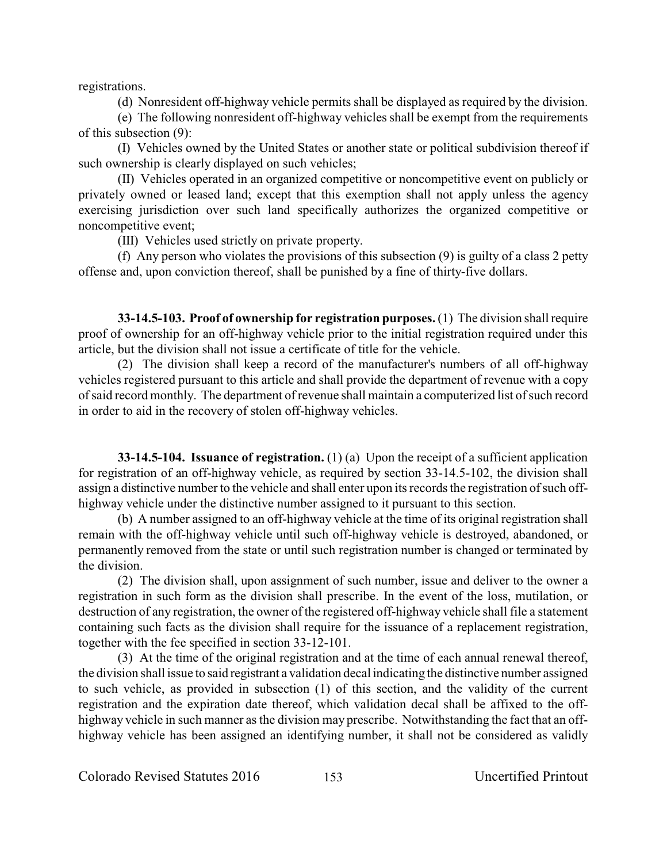registrations.

(d) Nonresident off-highway vehicle permits shall be displayed as required by the division.

(e) The following nonresident off-highway vehicles shall be exempt from the requirements of this subsection (9):

(I) Vehicles owned by the United States or another state or political subdivision thereof if such ownership is clearly displayed on such vehicles;

(II) Vehicles operated in an organized competitive or noncompetitive event on publicly or privately owned or leased land; except that this exemption shall not apply unless the agency exercising jurisdiction over such land specifically authorizes the organized competitive or noncompetitive event;

(III) Vehicles used strictly on private property.

(f) Any person who violates the provisions of this subsection (9) is guilty of a class 2 petty offense and, upon conviction thereof, shall be punished by a fine of thirty-five dollars.

**33-14.5-103. Proof of ownership for registration purposes.** (1) The division shall require proof of ownership for an off-highway vehicle prior to the initial registration required under this article, but the division shall not issue a certificate of title for the vehicle.

(2) The division shall keep a record of the manufacturer's numbers of all off-highway vehicles registered pursuant to this article and shall provide the department of revenue with a copy of said record monthly. The department of revenue shall maintain a computerized list of such record in order to aid in the recovery of stolen off-highway vehicles.

**33-14.5-104. Issuance of registration.** (1) (a) Upon the receipt of a sufficient application for registration of an off-highway vehicle, as required by section 33-14.5-102, the division shall assign a distinctive number to the vehicle and shall enter upon its records the registration of such offhighway vehicle under the distinctive number assigned to it pursuant to this section.

(b) A number assigned to an off-highway vehicle at the time of its original registration shall remain with the off-highway vehicle until such off-highway vehicle is destroyed, abandoned, or permanently removed from the state or until such registration number is changed or terminated by the division.

(2) The division shall, upon assignment of such number, issue and deliver to the owner a registration in such form as the division shall prescribe. In the event of the loss, mutilation, or destruction of any registration, the owner of the registered off-highway vehicle shall file a statement containing such facts as the division shall require for the issuance of a replacement registration, together with the fee specified in section 33-12-101.

(3) At the time of the original registration and at the time of each annual renewal thereof, the division shall issue to said registrant a validation decal indicating the distinctive number assigned to such vehicle, as provided in subsection (1) of this section, and the validity of the current registration and the expiration date thereof, which validation decal shall be affixed to the offhighway vehicle in such manner as the division may prescribe. Notwithstanding the fact that an offhighway vehicle has been assigned an identifying number, it shall not be considered as validly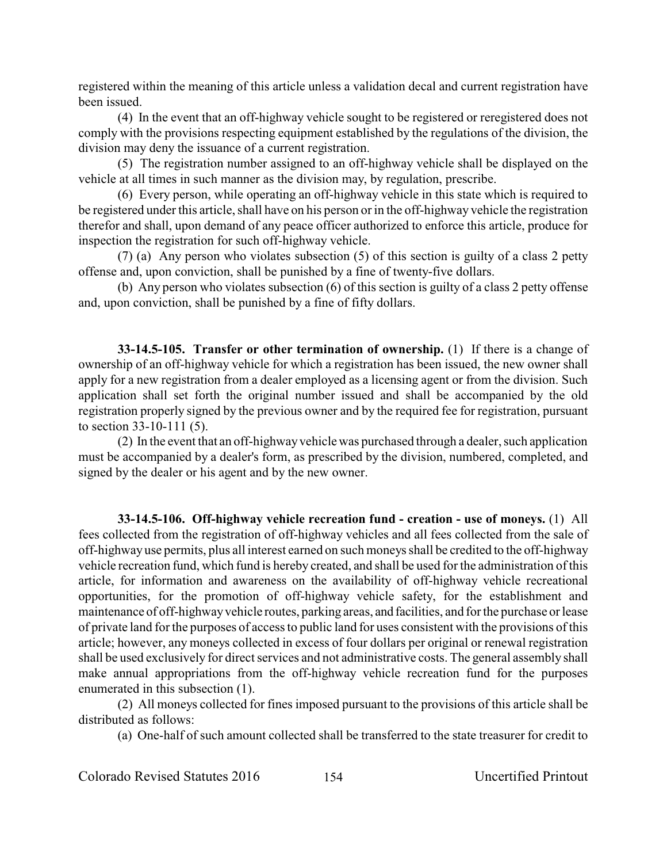registered within the meaning of this article unless a validation decal and current registration have been issued.

(4) In the event that an off-highway vehicle sought to be registered or reregistered does not comply with the provisions respecting equipment established by the regulations of the division, the division may deny the issuance of a current registration.

(5) The registration number assigned to an off-highway vehicle shall be displayed on the vehicle at all times in such manner as the division may, by regulation, prescribe.

(6) Every person, while operating an off-highway vehicle in this state which is required to be registered under this article, shall have on his person or in the off-highway vehicle the registration therefor and shall, upon demand of any peace officer authorized to enforce this article, produce for inspection the registration for such off-highway vehicle.

(7) (a) Any person who violates subsection (5) of this section is guilty of a class 2 petty offense and, upon conviction, shall be punished by a fine of twenty-five dollars.

(b) Any person who violates subsection (6) of this section is guilty of a class 2 petty offense and, upon conviction, shall be punished by a fine of fifty dollars.

**33-14.5-105. Transfer or other termination of ownership.** (1) If there is a change of ownership of an off-highway vehicle for which a registration has been issued, the new owner shall apply for a new registration from a dealer employed as a licensing agent or from the division. Such application shall set forth the original number issued and shall be accompanied by the old registration properly signed by the previous owner and by the required fee for registration, pursuant to section 33-10-111 (5).

(2) In the event that an off-highwayvehicle was purchased through a dealer, such application must be accompanied by a dealer's form, as prescribed by the division, numbered, completed, and signed by the dealer or his agent and by the new owner.

**33-14.5-106. Off-highway vehicle recreation fund - creation - use of moneys.** (1) All fees collected from the registration of off-highway vehicles and all fees collected from the sale of off-highwayuse permits, plus all interest earned on such moneys shall be credited to the off-highway vehicle recreation fund, which fund is hereby created, and shall be used for the administration of this article, for information and awareness on the availability of off-highway vehicle recreational opportunities, for the promotion of off-highway vehicle safety, for the establishment and maintenance of off-highwayvehicle routes, parking areas, and facilities, and for the purchase or lease of private land for the purposes of access to public land for uses consistent with the provisions of this article; however, any moneys collected in excess of four dollars per original or renewal registration shall be used exclusively for direct services and not administrative costs. The general assembly shall make annual appropriations from the off-highway vehicle recreation fund for the purposes enumerated in this subsection (1).

(2) All moneys collected for fines imposed pursuant to the provisions of this article shall be distributed as follows:

(a) One-half of such amount collected shall be transferred to the state treasurer for credit to

Colorado Revised Statutes 2016 154 Uncertified Printout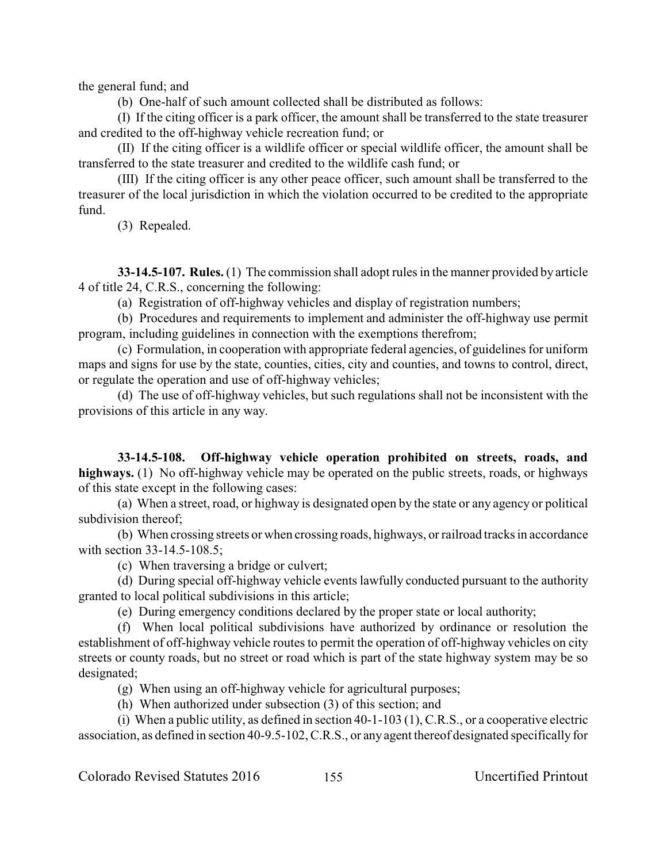the general fund; and

(b) One-half of such amount collected shall be distributed as follows:

(I) If the citing officer is a park officer, the amount shall be transferred to the state treasurer and credited to the off-highway vehicle recreation fund; or

(II) If the citing officer is a wildlife officer or special wildlife officer, the amount shall be transferred to the state treasurer and credited to the wildlife cash fund; or

(III) If the citing officer is any other peace officer, such amount shall be transferred to the treasurer of the local jurisdiction in which the violation occurred to be credited to the appropriate fund.

(3) Repealed.

**33-14.5-107. Rules.** (1) The commission shall adopt rules in the manner provided by article 4 of title 24, C.R.S., concerning the following:

(a) Registration of off-highway vehicles and display of registration numbers;

(b) Procedures and requirements to implement and administer the off-highway use permit program, including guidelines in connection with the exemptions therefrom;

(c) Formulation, in cooperation with appropriate federal agencies, of guidelines for uniform maps and signs for use by the state, counties, cities, city and counties, and towns to control, direct, or regulate the operation and use of off-highway vehicles;

(d) The use of off-highway vehicles, but such regulations shall not be inconsistent with the provisions of this article in any way.

**33-14.5-108. Off-highway vehicle operation prohibited on streets, roads, and highways.** (1) No off-highway vehicle may be operated on the public streets, roads, or highways of this state except in the following cases:

(a) When a street, road, or highway is designated open by the state or any agency or political subdivision thereof;

(b) When crossing streets or when crossing roads, highways, or railroad tracks in accordance with section 33-14.5-108.5;

(c) When traversing a bridge or culvert;

(d) During special off-highway vehicle events lawfully conducted pursuant to the authority granted to local political subdivisions in this article;

(e) During emergency conditions declared by the proper state or local authority;

(f) When local political subdivisions have authorized by ordinance or resolution the establishment of off-highway vehicle routes to permit the operation of off-highway vehicles on city streets or county roads, but no street or road which is part of the state highway system may be so designated;

(g) When using an off-highway vehicle for agricultural purposes;

(h) When authorized under subsection (3) of this section; and

(i) When a public utility, as defined in section 40-1-103 (1), C.R.S., or a cooperative electric association, as defined in section 40-9.5-102, C.R.S., or any agent thereof designated specifically for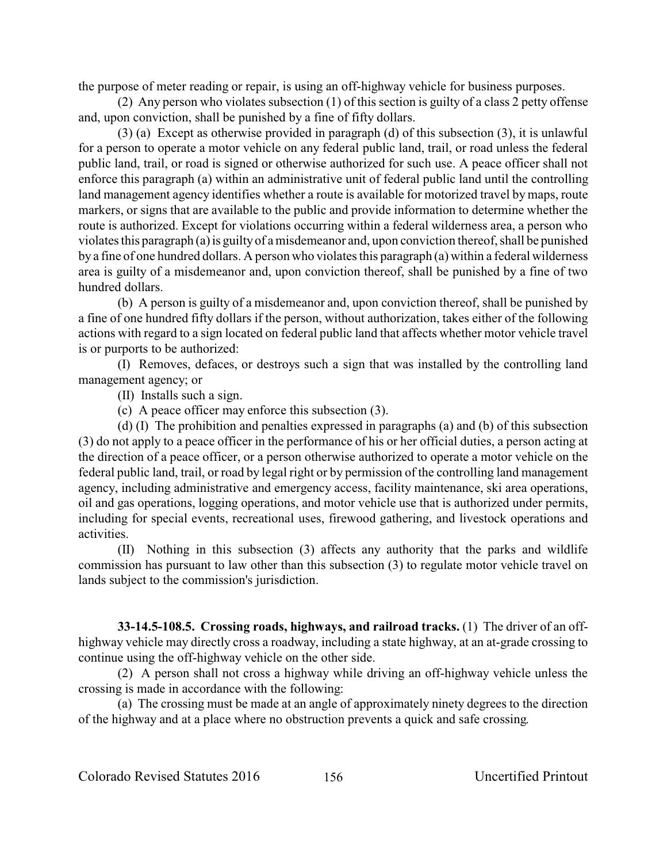the purpose of meter reading or repair, is using an off-highway vehicle for business purposes.

(2) Any person who violates subsection (1) of this section is guilty of a class 2 petty offense and, upon conviction, shall be punished by a fine of fifty dollars.

(3) (a) Except as otherwise provided in paragraph (d) of this subsection (3), it is unlawful for a person to operate a motor vehicle on any federal public land, trail, or road unless the federal public land, trail, or road is signed or otherwise authorized for such use. A peace officer shall not enforce this paragraph (a) within an administrative unit of federal public land until the controlling land management agency identifies whether a route is available for motorized travel by maps, route markers, or signs that are available to the public and provide information to determine whether the route is authorized. Except for violations occurring within a federal wilderness area, a person who violates this paragraph (a) is guilty of a misdemeanor and, upon conviction thereof, shall be punished by a fine of one hundred dollars. A person who violates this paragraph (a) within a federal wilderness area is guilty of a misdemeanor and, upon conviction thereof, shall be punished by a fine of two hundred dollars.

(b) A person is guilty of a misdemeanor and, upon conviction thereof, shall be punished by a fine of one hundred fifty dollars if the person, without authorization, takes either of the following actions with regard to a sign located on federal public land that affects whether motor vehicle travel is or purports to be authorized:

(I) Removes, defaces, or destroys such a sign that was installed by the controlling land management agency; or

(II) Installs such a sign.

(c) A peace officer may enforce this subsection (3).

(d) (I) The prohibition and penalties expressed in paragraphs (a) and (b) of this subsection (3) do not apply to a peace officer in the performance of his or her official duties, a person acting at the direction of a peace officer, or a person otherwise authorized to operate a motor vehicle on the federal public land, trail, or road by legal right or by permission of the controlling land management agency, including administrative and emergency access, facility maintenance, ski area operations, oil and gas operations, logging operations, and motor vehicle use that is authorized under permits, including for special events, recreational uses, firewood gathering, and livestock operations and activities.

(II) Nothing in this subsection (3) affects any authority that the parks and wildlife commission has pursuant to law other than this subsection (3) to regulate motor vehicle travel on lands subject to the commission's jurisdiction.

**33-14.5-108.5. Crossing roads, highways, and railroad tracks.** (1) The driver of an offhighway vehicle may directly cross a roadway, including a state highway, at an at-grade crossing to continue using the off-highway vehicle on the other side.

(2) A person shall not cross a highway while driving an off-highway vehicle unless the crossing is made in accordance with the following:

(a) The crossing must be made at an angle of approximately ninety degrees to the direction of the highway and at a place where no obstruction prevents a quick and safe crossing.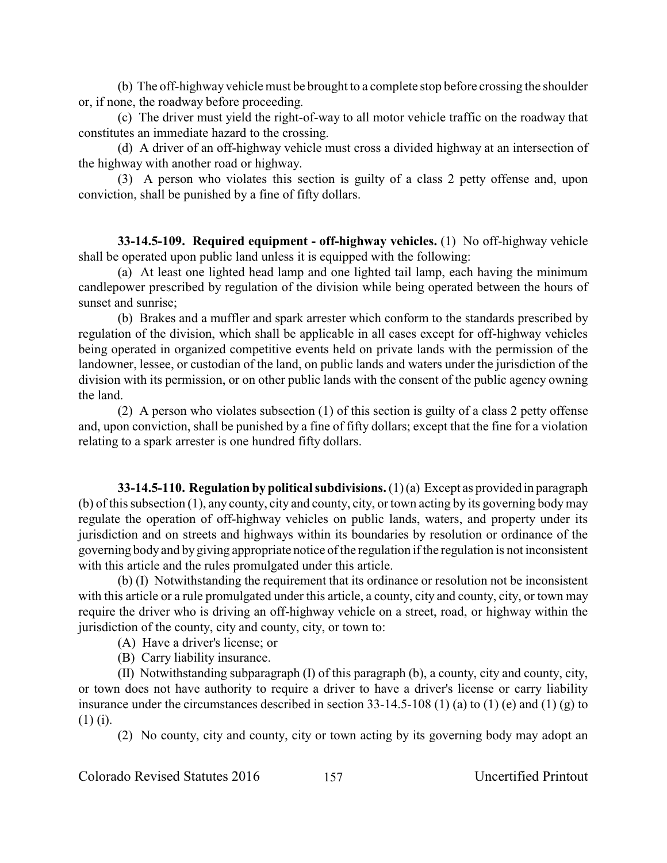(b) The off-highway vehicle must be brought to a complete stop before crossing the shoulder or, if none, the roadway before proceeding.

(c) The driver must yield the right-of-way to all motor vehicle traffic on the roadway that constitutes an immediate hazard to the crossing.

(d) A driver of an off-highway vehicle must cross a divided highway at an intersection of the highway with another road or highway.

(3) A person who violates this section is guilty of a class 2 petty offense and, upon conviction, shall be punished by a fine of fifty dollars.

**33-14.5-109. Required equipment - off-highway vehicles.** (1) No off-highway vehicle shall be operated upon public land unless it is equipped with the following:

(a) At least one lighted head lamp and one lighted tail lamp, each having the minimum candlepower prescribed by regulation of the division while being operated between the hours of sunset and sunrise;

(b) Brakes and a muffler and spark arrester which conform to the standards prescribed by regulation of the division, which shall be applicable in all cases except for off-highway vehicles being operated in organized competitive events held on private lands with the permission of the landowner, lessee, or custodian of the land, on public lands and waters under the jurisdiction of the division with its permission, or on other public lands with the consent of the public agency owning the land.

(2) A person who violates subsection (1) of this section is guilty of a class 2 petty offense and, upon conviction, shall be punished by a fine of fifty dollars; except that the fine for a violation relating to a spark arrester is one hundred fifty dollars.

**33-14.5-110. Regulation by political subdivisions.** (1) (a) Except as provided in paragraph (b) of this subsection (1), any county, city and county, city, or town acting by its governing bodymay regulate the operation of off-highway vehicles on public lands, waters, and property under its jurisdiction and on streets and highways within its boundaries by resolution or ordinance of the governing body and bygiving appropriate notice ofthe regulation if the regulation is not inconsistent with this article and the rules promulgated under this article.

(b) (I) Notwithstanding the requirement that its ordinance or resolution not be inconsistent with this article or a rule promulgated under this article, a county, city and county, city, or town may require the driver who is driving an off-highway vehicle on a street, road, or highway within the jurisdiction of the county, city and county, city, or town to:

- (A) Have a driver's license; or
- (B) Carry liability insurance.

(II) Notwithstanding subparagraph (I) of this paragraph (b), a county, city and county, city, or town does not have authority to require a driver to have a driver's license or carry liability insurance under the circumstances described in section 33-14.5-108 (1) (a) to (1) (e) and (1) (g) to (1) (i).

(2) No county, city and county, city or town acting by its governing body may adopt an

Colorado Revised Statutes 2016 157 Uncertified Printout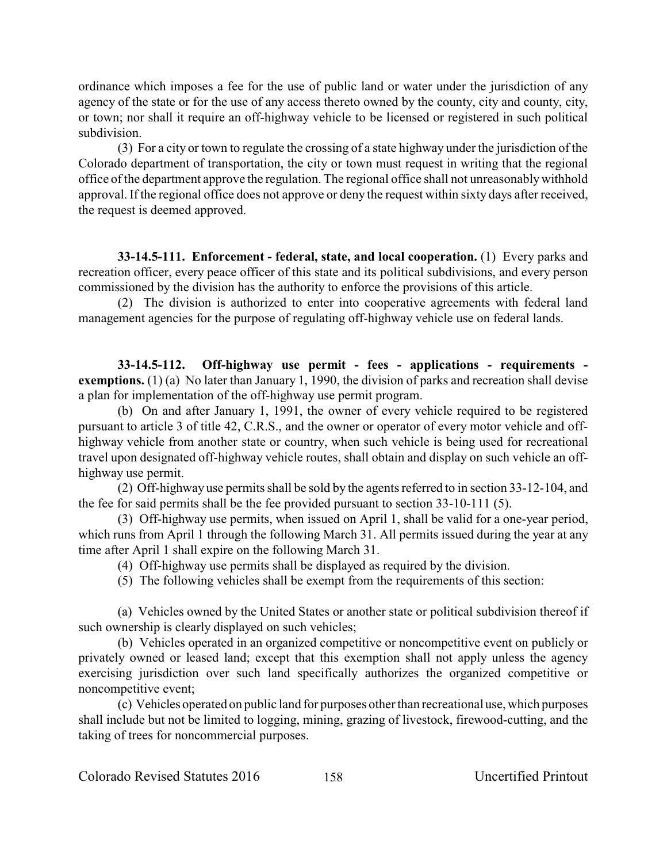ordinance which imposes a fee for the use of public land or water under the jurisdiction of any agency of the state or for the use of any access thereto owned by the county, city and county, city, or town; nor shall it require an off-highway vehicle to be licensed or registered in such political subdivision.

(3) For a city or town to regulate the crossing of a state highway under the jurisdiction of the Colorado department of transportation, the city or town must request in writing that the regional office of the department approve the regulation. The regional office shall not unreasonablywithhold approval. If the regional office does not approve or deny the request within sixty days after received, the request is deemed approved.

**33-14.5-111. Enforcement - federal, state, and local cooperation.** (1) Every parks and recreation officer, every peace officer of this state and its political subdivisions, and every person commissioned by the division has the authority to enforce the provisions of this article.

(2) The division is authorized to enter into cooperative agreements with federal land management agencies for the purpose of regulating off-highway vehicle use on federal lands.

**33-14.5-112. Off-highway use permit - fees - applications - requirements exemptions.** (1) (a) No later than January 1, 1990, the division of parks and recreation shall devise a plan for implementation of the off-highway use permit program.

(b) On and after January 1, 1991, the owner of every vehicle required to be registered pursuant to article 3 of title 42, C.R.S., and the owner or operator of every motor vehicle and offhighway vehicle from another state or country, when such vehicle is being used for recreational travel upon designated off-highway vehicle routes, shall obtain and display on such vehicle an offhighway use permit.

(2) Off-highway use permits shall be sold by the agents referred to in section 33-12-104, and the fee for said permits shall be the fee provided pursuant to section 33-10-111 (5).

(3) Off-highway use permits, when issued on April 1, shall be valid for a one-year period, which runs from April 1 through the following March 31. All permits issued during the year at any time after April 1 shall expire on the following March 31.

(4) Off-highway use permits shall be displayed as required by the division.

(5) The following vehicles shall be exempt from the requirements of this section:

(a) Vehicles owned by the United States or another state or political subdivision thereof if such ownership is clearly displayed on such vehicles;

(b) Vehicles operated in an organized competitive or noncompetitive event on publicly or privately owned or leased land; except that this exemption shall not apply unless the agency exercising jurisdiction over such land specifically authorizes the organized competitive or noncompetitive event;

(c) Vehicles operated on public land for purposes other than recreational use, which purposes shall include but not be limited to logging, mining, grazing of livestock, firewood-cutting, and the taking of trees for noncommercial purposes.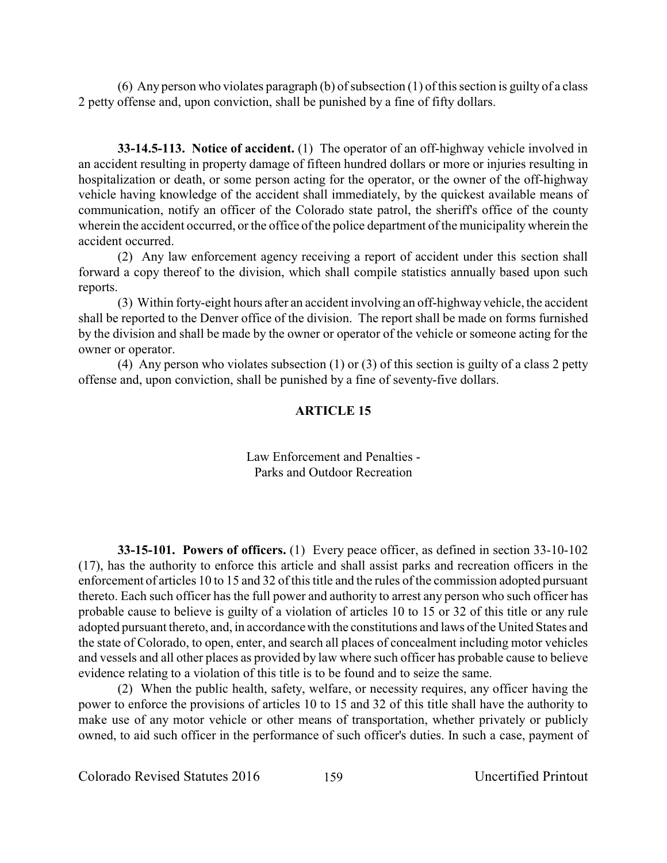(6) Any person who violates paragraph (b) of subsection (1) of this section is guilty of a class 2 petty offense and, upon conviction, shall be punished by a fine of fifty dollars.

**33-14.5-113. Notice of accident.** (1) The operator of an off-highway vehicle involved in an accident resulting in property damage of fifteen hundred dollars or more or injuries resulting in hospitalization or death, or some person acting for the operator, or the owner of the off-highway vehicle having knowledge of the accident shall immediately, by the quickest available means of communication, notify an officer of the Colorado state patrol, the sheriff's office of the county wherein the accident occurred, or the office of the police department of the municipality wherein the accident occurred.

(2) Any law enforcement agency receiving a report of accident under this section shall forward a copy thereof to the division, which shall compile statistics annually based upon such reports.

(3) Within forty-eight hours after an accident involving an off-highwayvehicle, the accident shall be reported to the Denver office of the division. The report shall be made on forms furnished by the division and shall be made by the owner or operator of the vehicle or someone acting for the owner or operator.

(4) Any person who violates subsection (1) or (3) of this section is guilty of a class 2 petty offense and, upon conviction, shall be punished by a fine of seventy-five dollars.

## **ARTICLE 15**

Law Enforcement and Penalties - Parks and Outdoor Recreation

**33-15-101. Powers of officers.** (1) Every peace officer, as defined in section 33-10-102 (17), has the authority to enforce this article and shall assist parks and recreation officers in the enforcement of articles 10 to 15 and 32 of this title and the rules of the commission adopted pursuant thereto. Each such officer has the full power and authority to arrest any person who such officer has probable cause to believe is guilty of a violation of articles 10 to 15 or 32 of this title or any rule adopted pursuant thereto, and, in accordance with the constitutions and laws of the United States and the state of Colorado, to open, enter, and search all places of concealment including motor vehicles and vessels and all other places as provided by law where such officer has probable cause to believe evidence relating to a violation of this title is to be found and to seize the same.

(2) When the public health, safety, welfare, or necessity requires, any officer having the power to enforce the provisions of articles 10 to 15 and 32 of this title shall have the authority to make use of any motor vehicle or other means of transportation, whether privately or publicly owned, to aid such officer in the performance of such officer's duties. In such a case, payment of

Colorado Revised Statutes 2016 159 Uncertified Printout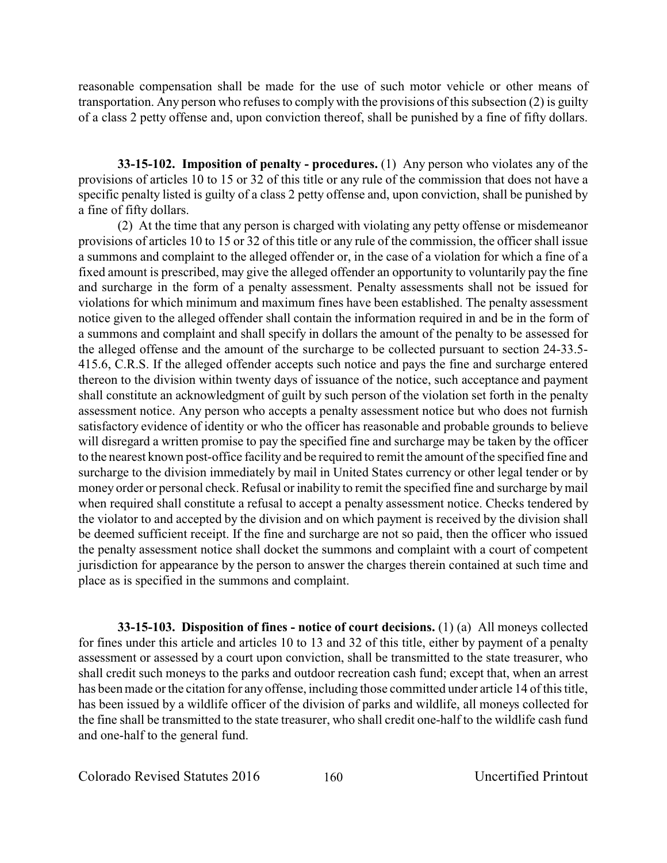reasonable compensation shall be made for the use of such motor vehicle or other means of transportation. Any person who refuses to comply with the provisions of this subsection (2) is guilty of a class 2 petty offense and, upon conviction thereof, shall be punished by a fine of fifty dollars.

**33-15-102. Imposition of penalty - procedures.** (1) Any person who violates any of the provisions of articles 10 to 15 or 32 of this title or any rule of the commission that does not have a specific penalty listed is guilty of a class 2 petty offense and, upon conviction, shall be punished by a fine of fifty dollars.

(2) At the time that any person is charged with violating any petty offense or misdemeanor provisions of articles 10 to 15 or 32 of this title or any rule of the commission, the officer shall issue a summons and complaint to the alleged offender or, in the case of a violation for which a fine of a fixed amount is prescribed, may give the alleged offender an opportunity to voluntarily pay the fine and surcharge in the form of a penalty assessment. Penalty assessments shall not be issued for violations for which minimum and maximum fines have been established. The penalty assessment notice given to the alleged offender shall contain the information required in and be in the form of a summons and complaint and shall specify in dollars the amount of the penalty to be assessed for the alleged offense and the amount of the surcharge to be collected pursuant to section 24-33.5- 415.6, C.R.S. If the alleged offender accepts such notice and pays the fine and surcharge entered thereon to the division within twenty days of issuance of the notice, such acceptance and payment shall constitute an acknowledgment of guilt by such person of the violation set forth in the penalty assessment notice. Any person who accepts a penalty assessment notice but who does not furnish satisfactory evidence of identity or who the officer has reasonable and probable grounds to believe will disregard a written promise to pay the specified fine and surcharge may be taken by the officer to the nearest known post-office facility and be required to remit the amount of the specified fine and surcharge to the division immediately by mail in United States currency or other legal tender or by money order or personal check. Refusal or inability to remit the specified fine and surcharge bymail when required shall constitute a refusal to accept a penalty assessment notice. Checks tendered by the violator to and accepted by the division and on which payment is received by the division shall be deemed sufficient receipt. If the fine and surcharge are not so paid, then the officer who issued the penalty assessment notice shall docket the summons and complaint with a court of competent jurisdiction for appearance by the person to answer the charges therein contained at such time and place as is specified in the summons and complaint.

**33-15-103. Disposition of fines - notice of court decisions.** (1) (a) All moneys collected for fines under this article and articles 10 to 13 and 32 of this title, either by payment of a penalty assessment or assessed by a court upon conviction, shall be transmitted to the state treasurer, who shall credit such moneys to the parks and outdoor recreation cash fund; except that, when an arrest has been made or the citation for anyoffense, including those committed under article 14 of this title, has been issued by a wildlife officer of the division of parks and wildlife, all moneys collected for the fine shall be transmitted to the state treasurer, who shall credit one-half to the wildlife cash fund and one-half to the general fund.

Colorado Revised Statutes 2016 160 Uncertified Printout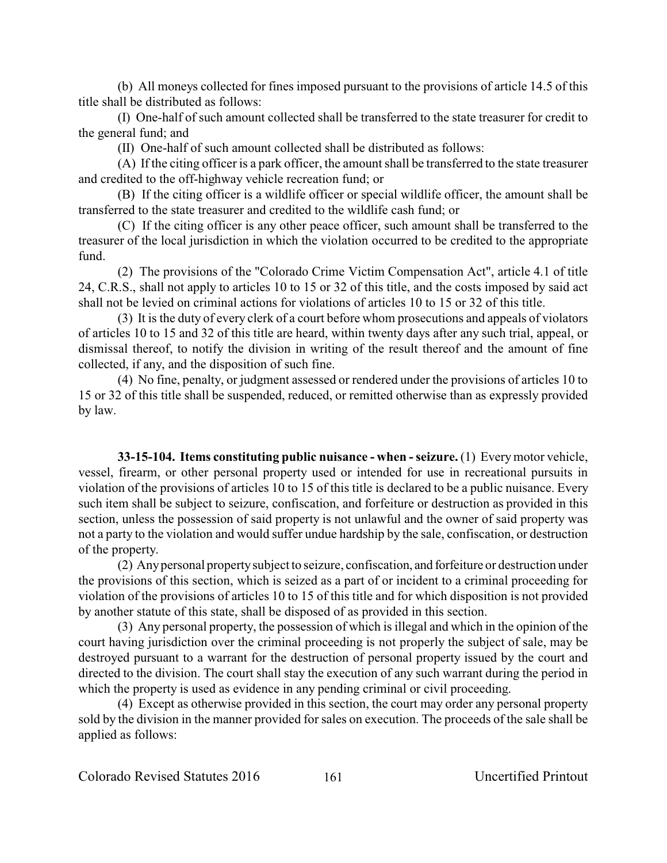(b) All moneys collected for fines imposed pursuant to the provisions of article 14.5 of this title shall be distributed as follows:

(I) One-half of such amount collected shall be transferred to the state treasurer for credit to the general fund; and

(II) One-half of such amount collected shall be distributed as follows:

(A) If the citing officer is a park officer, the amount shall be transferred to the state treasurer and credited to the off-highway vehicle recreation fund; or

(B) If the citing officer is a wildlife officer or special wildlife officer, the amount shall be transferred to the state treasurer and credited to the wildlife cash fund; or

(C) If the citing officer is any other peace officer, such amount shall be transferred to the treasurer of the local jurisdiction in which the violation occurred to be credited to the appropriate fund.

(2) The provisions of the "Colorado Crime Victim Compensation Act", article 4.1 of title 24, C.R.S., shall not apply to articles 10 to 15 or 32 of this title, and the costs imposed by said act shall not be levied on criminal actions for violations of articles 10 to 15 or 32 of this title.

(3) It is the duty of every clerk of a court before whom prosecutions and appeals of violators of articles 10 to 15 and 32 of this title are heard, within twenty days after any such trial, appeal, or dismissal thereof, to notify the division in writing of the result thereof and the amount of fine collected, if any, and the disposition of such fine.

(4) No fine, penalty, or judgment assessed or rendered under the provisions of articles 10 to 15 or 32 of this title shall be suspended, reduced, or remitted otherwise than as expressly provided by law.

**33-15-104. Items constituting public nuisance - when - seizure.** (1) Everymotor vehicle, vessel, firearm, or other personal property used or intended for use in recreational pursuits in violation of the provisions of articles 10 to 15 of this title is declared to be a public nuisance. Every such item shall be subject to seizure, confiscation, and forfeiture or destruction as provided in this section, unless the possession of said property is not unlawful and the owner of said property was not a party to the violation and would suffer undue hardship by the sale, confiscation, or destruction of the property.

(2) Anypersonal propertysubject to seizure, confiscation, and forfeiture or destruction under the provisions of this section, which is seized as a part of or incident to a criminal proceeding for violation of the provisions of articles 10 to 15 of this title and for which disposition is not provided by another statute of this state, shall be disposed of as provided in this section.

(3) Any personal property, the possession of which is illegal and which in the opinion of the court having jurisdiction over the criminal proceeding is not properly the subject of sale, may be destroyed pursuant to a warrant for the destruction of personal property issued by the court and directed to the division. The court shall stay the execution of any such warrant during the period in which the property is used as evidence in any pending criminal or civil proceeding.

(4) Except as otherwise provided in this section, the court may order any personal property sold by the division in the manner provided for sales on execution. The proceeds of the sale shall be applied as follows: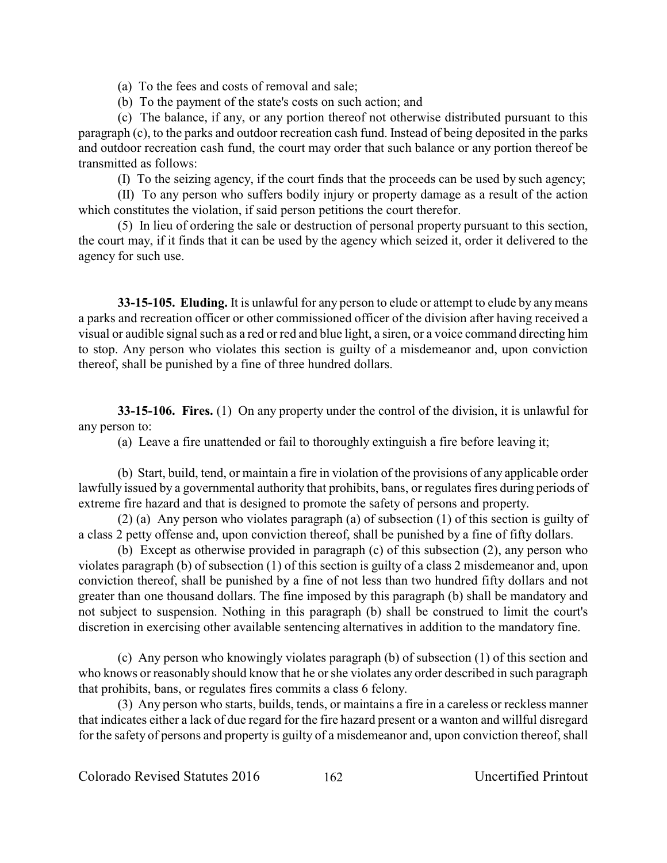(a) To the fees and costs of removal and sale;

(b) To the payment of the state's costs on such action; and

(c) The balance, if any, or any portion thereof not otherwise distributed pursuant to this paragraph (c), to the parks and outdoor recreation cash fund. Instead of being deposited in the parks and outdoor recreation cash fund, the court may order that such balance or any portion thereof be transmitted as follows:

(I) To the seizing agency, if the court finds that the proceeds can be used by such agency;

(II) To any person who suffers bodily injury or property damage as a result of the action which constitutes the violation, if said person petitions the court therefor.

(5) In lieu of ordering the sale or destruction of personal property pursuant to this section, the court may, if it finds that it can be used by the agency which seized it, order it delivered to the agency for such use.

**33-15-105. Eluding.** It is unlawful for any person to elude or attempt to elude by any means a parks and recreation officer or other commissioned officer of the division after having received a visual or audible signal such as a red or red and blue light, a siren, or a voice command directing him to stop. Any person who violates this section is guilty of a misdemeanor and, upon conviction thereof, shall be punished by a fine of three hundred dollars.

**33-15-106. Fires.** (1) On any property under the control of the division, it is unlawful for any person to:

(a) Leave a fire unattended or fail to thoroughly extinguish a fire before leaving it;

(b) Start, build, tend, or maintain a fire in violation of the provisions of any applicable order lawfully issued by a governmental authority that prohibits, bans, or regulates fires during periods of extreme fire hazard and that is designed to promote the safety of persons and property.

(2) (a) Any person who violates paragraph (a) of subsection (1) of this section is guilty of a class 2 petty offense and, upon conviction thereof, shall be punished by a fine of fifty dollars.

(b) Except as otherwise provided in paragraph (c) of this subsection (2), any person who violates paragraph (b) of subsection (1) of this section is guilty of a class 2 misdemeanor and, upon conviction thereof, shall be punished by a fine of not less than two hundred fifty dollars and not greater than one thousand dollars. The fine imposed by this paragraph (b) shall be mandatory and not subject to suspension. Nothing in this paragraph (b) shall be construed to limit the court's discretion in exercising other available sentencing alternatives in addition to the mandatory fine.

(c) Any person who knowingly violates paragraph (b) of subsection (1) of this section and who knows or reasonably should know that he or she violates any order described in such paragraph that prohibits, bans, or regulates fires commits a class 6 felony.

(3) Any person who starts, builds, tends, or maintains a fire in a careless or reckless manner that indicates either a lack of due regard for the fire hazard present or a wanton and willful disregard for the safety of persons and property is guilty of a misdemeanor and, upon conviction thereof, shall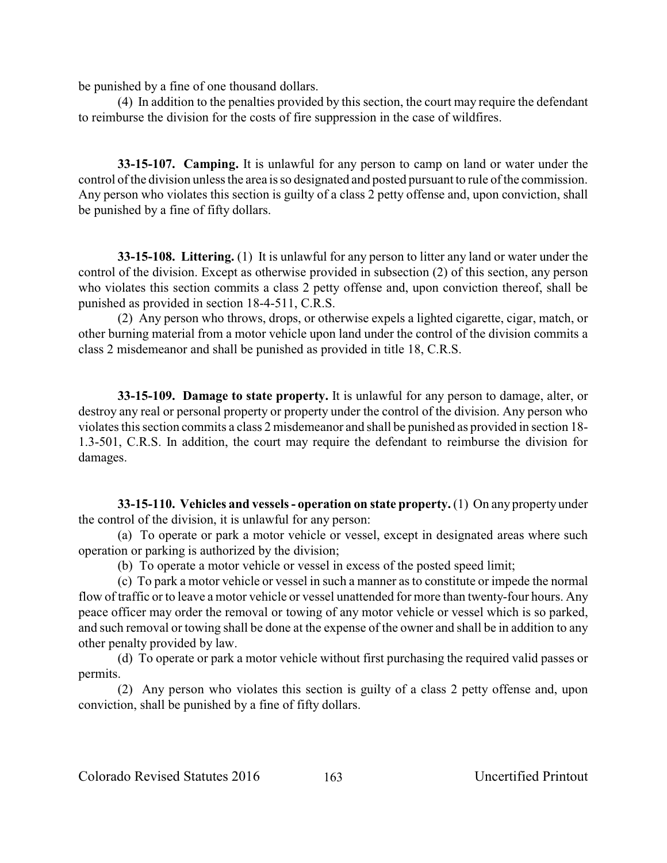be punished by a fine of one thousand dollars.

(4) In addition to the penalties provided by this section, the court may require the defendant to reimburse the division for the costs of fire suppression in the case of wildfires.

**33-15-107. Camping.** It is unlawful for any person to camp on land or water under the control of the division unless the area is so designated and posted pursuant to rule of the commission. Any person who violates this section is guilty of a class 2 petty offense and, upon conviction, shall be punished by a fine of fifty dollars.

**33-15-108. Littering.** (1) It is unlawful for any person to litter any land or water under the control of the division. Except as otherwise provided in subsection (2) of this section, any person who violates this section commits a class 2 petty offense and, upon conviction thereof, shall be punished as provided in section 18-4-511, C.R.S.

(2) Any person who throws, drops, or otherwise expels a lighted cigarette, cigar, match, or other burning material from a motor vehicle upon land under the control of the division commits a class 2 misdemeanor and shall be punished as provided in title 18, C.R.S.

**33-15-109. Damage to state property.** It is unlawful for any person to damage, alter, or destroy any real or personal property or property under the control of the division. Any person who violates this section commits a class 2 misdemeanor and shall be punished as provided in section 18- 1.3-501, C.R.S. In addition, the court may require the defendant to reimburse the division for damages.

**33-15-110. Vehicles and vessels - operation on state property.** (1) On any property under the control of the division, it is unlawful for any person:

(a) To operate or park a motor vehicle or vessel, except in designated areas where such operation or parking is authorized by the division;

(b) To operate a motor vehicle or vessel in excess of the posted speed limit;

(c) To park a motor vehicle or vessel in such a manner as to constitute or impede the normal flow of traffic or to leave a motor vehicle or vessel unattended for more than twenty-four hours. Any peace officer may order the removal or towing of any motor vehicle or vessel which is so parked, and such removal or towing shall be done at the expense of the owner and shall be in addition to any other penalty provided by law.

(d) To operate or park a motor vehicle without first purchasing the required valid passes or permits.

(2) Any person who violates this section is guilty of a class 2 petty offense and, upon conviction, shall be punished by a fine of fifty dollars.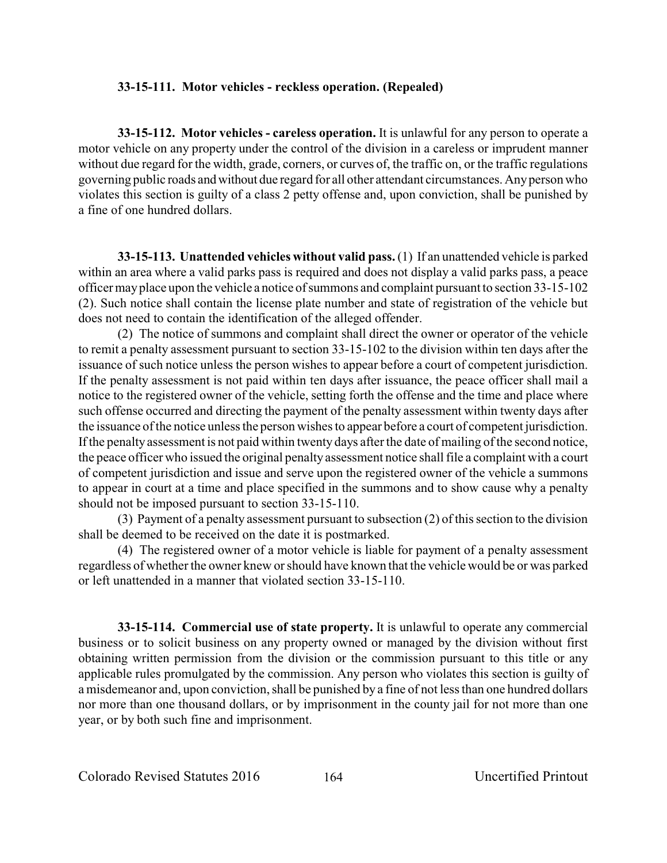### **33-15-111. Motor vehicles - reckless operation. (Repealed)**

**33-15-112. Motor vehicles - careless operation.** It is unlawful for any person to operate a motor vehicle on any property under the control of the division in a careless or imprudent manner without due regard for the width, grade, corners, or curves of, the traffic on, or the traffic regulations governing public roads andwithout due regard for all other attendant circumstances. Anyperson who violates this section is guilty of a class 2 petty offense and, upon conviction, shall be punished by a fine of one hundred dollars.

**33-15-113. Unattended vehicles without valid pass.** (1) If an unattended vehicle is parked within an area where a valid parks pass is required and does not display a valid parks pass, a peace officer mayplace upon the vehicle a notice of summons and complaint pursuant to section 33-15-102 (2). Such notice shall contain the license plate number and state of registration of the vehicle but does not need to contain the identification of the alleged offender.

(2) The notice of summons and complaint shall direct the owner or operator of the vehicle to remit a penalty assessment pursuant to section 33-15-102 to the division within ten days after the issuance of such notice unless the person wishes to appear before a court of competent jurisdiction. If the penalty assessment is not paid within ten days after issuance, the peace officer shall mail a notice to the registered owner of the vehicle, setting forth the offense and the time and place where such offense occurred and directing the payment of the penalty assessment within twenty days after the issuance of the notice unless the person wishes to appear before a court of competent jurisdiction. If the penalty assessment is not paid within twenty days after the date of mailing of the second notice, the peace officer who issued the original penalty assessment notice shall file a complaint with a court of competent jurisdiction and issue and serve upon the registered owner of the vehicle a summons to appear in court at a time and place specified in the summons and to show cause why a penalty should not be imposed pursuant to section 33-15-110.

(3) Payment of a penalty assessment pursuant to subsection (2) of this section to the division shall be deemed to be received on the date it is postmarked.

(4) The registered owner of a motor vehicle is liable for payment of a penalty assessment regardless of whether the owner knew or should have known that the vehicle would be or was parked or left unattended in a manner that violated section 33-15-110.

**33-15-114. Commercial use of state property.** It is unlawful to operate any commercial business or to solicit business on any property owned or managed by the division without first obtaining written permission from the division or the commission pursuant to this title or any applicable rules promulgated by the commission. Any person who violates this section is guilty of a misdemeanor and, upon conviction, shall be punished by a fine of not less than one hundred dollars nor more than one thousand dollars, or by imprisonment in the county jail for not more than one year, or by both such fine and imprisonment.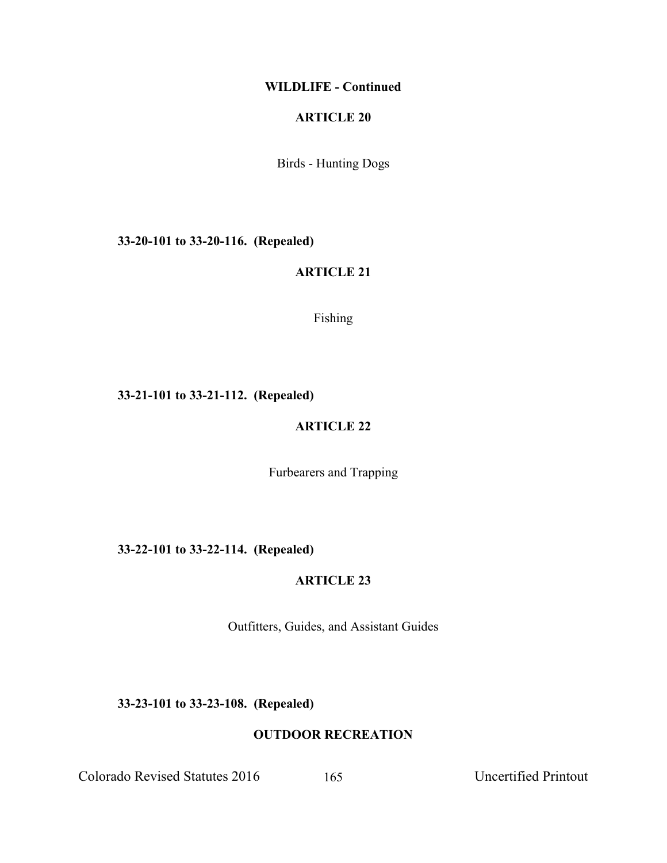# **WILDLIFE - Continued**

## **ARTICLE 20**

Birds - Hunting Dogs

# **33-20-101 to 33-20-116. (Repealed)**

# **ARTICLE 21**

Fishing

## **33-21-101 to 33-21-112. (Repealed)**

# **ARTICLE 22**

Furbearers and Trapping

### **33-22-101 to 33-22-114. (Repealed)**

# **ARTICLE 23**

Outfitters, Guides, and Assistant Guides

**33-23-101 to 33-23-108. (Repealed)** 

# **OUTDOOR RECREATION**

Colorado Revised Statutes 2016 165 Uncertified Printout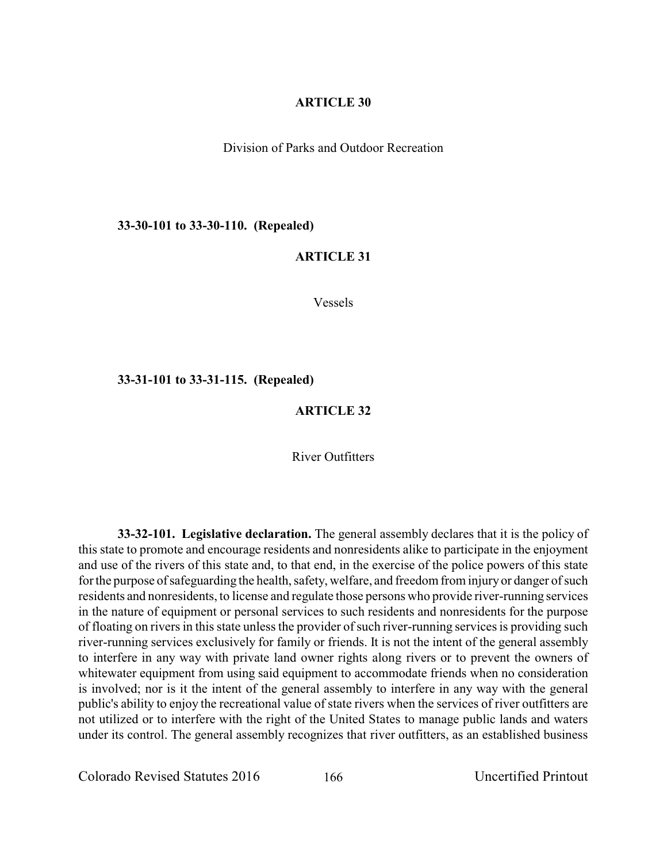## **ARTICLE 30**

Division of Parks and Outdoor Recreation

#### **33-30-101 to 33-30-110. (Repealed)**

#### **ARTICLE 31**

Vessels

#### **33-31-101 to 33-31-115. (Repealed)**

### **ARTICLE 32**

### River Outfitters

**33-32-101. Legislative declaration.** The general assembly declares that it is the policy of this state to promote and encourage residents and nonresidents alike to participate in the enjoyment and use of the rivers of this state and, to that end, in the exercise of the police powers of this state for the purpose of safeguarding the health, safety, welfare, and freedom from injury or danger of such residents and nonresidents, to license and regulate those persons who provide river-running services in the nature of equipment or personal services to such residents and nonresidents for the purpose of floating on rivers in this state unless the provider of such river-running services is providing such river-running services exclusively for family or friends. It is not the intent of the general assembly to interfere in any way with private land owner rights along rivers or to prevent the owners of whitewater equipment from using said equipment to accommodate friends when no consideration is involved; nor is it the intent of the general assembly to interfere in any way with the general public's ability to enjoy the recreational value of state rivers when the services of river outfitters are not utilized or to interfere with the right of the United States to manage public lands and waters under its control. The general assembly recognizes that river outfitters, as an established business

Colorado Revised Statutes 2016 166 Uncertified Printout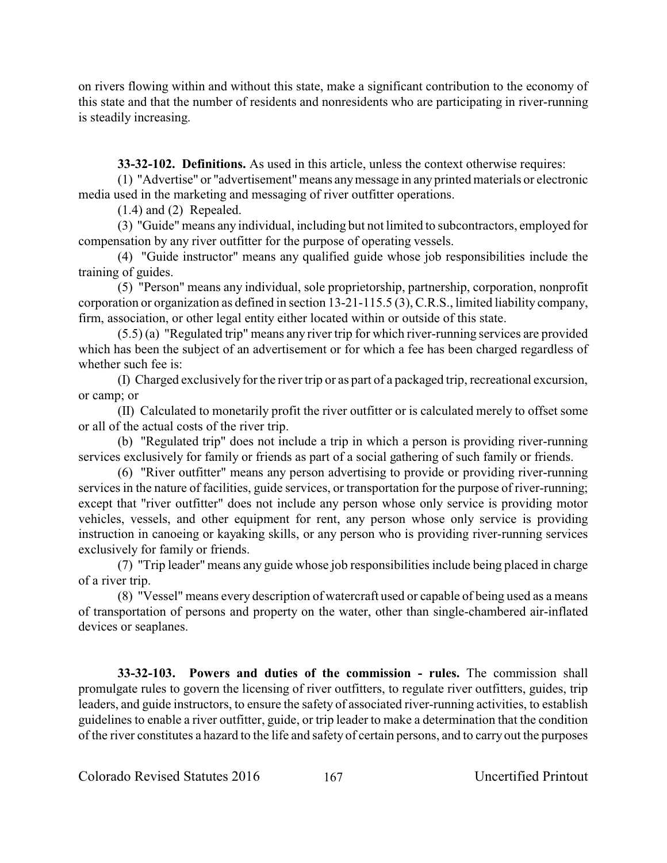on rivers flowing within and without this state, make a significant contribution to the economy of this state and that the number of residents and nonresidents who are participating in river-running is steadily increasing.

**33-32-102. Definitions.** As used in this article, unless the context otherwise requires:

(1) "Advertise" or "advertisement"means anymessage in any printed materials or electronic media used in the marketing and messaging of river outfitter operations.

(1.4) and (2) Repealed.

(3) "Guide" means any individual, including but not limited to subcontractors, employed for compensation by any river outfitter for the purpose of operating vessels.

(4) "Guide instructor" means any qualified guide whose job responsibilities include the training of guides.

(5) "Person" means any individual, sole proprietorship, partnership, corporation, nonprofit corporation or organization as defined in section 13-21-115.5 (3), C.R.S., limited liability company, firm, association, or other legal entity either located within or outside of this state.

(5.5) (a) "Regulated trip" means any river trip for which river-running services are provided which has been the subject of an advertisement or for which a fee has been charged regardless of whether such fee is:

(I) Charged exclusively for the river trip or as part of a packaged trip, recreational excursion, or camp; or

(II) Calculated to monetarily profit the river outfitter or is calculated merely to offset some or all of the actual costs of the river trip.

(b) "Regulated trip" does not include a trip in which a person is providing river-running services exclusively for family or friends as part of a social gathering of such family or friends.

(6) "River outfitter" means any person advertising to provide or providing river-running services in the nature of facilities, guide services, or transportation for the purpose of river-running; except that "river outfitter" does not include any person whose only service is providing motor vehicles, vessels, and other equipment for rent, any person whose only service is providing instruction in canoeing or kayaking skills, or any person who is providing river-running services exclusively for family or friends.

(7) "Trip leader" means any guide whose job responsibilities include being placed in charge of a river trip.

(8) "Vessel" means every description of watercraft used or capable of being used as a means of transportation of persons and property on the water, other than single-chambered air-inflated devices or seaplanes.

**33-32-103. Powers and duties of the commission - rules.** The commission shall promulgate rules to govern the licensing of river outfitters, to regulate river outfitters, guides, trip leaders, and guide instructors, to ensure the safety of associated river-running activities, to establish guidelines to enable a river outfitter, guide, or trip leader to make a determination that the condition of the river constitutes a hazard to the life and safety of certain persons, and to carry out the purposes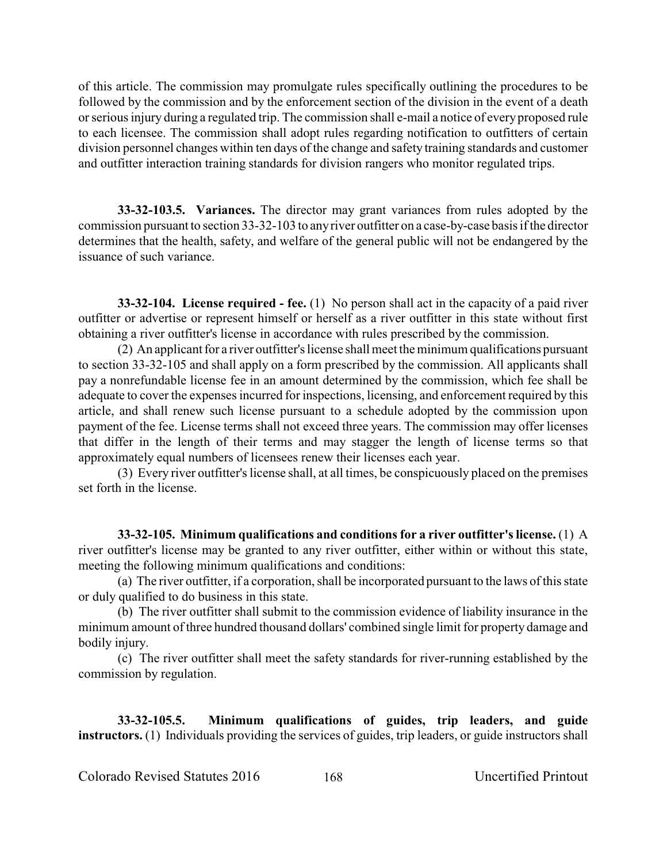of this article. The commission may promulgate rules specifically outlining the procedures to be followed by the commission and by the enforcement section of the division in the event of a death or serious injury during a regulated trip. The commission shall e-mail a notice of everyproposed rule to each licensee. The commission shall adopt rules regarding notification to outfitters of certain division personnel changes within ten days of the change and safety training standards and customer and outfitter interaction training standards for division rangers who monitor regulated trips.

**33-32-103.5. Variances.** The director may grant variances from rules adopted by the commission pursuant to section 33-32-103 to anyriver outfitter on a case-by-case basis if the director determines that the health, safety, and welfare of the general public will not be endangered by the issuance of such variance.

**33-32-104. License required - fee.** (1) No person shall act in the capacity of a paid river outfitter or advertise or represent himself or herself as a river outfitter in this state without first obtaining a river outfitter's license in accordance with rules prescribed by the commission.

(2) An applicant for a river outfitter's license shall meet the minimum qualifications pursuant to section 33-32-105 and shall apply on a form prescribed by the commission. All applicants shall pay a nonrefundable license fee in an amount determined by the commission, which fee shall be adequate to cover the expenses incurred for inspections, licensing, and enforcement required by this article, and shall renew such license pursuant to a schedule adopted by the commission upon payment of the fee. License terms shall not exceed three years. The commission may offer licenses that differ in the length of their terms and may stagger the length of license terms so that approximately equal numbers of licensees renew their licenses each year.

(3) Every river outfitter's license shall, at all times, be conspicuously placed on the premises set forth in the license.

**33-32-105. Minimum qualifications and conditions for a river outfitter's license.** (1) A river outfitter's license may be granted to any river outfitter, either within or without this state, meeting the following minimum qualifications and conditions:

(a) The river outfitter, if a corporation, shall be incorporated pursuant to the laws of this state or duly qualified to do business in this state.

(b) The river outfitter shall submit to the commission evidence of liability insurance in the minimum amount of three hundred thousand dollars' combined single limit for property damage and bodily injury.

(c) The river outfitter shall meet the safety standards for river-running established by the commission by regulation.

**33-32-105.5. Minimum qualifications of guides, trip leaders, and guide instructors.** (1) Individuals providing the services of guides, trip leaders, or guide instructors shall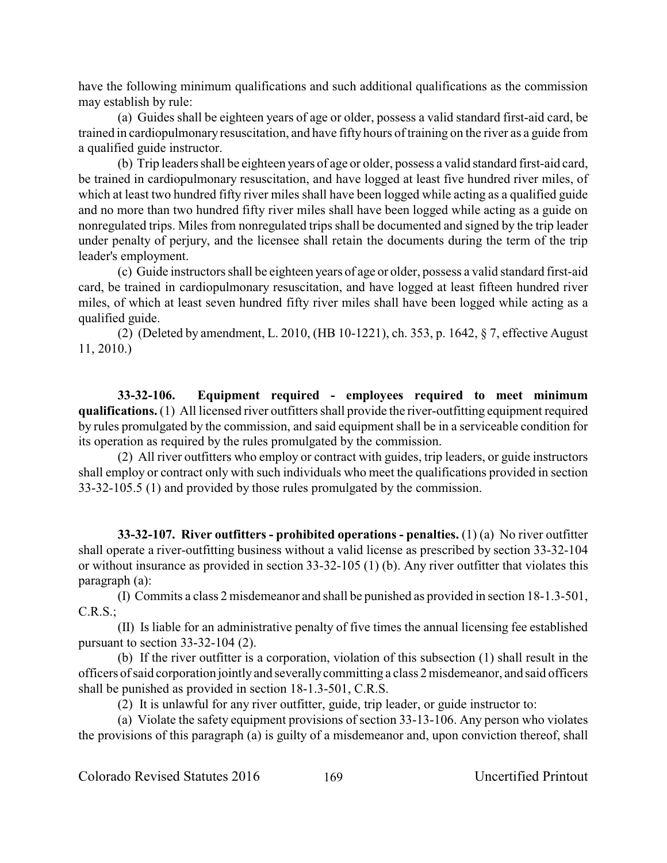have the following minimum qualifications and such additional qualifications as the commission may establish by rule:

(a) Guides shall be eighteen years of age or older, possess a valid standard first-aid card, be trained in cardiopulmonaryresuscitation, and have fifty hours of training on the river as a guide from a qualified guide instructor.

(b) Trip leaders shall be eighteen years of age or older, possess a valid standard first-aid card, be trained in cardiopulmonary resuscitation, and have logged at least five hundred river miles, of which at least two hundred fifty river miles shall have been logged while acting as a qualified guide and no more than two hundred fifty river miles shall have been logged while acting as a guide on nonregulated trips. Miles from nonregulated trips shall be documented and signed by the trip leader under penalty of perjury, and the licensee shall retain the documents during the term of the trip leader's employment.

(c) Guide instructors shall be eighteen years of age or older, possess a valid standard first-aid card, be trained in cardiopulmonary resuscitation, and have logged at least fifteen hundred river miles, of which at least seven hundred fifty river miles shall have been logged while acting as a qualified guide.

(2) (Deleted by amendment, L. 2010, (HB 10-1221), ch. 353, p. 1642, § 7, effective August 11, 2010.)

**33-32-106. Equipment required - employees required to meet minimum qualifications.** (1) All licensed river outfitters shall provide the river-outfitting equipment required by rules promulgated by the commission, and said equipment shall be in a serviceable condition for its operation as required by the rules promulgated by the commission.

(2) All river outfitters who employ or contract with guides, trip leaders, or guide instructors shall employ or contract only with such individuals who meet the qualifications provided in section 33-32-105.5 (1) and provided by those rules promulgated by the commission.

**33-32-107. River outfitters - prohibited operations - penalties.** (1) (a) No river outfitter shall operate a river-outfitting business without a valid license as prescribed by section 33-32-104 or without insurance as provided in section 33-32-105 (1) (b). Any river outfitter that violates this paragraph (a):

(I) Commits a class 2 misdemeanor and shall be punished as provided in section 18-1.3-501, C.R.S.;

(II) Is liable for an administrative penalty of five times the annual licensing fee established pursuant to section 33-32-104 (2).

(b) If the river outfitter is a corporation, violation of this subsection (1) shall result in the officers of said corporation jointlyand severallycommitting a class 2misdemeanor, and said officers shall be punished as provided in section 18-1.3-501, C.R.S.

(2) It is unlawful for any river outfitter, guide, trip leader, or guide instructor to:

(a) Violate the safety equipment provisions of section 33-13-106. Any person who violates the provisions of this paragraph (a) is guilty of a misdemeanor and, upon conviction thereof, shall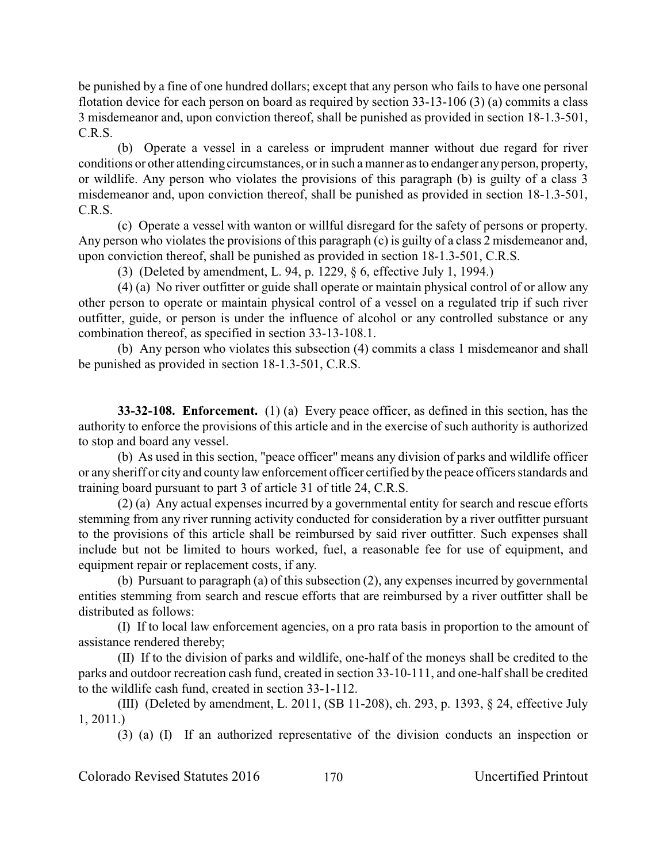be punished by a fine of one hundred dollars; except that any person who fails to have one personal flotation device for each person on board as required by section 33-13-106 (3) (a) commits a class 3 misdemeanor and, upon conviction thereof, shall be punished as provided in section 18-1.3-501, C.R.S.

(b) Operate a vessel in a careless or imprudent manner without due regard for river conditions or other attending circumstances, or in such a manner as to endanger anyperson, property, or wildlife. Any person who violates the provisions of this paragraph (b) is guilty of a class 3 misdemeanor and, upon conviction thereof, shall be punished as provided in section 18-1.3-501, C.R.S.

(c) Operate a vessel with wanton or willful disregard for the safety of persons or property. Any person who violates the provisions of this paragraph (c) is guilty of a class 2 misdemeanor and, upon conviction thereof, shall be punished as provided in section 18-1.3-501, C.R.S.

(3) (Deleted by amendment, L. 94, p. 1229, § 6, effective July 1, 1994.)

(4) (a) No river outfitter or guide shall operate or maintain physical control of or allow any other person to operate or maintain physical control of a vessel on a regulated trip if such river outfitter, guide, or person is under the influence of alcohol or any controlled substance or any combination thereof, as specified in section 33-13-108.1.

(b) Any person who violates this subsection (4) commits a class 1 misdemeanor and shall be punished as provided in section 18-1.3-501, C.R.S.

**33-32-108. Enforcement.** (1) (a) Every peace officer, as defined in this section, has the authority to enforce the provisions of this article and in the exercise of such authority is authorized to stop and board any vessel.

(b) As used in this section, "peace officer" means any division of parks and wildlife officer or any sheriff or city and county law enforcement officer certified by the peace officers standards and training board pursuant to part 3 of article 31 of title 24, C.R.S.

(2) (a) Any actual expenses incurred by a governmental entity for search and rescue efforts stemming from any river running activity conducted for consideration by a river outfitter pursuant to the provisions of this article shall be reimbursed by said river outfitter. Such expenses shall include but not be limited to hours worked, fuel, a reasonable fee for use of equipment, and equipment repair or replacement costs, if any.

(b) Pursuant to paragraph (a) of this subsection (2), any expenses incurred by governmental entities stemming from search and rescue efforts that are reimbursed by a river outfitter shall be distributed as follows:

(I) If to local law enforcement agencies, on a pro rata basis in proportion to the amount of assistance rendered thereby;

(II) If to the division of parks and wildlife, one-half of the moneys shall be credited to the parks and outdoor recreation cash fund, created in section 33-10-111, and one-half shall be credited to the wildlife cash fund, created in section 33-1-112.

(III) (Deleted by amendment, L. 2011, (SB 11-208), ch. 293, p. 1393, § 24, effective July 1, 2011.)

(3) (a) (I) If an authorized representative of the division conducts an inspection or

Colorado Revised Statutes 2016 170 Uncertified Printout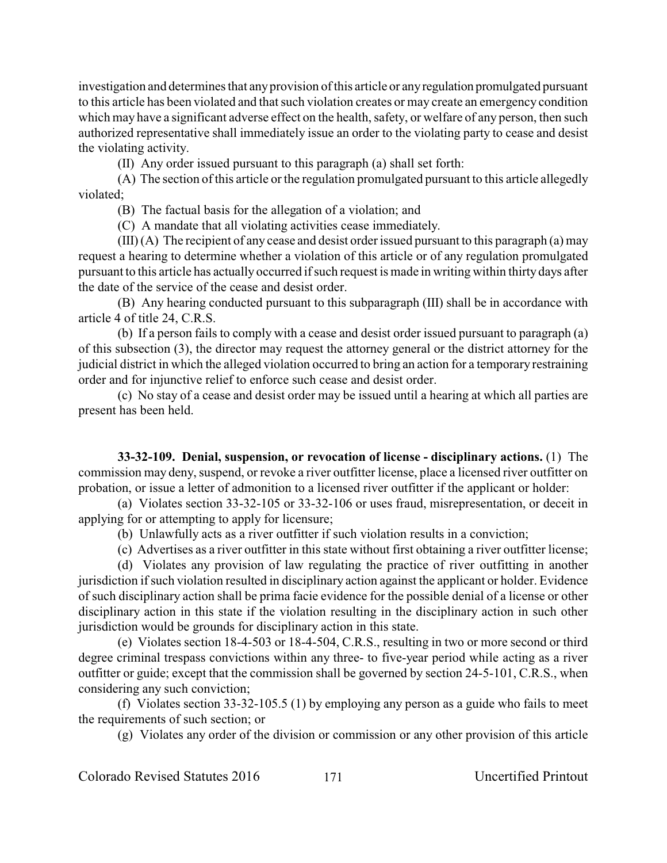investigation and determines that anyprovision of this article or anyregulation promulgated pursuant to this article has been violated and that such violation creates or may create an emergency condition which may have a significant adverse effect on the health, safety, or welfare of any person, then such authorized representative shall immediately issue an order to the violating party to cease and desist the violating activity.

(II) Any order issued pursuant to this paragraph (a) shall set forth:

(A) The section of this article or the regulation promulgated pursuant to this article allegedly violated;

(B) The factual basis for the allegation of a violation; and

(C) A mandate that all violating activities cease immediately.

(III) (A) The recipient of any cease and desist order issued pursuant to this paragraph (a) may request a hearing to determine whether a violation of this article or of any regulation promulgated pursuant to this article has actually occurred if such request is made in writing within thirty days after the date of the service of the cease and desist order.

(B) Any hearing conducted pursuant to this subparagraph (III) shall be in accordance with article 4 of title 24, C.R.S.

(b) If a person fails to comply with a cease and desist order issued pursuant to paragraph (a) of this subsection (3), the director may request the attorney general or the district attorney for the judicial district in which the alleged violation occurred to bring an action for a temporary restraining order and for injunctive relief to enforce such cease and desist order.

(c) No stay of a cease and desist order may be issued until a hearing at which all parties are present has been held.

**33-32-109. Denial, suspension, or revocation of license - disciplinary actions.** (1) The commission may deny, suspend, or revoke a river outfitter license, place a licensed river outfitter on probation, or issue a letter of admonition to a licensed river outfitter if the applicant or holder:

(a) Violates section 33-32-105 or 33-32-106 or uses fraud, misrepresentation, or deceit in applying for or attempting to apply for licensure;

(b) Unlawfully acts as a river outfitter if such violation results in a conviction;

(c) Advertises as a river outfitter in this state without first obtaining a river outfitter license;

(d) Violates any provision of law regulating the practice of river outfitting in another jurisdiction if such violation resulted in disciplinary action against the applicant or holder. Evidence of such disciplinary action shall be prima facie evidence for the possible denial of a license or other disciplinary action in this state if the violation resulting in the disciplinary action in such other jurisdiction would be grounds for disciplinary action in this state.

(e) Violates section 18-4-503 or 18-4-504, C.R.S., resulting in two or more second or third degree criminal trespass convictions within any three- to five-year period while acting as a river outfitter or guide; except that the commission shall be governed by section 24-5-101, C.R.S., when considering any such conviction;

(f) Violates section 33-32-105.5 (1) by employing any person as a guide who fails to meet the requirements of such section; or

(g) Violates any order of the division or commission or any other provision of this article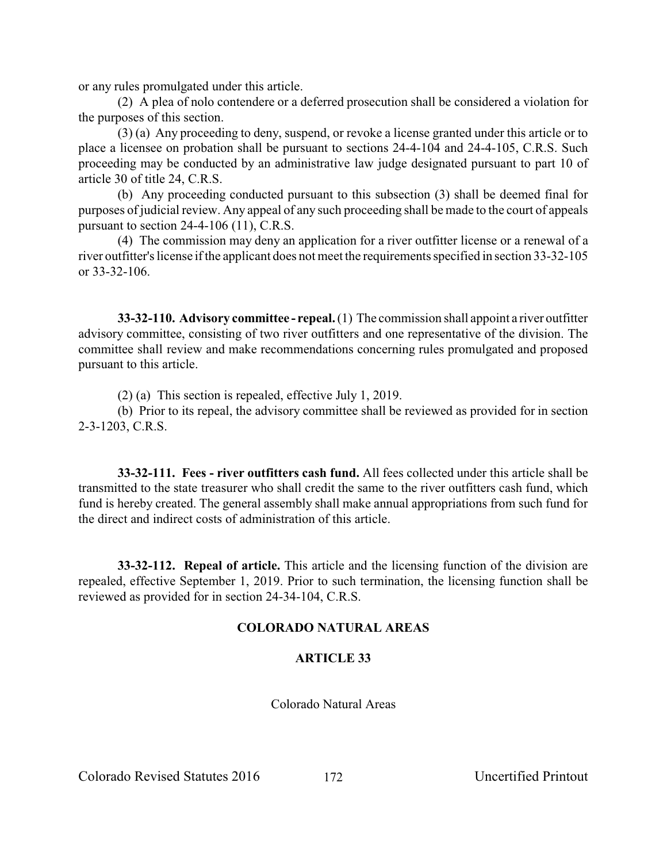or any rules promulgated under this article.

(2) A plea of nolo contendere or a deferred prosecution shall be considered a violation for the purposes of this section.

(3) (a) Any proceeding to deny, suspend, or revoke a license granted under this article or to place a licensee on probation shall be pursuant to sections 24-4-104 and 24-4-105, C.R.S. Such proceeding may be conducted by an administrative law judge designated pursuant to part 10 of article 30 of title 24, C.R.S.

(b) Any proceeding conducted pursuant to this subsection (3) shall be deemed final for purposes of judicial review. Any appeal of any such proceeding shall be made to the court of appeals pursuant to section 24-4-106 (11), C.R.S.

(4) The commission may deny an application for a river outfitter license or a renewal of a river outfitter's license if the applicant does not meet the requirements specified in section 33-32-105 or 33-32-106.

**33-32-110. Advisory committee - repeal.** (1) The commission shall appoint a river outfitter advisory committee, consisting of two river outfitters and one representative of the division. The committee shall review and make recommendations concerning rules promulgated and proposed pursuant to this article.

(2) (a) This section is repealed, effective July 1, 2019.

(b) Prior to its repeal, the advisory committee shall be reviewed as provided for in section 2-3-1203, C.R.S.

**33-32-111. Fees - river outfitters cash fund.** All fees collected under this article shall be transmitted to the state treasurer who shall credit the same to the river outfitters cash fund, which fund is hereby created. The general assembly shall make annual appropriations from such fund for the direct and indirect costs of administration of this article.

**33-32-112. Repeal of article.** This article and the licensing function of the division are repealed, effective September 1, 2019. Prior to such termination, the licensing function shall be reviewed as provided for in section 24-34-104, C.R.S.

## **COLORADO NATURAL AREAS**

### **ARTICLE 33**

Colorado Natural Areas

Colorado Revised Statutes 2016 172 Uncertified Printout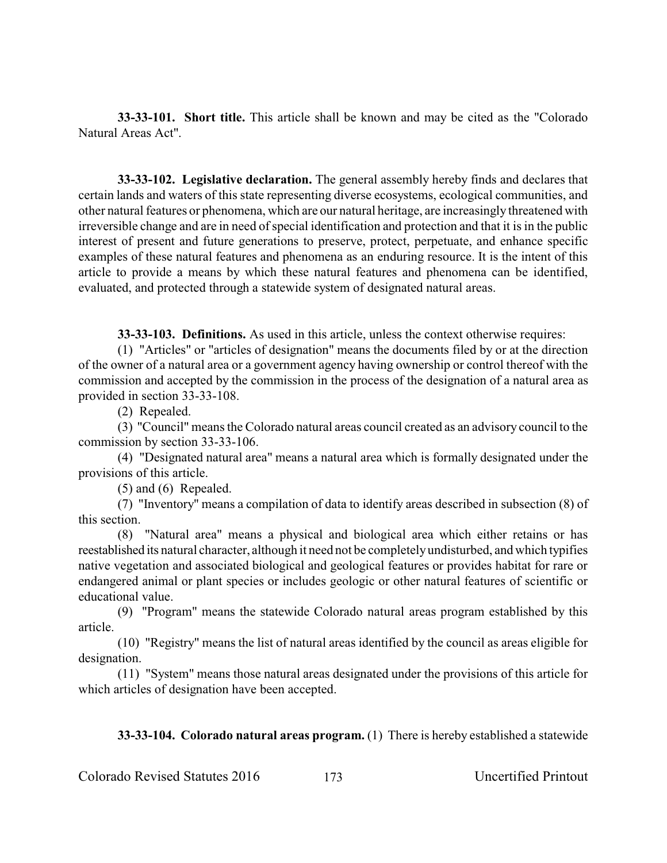**33-33-101. Short title.** This article shall be known and may be cited as the "Colorado Natural Areas Act".

**33-33-102. Legislative declaration.** The general assembly hereby finds and declares that certain lands and waters of this state representing diverse ecosystems, ecological communities, and other natural features or phenomena, which are our natural heritage, are increasingly threatened with irreversible change and are in need of special identification and protection and that it is in the public interest of present and future generations to preserve, protect, perpetuate, and enhance specific examples of these natural features and phenomena as an enduring resource. It is the intent of this article to provide a means by which these natural features and phenomena can be identified, evaluated, and protected through a statewide system of designated natural areas.

**33-33-103. Definitions.** As used in this article, unless the context otherwise requires:

(1) "Articles" or "articles of designation" means the documents filed by or at the direction of the owner of a natural area or a government agency having ownership or control thereof with the commission and accepted by the commission in the process of the designation of a natural area as provided in section 33-33-108.

(2) Repealed.

(3) "Council" means the Colorado natural areas council created as an advisory council to the commission by section 33-33-106.

(4) "Designated natural area" means a natural area which is formally designated under the provisions of this article.

(5) and (6) Repealed.

(7) "Inventory" means a compilation of data to identify areas described in subsection (8) of this section.

(8) "Natural area" means a physical and biological area which either retains or has reestablished its natural character, although it need not be completelyundisturbed, and which typifies native vegetation and associated biological and geological features or provides habitat for rare or endangered animal or plant species or includes geologic or other natural features of scientific or educational value.

(9) "Program" means the statewide Colorado natural areas program established by this article.

(10) "Registry" means the list of natural areas identified by the council as areas eligible for designation.

(11) "System" means those natural areas designated under the provisions of this article for which articles of designation have been accepted.

## **33-33-104. Colorado natural areas program.** (1) There is hereby established a statewide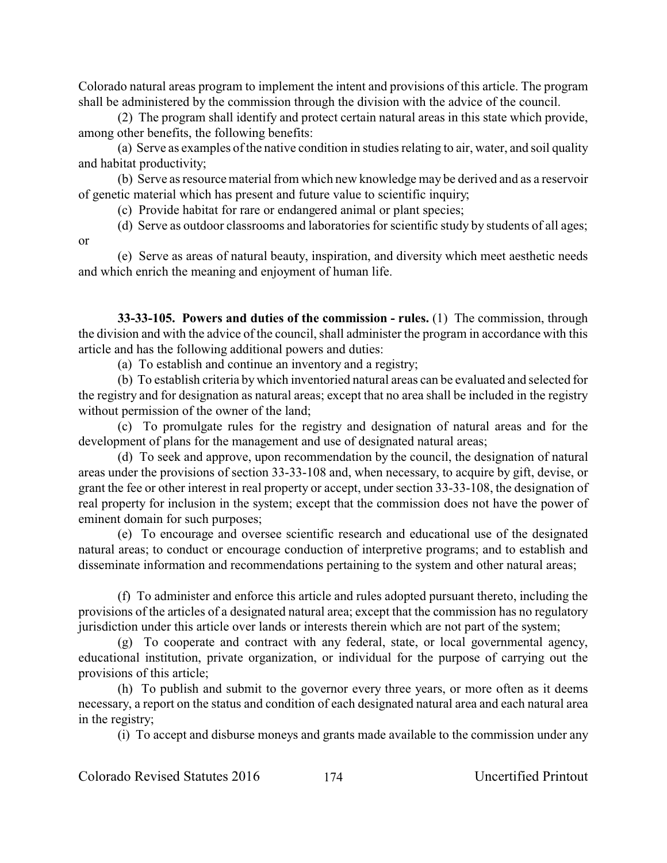Colorado natural areas program to implement the intent and provisions of this article. The program shall be administered by the commission through the division with the advice of the council.

(2) The program shall identify and protect certain natural areas in this state which provide, among other benefits, the following benefits:

(a) Serve as examples of the native condition in studies relating to air, water, and soil quality and habitat productivity;

(b) Serve as resource material from which new knowledge may be derived and as a reservoir of genetic material which has present and future value to scientific inquiry;

(c) Provide habitat for rare or endangered animal or plant species;

(d) Serve as outdoor classrooms and laboratories for scientific study by students of all ages;

(e) Serve as areas of natural beauty, inspiration, and diversity which meet aesthetic needs and which enrich the meaning and enjoyment of human life.

**33-33-105. Powers and duties of the commission - rules.** (1) The commission, through the division and with the advice of the council, shall administer the program in accordance with this article and has the following additional powers and duties:

(a) To establish and continue an inventory and a registry;

or

(b) To establish criteria by which inventoried natural areas can be evaluated and selected for the registry and for designation as natural areas; except that no area shall be included in the registry without permission of the owner of the land;

(c) To promulgate rules for the registry and designation of natural areas and for the development of plans for the management and use of designated natural areas;

(d) To seek and approve, upon recommendation by the council, the designation of natural areas under the provisions of section 33-33-108 and, when necessary, to acquire by gift, devise, or grant the fee or other interest in real property or accept, under section 33-33-108, the designation of real property for inclusion in the system; except that the commission does not have the power of eminent domain for such purposes;

(e) To encourage and oversee scientific research and educational use of the designated natural areas; to conduct or encourage conduction of interpretive programs; and to establish and disseminate information and recommendations pertaining to the system and other natural areas;

(f) To administer and enforce this article and rules adopted pursuant thereto, including the provisions of the articles of a designated natural area; except that the commission has no regulatory jurisdiction under this article over lands or interests therein which are not part of the system;

(g) To cooperate and contract with any federal, state, or local governmental agency, educational institution, private organization, or individual for the purpose of carrying out the provisions of this article;

(h) To publish and submit to the governor every three years, or more often as it deems necessary, a report on the status and condition of each designated natural area and each natural area in the registry;

(i) To accept and disburse moneys and grants made available to the commission under any

Colorado Revised Statutes 2016 174 Uncertified Printout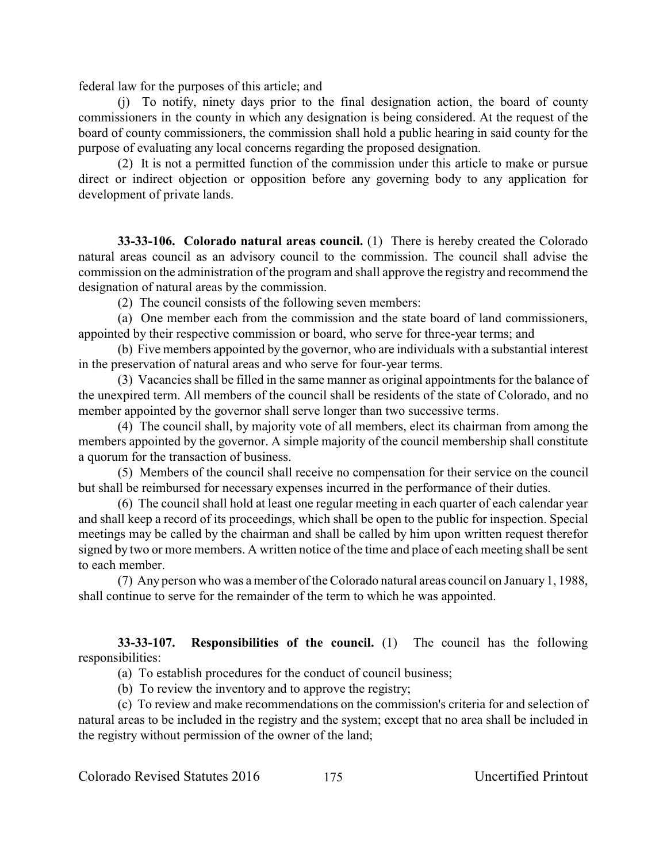federal law for the purposes of this article; and

(j) To notify, ninety days prior to the final designation action, the board of county commissioners in the county in which any designation is being considered. At the request of the board of county commissioners, the commission shall hold a public hearing in said county for the purpose of evaluating any local concerns regarding the proposed designation.

(2) It is not a permitted function of the commission under this article to make or pursue direct or indirect objection or opposition before any governing body to any application for development of private lands.

**33-33-106. Colorado natural areas council.** (1) There is hereby created the Colorado natural areas council as an advisory council to the commission. The council shall advise the commission on the administration of the program and shall approve the registry and recommend the designation of natural areas by the commission.

(2) The council consists of the following seven members:

(a) One member each from the commission and the state board of land commissioners, appointed by their respective commission or board, who serve for three-year terms; and

(b) Five members appointed by the governor, who are individuals with a substantial interest in the preservation of natural areas and who serve for four-year terms.

(3) Vacancies shall be filled in the same manner as original appointments for the balance of the unexpired term. All members of the council shall be residents of the state of Colorado, and no member appointed by the governor shall serve longer than two successive terms.

(4) The council shall, by majority vote of all members, elect its chairman from among the members appointed by the governor. A simple majority of the council membership shall constitute a quorum for the transaction of business.

(5) Members of the council shall receive no compensation for their service on the council but shall be reimbursed for necessary expenses incurred in the performance of their duties.

(6) The council shall hold at least one regular meeting in each quarter of each calendar year and shall keep a record of its proceedings, which shall be open to the public for inspection. Special meetings may be called by the chairman and shall be called by him upon written request therefor signed by two or more members. A written notice of the time and place of each meeting shall be sent to each member.

(7) Any person who was a member of the Colorado natural areas council on January 1, 1988, shall continue to serve for the remainder of the term to which he was appointed.

**33-33-107. Responsibilities of the council.** (1) The council has the following responsibilities:

(a) To establish procedures for the conduct of council business;

(b) To review the inventory and to approve the registry;

(c) To review and make recommendations on the commission's criteria for and selection of natural areas to be included in the registry and the system; except that no area shall be included in the registry without permission of the owner of the land;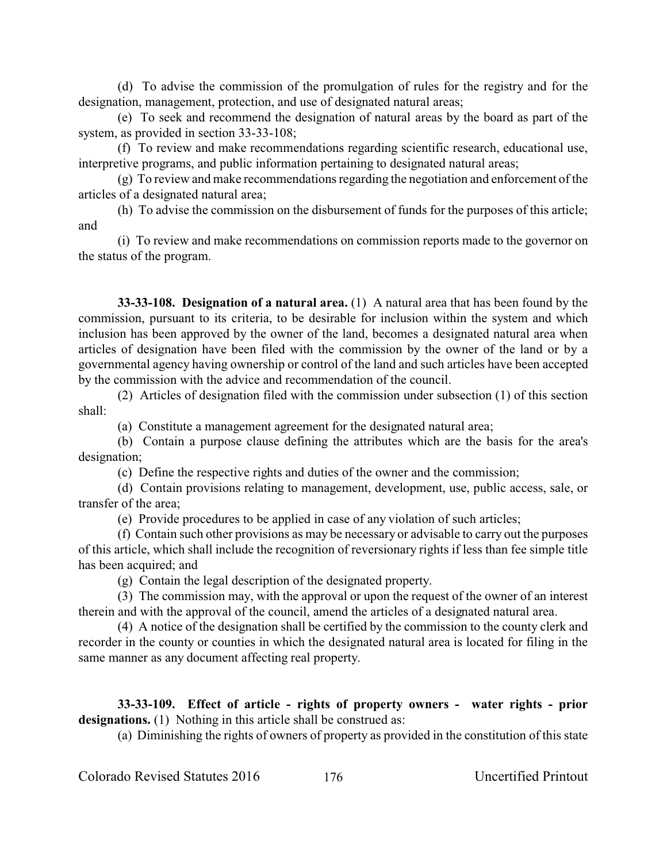(d) To advise the commission of the promulgation of rules for the registry and for the designation, management, protection, and use of designated natural areas;

(e) To seek and recommend the designation of natural areas by the board as part of the system, as provided in section 33-33-108;

(f) To review and make recommendations regarding scientific research, educational use, interpretive programs, and public information pertaining to designated natural areas;

(g) To review and make recommendations regarding the negotiation and enforcement of the articles of a designated natural area;

(h) To advise the commission on the disbursement of funds for the purposes of this article; and

(i) To review and make recommendations on commission reports made to the governor on the status of the program.

**33-33-108. Designation of a natural area.** (1) A natural area that has been found by the commission, pursuant to its criteria, to be desirable for inclusion within the system and which inclusion has been approved by the owner of the land, becomes a designated natural area when articles of designation have been filed with the commission by the owner of the land or by a governmental agency having ownership or control of the land and such articles have been accepted by the commission with the advice and recommendation of the council.

(2) Articles of designation filed with the commission under subsection (1) of this section shall:

(a) Constitute a management agreement for the designated natural area;

(b) Contain a purpose clause defining the attributes which are the basis for the area's designation;

(c) Define the respective rights and duties of the owner and the commission;

(d) Contain provisions relating to management, development, use, public access, sale, or transfer of the area;

(e) Provide procedures to be applied in case of any violation of such articles;

(f) Contain such other provisions as may be necessary or advisable to carry out the purposes of this article, which shall include the recognition of reversionary rights if less than fee simple title has been acquired; and

(g) Contain the legal description of the designated property.

(3) The commission may, with the approval or upon the request of the owner of an interest therein and with the approval of the council, amend the articles of a designated natural area.

(4) A notice of the designation shall be certified by the commission to the county clerk and recorder in the county or counties in which the designated natural area is located for filing in the same manner as any document affecting real property.

**33-33-109. Effect of article - rights of property owners - water rights - prior** designations. (1) Nothing in this article shall be construed as:

(a) Diminishing the rights of owners of property as provided in the constitution of this state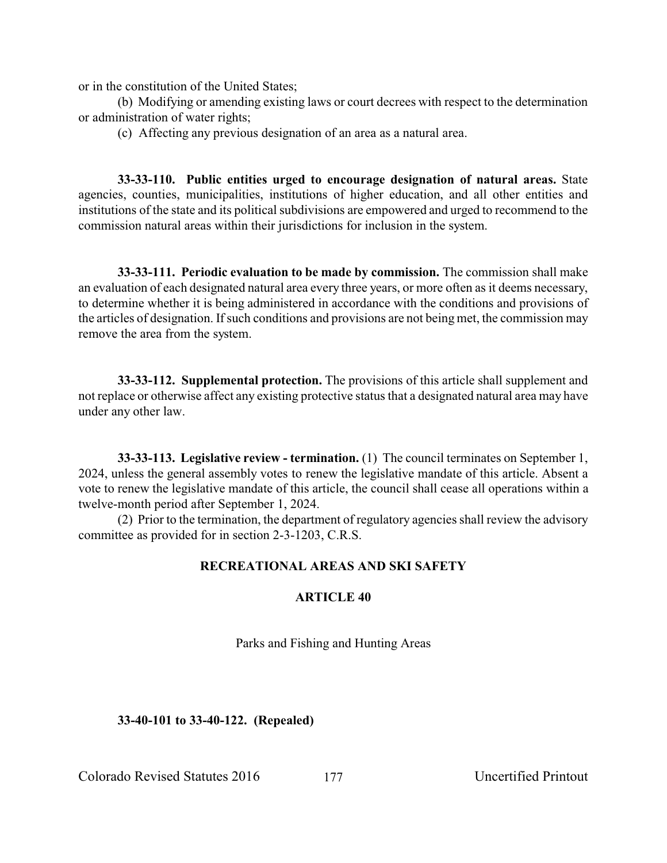or in the constitution of the United States;

(b) Modifying or amending existing laws or court decrees with respect to the determination or administration of water rights;

(c) Affecting any previous designation of an area as a natural area.

**33-33-110. Public entities urged to encourage designation of natural areas.** State agencies, counties, municipalities, institutions of higher education, and all other entities and institutions of the state and its political subdivisions are empowered and urged to recommend to the commission natural areas within their jurisdictions for inclusion in the system.

**33-33-111. Periodic evaluation to be made by commission.** The commission shall make an evaluation of each designated natural area every three years, or more often as it deems necessary, to determine whether it is being administered in accordance with the conditions and provisions of the articles of designation. If such conditions and provisions are not being met, the commission may remove the area from the system.

**33-33-112. Supplemental protection.** The provisions of this article shall supplement and not replace or otherwise affect any existing protective status that a designated natural area may have under any other law.

**33-33-113. Legislative review - termination.** (1) The council terminates on September 1, 2024, unless the general assembly votes to renew the legislative mandate of this article. Absent a vote to renew the legislative mandate of this article, the council shall cease all operations within a twelve-month period after September 1, 2024.

(2) Prior to the termination, the department of regulatory agencies shall review the advisory committee as provided for in section 2-3-1203, C.R.S.

# **RECREATIONAL AREAS AND SKI SAFETY**

# **ARTICLE 40**

Parks and Fishing and Hunting Areas

# **33-40-101 to 33-40-122. (Repealed)**

Colorado Revised Statutes 2016 177 Uncertified Printout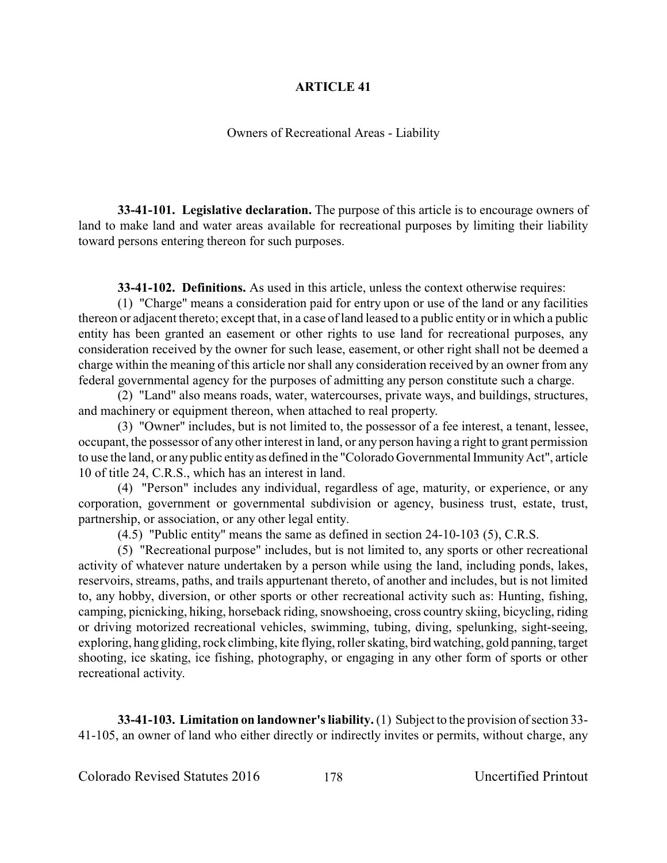## **ARTICLE 41**

### Owners of Recreational Areas - Liability

**33-41-101. Legislative declaration.** The purpose of this article is to encourage owners of land to make land and water areas available for recreational purposes by limiting their liability toward persons entering thereon for such purposes.

**33-41-102. Definitions.** As used in this article, unless the context otherwise requires:

(1) "Charge" means a consideration paid for entry upon or use of the land or any facilities thereon or adjacent thereto; except that, in a case of land leased to a public entity or in which a public entity has been granted an easement or other rights to use land for recreational purposes, any consideration received by the owner for such lease, easement, or other right shall not be deemed a charge within the meaning of this article nor shall any consideration received by an owner from any federal governmental agency for the purposes of admitting any person constitute such a charge.

(2) "Land" also means roads, water, watercourses, private ways, and buildings, structures, and machinery or equipment thereon, when attached to real property.

(3) "Owner" includes, but is not limited to, the possessor of a fee interest, a tenant, lessee, occupant, the possessor of any other interest in land, or any person having a right to grant permission to use the land, or any public entity as defined in the "Colorado Governmental ImmunityAct", article 10 of title 24, C.R.S., which has an interest in land.

(4) "Person" includes any individual, regardless of age, maturity, or experience, or any corporation, government or governmental subdivision or agency, business trust, estate, trust, partnership, or association, or any other legal entity.

(4.5) "Public entity" means the same as defined in section 24-10-103 (5), C.R.S.

(5) "Recreational purpose" includes, but is not limited to, any sports or other recreational activity of whatever nature undertaken by a person while using the land, including ponds, lakes, reservoirs, streams, paths, and trails appurtenant thereto, of another and includes, but is not limited to, any hobby, diversion, or other sports or other recreational activity such as: Hunting, fishing, camping, picnicking, hiking, horseback riding, snowshoeing, cross country skiing, bicycling, riding or driving motorized recreational vehicles, swimming, tubing, diving, spelunking, sight-seeing, exploring, hang gliding, rock climbing, kite flying, roller skating, bird watching, gold panning, target shooting, ice skating, ice fishing, photography, or engaging in any other form of sports or other recreational activity.

**33-41-103. Limitation on landowner's liability.** (1) Subject to the provision of section 33- 41-105, an owner of land who either directly or indirectly invites or permits, without charge, any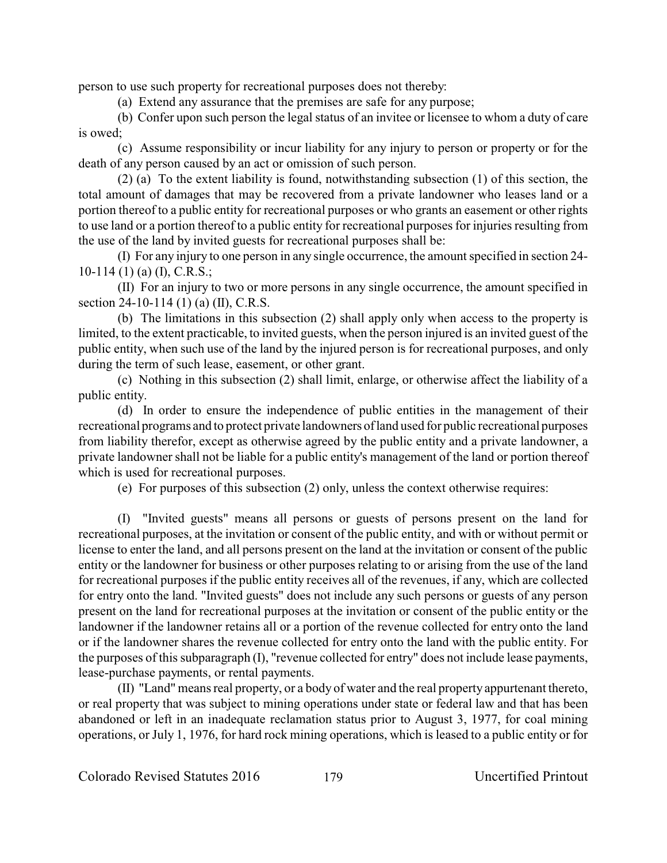person to use such property for recreational purposes does not thereby:

(a) Extend any assurance that the premises are safe for any purpose;

(b) Confer upon such person the legal status of an invitee or licensee to whom a duty of care is owed;

(c) Assume responsibility or incur liability for any injury to person or property or for the death of any person caused by an act or omission of such person.

(2) (a) To the extent liability is found, notwithstanding subsection (1) of this section, the total amount of damages that may be recovered from a private landowner who leases land or a portion thereof to a public entity for recreational purposes or who grants an easement or other rights to use land or a portion thereof to a public entity for recreational purposes for injuries resulting from the use of the land by invited guests for recreational purposes shall be:

(I) For any injury to one person in any single occurrence, the amount specified in section 24- 10-114 (1) (a) (I), C.R.S.;

(II) For an injury to two or more persons in any single occurrence, the amount specified in section 24-10-114 (1) (a) (II), C.R.S.

(b) The limitations in this subsection (2) shall apply only when access to the property is limited, to the extent practicable, to invited guests, when the person injured is an invited guest of the public entity, when such use of the land by the injured person is for recreational purposes, and only during the term of such lease, easement, or other grant.

(c) Nothing in this subsection (2) shall limit, enlarge, or otherwise affect the liability of a public entity.

(d) In order to ensure the independence of public entities in the management of their recreational programs and to protect private landowners ofland used for public recreational purposes from liability therefor, except as otherwise agreed by the public entity and a private landowner, a private landowner shall not be liable for a public entity's management of the land or portion thereof which is used for recreational purposes.

(e) For purposes of this subsection (2) only, unless the context otherwise requires:

(I) "Invited guests" means all persons or guests of persons present on the land for recreational purposes, at the invitation or consent of the public entity, and with or without permit or license to enter the land, and all persons present on the land at the invitation or consent of the public entity or the landowner for business or other purposes relating to or arising from the use of the land for recreational purposes if the public entity receives all of the revenues, if any, which are collected for entry onto the land. "Invited guests" does not include any such persons or guests of any person present on the land for recreational purposes at the invitation or consent of the public entity or the landowner if the landowner retains all or a portion of the revenue collected for entry onto the land or if the landowner shares the revenue collected for entry onto the land with the public entity. For the purposes of this subparagraph (I), "revenue collected for entry" does not include lease payments, lease-purchase payments, or rental payments.

(II) "Land" means real property, or a body of water and the real property appurtenant thereto, or real property that was subject to mining operations under state or federal law and that has been abandoned or left in an inadequate reclamation status prior to August 3, 1977, for coal mining operations, or July 1, 1976, for hard rock mining operations, which is leased to a public entity or for

Colorado Revised Statutes 2016 179 Uncertified Printout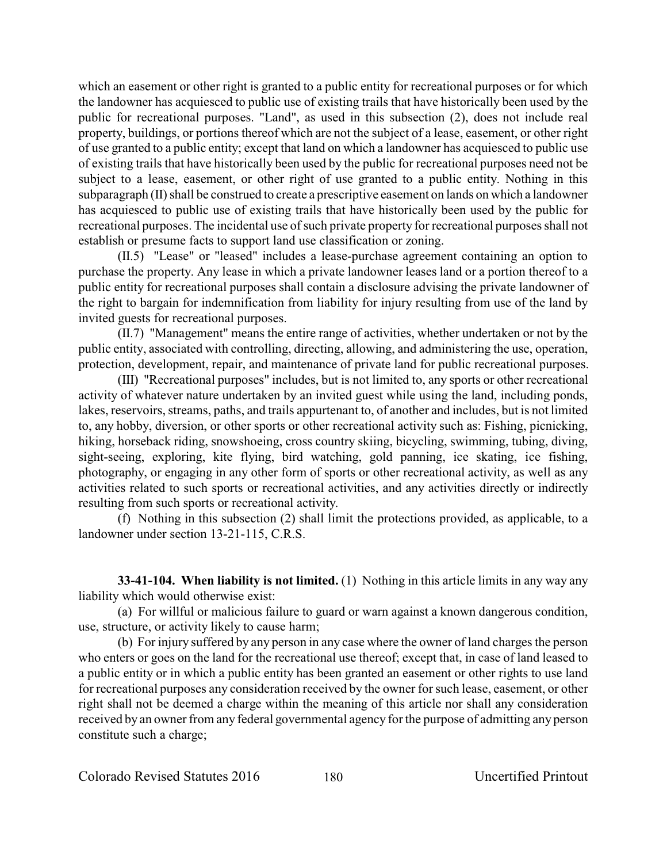which an easement or other right is granted to a public entity for recreational purposes or for which the landowner has acquiesced to public use of existing trails that have historically been used by the public for recreational purposes. "Land", as used in this subsection (2), does not include real property, buildings, or portions thereof which are not the subject of a lease, easement, or other right of use granted to a public entity; except that land on which a landowner has acquiesced to public use of existing trails that have historically been used by the public for recreational purposes need not be subject to a lease, easement, or other right of use granted to a public entity. Nothing in this subparagraph (II) shall be construed to create a prescriptive easement on lands on which a landowner has acquiesced to public use of existing trails that have historically been used by the public for recreational purposes. The incidental use of such private property for recreational purposes shall not establish or presume facts to support land use classification or zoning.

(II.5) "Lease" or "leased" includes a lease-purchase agreement containing an option to purchase the property. Any lease in which a private landowner leases land or a portion thereof to a public entity for recreational purposes shall contain a disclosure advising the private landowner of the right to bargain for indemnification from liability for injury resulting from use of the land by invited guests for recreational purposes.

(II.7) "Management" means the entire range of activities, whether undertaken or not by the public entity, associated with controlling, directing, allowing, and administering the use, operation, protection, development, repair, and maintenance of private land for public recreational purposes.

(III) "Recreational purposes" includes, but is not limited to, any sports or other recreational activity of whatever nature undertaken by an invited guest while using the land, including ponds, lakes, reservoirs, streams, paths, and trails appurtenant to, of another and includes, but is not limited to, any hobby, diversion, or other sports or other recreational activity such as: Fishing, picnicking, hiking, horseback riding, snowshoeing, cross country skiing, bicycling, swimming, tubing, diving, sight-seeing, exploring, kite flying, bird watching, gold panning, ice skating, ice fishing, photography, or engaging in any other form of sports or other recreational activity, as well as any activities related to such sports or recreational activities, and any activities directly or indirectly resulting from such sports or recreational activity.

(f) Nothing in this subsection (2) shall limit the protections provided, as applicable, to a landowner under section 13-21-115, C.R.S.

**33-41-104. When liability is not limited.** (1) Nothing in this article limits in any way any liability which would otherwise exist:

(a) For willful or malicious failure to guard or warn against a known dangerous condition, use, structure, or activity likely to cause harm;

(b) For injury suffered by any person in any case where the owner of land charges the person who enters or goes on the land for the recreational use thereof; except that, in case of land leased to a public entity or in which a public entity has been granted an easement or other rights to use land for recreational purposes any consideration received by the owner for such lease, easement, or other right shall not be deemed a charge within the meaning of this article nor shall any consideration received by an owner from any federal governmental agency for the purpose of admitting any person constitute such a charge;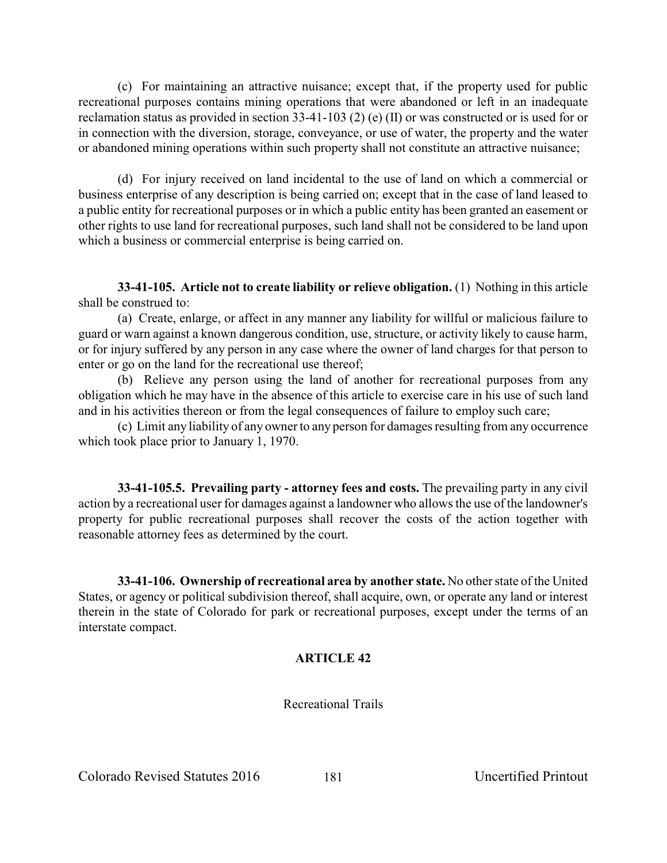(c) For maintaining an attractive nuisance; except that, if the property used for public recreational purposes contains mining operations that were abandoned or left in an inadequate reclamation status as provided in section 33-41-103 (2) (e) (II) or was constructed or is used for or in connection with the diversion, storage, conveyance, or use of water, the property and the water or abandoned mining operations within such property shall not constitute an attractive nuisance;

(d) For injury received on land incidental to the use of land on which a commercial or business enterprise of any description is being carried on; except that in the case of land leased to a public entity for recreational purposes or in which a public entity has been granted an easement or other rights to use land for recreational purposes, such land shall not be considered to be land upon which a business or commercial enterprise is being carried on.

**33-41-105. Article not to create liability or relieve obligation.** (1) Nothing in this article shall be construed to:

(a) Create, enlarge, or affect in any manner any liability for willful or malicious failure to guard or warn against a known dangerous condition, use, structure, or activity likely to cause harm, or for injury suffered by any person in any case where the owner of land charges for that person to enter or go on the land for the recreational use thereof;

(b) Relieve any person using the land of another for recreational purposes from any obligation which he may have in the absence of this article to exercise care in his use of such land and in his activities thereon or from the legal consequences of failure to employ such care;

(c) Limit any liability of any owner to any person for damages resulting from any occurrence which took place prior to January 1, 1970.

**33-41-105.5. Prevailing party - attorney fees and costs.** The prevailing party in any civil action by a recreational user for damages against a landowner who allows the use of the landowner's property for public recreational purposes shall recover the costs of the action together with reasonable attorney fees as determined by the court.

**33-41-106. Ownership of recreational area by another state.** No other state of the United States, or agency or political subdivision thereof, shall acquire, own, or operate any land or interest therein in the state of Colorado for park or recreational purposes, except under the terms of an interstate compact.

# **ARTICLE 42**

## Recreational Trails

Colorado Revised Statutes 2016 181 Uncertified Printout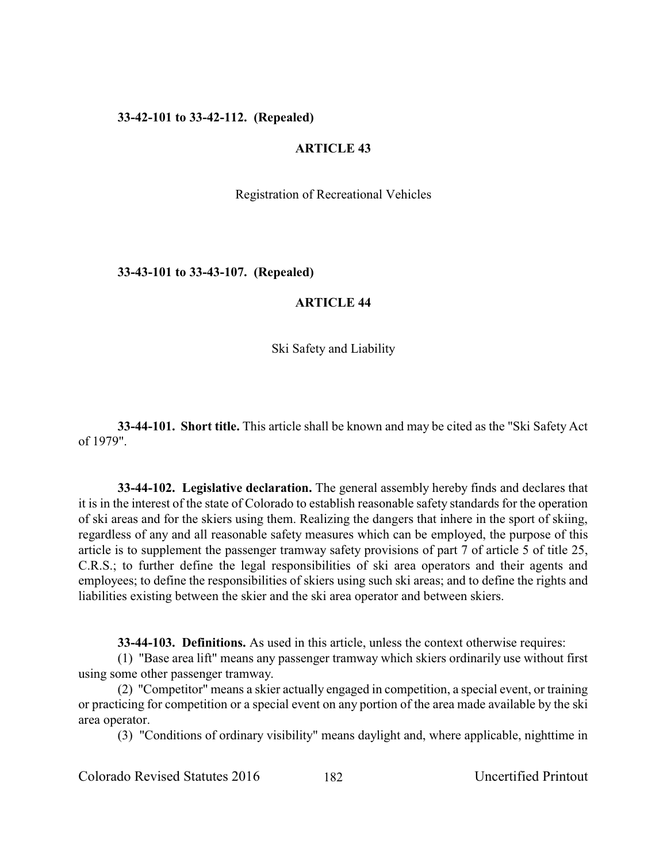#### **33-42-101 to 33-42-112. (Repealed)**

#### **ARTICLE 43**

Registration of Recreational Vehicles

#### **33-43-101 to 33-43-107. (Repealed)**

## **ARTICLE 44**

Ski Safety and Liability

**33-44-101. Short title.** This article shall be known and may be cited as the "Ski Safety Act of 1979".

**33-44-102. Legislative declaration.** The general assembly hereby finds and declares that it is in the interest of the state of Colorado to establish reasonable safety standards for the operation of ski areas and for the skiers using them. Realizing the dangers that inhere in the sport of skiing, regardless of any and all reasonable safety measures which can be employed, the purpose of this article is to supplement the passenger tramway safety provisions of part 7 of article 5 of title 25, C.R.S.; to further define the legal responsibilities of ski area operators and their agents and employees; to define the responsibilities of skiers using such ski areas; and to define the rights and liabilities existing between the skier and the ski area operator and between skiers.

**33-44-103. Definitions.** As used in this article, unless the context otherwise requires:

(1) "Base area lift" means any passenger tramway which skiers ordinarily use without first using some other passenger tramway.

(2) "Competitor" means a skier actually engaged in competition, a special event, or training or practicing for competition or a special event on any portion of the area made available by the ski area operator.

(3) "Conditions of ordinary visibility" means daylight and, where applicable, nighttime in

Colorado Revised Statutes 2016 182 Uncertified Printout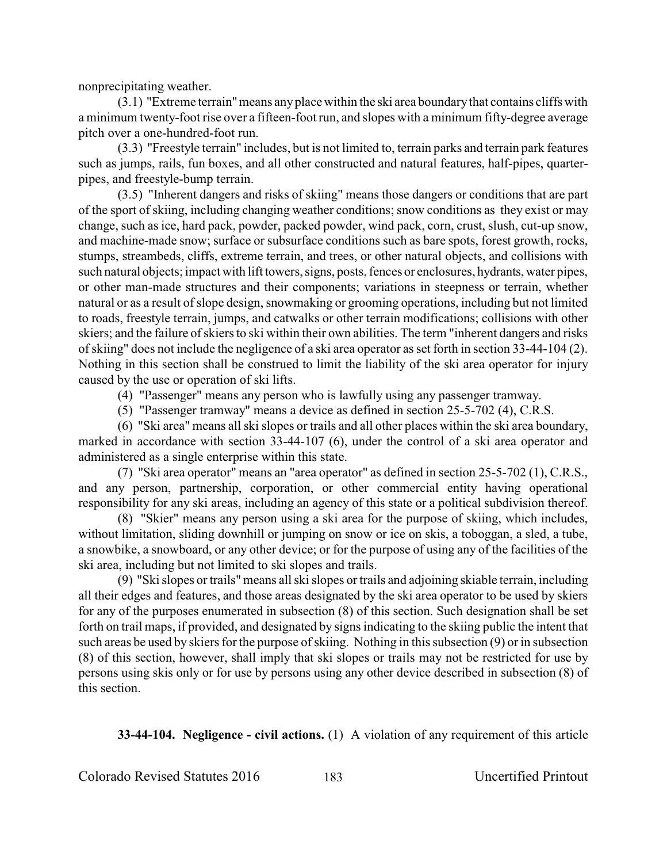nonprecipitating weather.

 $(3.1)$  "Extreme terrain" means any place within the ski area boundary that contains cliffs with a minimum twenty-foot rise over a fifteen-foot run, and slopes with a minimum fifty-degree average pitch over a one-hundred-foot run.

(3.3) "Freestyle terrain" includes, but is not limited to, terrain parks and terrain park features such as jumps, rails, fun boxes, and all other constructed and natural features, half-pipes, quarterpipes, and freestyle-bump terrain.

(3.5) "Inherent dangers and risks of skiing" means those dangers or conditions that are part of the sport of skiing, including changing weather conditions; snow conditions as they exist or may change, such as ice, hard pack, powder, packed powder, wind pack, corn, crust, slush, cut-up snow, and machine-made snow; surface or subsurface conditions such as bare spots, forest growth, rocks, stumps, streambeds, cliffs, extreme terrain, and trees, or other natural objects, and collisions with such natural objects; impact with lift towers, signs, posts, fences or enclosures, hydrants, water pipes, or other man-made structures and their components; variations in steepness or terrain, whether natural or as a result of slope design, snowmaking or grooming operations, including but not limited to roads, freestyle terrain, jumps, and catwalks or other terrain modifications; collisions with other skiers; and the failure of skiers to ski within their own abilities. The term "inherent dangers and risks of skiing" does not include the negligence of a ski area operator as set forth in section 33-44-104 (2). Nothing in this section shall be construed to limit the liability of the ski area operator for injury caused by the use or operation of ski lifts.

(4) "Passenger" means any person who is lawfully using any passenger tramway.

(5) "Passenger tramway" means a device as defined in section 25-5-702 (4), C.R.S.

(6) "Ski area" means all ski slopes or trails and all other places within the ski area boundary, marked in accordance with section 33-44-107 (6), under the control of a ski area operator and administered as a single enterprise within this state.

(7) "Ski area operator" means an "area operator" as defined in section 25-5-702 (1), C.R.S., and any person, partnership, corporation, or other commercial entity having operational responsibility for any ski areas, including an agency of this state or a political subdivision thereof.

(8) "Skier" means any person using a ski area for the purpose of skiing, which includes, without limitation, sliding downhill or jumping on snow or ice on skis, a toboggan, a sled, a tube, a snowbike, a snowboard, or any other device; or for the purpose of using any of the facilities of the ski area, including but not limited to ski slopes and trails.

(9) "Ski slopes or trails" means all ski slopes or trails and adjoining skiable terrain, including all their edges and features, and those areas designated by the ski area operator to be used by skiers for any of the purposes enumerated in subsection (8) of this section. Such designation shall be set forth on trail maps, if provided, and designated by signs indicating to the skiing public the intent that such areas be used by skiers for the purpose of skiing. Nothing in this subsection (9) or in subsection (8) of this section, however, shall imply that ski slopes or trails may not be restricted for use by persons using skis only or for use by persons using any other device described in subsection (8) of this section.

**33-44-104. Negligence - civil actions.** (1) A violation of any requirement of this article

Colorado Revised Statutes 2016 183 Uncertified Printout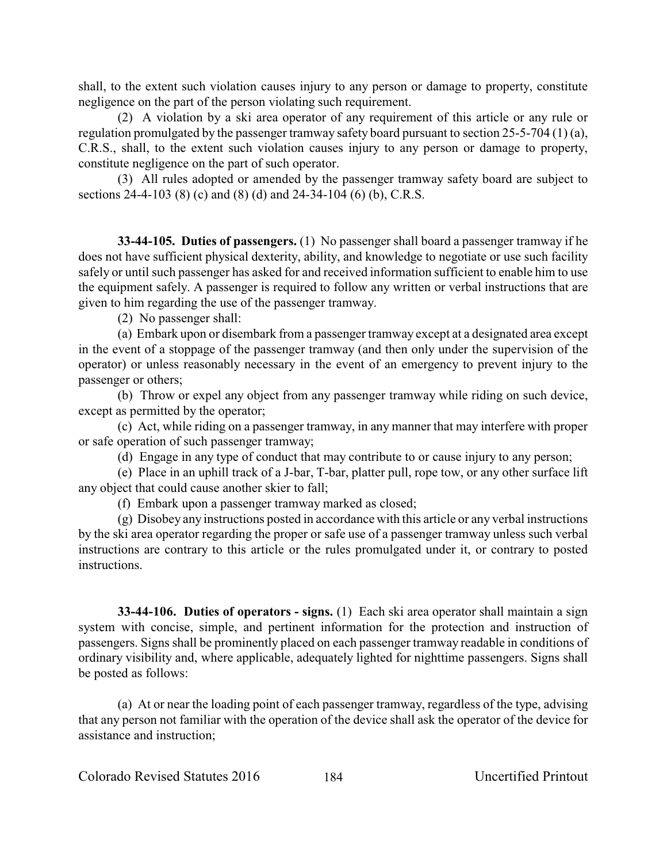shall, to the extent such violation causes injury to any person or damage to property, constitute negligence on the part of the person violating such requirement.

(2) A violation by a ski area operator of any requirement of this article or any rule or regulation promulgated by the passenger tramway safety board pursuant to section 25-5-704 (1) (a), C.R.S., shall, to the extent such violation causes injury to any person or damage to property, constitute negligence on the part of such operator.

(3) All rules adopted or amended by the passenger tramway safety board are subject to sections 24-4-103 (8) (c) and (8) (d) and 24-34-104 (6) (b), C.R.S.

**33-44-105. Duties of passengers.** (1) No passenger shall board a passenger tramway if he does not have sufficient physical dexterity, ability, and knowledge to negotiate or use such facility safely or until such passenger has asked for and received information sufficient to enable him to use the equipment safely. A passenger is required to follow any written or verbal instructions that are given to him regarding the use of the passenger tramway.

(2) No passenger shall:

(a) Embark upon or disembark from a passenger tramway except at a designated area except in the event of a stoppage of the passenger tramway (and then only under the supervision of the operator) or unless reasonably necessary in the event of an emergency to prevent injury to the passenger or others;

(b) Throw or expel any object from any passenger tramway while riding on such device, except as permitted by the operator;

(c) Act, while riding on a passenger tramway, in any manner that may interfere with proper or safe operation of such passenger tramway;

(d) Engage in any type of conduct that may contribute to or cause injury to any person;

(e) Place in an uphill track of a J-bar, T-bar, platter pull, rope tow, or any other surface lift any object that could cause another skier to fall;

(f) Embark upon a passenger tramway marked as closed;

(g) Disobey any instructions posted in accordance with this article or any verbal instructions by the ski area operator regarding the proper or safe use of a passenger tramway unless such verbal instructions are contrary to this article or the rules promulgated under it, or contrary to posted instructions.

**33-44-106. Duties of operators - signs.** (1) Each ski area operator shall maintain a sign system with concise, simple, and pertinent information for the protection and instruction of passengers. Signs shall be prominently placed on each passenger tramway readable in conditions of ordinary visibility and, where applicable, adequately lighted for nighttime passengers. Signs shall be posted as follows:

(a) At or near the loading point of each passenger tramway, regardless of the type, advising that any person not familiar with the operation of the device shall ask the operator of the device for assistance and instruction;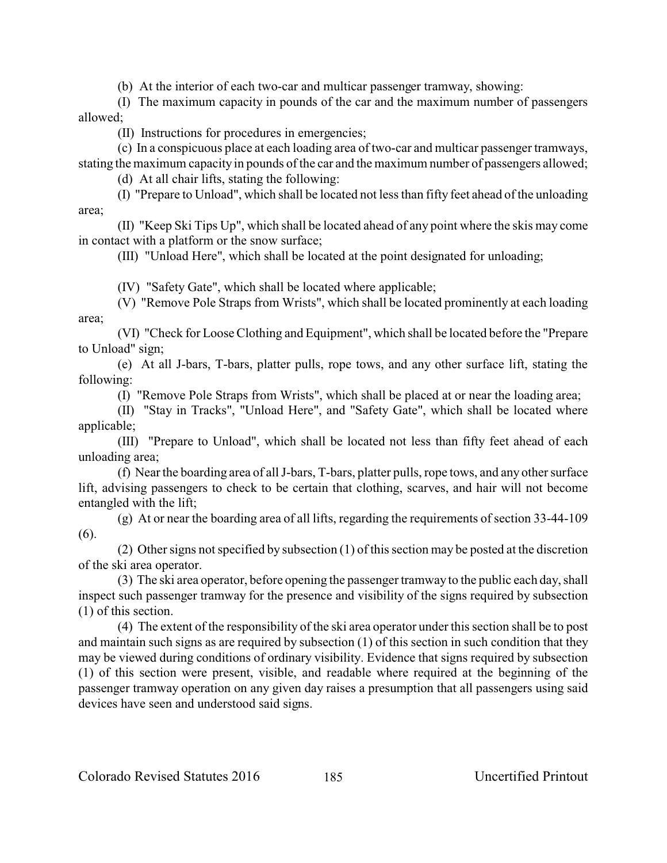(b) At the interior of each two-car and multicar passenger tramway, showing:

(I) The maximum capacity in pounds of the car and the maximum number of passengers allowed;

(II) Instructions for procedures in emergencies;

(c) In a conspicuous place at each loading area of two-car and multicar passenger tramways, stating the maximum capacity in pounds of the car and the maximum number of passengers allowed;

(d) At all chair lifts, stating the following:

(I) "Prepare to Unload", which shall be located not less than fifty feet ahead of the unloading area;

(II) "Keep Ski Tips Up", which shall be located ahead of any point where the skis may come in contact with a platform or the snow surface;

(III) "Unload Here", which shall be located at the point designated for unloading;

(IV) "Safety Gate", which shall be located where applicable;

(V) "Remove Pole Straps from Wrists", which shall be located prominently at each loading area;

(VI) "Check for Loose Clothing and Equipment", which shall be located before the "Prepare to Unload" sign;

(e) At all J-bars, T-bars, platter pulls, rope tows, and any other surface lift, stating the following:

(I) "Remove Pole Straps from Wrists", which shall be placed at or near the loading area;

(II) "Stay in Tracks", "Unload Here", and "Safety Gate", which shall be located where applicable;

(III) "Prepare to Unload", which shall be located not less than fifty feet ahead of each unloading area;

(f) Near the boarding area of all J-bars, T-bars, platter pulls, rope tows, and any other surface lift, advising passengers to check to be certain that clothing, scarves, and hair will not become entangled with the lift;

(g) At or near the boarding area of all lifts, regarding the requirements of section 33-44-109 (6).

(2) Other signs not specified by subsection (1) of this section may be posted at the discretion of the ski area operator.

(3) The ski area operator, before opening the passenger tramway to the public each day, shall inspect such passenger tramway for the presence and visibility of the signs required by subsection (1) of this section.

(4) The extent of the responsibility of the ski area operator under this section shall be to post and maintain such signs as are required by subsection (1) of this section in such condition that they may be viewed during conditions of ordinary visibility. Evidence that signs required by subsection (1) of this section were present, visible, and readable where required at the beginning of the passenger tramway operation on any given day raises a presumption that all passengers using said devices have seen and understood said signs.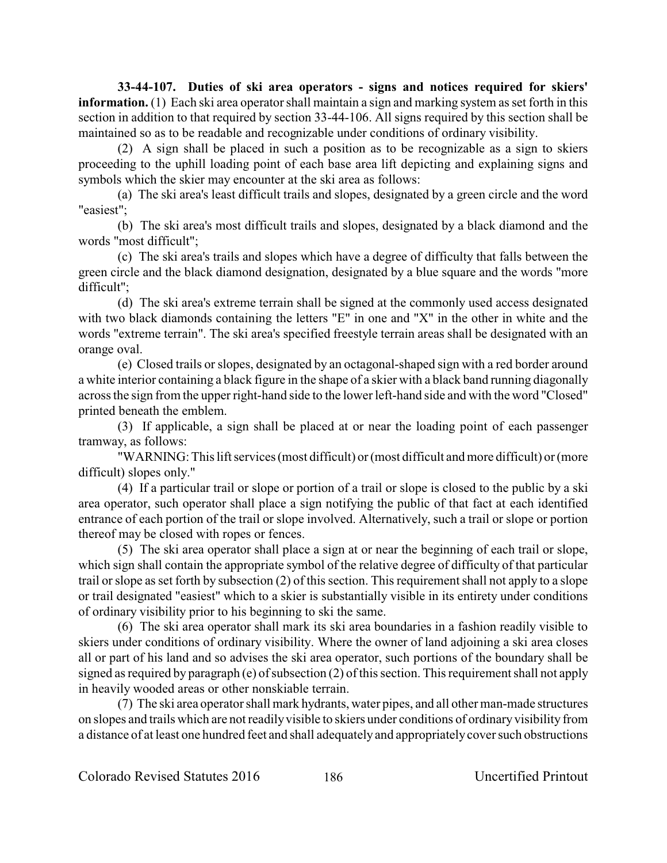**33-44-107. Duties of ski area operators - signs and notices required for skiers' information.** (1) Each ski area operator shall maintain a sign and marking system as set forth in this section in addition to that required by section 33-44-106. All signs required by this section shall be maintained so as to be readable and recognizable under conditions of ordinary visibility.

(2) A sign shall be placed in such a position as to be recognizable as a sign to skiers proceeding to the uphill loading point of each base area lift depicting and explaining signs and symbols which the skier may encounter at the ski area as follows:

(a) The ski area's least difficult trails and slopes, designated by a green circle and the word "easiest";

(b) The ski area's most difficult trails and slopes, designated by a black diamond and the words "most difficult";

(c) The ski area's trails and slopes which have a degree of difficulty that falls between the green circle and the black diamond designation, designated by a blue square and the words "more difficult";

(d) The ski area's extreme terrain shall be signed at the commonly used access designated with two black diamonds containing the letters "E" in one and "X" in the other in white and the words "extreme terrain". The ski area's specified freestyle terrain areas shall be designated with an orange oval.

(e) Closed trails or slopes, designated by an octagonal-shaped sign with a red border around a white interior containing a black figure in the shape of a skier with a black band running diagonally across the sign from the upper right-hand side to the lower left-hand side and with the word "Closed" printed beneath the emblem.

(3) If applicable, a sign shall be placed at or near the loading point of each passenger tramway, as follows:

"WARNING: This lift services (most difficult) or (most difficult and more difficult) or (more difficult) slopes only."

(4) If a particular trail or slope or portion of a trail or slope is closed to the public by a ski area operator, such operator shall place a sign notifying the public of that fact at each identified entrance of each portion of the trail or slope involved. Alternatively, such a trail or slope or portion thereof may be closed with ropes or fences.

(5) The ski area operator shall place a sign at or near the beginning of each trail or slope, which sign shall contain the appropriate symbol of the relative degree of difficulty of that particular trail or slope as set forth by subsection (2) of this section. This requirement shall not apply to a slope or trail designated "easiest" which to a skier is substantially visible in its entirety under conditions of ordinary visibility prior to his beginning to ski the same.

(6) The ski area operator shall mark its ski area boundaries in a fashion readily visible to skiers under conditions of ordinary visibility. Where the owner of land adjoining a ski area closes all or part of his land and so advises the ski area operator, such portions of the boundary shall be signed as required by paragraph (e) of subsection (2) of this section. This requirement shall not apply in heavily wooded areas or other nonskiable terrain.

(7) The ski area operator shall mark hydrants, water pipes, and all other man-made structures on slopes and trails which are not readilyvisible to skiers under conditions of ordinaryvisibility from a distance of at least one hundred feet and shall adequately and appropriately cover such obstructions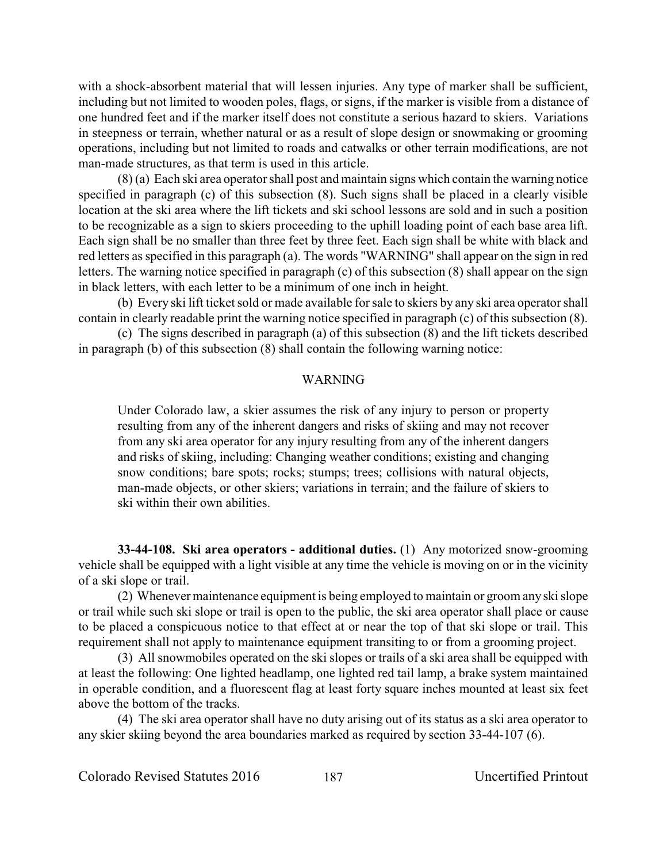with a shock-absorbent material that will lessen injuries. Any type of marker shall be sufficient, including but not limited to wooden poles, flags, or signs, if the marker is visible from a distance of one hundred feet and if the marker itself does not constitute a serious hazard to skiers. Variations in steepness or terrain, whether natural or as a result of slope design or snowmaking or grooming operations, including but not limited to roads and catwalks or other terrain modifications, are not man-made structures, as that term is used in this article.

(8) (a) Each ski area operator shall post and maintain signs which contain the warning notice specified in paragraph (c) of this subsection (8). Such signs shall be placed in a clearly visible location at the ski area where the lift tickets and ski school lessons are sold and in such a position to be recognizable as a sign to skiers proceeding to the uphill loading point of each base area lift. Each sign shall be no smaller than three feet by three feet. Each sign shall be white with black and red letters as specified in this paragraph (a). The words "WARNING" shall appear on the sign in red letters. The warning notice specified in paragraph (c) of this subsection (8) shall appear on the sign in black letters, with each letter to be a minimum of one inch in height.

(b) Every ski lift ticket sold or made available for sale to skiers by any ski area operator shall contain in clearly readable print the warning notice specified in paragraph (c) of this subsection (8).

(c) The signs described in paragraph (a) of this subsection (8) and the lift tickets described in paragraph (b) of this subsection (8) shall contain the following warning notice:

#### WARNING

Under Colorado law, a skier assumes the risk of any injury to person or property resulting from any of the inherent dangers and risks of skiing and may not recover from any ski area operator for any injury resulting from any of the inherent dangers and risks of skiing, including: Changing weather conditions; existing and changing snow conditions; bare spots; rocks; stumps; trees; collisions with natural objects, man-made objects, or other skiers; variations in terrain; and the failure of skiers to ski within their own abilities.

**33-44-108. Ski area operators - additional duties.** (1) Any motorized snow-grooming vehicle shall be equipped with a light visible at any time the vehicle is moving on or in the vicinity of a ski slope or trail.

(2) Whenever maintenance equipment is being employed to maintain or groom any ski slope or trail while such ski slope or trail is open to the public, the ski area operator shall place or cause to be placed a conspicuous notice to that effect at or near the top of that ski slope or trail. This requirement shall not apply to maintenance equipment transiting to or from a grooming project.

(3) All snowmobiles operated on the ski slopes or trails of a ski area shall be equipped with at least the following: One lighted headlamp, one lighted red tail lamp, a brake system maintained in operable condition, and a fluorescent flag at least forty square inches mounted at least six feet above the bottom of the tracks.

(4) The ski area operator shall have no duty arising out of its status as a ski area operator to any skier skiing beyond the area boundaries marked as required by section 33-44-107 (6).

Colorado Revised Statutes 2016 187 Uncertified Printout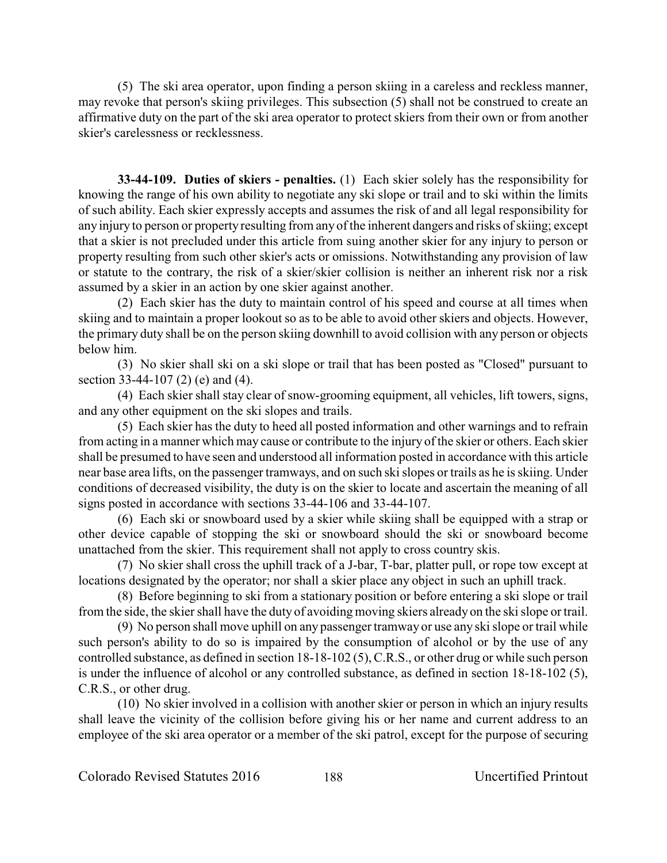(5) The ski area operator, upon finding a person skiing in a careless and reckless manner, may revoke that person's skiing privileges. This subsection (5) shall not be construed to create an affirmative duty on the part of the ski area operator to protect skiers from their own or from another skier's carelessness or recklessness.

**33-44-109. Duties of skiers - penalties.** (1) Each skier solely has the responsibility for knowing the range of his own ability to negotiate any ski slope or trail and to ski within the limits of such ability. Each skier expressly accepts and assumes the risk of and all legal responsibility for any injury to person or property resulting from any of the inherent dangers and risks of skiing; except that a skier is not precluded under this article from suing another skier for any injury to person or property resulting from such other skier's acts or omissions. Notwithstanding any provision of law or statute to the contrary, the risk of a skier/skier collision is neither an inherent risk nor a risk assumed by a skier in an action by one skier against another.

(2) Each skier has the duty to maintain control of his speed and course at all times when skiing and to maintain a proper lookout so as to be able to avoid other skiers and objects. However, the primary duty shall be on the person skiing downhill to avoid collision with any person or objects below him.

(3) No skier shall ski on a ski slope or trail that has been posted as "Closed" pursuant to section 33-44-107 (2) (e) and (4).

(4) Each skier shall stay clear of snow-grooming equipment, all vehicles, lift towers, signs, and any other equipment on the ski slopes and trails.

(5) Each skier has the duty to heed all posted information and other warnings and to refrain from acting in a manner which may cause or contribute to the injury of the skier or others. Each skier shall be presumed to have seen and understood all information posted in accordance with this article near base area lifts, on the passenger tramways, and on such ski slopes or trails as he is skiing. Under conditions of decreased visibility, the duty is on the skier to locate and ascertain the meaning of all signs posted in accordance with sections 33-44-106 and 33-44-107.

(6) Each ski or snowboard used by a skier while skiing shall be equipped with a strap or other device capable of stopping the ski or snowboard should the ski or snowboard become unattached from the skier. This requirement shall not apply to cross country skis.

(7) No skier shall cross the uphill track of a J-bar, T-bar, platter pull, or rope tow except at locations designated by the operator; nor shall a skier place any object in such an uphill track.

(8) Before beginning to ski from a stationary position or before entering a ski slope or trail from the side, the skier shall have the duty of avoiding moving skiers already on the ski slope or trail.

(9) No person shall move uphill on any passenger tramway or use any ski slope or trail while such person's ability to do so is impaired by the consumption of alcohol or by the use of any controlled substance, as defined in section 18-18-102 (5), C.R.S., or other drug or while such person is under the influence of alcohol or any controlled substance, as defined in section 18-18-102 (5), C.R.S., or other drug.

(10) No skier involved in a collision with another skier or person in which an injury results shall leave the vicinity of the collision before giving his or her name and current address to an employee of the ski area operator or a member of the ski patrol, except for the purpose of securing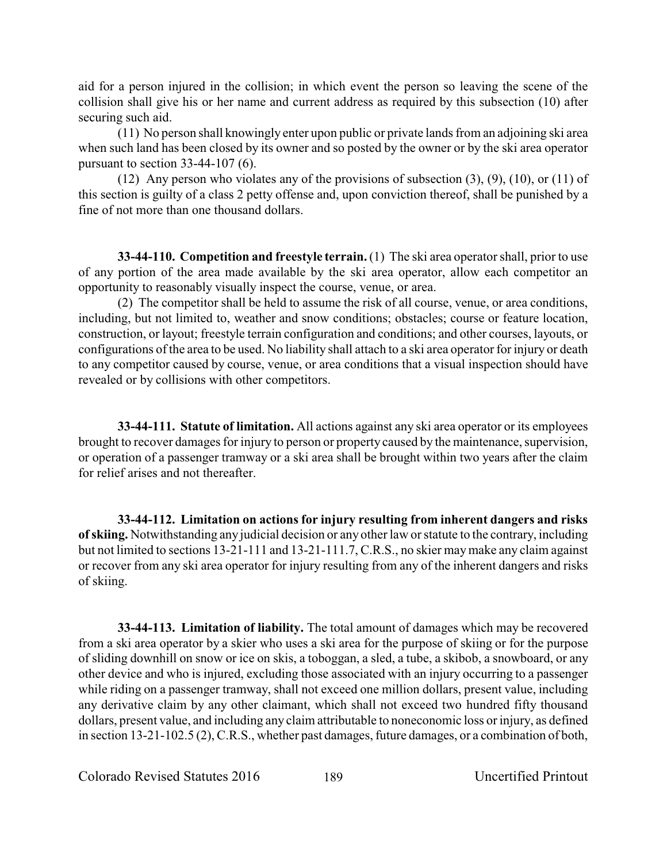aid for a person injured in the collision; in which event the person so leaving the scene of the collision shall give his or her name and current address as required by this subsection (10) after securing such aid.

(11) No person shall knowingly enter upon public or private lands from an adjoining ski area when such land has been closed by its owner and so posted by the owner or by the ski area operator pursuant to section 33-44-107 (6).

(12) Any person who violates any of the provisions of subsection  $(3)$ ,  $(9)$ ,  $(10)$ , or  $(11)$  of this section is guilty of a class 2 petty offense and, upon conviction thereof, shall be punished by a fine of not more than one thousand dollars.

**33-44-110. Competition and freestyle terrain.** (1) The ski area operator shall, prior to use of any portion of the area made available by the ski area operator, allow each competitor an opportunity to reasonably visually inspect the course, venue, or area.

(2) The competitor shall be held to assume the risk of all course, venue, or area conditions, including, but not limited to, weather and snow conditions; obstacles; course or feature location, construction, or layout; freestyle terrain configuration and conditions; and other courses, layouts, or configurations of the area to be used. No liability shall attach to a ski area operator for injury or death to any competitor caused by course, venue, or area conditions that a visual inspection should have revealed or by collisions with other competitors.

**33-44-111. Statute of limitation.** All actions against any ski area operator or its employees brought to recover damages for injury to person or property caused by the maintenance, supervision, or operation of a passenger tramway or a ski area shall be brought within two years after the claim for relief arises and not thereafter.

**33-44-112. Limitation on actions for injury resulting from inherent dangers and risks ofskiing.** Notwithstanding any judicial decision or any other law or statute to the contrary, including but not limited to sections 13-21-111 and 13-21-111.7, C.R.S., no skier maymake any claim against or recover from any ski area operator for injury resulting from any of the inherent dangers and risks of skiing.

**33-44-113. Limitation of liability.** The total amount of damages which may be recovered from a ski area operator by a skier who uses a ski area for the purpose of skiing or for the purpose of sliding downhill on snow or ice on skis, a toboggan, a sled, a tube, a skibob, a snowboard, or any other device and who is injured, excluding those associated with an injury occurring to a passenger while riding on a passenger tramway, shall not exceed one million dollars, present value, including any derivative claim by any other claimant, which shall not exceed two hundred fifty thousand dollars, present value, and including any claim attributable to noneconomic loss or injury, as defined in section 13-21-102.5 (2), C.R.S., whether past damages, future damages, or a combination of both,

Colorado Revised Statutes 2016 189 Uncertified Printout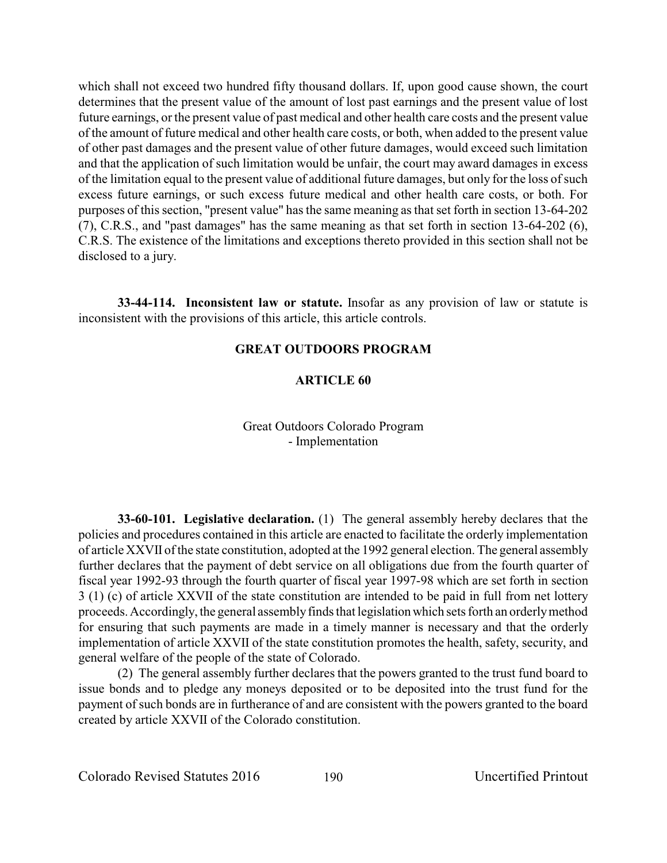which shall not exceed two hundred fifty thousand dollars. If, upon good cause shown, the court determines that the present value of the amount of lost past earnings and the present value of lost future earnings, or the present value of past medical and other health care costs and the present value of the amount of future medical and other health care costs, or both, when added to the present value of other past damages and the present value of other future damages, would exceed such limitation and that the application of such limitation would be unfair, the court may award damages in excess of the limitation equal to the present value of additional future damages, but only for the loss of such excess future earnings, or such excess future medical and other health care costs, or both. For purposes of this section, "present value" has the same meaning as that set forth in section 13-64-202 (7), C.R.S., and "past damages" has the same meaning as that set forth in section 13-64-202 (6), C.R.S. The existence of the limitations and exceptions thereto provided in this section shall not be disclosed to a jury.

**33-44-114. Inconsistent law or statute.** Insofar as any provision of law or statute is inconsistent with the provisions of this article, this article controls.

## **GREAT OUTDOORS PROGRAM**

## **ARTICLE 60**

Great Outdoors Colorado Program - Implementation

**33-60-101. Legislative declaration.** (1) The general assembly hereby declares that the policies and procedures contained in this article are enacted to facilitate the orderly implementation of article XXVII of the state constitution, adopted at the 1992 general election. The general assembly further declares that the payment of debt service on all obligations due from the fourth quarter of fiscal year 1992-93 through the fourth quarter of fiscal year 1997-98 which are set forth in section 3 (1) (c) of article XXVII of the state constitution are intended to be paid in full from net lottery proceeds. Accordingly, the general assembly finds that legislation which sets forth an orderly method for ensuring that such payments are made in a timely manner is necessary and that the orderly implementation of article XXVII of the state constitution promotes the health, safety, security, and general welfare of the people of the state of Colorado.

(2) The general assembly further declares that the powers granted to the trust fund board to issue bonds and to pledge any moneys deposited or to be deposited into the trust fund for the payment of such bonds are in furtherance of and are consistent with the powers granted to the board created by article XXVII of the Colorado constitution.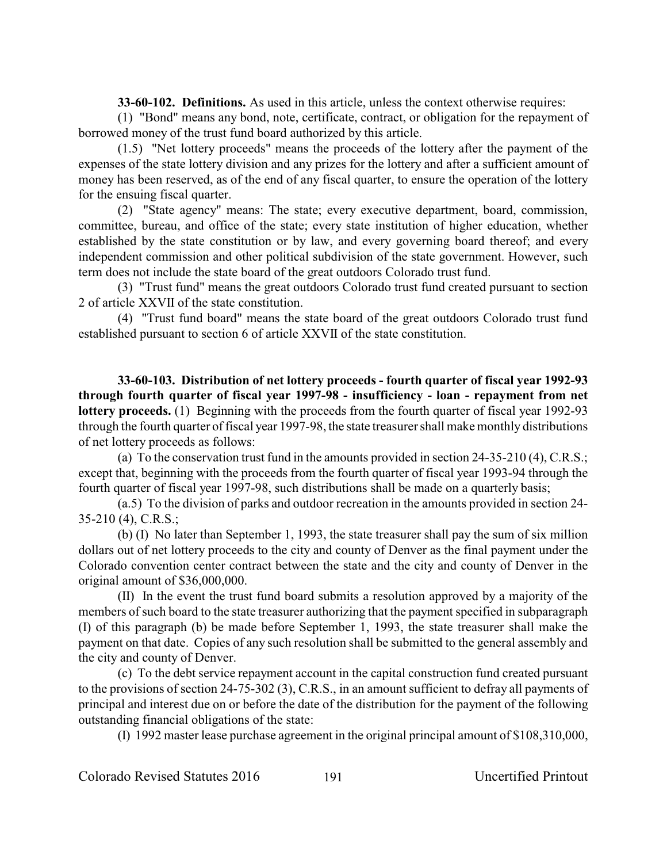**33-60-102. Definitions.** As used in this article, unless the context otherwise requires:

(1) "Bond" means any bond, note, certificate, contract, or obligation for the repayment of borrowed money of the trust fund board authorized by this article.

(1.5) "Net lottery proceeds" means the proceeds of the lottery after the payment of the expenses of the state lottery division and any prizes for the lottery and after a sufficient amount of money has been reserved, as of the end of any fiscal quarter, to ensure the operation of the lottery for the ensuing fiscal quarter.

(2) "State agency" means: The state; every executive department, board, commission, committee, bureau, and office of the state; every state institution of higher education, whether established by the state constitution or by law, and every governing board thereof; and every independent commission and other political subdivision of the state government. However, such term does not include the state board of the great outdoors Colorado trust fund.

(3) "Trust fund" means the great outdoors Colorado trust fund created pursuant to section 2 of article XXVII of the state constitution.

(4) "Trust fund board" means the state board of the great outdoors Colorado trust fund established pursuant to section 6 of article XXVII of the state constitution.

**33-60-103. Distribution of net lottery proceeds - fourth quarter of fiscal year 1992-93 through fourth quarter of fiscal year 1997-98 - insufficiency - loan - repayment from net lottery proceeds.** (1) Beginning with the proceeds from the fourth quarter of fiscal year 1992-93 through the fourth quarter of fiscal year 1997-98, the state treasurer shall make monthly distributions of net lottery proceeds as follows:

(a) To the conservation trust fund in the amounts provided in section 24-35-210 (4), C.R.S.; except that, beginning with the proceeds from the fourth quarter of fiscal year 1993-94 through the fourth quarter of fiscal year 1997-98, such distributions shall be made on a quarterly basis;

(a.5) To the division of parks and outdoor recreation in the amounts provided in section 24- 35-210 (4), C.R.S.;

(b) (I) No later than September 1, 1993, the state treasurer shall pay the sum of six million dollars out of net lottery proceeds to the city and county of Denver as the final payment under the Colorado convention center contract between the state and the city and county of Denver in the original amount of \$36,000,000.

(II) In the event the trust fund board submits a resolution approved by a majority of the members of such board to the state treasurer authorizing that the payment specified in subparagraph (I) of this paragraph (b) be made before September 1, 1993, the state treasurer shall make the payment on that date. Copies of any such resolution shall be submitted to the general assembly and the city and county of Denver.

(c) To the debt service repayment account in the capital construction fund created pursuant to the provisions of section 24-75-302 (3), C.R.S., in an amount sufficient to defray all payments of principal and interest due on or before the date of the distribution for the payment of the following outstanding financial obligations of the state:

(I) 1992 master lease purchase agreement in the original principal amount of \$108,310,000,

Colorado Revised Statutes 2016 191 Uncertified Printout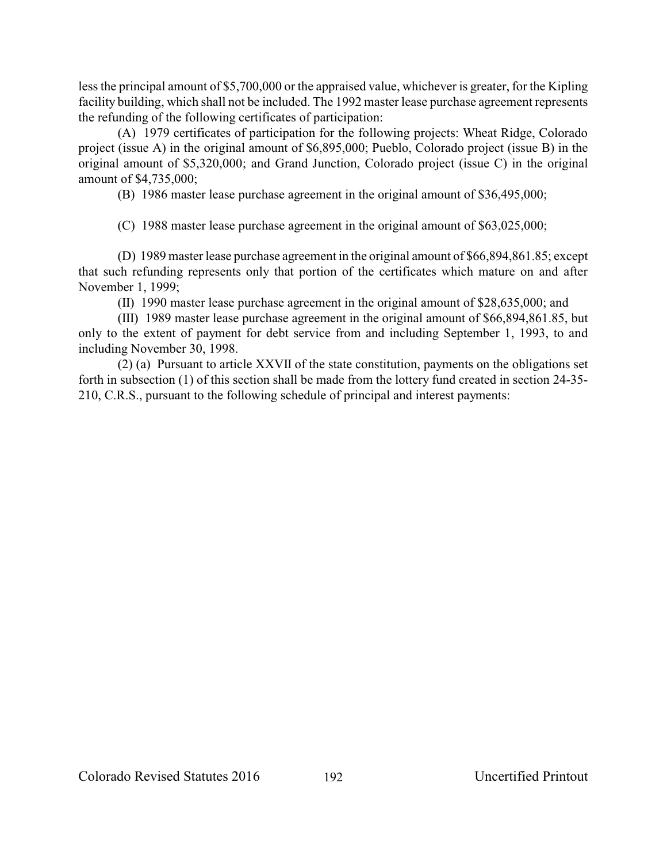less the principal amount of \$5,700,000 or the appraised value, whichever is greater, for the Kipling facility building, which shall not be included. The 1992 master lease purchase agreement represents the refunding of the following certificates of participation:

(A) 1979 certificates of participation for the following projects: Wheat Ridge, Colorado project (issue A) in the original amount of \$6,895,000; Pueblo, Colorado project (issue B) in the original amount of \$5,320,000; and Grand Junction, Colorado project (issue C) in the original amount of \$4,735,000;

(B) 1986 master lease purchase agreement in the original amount of \$36,495,000;

(C) 1988 master lease purchase agreement in the original amount of \$63,025,000;

(D) 1989 master lease purchase agreement in the original amount of \$66,894,861.85; except that such refunding represents only that portion of the certificates which mature on and after November 1, 1999;

(II) 1990 master lease purchase agreement in the original amount of \$28,635,000; and

(III) 1989 master lease purchase agreement in the original amount of \$66,894,861.85, but only to the extent of payment for debt service from and including September 1, 1993, to and including November 30, 1998.

(2) (a) Pursuant to article XXVII of the state constitution, payments on the obligations set forth in subsection (1) of this section shall be made from the lottery fund created in section 24-35- 210, C.R.S., pursuant to the following schedule of principal and interest payments: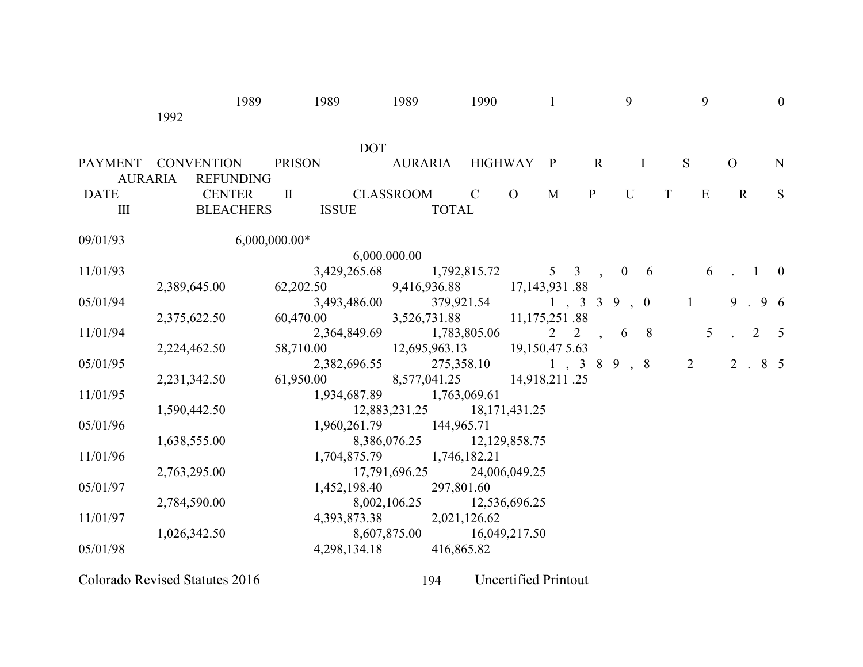|                  | 1992         | 1989                                          |                 | 1989 |            | 1989                        |              | 1990                                                               |                | $\overline{1}$ |              | 9                               |              |   |                | 9         |                |                | $\overline{0}$ |
|------------------|--------------|-----------------------------------------------|-----------------|------|------------|-----------------------------|--------------|--------------------------------------------------------------------|----------------|----------------|--------------|---------------------------------|--------------|---|----------------|-----------|----------------|----------------|----------------|
|                  |              |                                               |                 |      | <b>DOT</b> |                             |              |                                                                    |                |                |              |                                 |              |   |                |           |                |                |                |
| AURARIA          |              | PAYMENT CONVENTION PRISON<br><b>REFUNDING</b> |                 |      |            |                             |              | AURARIA HIGHWAY P                                                  |                |                | R            |                                 | $\mathbf{I}$ |   | S              |           | $\Omega$       |                | N              |
| <b>DATE</b><br>Ш |              | <b>CENTER</b><br><b>BLEACHERS</b>             | $\mathbf{I}$    |      |            | CLASSROOM C<br><b>ISSUE</b> | <b>TOTAL</b> |                                                                    | $\overline{O}$ | M              | $\mathbf{P}$ | $\mathbf U$                     |              | T |                | ${\bf E}$ | $\mathbf R$    |                | S              |
| 09/01/93         |              |                                               | $6,000,000.00*$ |      |            |                             |              |                                                                    |                |                |              |                                 |              |   |                |           |                |                |                |
|                  |              |                                               |                 |      |            | 6,000.000.00                |              |                                                                    |                |                |              |                                 |              |   |                |           |                |                |                |
| 11/01/93         |              | 2,389,645.00                                  |                 |      |            |                             |              | 3,429,265.68 1,792,815.72<br>62,202.50 9,416,936.88 17,143,931.88  |                |                |              | $5 \t3 \t, \t0 \t6$             |              |   |                | 6         |                | $\mathbf{1}$   | $\overline{0}$ |
| 05/01/94         | 2,375,622.50 |                                               |                 |      |            | 3,493,486.00                |              | $379,921.54$ 1, 3 3 9, 0<br>60,470.00 3,526,731.88 11,175,251.88   |                |                |              |                                 |              |   | $\mathbf{1}$   |           | 9              | .9             | -6             |
| 11/01/94         |              | 2,224,462.50                                  |                 |      |            |                             |              | 2,364,849.69 1,783,805.06<br>58,710.00 12,695,963.13 19,150,475.63 |                |                |              | $2\quad 2\quad ,\quad 6\quad 8$ |              |   |                | 5         |                | $\overline{2}$ | $\overline{5}$ |
| 05/01/95         |              |                                               |                 |      |            | 2,382,696.55                |              | 275,358.10 1, 3 8 9, 8                                             |                |                |              |                                 |              |   | $\overline{2}$ |           | $\overline{2}$ | .85            |                |
| 11/01/95         | 2,231,342.50 |                                               |                 |      |            |                             |              | 61,950.00 8,577,041.25 14,918,211.25<br>1,934,687.89 1,763,069.61  |                |                |              |                                 |              |   |                |           |                |                |                |
| 05/01/96         | 1,590,442.50 |                                               |                 |      |            | 1,960,261.79 144,965.71     |              | 12,883,231.25 18,171,431.25                                        |                |                |              |                                 |              |   |                |           |                |                |                |
| 11/01/96         | 1,638,555.00 |                                               |                 |      |            |                             |              | 8,386,076.25 12,129,858.75<br>1,704,875.79 1,746,182.21            |                |                |              |                                 |              |   |                |           |                |                |                |
| 05/01/97         | 2,763,295.00 |                                               |                 |      |            | 1,452,198.40 297,801.60     |              | 17,791,696.25 24,006,049.25                                        |                |                |              |                                 |              |   |                |           |                |                |                |
| 11/01/97         | 2,784,590.00 |                                               |                 |      |            |                             |              | 8,002,106.25 12,536,696.25<br>4,393,873.38 2,021,126.62            |                |                |              |                                 |              |   |                |           |                |                |                |
|                  | 1,026,342.50 |                                               |                 |      |            |                             |              | 8,607,875.00 16,049,217.50                                         |                |                |              |                                 |              |   |                |           |                |                |                |
| 05/01/98         |              |                                               |                 |      |            | 4,298,134.18 416,865.82     |              |                                                                    |                |                |              |                                 |              |   |                |           |                |                |                |

Colorado Revised Statutes 2016 194 Uncertified Printout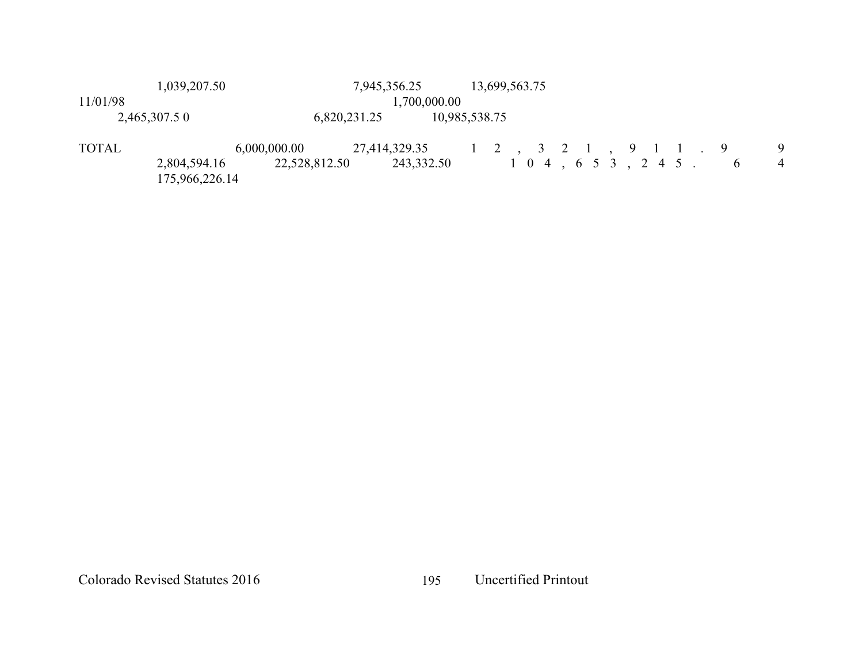| 1,039,207.50  | 7,945,356.25 | 13,699,563.75 |  |  |  |  |  |
|---------------|--------------|---------------|--|--|--|--|--|
| 11/01/98      | 1,700,000.00 |               |  |  |  |  |  |
| 2,465,307.5 0 | 6,820,231.25 | 10,985,538.75 |  |  |  |  |  |

TOTAL 6,000,000.00 27,414,329.35 1 2 , 3 2 1 , 9 1 1 . 9 9 2,804,594.16 22,528,812.50 243,332.50 1 0 4 , 6 5 3 , 2 4 5 . 6 4 175,966,226.14

Colorado Revised Statutes 2016 195 Uncertified Printout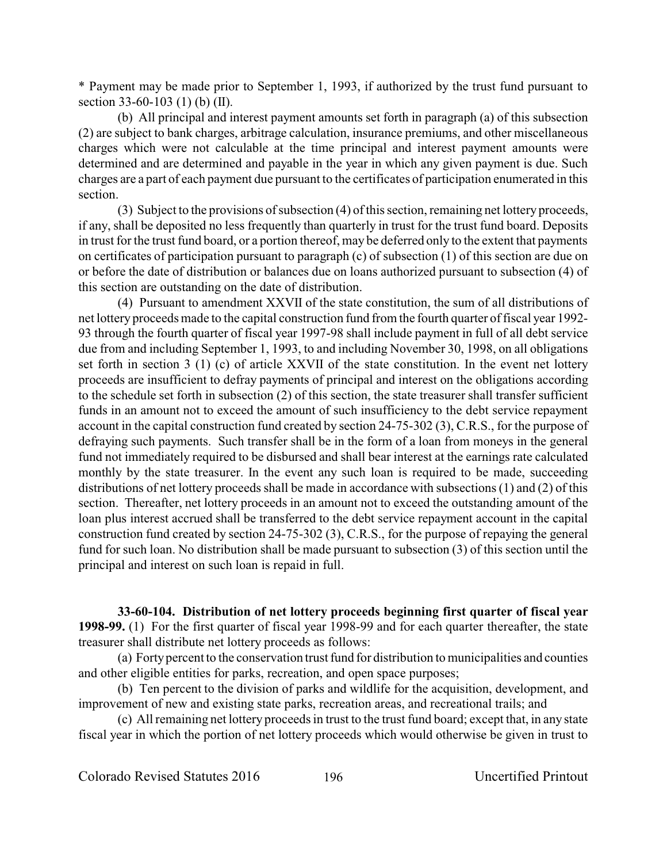\* Payment may be made prior to September 1, 1993, if authorized by the trust fund pursuant to section 33-60-103 (1) (b) (II).

(b) All principal and interest payment amounts set forth in paragraph (a) of this subsection (2) are subject to bank charges, arbitrage calculation, insurance premiums, and other miscellaneous charges which were not calculable at the time principal and interest payment amounts were determined and are determined and payable in the year in which any given payment is due. Such charges are a part of each payment due pursuant to the certificates of participation enumerated in this section.

(3) Subject to the provisions of subsection (4) of this section, remaining net lottery proceeds, if any, shall be deposited no less frequently than quarterly in trust for the trust fund board. Deposits in trust for the trust fund board, or a portion thereof, may be deferred only to the extent that payments on certificates of participation pursuant to paragraph (c) of subsection (1) of this section are due on or before the date of distribution or balances due on loans authorized pursuant to subsection (4) of this section are outstanding on the date of distribution.

(4) Pursuant to amendment XXVII of the state constitution, the sum of all distributions of net lottery proceeds made to the capital construction fund from the fourth quarter of fiscal year 1992- 93 through the fourth quarter of fiscal year 1997-98 shall include payment in full of all debt service due from and including September 1, 1993, to and including November 30, 1998, on all obligations set forth in section 3 (1) (c) of article XXVII of the state constitution. In the event net lottery proceeds are insufficient to defray payments of principal and interest on the obligations according to the schedule set forth in subsection (2) of this section, the state treasurer shall transfer sufficient funds in an amount not to exceed the amount of such insufficiency to the debt service repayment account in the capital construction fund created by section 24-75-302 (3), C.R.S., for the purpose of defraying such payments. Such transfer shall be in the form of a loan from moneys in the general fund not immediately required to be disbursed and shall bear interest at the earnings rate calculated monthly by the state treasurer. In the event any such loan is required to be made, succeeding distributions of net lottery proceeds shall be made in accordance with subsections (1) and (2) of this section. Thereafter, net lottery proceeds in an amount not to exceed the outstanding amount of the loan plus interest accrued shall be transferred to the debt service repayment account in the capital construction fund created by section 24-75-302 (3), C.R.S., for the purpose of repaying the general fund for such loan. No distribution shall be made pursuant to subsection (3) of this section until the principal and interest on such loan is repaid in full.

**33-60-104. Distribution of net lottery proceeds beginning first quarter of fiscal year 1998-99.** (1) For the first quarter of fiscal year 1998-99 and for each quarter thereafter, the state treasurer shall distribute net lottery proceeds as follows:

(a) Fortypercent to the conservation trust fund for distribution to municipalities and counties and other eligible entities for parks, recreation, and open space purposes;

(b) Ten percent to the division of parks and wildlife for the acquisition, development, and improvement of new and existing state parks, recreation areas, and recreational trails; and

(c) All remaining net lottery proceeds in trust to the trust fund board; except that, in any state fiscal year in which the portion of net lottery proceeds which would otherwise be given in trust to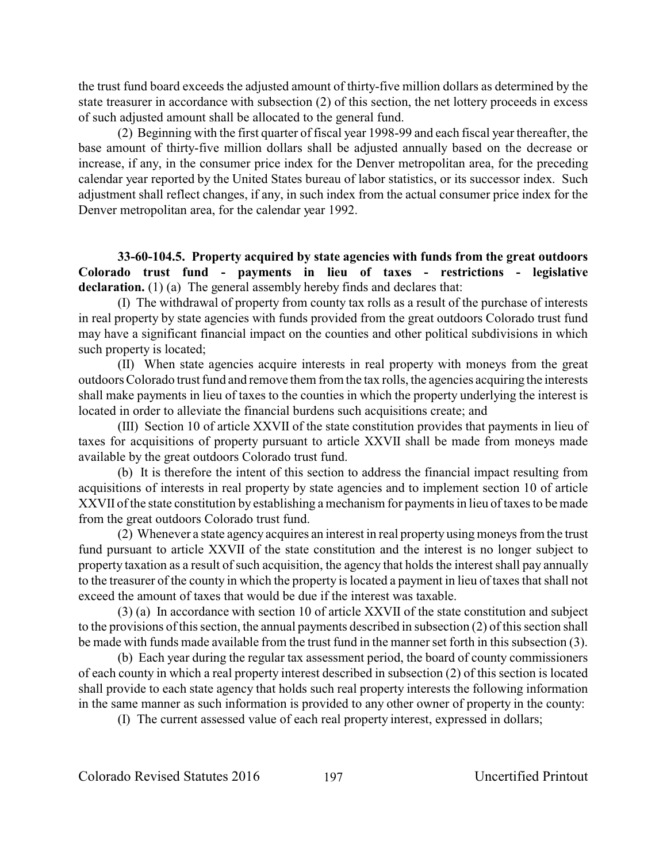the trust fund board exceeds the adjusted amount of thirty-five million dollars as determined by the state treasurer in accordance with subsection (2) of this section, the net lottery proceeds in excess of such adjusted amount shall be allocated to the general fund.

(2) Beginning with the first quarter of fiscal year 1998-99 and each fiscal year thereafter, the base amount of thirty-five million dollars shall be adjusted annually based on the decrease or increase, if any, in the consumer price index for the Denver metropolitan area, for the preceding calendar year reported by the United States bureau of labor statistics, or its successor index. Such adjustment shall reflect changes, if any, in such index from the actual consumer price index for the Denver metropolitan area, for the calendar year 1992.

**33-60-104.5. Property acquired by state agencies with funds from the great outdoors Colorado trust fund - payments in lieu of taxes - restrictions - legislative declaration.** (1) (a) The general assembly hereby finds and declares that:

(I) The withdrawal of property from county tax rolls as a result of the purchase of interests in real property by state agencies with funds provided from the great outdoors Colorado trust fund may have a significant financial impact on the counties and other political subdivisions in which such property is located;

(II) When state agencies acquire interests in real property with moneys from the great outdoors Colorado trust fund and remove them from the tax rolls, the agencies acquiring the interests shall make payments in lieu of taxes to the counties in which the property underlying the interest is located in order to alleviate the financial burdens such acquisitions create; and

(III) Section 10 of article XXVII of the state constitution provides that payments in lieu of taxes for acquisitions of property pursuant to article XXVII shall be made from moneys made available by the great outdoors Colorado trust fund.

(b) It is therefore the intent of this section to address the financial impact resulting from acquisitions of interests in real property by state agencies and to implement section 10 of article XXVII of the state constitution by establishing a mechanism for payments in lieu of taxes to be made from the great outdoors Colorado trust fund.

(2) Whenever a state agency acquires an interest in real property using moneys from the trust fund pursuant to article XXVII of the state constitution and the interest is no longer subject to property taxation as a result of such acquisition, the agency that holds the interest shall pay annually to the treasurer of the county in which the property is located a payment in lieu of taxes that shall not exceed the amount of taxes that would be due if the interest was taxable.

(3) (a) In accordance with section 10 of article XXVII of the state constitution and subject to the provisions of this section, the annual payments described in subsection (2) of this section shall be made with funds made available from the trust fund in the manner set forth in this subsection (3).

(b) Each year during the regular tax assessment period, the board of county commissioners of each county in which a real property interest described in subsection (2) of this section is located shall provide to each state agency that holds such real property interests the following information in the same manner as such information is provided to any other owner of property in the county:

(I) The current assessed value of each real property interest, expressed in dollars;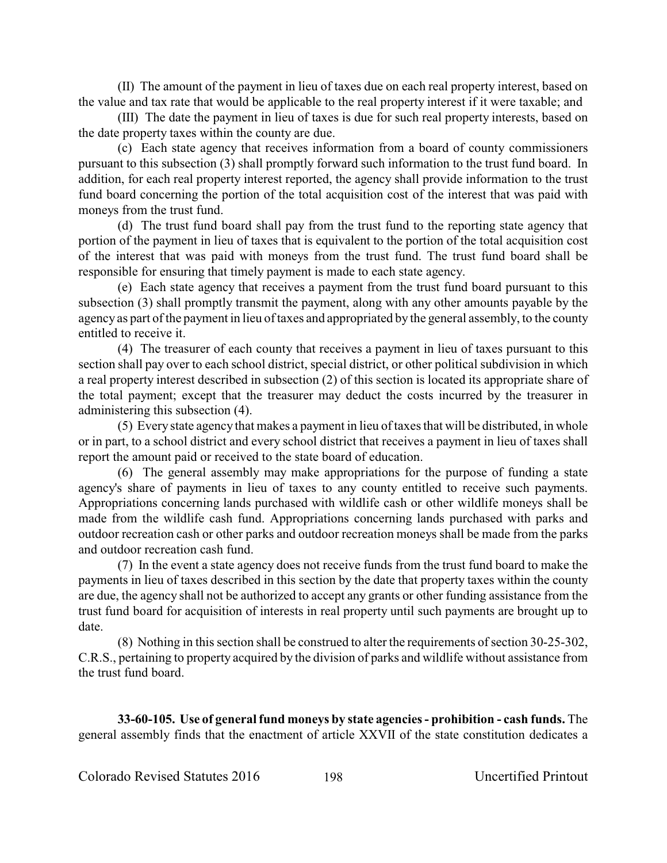(II) The amount of the payment in lieu of taxes due on each real property interest, based on the value and tax rate that would be applicable to the real property interest if it were taxable; and

(III) The date the payment in lieu of taxes is due for such real property interests, based on the date property taxes within the county are due.

(c) Each state agency that receives information from a board of county commissioners pursuant to this subsection (3) shall promptly forward such information to the trust fund board. In addition, for each real property interest reported, the agency shall provide information to the trust fund board concerning the portion of the total acquisition cost of the interest that was paid with moneys from the trust fund.

(d) The trust fund board shall pay from the trust fund to the reporting state agency that portion of the payment in lieu of taxes that is equivalent to the portion of the total acquisition cost of the interest that was paid with moneys from the trust fund. The trust fund board shall be responsible for ensuring that timely payment is made to each state agency.

(e) Each state agency that receives a payment from the trust fund board pursuant to this subsection (3) shall promptly transmit the payment, along with any other amounts payable by the agency as part of the payment in lieu of taxes and appropriated by the general assembly, to the county entitled to receive it.

(4) The treasurer of each county that receives a payment in lieu of taxes pursuant to this section shall pay over to each school district, special district, or other political subdivision in which a real property interest described in subsection (2) of this section is located its appropriate share of the total payment; except that the treasurer may deduct the costs incurred by the treasurer in administering this subsection (4).

(5) Every state agency that makes a payment in lieu of taxes that will be distributed, in whole or in part, to a school district and every school district that receives a payment in lieu of taxes shall report the amount paid or received to the state board of education.

(6) The general assembly may make appropriations for the purpose of funding a state agency's share of payments in lieu of taxes to any county entitled to receive such payments. Appropriations concerning lands purchased with wildlife cash or other wildlife moneys shall be made from the wildlife cash fund. Appropriations concerning lands purchased with parks and outdoor recreation cash or other parks and outdoor recreation moneys shall be made from the parks and outdoor recreation cash fund.

(7) In the event a state agency does not receive funds from the trust fund board to make the payments in lieu of taxes described in this section by the date that property taxes within the county are due, the agency shall not be authorized to accept any grants or other funding assistance from the trust fund board for acquisition of interests in real property until such payments are brought up to date.

(8) Nothing in this section shall be construed to alter the requirements of section 30-25-302, C.R.S., pertaining to property acquired by the division of parks and wildlife without assistance from the trust fund board.

**33-60-105. Use of general fund moneys by state agencies - prohibition - cash funds.** The general assembly finds that the enactment of article XXVII of the state constitution dedicates a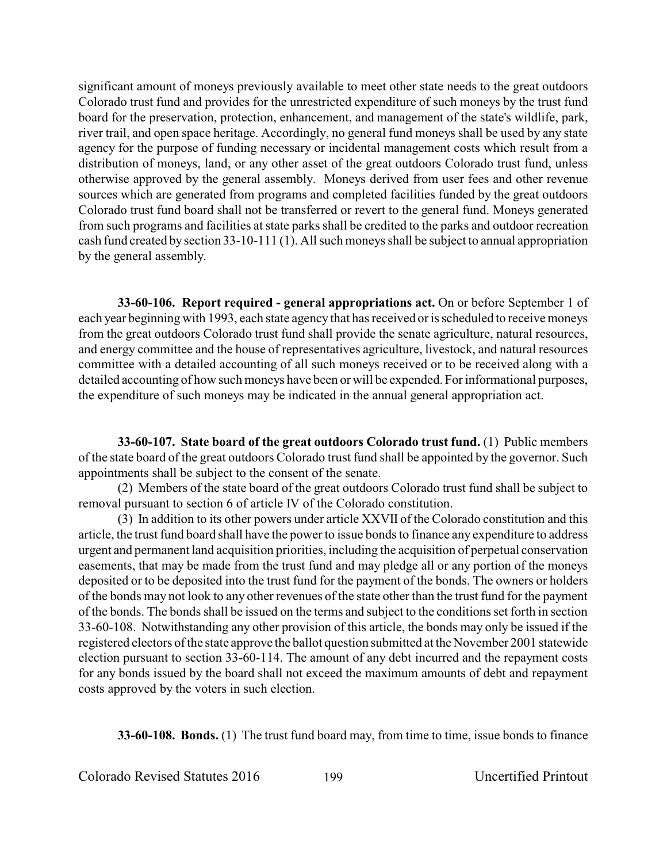significant amount of moneys previously available to meet other state needs to the great outdoors Colorado trust fund and provides for the unrestricted expenditure of such moneys by the trust fund board for the preservation, protection, enhancement, and management of the state's wildlife, park, river trail, and open space heritage. Accordingly, no general fund moneys shall be used by any state agency for the purpose of funding necessary or incidental management costs which result from a distribution of moneys, land, or any other asset of the great outdoors Colorado trust fund, unless otherwise approved by the general assembly. Moneys derived from user fees and other revenue sources which are generated from programs and completed facilities funded by the great outdoors Colorado trust fund board shall not be transferred or revert to the general fund. Moneys generated from such programs and facilities at state parks shall be credited to the parks and outdoor recreation cash fund created by section 33-10-111 (1). All such moneys shall be subject to annual appropriation by the general assembly.

**33-60-106. Report required - general appropriations act.** On or before September 1 of each year beginning with 1993, each state agency that has received or is scheduled to receive moneys from the great outdoors Colorado trust fund shall provide the senate agriculture, natural resources, and energy committee and the house of representatives agriculture, livestock, and natural resources committee with a detailed accounting of all such moneys received or to be received along with a detailed accounting of how such moneys have been or will be expended. For informational purposes, the expenditure of such moneys may be indicated in the annual general appropriation act.

**33-60-107. State board of the great outdoors Colorado trust fund.** (1) Public members of the state board of the great outdoors Colorado trust fund shall be appointed by the governor. Such appointments shall be subject to the consent of the senate.

(2) Members of the state board of the great outdoors Colorado trust fund shall be subject to removal pursuant to section 6 of article IV of the Colorado constitution.

(3) In addition to its other powers under article XXVII of the Colorado constitution and this article, the trust fund board shall have the power to issue bonds to finance any expenditure to address urgent and permanent land acquisition priorities, including the acquisition of perpetual conservation easements, that may be made from the trust fund and may pledge all or any portion of the moneys deposited or to be deposited into the trust fund for the payment of the bonds. The owners or holders of the bonds may not look to any other revenues of the state other than the trust fund for the payment of the bonds. The bonds shall be issued on the terms and subject to the conditions set forth in section 33-60-108. Notwithstanding any other provision of this article, the bonds may only be issued if the registered electors of the state approve the ballot question submitted at the November 2001 statewide election pursuant to section 33-60-114. The amount of any debt incurred and the repayment costs for any bonds issued by the board shall not exceed the maximum amounts of debt and repayment costs approved by the voters in such election.

**33-60-108. Bonds.** (1) The trust fund board may, from time to time, issue bonds to finance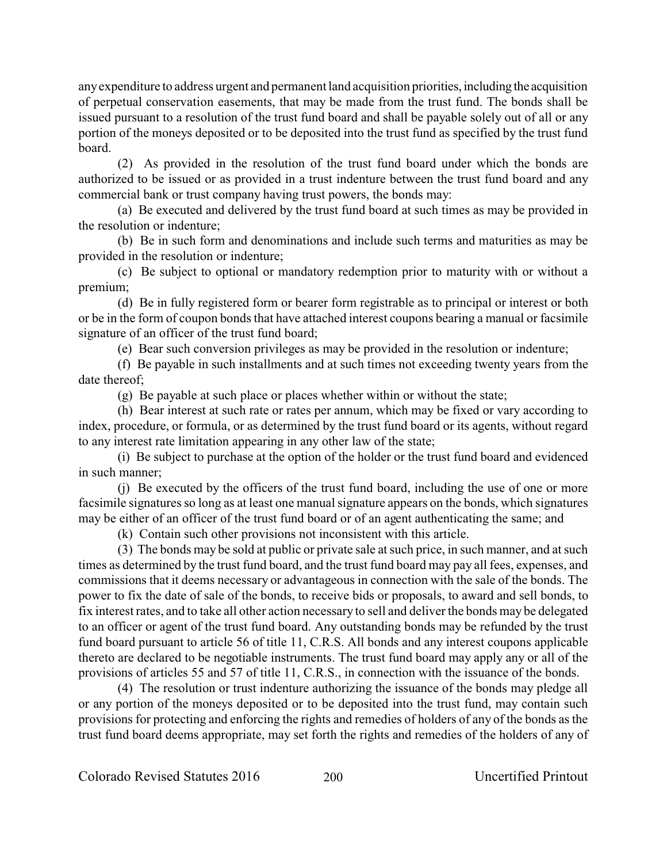anyexpenditure to address urgent and permanent land acquisition priorities, including the acquisition of perpetual conservation easements, that may be made from the trust fund. The bonds shall be issued pursuant to a resolution of the trust fund board and shall be payable solely out of all or any portion of the moneys deposited or to be deposited into the trust fund as specified by the trust fund board.

(2) As provided in the resolution of the trust fund board under which the bonds are authorized to be issued or as provided in a trust indenture between the trust fund board and any commercial bank or trust company having trust powers, the bonds may:

(a) Be executed and delivered by the trust fund board at such times as may be provided in the resolution or indenture;

(b) Be in such form and denominations and include such terms and maturities as may be provided in the resolution or indenture;

(c) Be subject to optional or mandatory redemption prior to maturity with or without a premium;

(d) Be in fully registered form or bearer form registrable as to principal or interest or both or be in the form of coupon bonds that have attached interest coupons bearing a manual or facsimile signature of an officer of the trust fund board;

(e) Bear such conversion privileges as may be provided in the resolution or indenture;

(f) Be payable in such installments and at such times not exceeding twenty years from the date thereof;

(g) Be payable at such place or places whether within or without the state;

(h) Bear interest at such rate or rates per annum, which may be fixed or vary according to index, procedure, or formula, or as determined by the trust fund board or its agents, without regard to any interest rate limitation appearing in any other law of the state;

(i) Be subject to purchase at the option of the holder or the trust fund board and evidenced in such manner;

(j) Be executed by the officers of the trust fund board, including the use of one or more facsimile signatures so long as at least one manual signature appears on the bonds, which signatures may be either of an officer of the trust fund board or of an agent authenticating the same; and

(k) Contain such other provisions not inconsistent with this article.

(3) The bonds may be sold at public or private sale at such price, in such manner, and at such times as determined by the trust fund board, and the trust fund board may pay all fees, expenses, and commissions that it deems necessary or advantageous in connection with the sale of the bonds. The power to fix the date of sale of the bonds, to receive bids or proposals, to award and sell bonds, to fix interest rates, and to take all other action necessary to sell and deliver the bonds may be delegated to an officer or agent of the trust fund board. Any outstanding bonds may be refunded by the trust fund board pursuant to article 56 of title 11, C.R.S. All bonds and any interest coupons applicable thereto are declared to be negotiable instruments. The trust fund board may apply any or all of the provisions of articles 55 and 57 of title 11, C.R.S., in connection with the issuance of the bonds.

(4) The resolution or trust indenture authorizing the issuance of the bonds may pledge all or any portion of the moneys deposited or to be deposited into the trust fund, may contain such provisions for protecting and enforcing the rights and remedies of holders of any of the bonds as the trust fund board deems appropriate, may set forth the rights and remedies of the holders of any of

Colorado Revised Statutes 2016 200 Uncertified Printout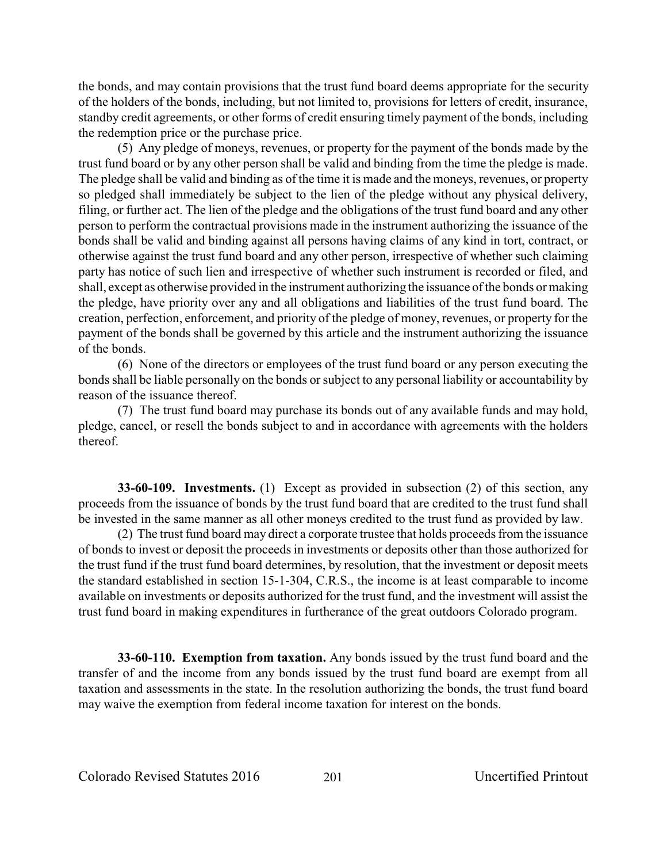the bonds, and may contain provisions that the trust fund board deems appropriate for the security of the holders of the bonds, including, but not limited to, provisions for letters of credit, insurance, standby credit agreements, or other forms of credit ensuring timely payment of the bonds, including the redemption price or the purchase price.

(5) Any pledge of moneys, revenues, or property for the payment of the bonds made by the trust fund board or by any other person shall be valid and binding from the time the pledge is made. The pledge shall be valid and binding as of the time it is made and the moneys, revenues, or property so pledged shall immediately be subject to the lien of the pledge without any physical delivery, filing, or further act. The lien of the pledge and the obligations of the trust fund board and any other person to perform the contractual provisions made in the instrument authorizing the issuance of the bonds shall be valid and binding against all persons having claims of any kind in tort, contract, or otherwise against the trust fund board and any other person, irrespective of whether such claiming party has notice of such lien and irrespective of whether such instrument is recorded or filed, and shall, except as otherwise provided in the instrument authorizing the issuance of the bonds or making the pledge, have priority over any and all obligations and liabilities of the trust fund board. The creation, perfection, enforcement, and priority of the pledge of money, revenues, or property for the payment of the bonds shall be governed by this article and the instrument authorizing the issuance of the bonds.

(6) None of the directors or employees of the trust fund board or any person executing the bonds shall be liable personally on the bonds or subject to any personal liability or accountability by reason of the issuance thereof.

(7) The trust fund board may purchase its bonds out of any available funds and may hold, pledge, cancel, or resell the bonds subject to and in accordance with agreements with the holders thereof.

**33-60-109. Investments.** (1) Except as provided in subsection (2) of this section, any proceeds from the issuance of bonds by the trust fund board that are credited to the trust fund shall be invested in the same manner as all other moneys credited to the trust fund as provided by law.

(2) The trust fund board may direct a corporate trustee that holds proceeds from the issuance of bonds to invest or deposit the proceeds in investments or deposits other than those authorized for the trust fund if the trust fund board determines, by resolution, that the investment or deposit meets the standard established in section 15-1-304, C.R.S., the income is at least comparable to income available on investments or deposits authorized for the trust fund, and the investment will assist the trust fund board in making expenditures in furtherance of the great outdoors Colorado program.

**33-60-110. Exemption from taxation.** Any bonds issued by the trust fund board and the transfer of and the income from any bonds issued by the trust fund board are exempt from all taxation and assessments in the state. In the resolution authorizing the bonds, the trust fund board may waive the exemption from federal income taxation for interest on the bonds.